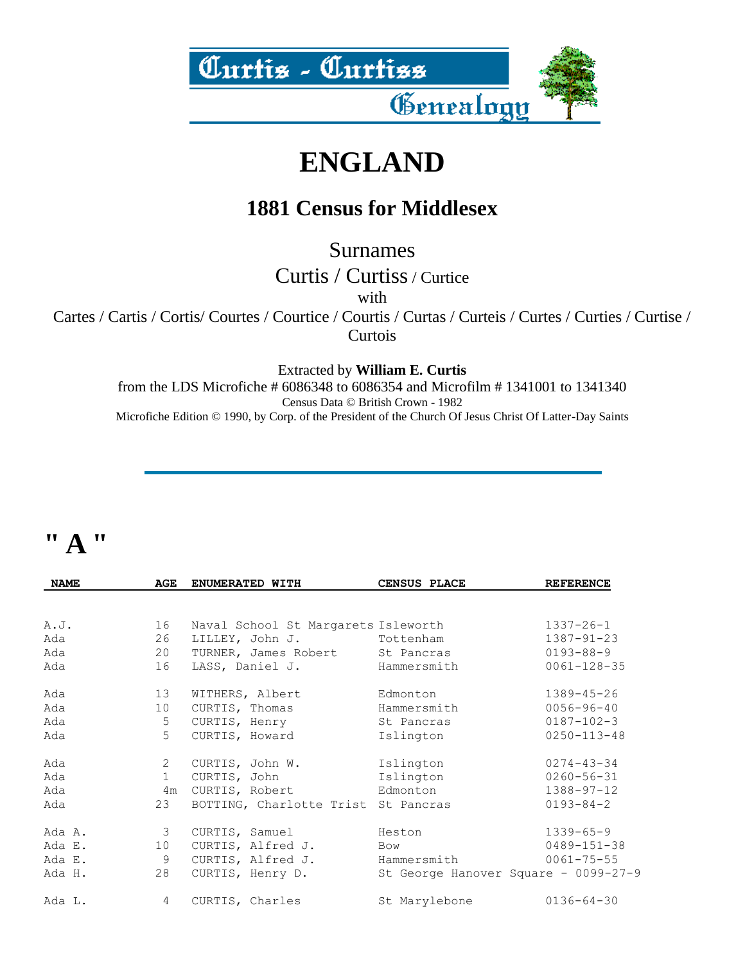

### **ENGLAND**

#### **1881 Census for Middlesex**

Surnames

Curtis / Curtiss/ Curtice

with

Cartes / Cartis / Cortis/ Courtes / Courtice / Courtis / Curtas / Curteis / Curtes / Curties / Curtise / **Curtois** 

Extracted by **William E. Curtis**

from the LDS Microfiche # 6086348 to 6086354 and Microfilm # 1341001 to 1341340 Census Data © British Crown - 1982 Microfiche Edition © 1990, by Corp. of the President of the Church Of Jesus Christ Of Latter-Day Saints

#### **" A "**

| <b>NAME</b> | <b>AGE</b>              | ENUMERATED WITH                     | CENSUS PLACE                         | <b>REFERENCE</b>  |  |
|-------------|-------------------------|-------------------------------------|--------------------------------------|-------------------|--|
|             |                         |                                     |                                      |                   |  |
| A.J.        | 16                      | Naval School St Margarets Isleworth |                                      | $1337 - 26 - 1$   |  |
| Ada         | 26                      | LILLEY, John J.                     | Tottenham                            | $1387 - 91 - 23$  |  |
| Ada         | 20                      | TURNER, James Robert St Pancras     |                                      | 0193-88-9         |  |
| Ada         | 16                      | LASS, Daniel J.                     | Hammersmith                          | $0061 - 128 - 35$ |  |
| Ada         | 13                      | WITHERS, Albert                     | Edmonton                             | $1389 - 45 - 26$  |  |
| Ada         | 10                      | CURTIS, Thomas                      | Hammersmith                          | $0056 - 96 - 40$  |  |
| Ada         | 5                       | CURTIS, Henry                       | St Pancras                           | $0187 - 102 - 3$  |  |
| Ada         | 5 <sup>5</sup>          | CURTIS, Howard                      | Islington                            | $0250 - 113 - 48$ |  |
| Ada         | $2^{\circ}$             | CURTIS, John W.                     | Islington                            | $0274 - 43 - 34$  |  |
| Ada         | 1                       | CURTIS, John                        | Islington                            | $0260 - 56 - 31$  |  |
| Ada         | 4m                      | CURTIS, Robert                      | Edmonton                             | $1388 - 97 - 12$  |  |
| Ada         | 23                      | BOTTING, Charlotte Trist St Pancras |                                      | $0193 - 84 - 2$   |  |
| Ada A.      | $\overline{\mathbf{3}}$ | CURTIS, Samuel                      | Heston                               | $1339 - 65 - 9$   |  |
| Ada E.      | 10                      | CURTIS, Alfred J.                   | Bow                                  | 0489-151-38       |  |
| Ada E.      | 9                       | CURTIS, Alfred J.                   | Hammersmith                          | $0061 - 75 - 55$  |  |
| Ada H.      | 28                      | CURTIS, Henry D.                    | St George Hanover Square - 0099-27-9 |                   |  |
| Ada L.      | $4\overline{ }$         | CURTIS, Charles                     | St Marylebone                        | $0136 - 64 - 30$  |  |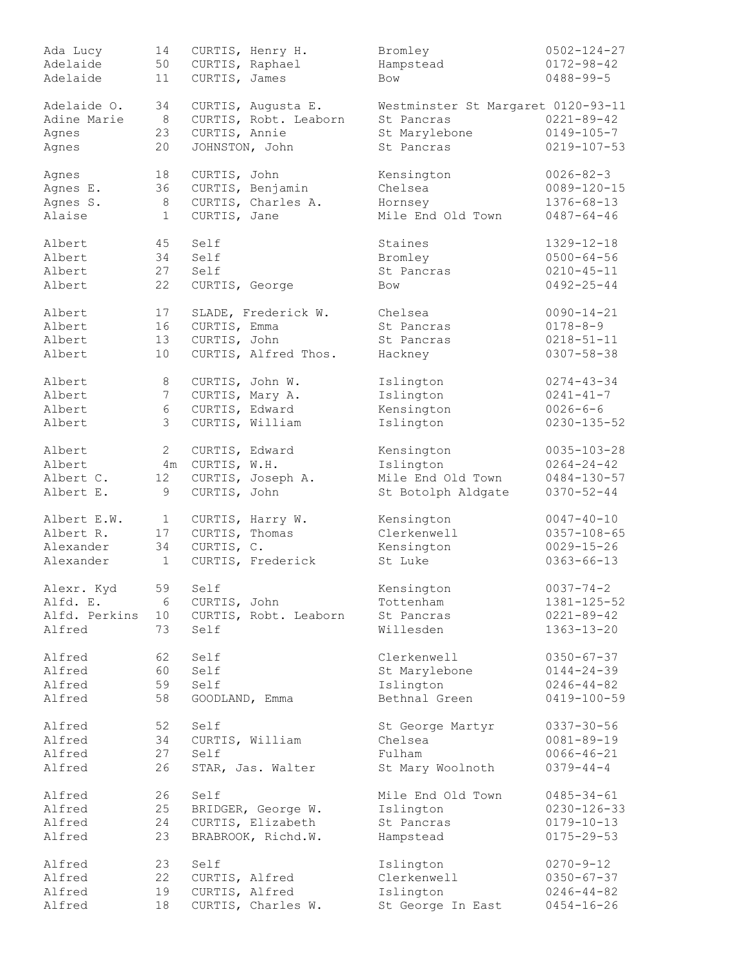| Ada Lucy      | 14              |                 | CURTIS, Henry H.      | Bromley                            | $0502 - 124 - 27$ |
|---------------|-----------------|-----------------|-----------------------|------------------------------------|-------------------|
| Adelaide      | 50              | CURTIS, Raphael |                       | Hampstead                          | $0172 - 98 - 42$  |
| Adelaide      | 11              | CURTIS, James   |                       | Bow                                | $0488 - 99 - 5$   |
|               |                 |                 |                       |                                    |                   |
| Adelaide O.   | 34              |                 | CURTIS, Augusta E.    | Westminster St Margaret 0120-93-11 |                   |
| Adine Marie   | 8               |                 | CURTIS, Robt. Leaborn | St Pancras                         | $0221 - 89 - 42$  |
|               |                 |                 |                       |                                    |                   |
| Agnes         | 23              | CURTIS, Annie   |                       | St Marylebone                      | $0149 - 105 - 7$  |
| Agnes         | 20              | JOHNSTON, John  |                       | St Pancras                         | $0219 - 107 - 53$ |
| Agnes         | 18              | CURTIS, John    |                       | Kensington                         | $0026 - 82 - 3$   |
| Agnes E.      | 36              |                 | CURTIS, Benjamin      | Chelsea                            | $0089 - 120 - 15$ |
| Agnes S.      | $8\,$           |                 | CURTIS, Charles A.    | Hornsey                            | $1376 - 68 - 13$  |
| Alaise        | $\mathbf{1}$    | CURTIS, Jane    |                       | Mile End Old Town                  | $0487 - 64 - 46$  |
|               |                 |                 |                       |                                    |                   |
| Albert        | 45              | Self            |                       | Staines                            | $1329 - 12 - 18$  |
| Albert        | 34              | Self            |                       | Bromley                            | $0500 - 64 - 56$  |
| Albert        | 27              | Self            |                       | St Pancras                         | $0210 - 45 - 11$  |
| Albert        | 22              | CURTIS, George  |                       | Bow                                | $0492 - 25 - 44$  |
| Albert        | 17              |                 | SLADE, Frederick W.   | Chelsea                            | $0090 - 14 - 21$  |
| Albert        | 16              | CURTIS, Emma    |                       | St Pancras                         | $0178 - 8 - 9$    |
| Albert        | 13              | CURTIS, John    |                       | St Pancras                         | $0218 - 51 - 11$  |
|               |                 |                 |                       |                                    |                   |
| Albert        | 10              |                 | CURTIS, Alfred Thos.  | Hackney                            | $0307 - 58 - 38$  |
| Albert        | 8               | CURTIS, John W. |                       | Islington                          | $0274 - 43 - 34$  |
| Albert        | $7\phantom{.0}$ | CURTIS, Mary A. |                       | Islington                          | $0241 - 41 - 7$   |
| Albert        | $\sqrt{6}$      | CURTIS, Edward  |                       | Kensington                         | $0026 - 6 - 6$    |
|               |                 |                 |                       |                                    |                   |
| Albert        | $\mathfrak{Z}$  | CURTIS, William |                       | Islington                          | $0230 - 135 - 52$ |
| Albert        | 2               | CURTIS, Edward  |                       | Kensington                         | $0035 - 103 - 28$ |
| Albert        | 4m              | CURTIS, W.H.    |                       | Islington                          | $0264 - 24 - 42$  |
| Albert C.     | 12              |                 | CURTIS, Joseph A.     | Mile End Old Town                  | $0484 - 130 - 57$ |
| Albert E.     | 9               | CURTIS, John    |                       | St Botolph Aldgate                 | $0370 - 52 - 44$  |
|               |                 |                 |                       |                                    |                   |
| Albert E.W.   | $\mathbf{1}$    |                 | CURTIS, Harry W.      | Kensington                         | $0047 - 40 - 10$  |
| Albert R.     | 17              | CURTIS, Thomas  |                       | Clerkenwell                        | $0357 - 108 - 65$ |
| Alexander     | 34              | CURTIS, C.      |                       | Kensington                         | $0029 - 15 - 26$  |
| Alexander     | $\mathbf{1}$    |                 | CURTIS, Frederick     | St Luke                            | $0363 - 66 - 13$  |
|               | 59              | Self            |                       |                                    | $0037 - 74 - 2$   |
| Alexr. Kyd    |                 |                 |                       | Kensington                         |                   |
| Alfd. E.      | 6               | CURTIS, John    |                       | Tottenham                          | 1381-125-52       |
| Alfd. Perkins | 10              |                 | CURTIS, Robt. Leaborn | St Pancras                         | $0221 - 89 - 42$  |
| Alfred        | 73              | Self            |                       | Willesden                          | $1363 - 13 - 20$  |
| Alfred        | 62              | Self            |                       | Clerkenwell                        | $0350 - 67 - 37$  |
| Alfred        | 60              | Self            |                       | St Marylebone                      | $0144 - 24 - 39$  |
| Alfred        | 59              | Self            |                       | Islington                          | $0246 - 44 - 82$  |
| Alfred        | 58              | GOODLAND, Emma  |                       | Bethnal Green                      | $0419 - 100 - 59$ |
|               |                 |                 |                       |                                    |                   |
| Alfred        | 52              | Self            |                       | St George Martyr                   | $0337 - 30 - 56$  |
| Alfred        | 34              | CURTIS, William |                       | Chelsea                            | $0081 - 89 - 19$  |
| Alfred        | 27              | Self            |                       | Fulham                             | $0066 - 46 - 21$  |
| Alfred        | 26              |                 | STAR, Jas. Walter     | St Mary Woolnoth                   | $0379 - 44 - 4$   |
| Alfred        | 26              | Self            |                       | Mile End Old Town                  | $0485 - 34 - 61$  |
| Alfred        | 25              |                 | BRIDGER, George W.    | Islington                          | $0230 - 126 - 33$ |
|               |                 |                 |                       |                                    |                   |
| Alfred        | 24              |                 | CURTIS, Elizabeth     | St Pancras                         | $0179 - 10 - 13$  |
| Alfred        | 23              |                 | BRABROOK, Richd.W.    | Hampstead                          | $0175 - 29 - 53$  |
| Alfred        | 23              | Self            |                       | Islington                          | $0270 - 9 - 12$   |
| Alfred        | 22              | CURTIS, Alfred  |                       | Clerkenwell                        | $0350 - 67 - 37$  |
| Alfred        | 19              | CURTIS, Alfred  |                       | Islington                          | $0246 - 44 - 82$  |
| Alfred        | 18              |                 | CURTIS, Charles W.    | St George In East                  | $0454 - 16 - 26$  |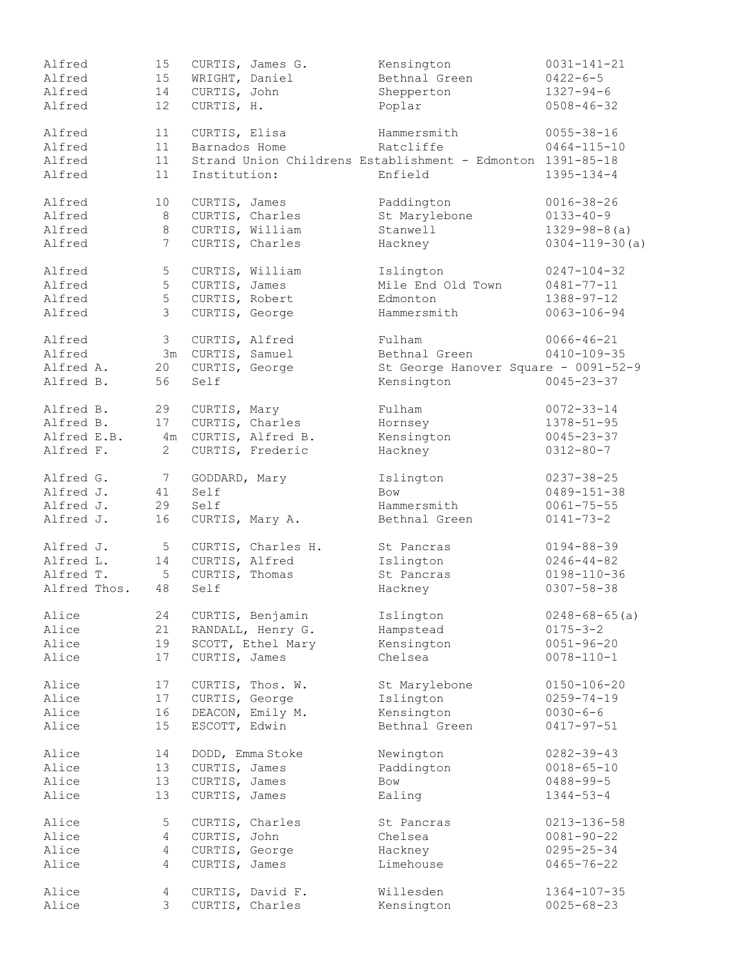| Alfred       | 15 <sub>1</sub> |                   | CURTIS, James G.   | Kensington                                                 | $0031 - 141 - 21$     |
|--------------|-----------------|-------------------|--------------------|------------------------------------------------------------|-----------------------|
| Alfred       | 15              | WRIGHT, Daniel    |                    | Bethnal Green                                              | $0422 - 6 - 5$        |
| Alfred       | 14              | CURTIS, John      |                    | Shepperton                                                 | $1327 - 94 - 6$       |
| Alfred       | 12              | CURTIS, H.        |                    | Poplar                                                     | $0508 - 46 - 32$      |
|              |                 |                   |                    |                                                            |                       |
| Alfred       | 11              | CURTIS, Elisa     |                    | Hammersmith                                                | $0055 - 38 - 16$      |
| Alfred       | 11              | Barnados Home     |                    | Ratcliffe                                                  | $0464 - 115 - 10$     |
| Alfred       | 11              |                   |                    | Strand Union Childrens Establishment - Edmonton 1391-85-18 |                       |
| Alfred       | 11              | Institution:      |                    | Enfield                                                    | $1395 - 134 - 4$      |
| Alfred       | 10              | CURTIS, James     |                    | Paddington                                                 | $0016 - 38 - 26$      |
| Alfred       | 8               |                   | CURTIS, Charles    | St Marylebone                                              | $0133 - 40 - 9$       |
| Alfred       | 8               |                   | CURTIS, William    | Stanwell                                                   | $1329 - 98 - 8(a)$    |
| Alfred       | $7\phantom{.0}$ |                   | CURTIS, Charles    | Hackney                                                    | $0304 - 119 - 30$ (a) |
|              |                 |                   |                    |                                                            |                       |
| Alfred       | 5               |                   | CURTIS, William    | Islington                                                  | $0247 - 104 - 32$     |
| Alfred       | 5               | CURTIS, James     |                    | Mile End Old Town                                          | $0481 - 77 - 11$      |
| Alfred       | 5               | CURTIS, Robert    |                    | Edmonton                                                   | $1388 - 97 - 12$      |
| Alfred       | $\mathcal{S}$   | CURTIS, George    |                    | Hammersmith                                                | $0063 - 106 - 94$     |
| Alfred       | 3 <sup>7</sup>  | CURTIS, Alfred    |                    | Fulham                                                     | $0066 - 46 - 21$      |
| Alfred       |                 | 3m CURTIS, Samuel |                    | Bethnal Green                                              | $0410 - 109 - 35$     |
|              |                 |                   |                    |                                                            |                       |
| Alfred A.    | 20              | CURTIS, George    |                    | St George Hanover Square - 0091-52-9                       |                       |
| Alfred B.    | 56              | Self              |                    | Kensington                                                 | $0045 - 23 - 37$      |
| Alfred B.    | 29              | CURTIS, Mary      |                    | Fulham                                                     | $0072 - 33 - 14$      |
| Alfred B.    | 17              |                   | CURTIS, Charles    | Hornsey                                                    | $1378 - 51 - 95$      |
| Alfred E.B.  | 4m              |                   | CURTIS, Alfred B.  | Kensington                                                 | $0045 - 23 - 37$      |
| Alfred F.    | $\overline{2}$  |                   | CURTIS, Frederic   | Hackney                                                    | $0312 - 80 - 7$       |
|              |                 |                   |                    |                                                            |                       |
| Alfred G.    | $7\phantom{.0}$ | GODDARD, Mary     |                    | Islington                                                  | $0237 - 38 - 25$      |
| Alfred J.    | 41              | Self              |                    | <b>Bow</b>                                                 | $0489 - 151 - 38$     |
| Alfred J.    | 29              | Self              |                    | Hammersmith                                                | $0061 - 75 - 55$      |
| Alfred J.    | 16              |                   | CURTIS, Mary A.    | Bethnal Green                                              | $0141 - 73 - 2$       |
| Alfred J.    | $5\overline{)}$ |                   | CURTIS, Charles H. | St Pancras                                                 | $0194 - 88 - 39$      |
| Alfred L.    | 14              | CURTIS, Alfred    |                    | Islington                                                  | $0246 - 44 - 82$      |
| Alfred T.    | $5\phantom{.0}$ | CURTIS, Thomas    |                    | St Pancras                                                 | $0198 - 110 - 36$     |
| Alfred Thos. | 48              | Self              |                    | Hackney                                                    | $0307 - 58 - 38$      |
|              |                 |                   |                    |                                                            |                       |
| Alice        | 24              |                   | CURTIS, Benjamin   | Islington                                                  | $0248 - 68 - 65$ (a)  |
| Alice        | 21              |                   | RANDALL, Henry G.  | Hampstead                                                  | $0175 - 3 - 2$        |
| Alice        | 19              |                   | SCOTT, Ethel Mary  | Kensington                                                 | $0051 - 96 - 20$      |
| Alice        | 17              | CURTIS, James     |                    | Chelsea                                                    | $0078 - 110 - 1$      |
| Alice        | 17              |                   | CURTIS, Thos. W.   | St Marylebone                                              | $0150 - 106 - 20$     |
| Alice        | 17              | CURTIS, George    |                    | Islington                                                  | $0259 - 74 - 19$      |
| Alice        | 16              |                   | DEACON, Emily M.   | Kensington                                                 | $0030 - 6 - 6$        |
| Alice        | 15              | ESCOTT, Edwin     |                    | Bethnal Green                                              | $0417 - 97 - 51$      |
|              |                 |                   |                    |                                                            |                       |
| Alice        | 14              |                   | DODD, Emma Stoke   | Newington                                                  | $0282 - 39 - 43$      |
| Alice        | 13              | CURTIS, James     |                    | Paddington                                                 | $0018 - 65 - 10$      |
| Alice        | 13              | CURTIS, James     |                    | Bow                                                        | $0488 - 99 - 5$       |
| Alice        | 13              | CURTIS, James     |                    | Ealing                                                     | $1344 - 53 - 4$       |
|              |                 |                   |                    |                                                            |                       |
| Alice        | 5               |                   | CURTIS, Charles    | St Pancras                                                 | 0213-136-58           |
| Alice        | 4               | CURTIS, John      |                    | Chelsea                                                    | $0081 - 90 - 22$      |
| Alice        | $\overline{4}$  | CURTIS, George    |                    | Hackney                                                    | $0295 - 25 - 34$      |
| Alice        | 4               | CURTIS, James     |                    | Limehouse                                                  | $0465 - 76 - 22$      |
| Alice        | 4               |                   | CURTIS, David F.   | Willesden                                                  | $1364 - 107 - 35$     |
| Alice        | 3               |                   | CURTIS, Charles    | Kensington                                                 | $0025 - 68 - 23$      |
|              |                 |                   |                    |                                                            |                       |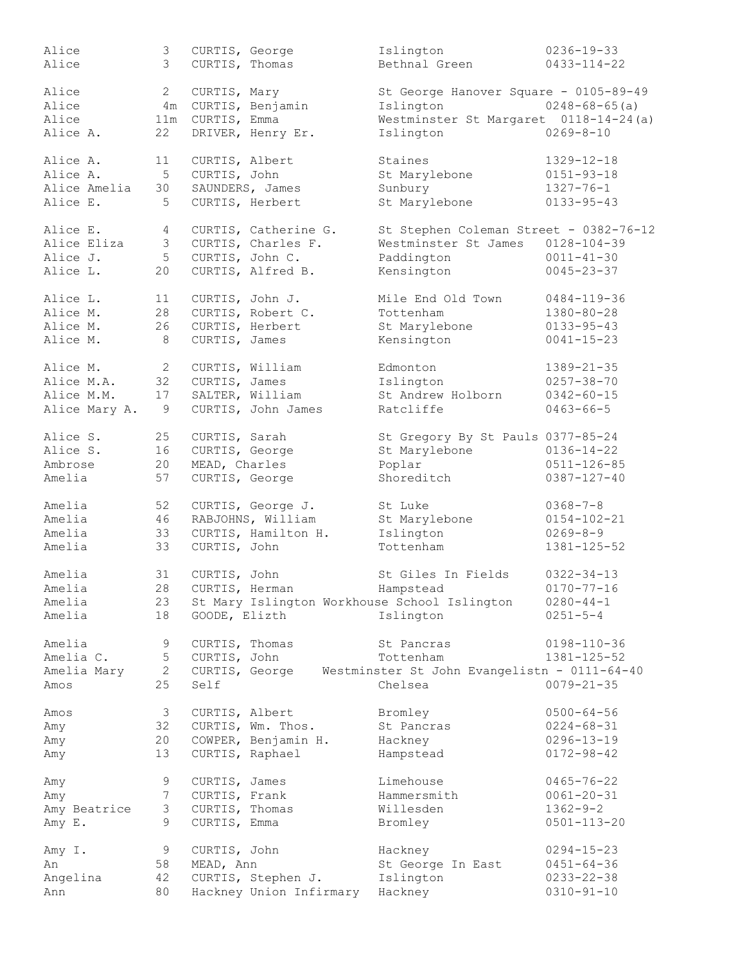| Alice         | 3 <sup>7</sup>  | CURTIS, George  |                         | Islington                                                   | $0236 - 19 - 33$     |
|---------------|-----------------|-----------------|-------------------------|-------------------------------------------------------------|----------------------|
| Alice         | 3               |                 | CURTIS, Thomas          | Bethnal Green                                               | $0433 - 114 - 22$    |
|               |                 |                 |                         |                                                             |                      |
| Alice         | $\mathbf{2}$    | CURTIS, Mary    |                         | St George Hanover Square - 0105-89-49                       |                      |
| Alice         | 4 m             |                 | CURTIS, Benjamin        | Islington                                                   | $0248 - 68 - 65$ (a) |
| Alice         | 11m             | CURTIS, Emma    |                         | Westminster St Margaret 0118-14-24(a)                       |                      |
| Alice A.      | 22              |                 | DRIVER, Henry Er.       | Islington                                                   | $0269 - 8 - 10$      |
|               |                 |                 |                         |                                                             |                      |
| Alice A.      | 11              | CURTIS, Albert  |                         | Staines                                                     | $1329 - 12 - 18$     |
|               |                 |                 |                         |                                                             |                      |
| Alice A.      | 5               | CURTIS, John    |                         | St Marylebone                                               | $0151 - 93 - 18$     |
| Alice Amelia  | 30              |                 | SAUNDERS, James         | Sunbury                                                     | $1327 - 76 - 1$      |
| Alice E.      | 5               |                 | CURTIS, Herbert         | St Marylebone                                               | $0133 - 95 - 43$     |
|               |                 |                 |                         |                                                             |                      |
| Alice E.      | 4               |                 | CURTIS, Catherine G.    | St Stephen Coleman Street - 0382-76-12                      |                      |
| Alice Eliza   | 3 <sup>7</sup>  |                 | CURTIS, Charles F.      | Westminster St James                                        | $0128 - 104 - 39$    |
| Alice J.      | 5 <sup>5</sup>  | CURTIS, John C. |                         | Paddington                                                  | $0011 - 41 - 30$     |
| Alice L.      | 20              |                 | CURTIS, Alfred B.       | Kensington                                                  | $0045 - 23 - 37$     |
|               |                 |                 |                         |                                                             |                      |
| Alice L.      | 11              |                 | CURTIS, John J.         | Mile End Old Town                                           | $0484 - 119 - 36$    |
| Alice M.      | 28              |                 | CURTIS, Robert C.       | Tottenham                                                   | $1380 - 80 - 28$     |
| Alice M.      | 26              |                 | CURTIS, Herbert         | St Marylebone                                               | $0133 - 95 - 43$     |
| Alice M.      | 8               | CURTIS, James   |                         | Kensington                                                  | $0041 - 15 - 23$     |
|               |                 |                 |                         |                                                             |                      |
| Alice M.      | $\overline{2}$  |                 | CURTIS, William         | Edmonton                                                    | $1389 - 21 - 35$     |
|               |                 |                 |                         |                                                             |                      |
| Alice M.A.    | 32              | CURTIS, James   |                         | Islington                                                   | $0257 - 38 - 70$     |
| Alice M.M.    | 17              |                 | SALTER, William         | St Andrew Holborn                                           | $0342 - 60 - 15$     |
| Alice Mary A. | - 9             |                 | CURTIS, John James      | Ratcliffe                                                   | $0463 - 66 - 5$      |
|               |                 |                 |                         |                                                             |                      |
| Alice S.      | 25              | CURTIS, Sarah   |                         | St Gregory By St Pauls 0377-85-24                           |                      |
| Alice S.      | 16              | CURTIS, George  |                         | St Marylebone                                               | $0136 - 14 - 22$     |
| Ambrose       | 20              | MEAD, Charles   |                         | Poplar                                                      | $0511 - 126 - 85$    |
| Amelia        | 57              | CURTIS, George  |                         | Shoreditch                                                  | $0387 - 127 - 40$    |
|               |                 |                 |                         |                                                             |                      |
| Amelia        | 52              |                 | CURTIS, George J.       | St Luke                                                     | $0368 - 7 - 8$       |
| Amelia        | 46              |                 | RABJOHNS, William       | St Marylebone                                               | $0154 - 102 - 21$    |
| Amelia        | 33              |                 | CURTIS, Hamilton H.     | Islington                                                   | $0269 - 8 - 9$       |
| Amelia        | 33              | CURTIS, John    |                         | Tottenham                                                   | 1381-125-52          |
|               |                 |                 |                         |                                                             |                      |
| Amelia        | 31              | CURTIS, John    |                         | St Giles In Fields                                          | $0322 - 34 - 13$     |
| Amelia        |                 |                 | 28 CURTIS, Herman       | Hampstead                                                   | $0170 - 77 - 16$     |
| Amelia        | 23              |                 |                         | St Mary Islington Workhouse School Islington                | $0280 - 44 - 1$      |
|               | 18              | GOODE, Elizth   |                         | Islington                                                   | $0251 - 5 - 4$       |
| Amelia        |                 |                 |                         |                                                             |                      |
| Amelia        | 9               | CURTIS, Thomas  |                         | St Pancras                                                  | $0198 - 110 - 36$    |
|               |                 |                 |                         |                                                             |                      |
| Amelia C.     | 5               | CURTIS, John    |                         | Tottenham                                                   | 1381-125-52          |
| Amelia Mary   | $\overline{2}$  |                 |                         | CURTIS, George Westminster St John Evangelistn - 0111-64-40 |                      |
| Amos          | 25              | Self            |                         | Chelsea                                                     | $0079 - 21 - 35$     |
|               |                 |                 |                         |                                                             |                      |
| Amos          | $\mathcal{S}$   | CURTIS, Albert  |                         | Bromley                                                     | $0500 - 64 - 56$     |
| Amy           | 32              |                 | CURTIS, Wm. Thos.       | St Pancras                                                  | $0224 - 68 - 31$     |
| Amy           | 20              |                 | COWPER, Benjamin H.     | Hackney                                                     | $0296 - 13 - 19$     |
| Amy           | 13              |                 | CURTIS, Raphael         | Hampstead                                                   | $0172 - 98 - 42$     |
|               |                 |                 |                         |                                                             |                      |
| Amy           | 9               | CURTIS, James   |                         | Limehouse                                                   | $0465 - 76 - 22$     |
| Amy           | $7\phantom{.0}$ | CURTIS, Frank   |                         | Hammersmith                                                 | $0061 - 20 - 31$     |
| Amy Beatrice  | 3               | CURTIS, Thomas  |                         | Willesden                                                   | $1362 - 9 - 2$       |
| Amy E.        | 9               | CURTIS, Emma    |                         | Bromley                                                     | $0501 - 113 - 20$    |
|               |                 |                 |                         |                                                             |                      |
| Amy I.        | 9               | CURTIS, John    |                         | Hackney                                                     | $0294 - 15 - 23$     |
| An            | 58              | MEAD, Ann       |                         | St George In East                                           | $0451 - 64 - 36$     |
| Angelina      | 42              |                 | CURTIS, Stephen J.      | Islington                                                   | $0233 - 22 - 38$     |
| Ann           | 80              |                 | Hackney Union Infirmary | Hackney                                                     | $0310 - 91 - 10$     |
|               |                 |                 |                         |                                                             |                      |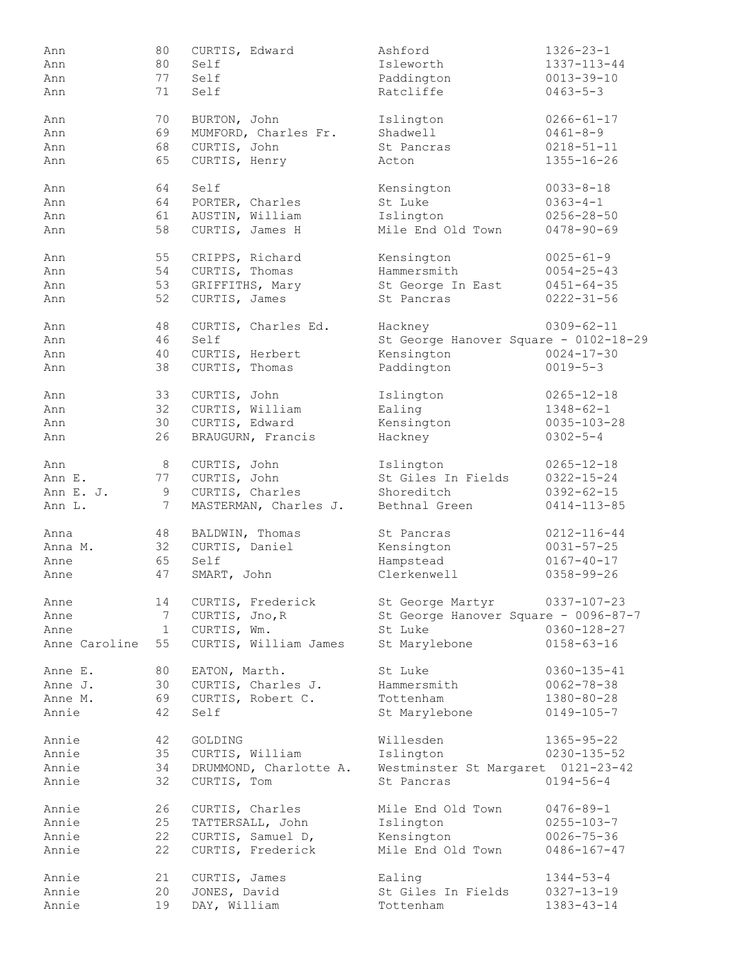| Ann           | 80  | CURTIS, Edward         | Ashford                               | $1326 - 23 - 1$                      |
|---------------|-----|------------------------|---------------------------------------|--------------------------------------|
| Ann           | 80  | Self                   | Isleworth                             | 1337-113-44                          |
| Ann           | 77  | Self                   | Paddington                            | $0013 - 39 - 10$                     |
| Ann           | 71  | Self                   | Ratcliffe                             | $0463 - 5 - 3$                       |
|               |     |                        |                                       | $0266 - 61 - 17$                     |
| Ann           | 70  | BURTON, John           | Islington                             |                                      |
| Ann           | 69  | MUMFORD, Charles Fr.   | Shadwell                              | $0461 - 8 - 9$                       |
| Ann           | 68  | CURTIS, John           | St Pancras                            | $0218 - 51 - 11$                     |
| Ann           | 65  | CURTIS, Henry          | Acton                                 | $1355 - 16 - 26$                     |
| Ann           | 64  | Self                   | Kensington                            | $0033 - 8 - 18$                      |
| Ann           | 64  | PORTER, Charles        | St Luke                               | $0363 - 4 - 1$                       |
| Ann           | 61  | AUSTIN, William        | Islington                             | $0256 - 28 - 50$                     |
| Ann           | 58  | CURTIS, James H        | Mile End Old Town                     | $0478 - 90 - 69$                     |
| Ann           | 55  | CRIPPS, Richard        | Kensington                            | $0025 - 61 - 9$                      |
| Ann           | 54  | CURTIS, Thomas         | Hammersmith                           | $0054 - 25 - 43$                     |
|               |     |                        | St George In East                     |                                      |
| Ann           | 53  | GRIFFITHS, Mary        |                                       | $0451 - 64 - 35$                     |
| Ann           | 52  | CURTIS, James          | St Pancras                            | $0222 - 31 - 56$                     |
| Ann           | 48  | CURTIS, Charles Ed.    | Hackney                               | $0309 - 62 - 11$                     |
| Ann           | 46  | Self                   | St George Hanover Square - 0102-18-29 |                                      |
| Ann           | 40  | CURTIS, Herbert        | Kensington                            | $0024 - 17 - 30$                     |
| Ann           | 38  | CURTIS, Thomas         | Paddington                            | $0019 - 5 - 3$                       |
| Ann           | 33  | CURTIS, John           | Islington                             | $0265 - 12 - 18$                     |
| Ann           | 32  | CURTIS, William        | Ealing                                | $1348 - 62 - 1$                      |
|               |     |                        |                                       |                                      |
| Ann           | 30  | CURTIS, Edward         | Kensington                            | $0035 - 103 - 28$                    |
| Ann           | 26  | BRAUGURN, Francis      | Hackney                               | $0302 - 5 - 4$                       |
| Ann           | - 8 | CURTIS, John           | Islington                             | $0265 - 12 - 18$                     |
| Ann E.        | 77  | CURTIS, John           | St Giles In Fields                    | $0322 - 15 - 24$                     |
| Ann E. J.     | 9   | CURTIS, Charles        | Shoreditch                            | $0392 - 62 - 15$                     |
| Ann L.        | 7   | MASTERMAN, Charles J.  | Bethnal Green                         | $0414 - 113 - 85$                    |
| Anna          | 48  | BALDWIN, Thomas        | St Pancras                            | $0212 - 116 - 44$                    |
| Anna M.       | 32  | CURTIS, Daniel         | Kensington                            | $0031 - 57 - 25$                     |
|               |     | Self                   | Hampstead                             |                                      |
| Anne          | 65  |                        |                                       | $0167 - 40 - 17$                     |
| Anne          | 47  | SMART, John            | Clerkenwell                           | $0358 - 99 - 26$                     |
| Anne          | 14  | CURTIS, Frederick      | St George Martyr                      | $0337 - 107 - 23$                    |
| Anne          | 7   | CURTIS, Jno, R         | St George Hanover Square - 0096-87-7  |                                      |
| Anne          | 1   | CURTIS, Wm.            | St Luke                               | $0360 - 128 - 27$                    |
| Anne Caroline | 55  | CURTIS, William James  | St Marylebone                         | $0158 - 63 - 16$                     |
| Anne E.       | 80  | EATON, Marth.          | St Luke                               | $0360 - 135 - 41$                    |
| Anne J.       | 30  | CURTIS, Charles J.     | Hammersmith                           | $0062 - 78 - 38$                     |
| Anne M.       | 69  | CURTIS, Robert C.      | Tottenham                             |                                      |
| Annie         | 42  | Self                   | St Marylebone                         | $1380 - 80 - 28$<br>$0149 - 105 - 7$ |
|               |     |                        |                                       |                                      |
| Annie         | 42  | GOLDING                | Willesden                             | $1365 - 95 - 22$                     |
| Annie         | 35  | CURTIS, William        | Islington                             | $0230 - 135 - 52$                    |
| Annie         | 34  | DRUMMOND, Charlotte A. | Westminster St Margaret 0121-23-42    |                                      |
| Annie         | 32  | CURTIS, Tom            | St Pancras                            | $0194 - 56 - 4$                      |
| Annie         | 26  | CURTIS, Charles        | Mile End Old Town                     | $0476 - 89 - 1$                      |
| Annie         | 25  | TATTERSALL, John       | Islington                             | $0255 - 103 - 7$                     |
| Annie         | 22  |                        |                                       |                                      |
|               |     | CURTIS, Samuel D,      | Kensington                            | $0026 - 75 - 36$                     |
| Annie         | 22  | CURTIS, Frederick      | Mile End Old Town                     | $0486 - 167 - 47$                    |
| Annie         | 21  | CURTIS, James          | Ealing                                | $1344 - 53 - 4$                      |
| Annie         | 20  | JONES, David           | St Giles In Fields                    | $0327 - 13 - 19$                     |
| Annie         | 19  | DAY, William           | Tottenham                             | $1383 - 43 - 14$                     |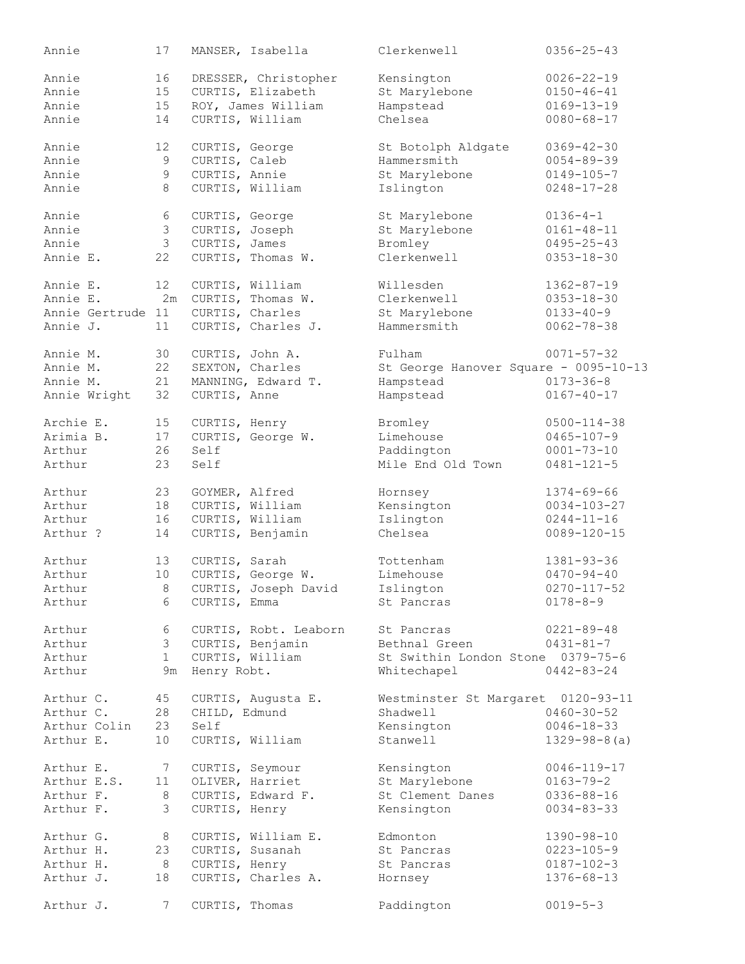| Annie             | 17              |                | MANSER, Isabella      | Clerkenwell                           | $0356 - 25 - 43$   |
|-------------------|-----------------|----------------|-----------------------|---------------------------------------|--------------------|
| Annie             | 16              |                | DRESSER, Christopher  | Kensington                            | $0026 - 22 - 19$   |
| Annie             | 15              |                | CURTIS, Elizabeth     | St Marylebone                         | $0150 - 46 - 41$   |
| Annie             | 15              |                | ROY, James William    | Hampstead                             | $0169 - 13 - 19$   |
| Annie             | 14              |                | CURTIS, William       | Chelsea                               | $0080 - 68 - 17$   |
| Annie             | 12              | CURTIS, George |                       | St Botolph Aldgate                    | $0369 - 42 - 30$   |
| Annie             | 9               | CURTIS, Caleb  |                       | Hammersmith                           | $0054 - 89 - 39$   |
| Annie             | 9               | CURTIS, Annie  |                       | St Marylebone                         | $0149 - 105 - 7$   |
| Annie             | 8               |                | CURTIS, William       | Islington                             | $0248 - 17 - 28$   |
| Annie             | 6               | CURTIS, George |                       | St Marylebone                         | $0136 - 4 - 1$     |
| Annie             | $\mathfrak{Z}$  |                | CURTIS, Joseph        | St Marylebone                         | $0161 - 48 - 11$   |
| Annie             | $\mathcal{S}$   | CURTIS, James  |                       | Bromley                               | $0495 - 25 - 43$   |
| Annie E.          | 22              |                | CURTIS, Thomas W.     | Clerkenwell                           | $0353 - 18 - 30$   |
| Annie E.          | 12              |                | CURTIS, William       | Willesden                             | $1362 - 87 - 19$   |
| Annie E.          |                 |                | 2m CURTIS, Thomas W.  | Clerkenwell                           | $0353 - 18 - 30$   |
| Annie Gertrude 11 |                 |                | CURTIS, Charles       | St Marylebone                         | $0133 - 40 - 9$    |
| Annie J.          | 11              |                | CURTIS, Charles J.    | Hammersmith                           | $0062 - 78 - 38$   |
| Annie M.          | 30              |                | CURTIS, John A.       | Fulham                                | $0071 - 57 - 32$   |
| Annie M.          | 22              |                | SEXTON, Charles       | St George Hanover Square - 0095-10-13 |                    |
| Annie M.          | 21              |                | MANNING, Edward T.    | Hampstead                             | $0173 - 36 - 8$    |
| Annie Wright      | 32              | CURTIS, Anne   |                       | Hampstead                             | $0167 - 40 - 17$   |
| Archie E.         | 15              | CURTIS, Henry  |                       | Bromley                               | $0500 - 114 - 38$  |
| Arimia B.         | 17              |                | CURTIS, George W.     | Limehouse                             | $0465 - 107 - 9$   |
| Arthur            | 26              | Self           |                       | Paddington                            | $0001 - 73 - 10$   |
| Arthur            | 23              | Self           |                       | Mile End Old Town                     | $0481 - 121 - 5$   |
| Arthur            | 23              |                | GOYMER, Alfred        | Hornsey                               | $1374 - 69 - 66$   |
| Arthur            | 18              |                | CURTIS, William       | Kensington                            | $0034 - 103 - 27$  |
| Arthur            | 16              |                | CURTIS, William       | Islington                             | $0244 - 11 - 16$   |
| Arthur ?          | 14              |                | CURTIS, Benjamin      | Chelsea                               | $0089 - 120 - 15$  |
| Arthur            | 13              | CURTIS, Sarah  |                       | Tottenham                             | $1381 - 93 - 36$   |
| Arthur            | 10              |                | CURTIS, George W.     | Limehouse                             | $0470 - 94 - 40$   |
| Arthur            | - 8             |                | CURTIS, Joseph David  | Islington                             | $0270 - 117 - 52$  |
| Arthur            | 6               | CURTIS, Emma   |                       | St Pancras                            | $0178 - 8 - 9$     |
| Arthur            | 6               |                | CURTIS, Robt. Leaborn | St Pancras                            | $0221 - 89 - 48$   |
| Arthur            |                 |                | 3 CURTIS, Benjamin    | Bethnal Green                         | $0431 - 81 - 7$    |
| Arthur            | 1               |                | CURTIS, William       | St Swithin London Stone 0379-75-6     |                    |
| Arthur            | 9m              | Henry Robt.    |                       | Whitechapel                           | $0442 - 83 - 24$   |
| Arthur C.         | 45              |                | CURTIS, Augusta E.    | Westminster St Margaret 0120-93-11    |                    |
| Arthur C.         | 28              | CHILD, Edmund  |                       | Shadwell                              | $0460 - 30 - 52$   |
| Arthur Colin      | 23              | Self           |                       | Kensington                            | $0046 - 18 - 33$   |
| Arthur E.         | 10              |                | CURTIS, William       | Stanwell                              | $1329 - 98 - 8(a)$ |
| Arthur E.         | $7\overline{ }$ |                | CURTIS, Seymour       | Kensington                            | $0046 - 119 - 17$  |
| Arthur E.S.       | 11              |                | OLIVER, Harriet       | St Marylebone                         | $0163 - 79 - 2$    |
| Arthur F.         | 8               |                | CURTIS, Edward F.     | St Clement Danes                      | $0336 - 88 - 16$   |
| Arthur F.         | 3               |                | CURTIS, Henry         | Kensington                            | $0034 - 83 - 33$   |
| Arthur G.         | 8 <sup>1</sup>  |                | CURTIS, William E.    | Edmonton                              | 1390-98-10         |
| Arthur H.         | 23              |                | CURTIS, Susanah       | St Pancras                            | $0223 - 105 - 9$   |
| Arthur H.         | 8 <sup>8</sup>  |                | CURTIS, Henry         | St Pancras                            | $0187 - 102 - 3$   |
| Arthur J.         | 18              |                | CURTIS, Charles A.    | Hornsey                               | $1376 - 68 - 13$   |
| Arthur J.         | 7               |                | CURTIS, Thomas        | Paddington                            | $0019 - 5 - 3$     |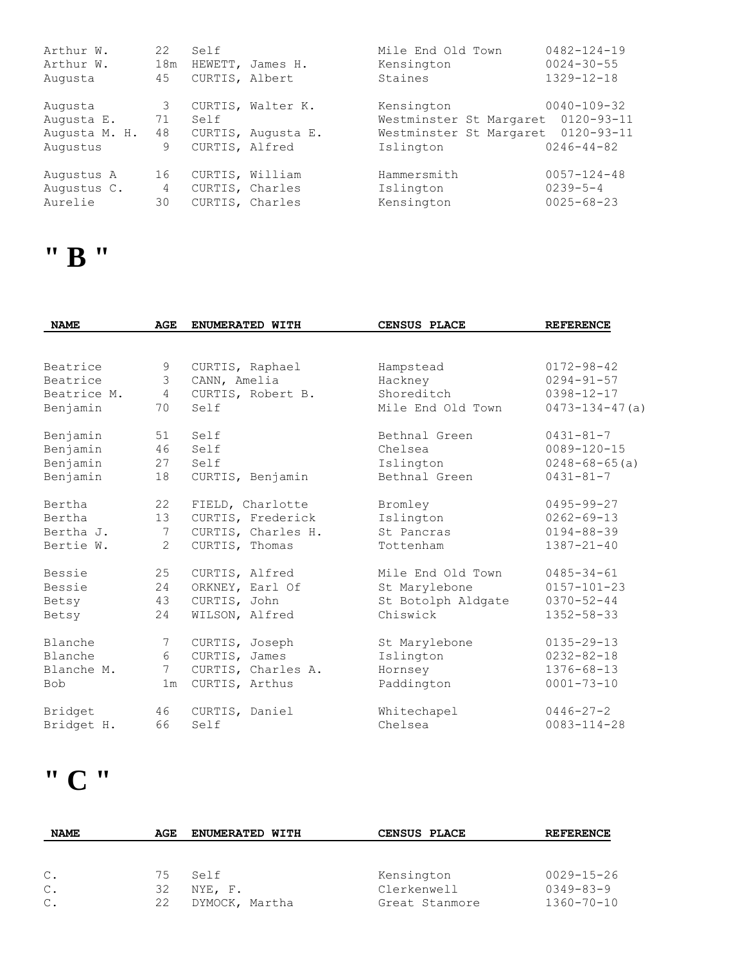| Arthur W.<br>Arthur W.<br>Augusta                  | 22<br>18m<br>45    | Self<br>CURTIS, Albert                                | HEWETT, James H.                        | Mile End Old Town<br>Kensington<br>Staines                                    | $0482 - 124 - 19$<br>$0024 - 30 - 55$<br>$1329 - 12 - 18$                     |
|----------------------------------------------------|--------------------|-------------------------------------------------------|-----------------------------------------|-------------------------------------------------------------------------------|-------------------------------------------------------------------------------|
| Augusta<br>Augusta E.<br>Augusta M. H.<br>Augustus | 3<br>71<br>48<br>9 | Self<br>CURTIS, Alfred                                | CURTIS, Walter K.<br>CURTIS, Augusta E. | Kensington<br>Westminster St Margaret<br>Westminster St Margaret<br>Islington | $0040 - 109 - 32$<br>$0120 - 93 - 11$<br>$0120 - 93 - 11$<br>$0246 - 44 - 82$ |
| Augustus A<br>Augustus C.<br>Aurelie               | 16<br>4<br>30      | CURTIS, William<br>CURTIS, Charles<br>CURTIS, Charles |                                         | Hammersmith<br>Islington<br>Kensington                                        | $0057 - 124 - 48$<br>$0239 - 5 - 4$<br>$0025 - 68 - 23$                       |

#### **" B "**

| <b>NAME</b> | <b>AGE</b>      | ENUMERATED WITH    | CENSUS PLACE       | <b>REFERENCE</b>      |
|-------------|-----------------|--------------------|--------------------|-----------------------|
|             |                 |                    |                    |                       |
| Beatrice    | 9               | CURTIS, Raphael    | Hampstead          | $0172 - 98 - 42$      |
| Beatrice    | 3               | CANN, Amelia       | Hackney            | $0294 - 91 - 57$      |
| Beatrice M. | $\overline{4}$  | CURTIS, Robert B.  | Shoreditch         | $0398 - 12 - 17$      |
| Benjamin    | 70              | Self               | Mile End Old Town  | $0473 - 134 - 47$ (a) |
| Benjamin    | 51              | Self               | Bethnal Green      | $0431 - 81 - 7$       |
| Benjamin    | 46              | Self               | Chelsea            | $0089 - 120 - 15$     |
| Benjamin    | 27              | Self               | Islington          | $0248 - 68 - 65$ (a)  |
| Benjamin    | 18              | CURTIS, Benjamin   | Bethnal Green      | $0431 - 81 - 7$       |
| Bertha      | 22              | FIELD, Charlotte   | Bromley            | $0495 - 99 - 27$      |
| Bertha      | 13 <sup>7</sup> | CURTIS, Frederick  | Islington          | $0262 - 69 - 13$      |
| Bertha J.   | 7               | CURTIS, Charles H. | St Pancras         | $0194 - 88 - 39$      |
| Bertie W.   | $\overline{2}$  | CURTIS, Thomas     | Tottenham          | $1387 - 21 - 40$      |
| Bessie      | 25              | CURTIS, Alfred     | Mile End Old Town  | $0485 - 34 - 61$      |
| Bessie      | 24              | ORKNEY, Earl Of    | St Marylebone      | $0157 - 101 - 23$     |
| Betsy       | 43              | CURTIS, John       | St Botolph Aldgate | $0370 - 52 - 44$      |
| Betsy       | 24              | WILSON, Alfred     | Chiswick           | $1352 - 58 - 33$      |
| Blanche     | 7               | CURTIS, Joseph     | St Marylebone      | $0135 - 29 - 13$      |
| Blanche     | 6               | CURTIS, James      | Islington          | $0232 - 82 - 18$      |
| Blanche M.  | $7^{\circ}$     | CURTIS, Charles A. | Hornsey            | $1376 - 68 - 13$      |
| <b>Bob</b>  | 1 <sub>m</sub>  | CURTIS, Arthus     | Paddington         | $0001 - 73 - 10$      |
| Bridget     | 46              | CURTIS, Daniel     | Whitechapel        | $0446 - 27 - 2$       |
| Bridget H.  | 66              | Self               | Chelsea            | $0083 - 114 - 28$     |

# **" C "**

| <b>NAME</b>    | AGE | <b>ENUMERATED WITH</b> | CENSUS PLACE   | <b>REFERENCE</b> |
|----------------|-----|------------------------|----------------|------------------|
|                |     |                        |                |                  |
| $\mathbb{C}$ . | 75  | Self                   | Kensington     | $0029 - 15 - 26$ |
| $\mathbb C$ .  | 32  | NYE, F.                | Clerkenwell    | $0349 - 83 - 9$  |
| $\mathsf{C}$ . | 22  | DYMOCK, Martha         | Great Stanmore | $1360 - 70 - 10$ |
|                |     |                        |                |                  |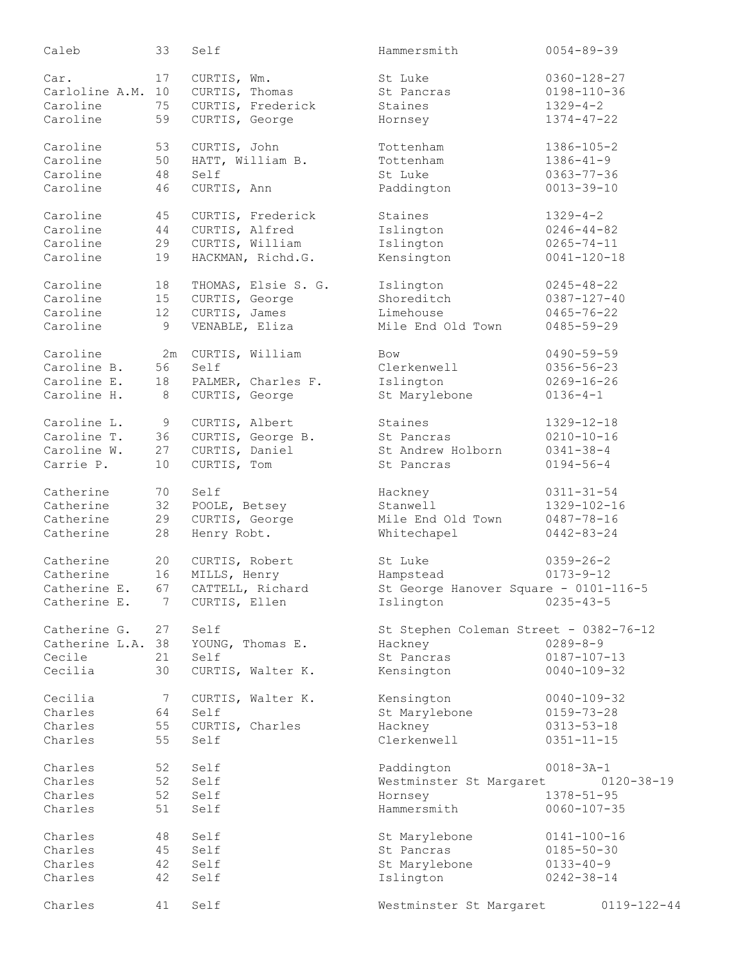| Caleb             | 33    | Self                         | Hammersmith                            | $0054 - 89 - 39$  |
|-------------------|-------|------------------------------|----------------------------------------|-------------------|
| Car.              | 17    | CURTIS, Wm.                  | St Luke                                | $0360 - 128 - 27$ |
| Carloline A.M.    | 10    | CURTIS, Thomas               | St Pancras                             | $0198 - 110 - 36$ |
| Caroline          | 75    | CURTIS, Frederick            | Staines                                | $1329 - 4 - 2$    |
| Caroline          | 59    | CURTIS, George               | Hornsey                                | $1374 - 47 - 22$  |
| Caroline          | 53    | CURTIS, John                 | Tottenham                              | $1386 - 105 - 2$  |
| Caroline          | 50    | HATT, William B.             | Tottenham                              | $1386 - 41 - 9$   |
| Caroline          | 48    | Self                         | St Luke                                | $0363 - 77 - 36$  |
| Caroline          | 46    | CURTIS, Ann                  | Paddington                             | $0013 - 39 - 10$  |
| Caroline          | 45    | CURTIS, Frederick            | Staines                                | $1329 - 4 - 2$    |
| Caroline          | 44    | CURTIS, Alfred               | Islington                              | $0246 - 44 - 82$  |
| Caroline          | 29    | CURTIS, William              | Islington                              | $0265 - 74 - 11$  |
| Caroline          | 19    | HACKMAN, Richd.G.            | Kensington                             | $0041 - 120 - 18$ |
| Caroline          | 18    | THOMAS, Elsie S. G.          | Islington                              | $0245 - 48 - 22$  |
| Caroline          | 15    | CURTIS, George               | Shoreditch                             | $0387 - 127 - 40$ |
| Caroline          | 12    | CURTIS, James                | Limehouse                              | $0465 - 76 - 22$  |
| Caroline          | 9     | VENABLE, Eliza               | Mile End Old Town                      | $0485 - 59 - 29$  |
| Caroline          |       | 2m CURTIS, William           | Bow                                    | $0490 - 59 - 59$  |
| Caroline B.       | 56    | Self                         | Clerkenwell                            | $0356 - 56 - 23$  |
| Caroline E.       | 18    | PALMER, Charles F.           | Islington                              | $0269 - 16 - 26$  |
| Caroline H.       | 8     | CURTIS, George               | St Marylebone                          | $0136 - 4 - 1$    |
| Caroline L.       | $\,9$ | CURTIS, Albert               | Staines                                | $1329 - 12 - 18$  |
| Caroline T.       | 36    | CURTIS, George B.            | St Pancras                             | $0210 - 10 - 16$  |
| Caroline W.       | 27    | CURTIS, Daniel               | St Andrew Holborn                      | $0341 - 38 - 4$   |
| Carrie P.         | 10    | CURTIS, Tom                  | St Pancras                             | $0194 - 56 - 4$   |
| Catherine         | 70    | Self                         | Hackney                                | $0311 - 31 - 54$  |
| Catherine         | 32    | POOLE, Betsey                | Stanwell                               | 1329-102-16       |
| Catherine         | 29    | CURTIS, George               | Mile End Old Town                      | $0487 - 78 - 16$  |
| Catherine         | 28    | Henry Robt.                  | Whitechapel                            | $0442 - 83 - 24$  |
| Catherine         | 20    | CURTIS, Robert               | St Luke                                | $0359 - 26 - 2$   |
| Catherine         | 16    | MILLS, Henry                 | Hampstead                              | $0173 - 9 - 12$   |
| Catherine E.      | 67    | CATTELL, Richard             | St George Hanover Square - 0101-116-5  |                   |
|                   |       | Catherine E. 7 CURTIS, Ellen | Islington                              | $0235 - 43 - 5$   |
| Catherine G. 27   |       | Self                         | St Stephen Coleman Street - 0382-76-12 |                   |
| Catherine L.A. 38 |       | YOUNG, Thomas E.             | Hackney                                | $0289 - 8 - 9$    |
| Cecile            | 21    | Self                         | St Pancras                             | $0187 - 107 - 13$ |
| Cecilia           | 30    | CURTIS, Walter K.            | Kensington                             | $0040 - 109 - 32$ |
| Cecilia           | 7     | CURTIS, Walter K.            | Kensington                             | $0040 - 109 - 32$ |
| Charles           | 64    | Self                         | St Marylebone                          | $0159 - 73 - 28$  |
| Charles           | 55    | CURTIS, Charles              | Hackney                                | $0313 - 53 - 18$  |
| Charles           | 55    | Self                         | Clerkenwell                            | $0351 - 11 - 15$  |
| Charles           | 52    | Self                         | Paddington                             | $0018 - 3A - 1$   |
| Charles           | 52    | Self                         | Westminster St Margaret                | $0120 - 38 - 19$  |
| Charles           | 52    | Self                         | Hornsey                                | $1378 - 51 - 95$  |
| Charles           | 51    | Self                         | Hammersmith                            | $0060 - 107 - 35$ |
| Charles           | 48    | Self                         | St Marylebone                          | $0141 - 100 - 16$ |
| Charles           | 45    | Self                         | St Pancras                             | $0185 - 50 - 30$  |
| Charles           | 42    | Self                         | St Marylebone                          | $0133 - 40 - 9$   |
| Charles           | 42    | Self                         | Islington                              | $0242 - 38 - 14$  |
| Charles           | 41    | Self                         | Westminster St Margaret                | $0119 - 122 - 44$ |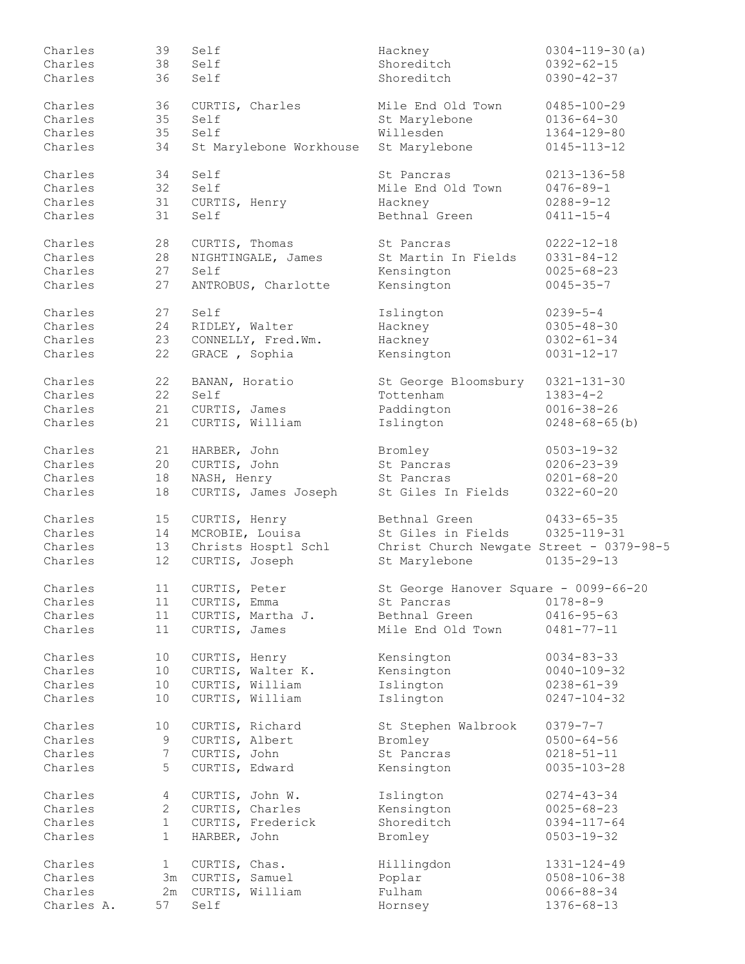| Charles    | 39              | Self                    | Hackney                                  | $0304 - 119 - 30$ (a) |
|------------|-----------------|-------------------------|------------------------------------------|-----------------------|
| Charles    | 38              | Self                    | Shoreditch                               | $0392 - 62 - 15$      |
| Charles    | 36              | Self                    | Shoreditch                               | $0390 - 42 - 37$      |
|            |                 |                         |                                          |                       |
| Charles    | 36              | CURTIS, Charles         | Mile End Old Town                        | $0485 - 100 - 29$     |
| Charles    | 35              | Self                    | St Marylebone                            | $0136 - 64 - 30$      |
| Charles    | 35              | Self                    | Willesden                                | 1364-129-80           |
| Charles    | 34              | St Marylebone Workhouse | St Marylebone                            | $0145 - 113 - 12$     |
|            |                 |                         |                                          |                       |
| Charles    | 34              | Self                    | St Pancras                               | 0213-136-58           |
| Charles    | 32              | Self                    | Mile End Old Town                        | $0476 - 89 - 1$       |
| Charles    | 31              | CURTIS, Henry           | Hackney                                  | $0288 - 9 - 12$       |
| Charles    | 31              | Self                    | Bethnal Green                            | $0411 - 15 - 4$       |
|            |                 |                         |                                          |                       |
| Charles    | 28              | CURTIS, Thomas          | St Pancras                               | $0222 - 12 - 18$      |
| Charles    | 28              | NIGHTINGALE, James      | St Martin In Fields                      | $0331 - 84 - 12$      |
| Charles    | 27              | Self                    | Kensington                               | $0025 - 68 - 23$      |
| Charles    | 27              | ANTROBUS, Charlotte     | Kensington                               | $0045 - 35 - 7$       |
|            |                 |                         |                                          |                       |
| Charles    | 27              | Self                    | Islington                                | $0239 - 5 - 4$        |
| Charles    | 24              | RIDLEY, Walter          | Hackney                                  | $0305 - 48 - 30$      |
| Charles    | 23              | CONNELLY, Fred.Wm.      | Hackney                                  | $0302 - 61 - 34$      |
| Charles    | 22              | GRACE, Sophia           | Kensington                               | $0031 - 12 - 17$      |
|            |                 |                         |                                          |                       |
| Charles    | 22              | BANAN, Horatio          | St George Bloomsbury                     | $0321 - 131 - 30$     |
| Charles    | 22              | Self                    | Tottenham                                | $1383 - 4 - 2$        |
| Charles    | 21              | CURTIS, James           | Paddington                               | $0016 - 38 - 26$      |
| Charles    | 21              | CURTIS, William         | Islington                                | $0248 - 68 - 65$ (b)  |
|            |                 |                         |                                          |                       |
| Charles    | 21              | HARBER, John            | Bromley                                  | $0503 - 19 - 32$      |
| Charles    | 20              | CURTIS, John            | St Pancras                               | $0206 - 23 - 39$      |
| Charles    | 18              | NASH, Henry             | St Pancras                               | $0201 - 68 - 20$      |
| Charles    | 18              | CURTIS, James Joseph    | St Giles In Fields                       | $0322 - 60 - 20$      |
|            |                 |                         |                                          |                       |
| Charles    | 15              | CURTIS, Henry           | Bethnal Green                            | $0433 - 65 - 35$      |
| Charles    | 14              | MCROBIE, Louisa         | St Giles in Fields                       | $0325 - 119 - 31$     |
| Charles    | 13              | Christs Hosptl Schl     | Christ Church Newgate Street - 0379-98-5 |                       |
| Charles    | 12              | CURTIS, Joseph          | St Marylebone                            | $0135 - 29 - 13$      |
|            |                 |                         |                                          |                       |
| Charles    | 11              | CURTIS, Peter           | St George Hanover Square - 0099-66-20    |                       |
| Charles    | 11              | CURTIS, Emma            | St Pancras                               | $0178 - 8 - 9$        |
| Charles    |                 | 11 CURTIS, Martha J.    | Bethnal Green                            | $0416 - 95 - 63$      |
| Charles    |                 |                         | Mile End Old Town                        |                       |
|            | 11              | CURTIS, James           |                                          | $0481 - 77 - 11$      |
| Charles    | 10 <sup>°</sup> | CURTIS, Henry           | Kensington                               | $0034 - 83 - 33$      |
| Charles    |                 | CURTIS, Walter K.       |                                          | $0040 - 109 - 32$     |
|            | 10 <sub>1</sub> |                         | Kensington                               |                       |
| Charles    | 10 <sub>o</sub> | CURTIS, William         | Islington                                | $0238 - 61 - 39$      |
| Charles    | 10              | CURTIS, William         | Islington                                | $0247 - 104 - 32$     |
|            |                 |                         |                                          |                       |
| Charles    | 10              | CURTIS, Richard         | St Stephen Walbrook                      | $0379 - 7 - 7$        |
| Charles    | 9               | CURTIS, Albert          | Bromley                                  | $0500 - 64 - 56$      |
| Charles    | 7               | CURTIS, John            | St Pancras                               | $0218 - 51 - 11$      |
| Charles    | 5               | CURTIS, Edward          | Kensington                               | $0035 - 103 - 28$     |
|            |                 |                         |                                          |                       |
| Charles    | 4               | CURTIS, John W.         | Islington                                | $0274 - 43 - 34$      |
| Charles    | $\mathbf{2}$    | CURTIS, Charles         | Kensington                               | $0025 - 68 - 23$      |
| Charles    | $\mathbf{1}$    | CURTIS, Frederick       | Shoreditch                               | $0394 - 117 - 64$     |
| Charles    | $\mathbf{1}$    | HARBER, John            | Bromley                                  | $0503 - 19 - 32$      |
|            |                 |                         |                                          |                       |
| Charles    | $1 \quad$       | CURTIS, Chas.           | Hillingdon                               | $1331 - 124 - 49$     |
| Charles    |                 | 3m CURTIS, Samuel       | Poplar                                   | $0508 - 106 - 38$     |
| Charles    | 2m              | CURTIS, William         | Fulham                                   | $0066 - 88 - 34$      |
| Charles A. | 57              | Self                    | Hornsey                                  | $1376 - 68 - 13$      |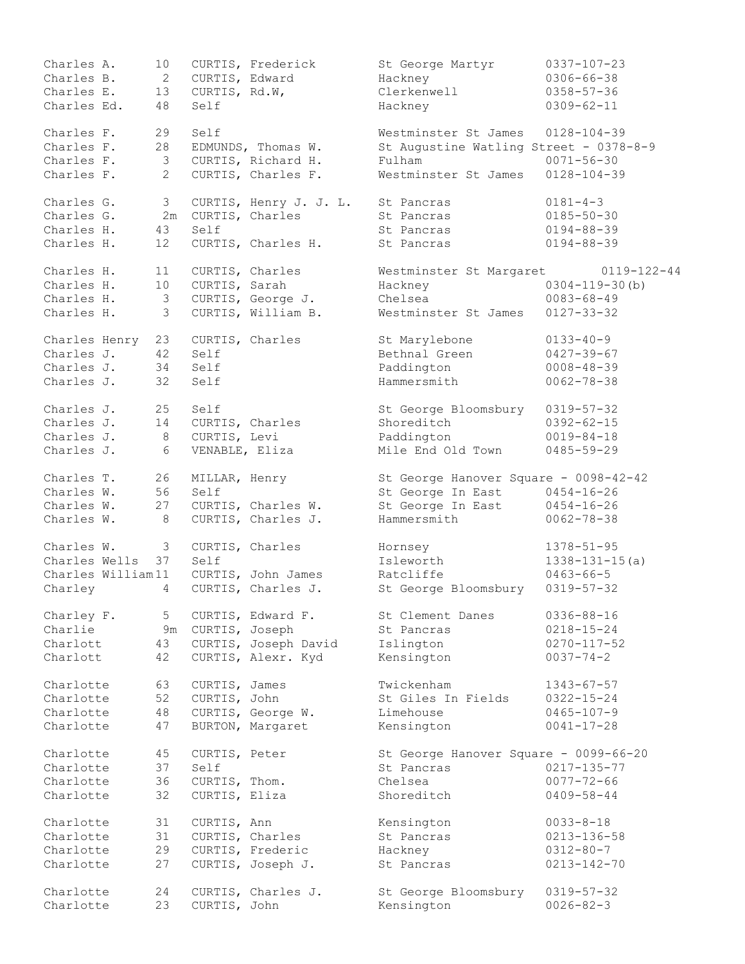| Charles A.             | 10 <sub>o</sub> |                   | CURTIS, Frederick                     | St George Martyr                       | $0337 - 107 - 23$                    |
|------------------------|-----------------|-------------------|---------------------------------------|----------------------------------------|--------------------------------------|
| Charles B.             | $\mathbf{2}$    | CURTIS, Edward    |                                       | Hackney                                | $0306 - 66 - 38$                     |
| Charles E.             | 13              | CURTIS, Rd.W,     |                                       | Clerkenwell                            | $0358 - 57 - 36$                     |
| Charles Ed.            | 48              | Self              |                                       | Hackney                                | $0309 - 62 - 11$                     |
| Charles F.             | 29              | Self              |                                       | Westminster St James                   | $0128 - 104 - 39$                    |
| Charles F.             | 28              |                   | EDMUNDS, Thomas W.                    | St Augustine Watling Street - 0378-8-9 |                                      |
| Charles F.             | $\mathcal{S}$   |                   | CURTIS, Richard H.                    | Fulham                                 | $0071 - 56 - 30$                     |
| Charles F.             | $\overline{2}$  |                   | CURTIS, Charles F.                    | Westminster St James                   | $0128 - 104 - 39$                    |
| Charles G.             | 3 <sup>7</sup>  |                   | CURTIS, Henry J. J. L.                | St Pancras                             | $0181 - 4 - 3$                       |
| Charles G.             |                 |                   | 2m CURTIS, Charles                    | St Pancras                             | $0185 - 50 - 30$                     |
| Charles H.             | 43              | Self              |                                       | St Pancras                             | $0194 - 88 - 39$                     |
| Charles H.             | 12              |                   | CURTIS, Charles H.                    | St Pancras                             | $0194 - 88 - 39$                     |
| Charles H.             | 11              |                   | CURTIS, Charles                       | Westminster St Margaret                | $0119 - 122 - 44$                    |
| Charles H.             | 10 <sub>1</sub> | CURTIS, Sarah     |                                       | Hackney                                | $0304 - 119 - 30$ (b)                |
| Charles H.             |                 |                   |                                       | Chelsea                                |                                      |
|                        | $\mathcal{S}$   |                   | CURTIS, George J.                     |                                        | $0083 - 68 - 49$                     |
| Charles H.             | 3               |                   | CURTIS, William B.                    | Westminster St James                   | $0127 - 33 - 32$                     |
| Charles Henry          | 23              |                   | CURTIS, Charles                       | St Marylebone                          | $0133 - 40 - 9$                      |
| Charles J.             | 42              | Self              |                                       | Bethnal Green                          | $0427 - 39 - 67$                     |
| Charles J.             | 34              | Self              |                                       | Paddington                             | $0008 - 48 - 39$                     |
| Charles J.             | 32              | Self              |                                       | Hammersmith                            | $0062 - 78 - 38$                     |
| Charles J.             | 25              | Self              |                                       | St George Bloomsbury                   | $0319 - 57 - 32$                     |
| Charles J.             | 14              |                   | CURTIS, Charles                       | Shoreditch                             | $0392 - 62 - 15$                     |
| Charles J.             | 8               | CURTIS, Levi      |                                       | Paddington                             | $0019 - 84 - 18$                     |
| Charles J.             | 6               |                   | VENABLE, Eliza                        | Mile End Old Town                      | $0485 - 59 - 29$                     |
| Charles T.             | 26              | MILLAR, Henry     |                                       | St George Hanover Square - 0098-42-42  |                                      |
| Charles W.             | 56              | Self              |                                       | St George In East                      | $0454 - 16 - 26$                     |
| Charles W.             | 27              |                   | CURTIS, Charles W.                    | St George In East                      | $0454 - 16 - 26$                     |
| Charles W.             | 8               |                   | CURTIS, Charles J.                    | Hammersmith                            | $0062 - 78 - 38$                     |
| Charles W.             | 3 <sup>7</sup>  |                   | CURTIS, Charles                       | Hornsey                                | $1378 - 51 - 95$                     |
| Charles Wells          | 37              | Self              |                                       | Isleworth                              | $1338 - 131 - 15(a)$                 |
| Charles William11      |                 |                   | CURTIS, John James                    | Ratcliffe                              | $0463 - 66 - 5$                      |
| Charley                | $4\overline{ }$ |                   | CURTIS, Charles J.                    | St George Bloomsbury                   | $0319 - 57 - 32$                     |
| Charley F.             | 5               |                   | CURTIS, Edward F.                     | St Clement Danes                       | $0336 - 88 - 16$                     |
| Charlie                |                 | 9m CURTIS, Joseph |                                       | St Pancras                             | $0218 - 15 - 24$                     |
| Charlott               | 43              |                   | CURTIS, Joseph David                  | Islington                              | $0270 - 117 - 52$                    |
| Charlott               | 42              |                   | CURTIS, Alexr. Kyd                    | Kensington                             | $0037 - 74 - 2$                      |
| Charlotte              | 63              | CURTIS, James     |                                       | Twickenham                             | $1343 - 67 - 57$                     |
| Charlotte              | 52              | CURTIS, John      |                                       | St Giles In Fields                     | $0322 - 15 - 24$                     |
| Charlotte              | 48              |                   | CURTIS, George W.                     | Limehouse                              | $0465 - 107 - 9$                     |
| Charlotte              | 47              |                   | BURTON, Margaret                      | Kensington                             | $0041 - 17 - 28$                     |
| Charlotte              | 45              | CURTIS, Peter     |                                       | St George Hanover Square - 0099-66-20  |                                      |
| Charlotte              | 37              | Self              |                                       | St Pancras                             | 0217-135-77                          |
| Charlotte              | 36              | CURTIS, Thom.     |                                       | Chelsea                                | $0077 - 72 - 66$                     |
| Charlotte              | 32              | CURTIS, Eliza     |                                       | Shoreditch                             | $0409 - 58 - 44$                     |
| Charlotte              | 31              |                   |                                       |                                        | $0033 - 8 - 18$                      |
| Charlotte              | 31              | CURTIS, Ann       |                                       | Kensington<br>St Pancras               |                                      |
|                        |                 |                   | CURTIS, Charles                       |                                        | $0213 - 136 - 58$                    |
| Charlotte<br>Charlotte | 29<br>27        |                   | CURTIS, Frederic<br>CURTIS, Joseph J. | Hackney<br>St Pancras                  | $0312 - 80 - 7$<br>$0213 - 142 - 70$ |
|                        |                 |                   |                                       |                                        |                                      |
| Charlotte              | 24              |                   | CURTIS, Charles J.                    | St George Bloomsbury                   | $0319 - 57 - 32$                     |
| Charlotte              | 23              | CURTIS, John      |                                       | Kensington                             | $0026 - 82 - 3$                      |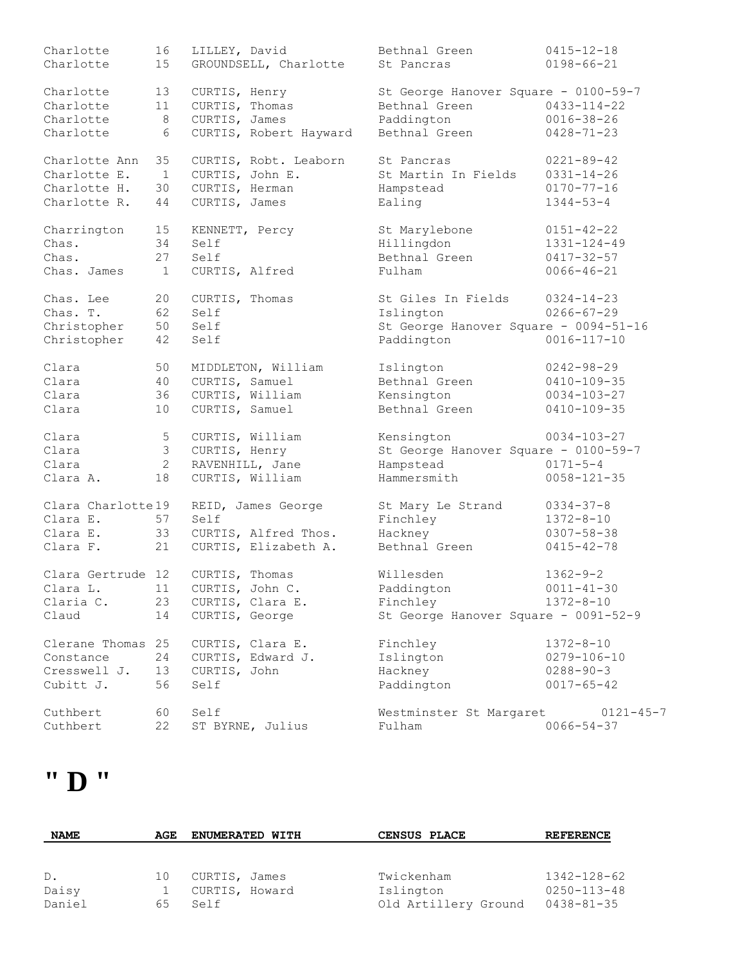| Charlotte         | 16             | LILLEY, David               | Bethnal Green                         | $0415 - 12 - 18$  |
|-------------------|----------------|-----------------------------|---------------------------------------|-------------------|
| Charlotte         | 15             | GROUNDSELL, Charlotte       | St Pancras                            | $0198 - 66 - 21$  |
| Charlotte         | 13             | CURTIS, Henry               | St George Hanover Square - 0100-59-7  |                   |
| Charlotte         | 11             | CURTIS, Thomas              | Bethnal Green                         | $0433 - 114 - 22$ |
| Charlotte         | 8              | CURTIS, James               | Paddington                            | $0016 - 38 - 26$  |
| Charlotte         | 6              | CURTIS, Robert Hayward      | Bethnal Green                         | $0428 - 71 - 23$  |
| Charlotte Ann     | 35             | CURTIS, Robt. Leaborn       | St Pancras                            | $0221 - 89 - 42$  |
| Charlotte E.      | $\mathbf{1}$   | CURTIS, John E.             | St Martin In Fields                   | $0331 - 14 - 26$  |
| Charlotte H.      | 30             | CURTIS, Herman              | Hampstead                             | $0170 - 77 - 16$  |
| Charlotte R.      | 44             | CURTIS, James               | Ealing                                | $1344 - 53 - 4$   |
| Charrington       | 15             | KENNETT, Percy              | St Marylebone                         | $0151 - 42 - 22$  |
| Chas.             | 34             | Self                        | Hillingdon                            | $1331 - 124 - 49$ |
| Chas.             | 27             | Self                        | Bethnal Green                         | $0417 - 32 - 57$  |
| Chas. James       | $\mathbf{1}$   | CURTIS, Alfred              | Fulham                                | $0066 - 46 - 21$  |
| Chas. Lee         | 20             | CURTIS, Thomas              | St Giles In Fields                    | $0324 - 14 - 23$  |
| Chas. T.          | 62             | Self                        | Islington                             | $0266 - 67 - 29$  |
| Christopher       | 50             | Self                        | St George Hanover Square - 0094-51-16 |                   |
| Christopher       | 42             | Self                        | Paddington                            | $0016 - 117 - 10$ |
| Clara             | 50             | MIDDLETON, William          | Islington                             | $0242 - 98 - 29$  |
| Clara             | 40             | CURTIS, Samuel              | Bethnal Green                         | $0410 - 109 - 35$ |
| Clara             | 36             | CURTIS, William             | Kensington                            | $0034 - 103 - 27$ |
| Clara             | 10             | CURTIS, Samuel              | Bethnal Green                         | $0410 - 109 - 35$ |
| Clara             | 5              | CURTIS, William             | Kensington                            | $0034 - 103 - 27$ |
| Clara             | 3 <sup>7</sup> | CURTIS, Henry               | St George Hanover Square - 0100-59-7  |                   |
| Clara             | $\mathbf{2}$   | RAVENHILL, Jane             | Hampstead                             | $0171 - 5 - 4$    |
| Clara A.          | 18             | CURTIS, William             | Hammersmith                           | $0058 - 121 - 35$ |
|                   |                |                             |                                       |                   |
| Clara Charlotte19 |                | REID, James George          | St Mary Le Strand                     | $0334 - 37 - 8$   |
| Clara E.          | 57             | Self                        | Finchley                              | $1372 - 8 - 10$   |
| Clara E.          | 33             | CURTIS, Alfred Thos.        | Hackney                               | $0307 - 58 - 38$  |
| Clara F.          | 21             | CURTIS, Elizabeth A.        | Bethnal Green                         | $0415 - 42 - 78$  |
| Clara Gertrude 12 |                | CURTIS, Thomas              | Willesden                             | $1362 - 9 - 2$    |
|                   |                | Clara L. 11 CURTIS, John C. | Paddington                            | $0011 - 41 - 30$  |
| Claria C.         | 23             | CURTIS, Clara E.            | Finchley                              | $1372 - 8 - 10$   |
| Claud             | 14             | CURTIS, George              | St George Hanover Square - 0091-52-9  |                   |
| Clerane Thomas 25 |                | CURTIS, Clara E.            | Finchley                              | $1372 - 8 - 10$   |
| Constance         | 24             | CURTIS, Edward J.           | Islington                             | $0279 - 106 - 10$ |
| Cresswell J.      | 13             | CURTIS, John                | Hackney                               | $0288 - 90 - 3$   |
| Cubitt J.         | 56             | Self                        | Paddington                            | $0017 - 65 - 42$  |
| Cuthbert          | 60             | Self                        | Westminster St Margaret               | $0121 - 45 - 7$   |
| Cuthbert          | 22             | ST BYRNE, Julius            | Fulham                                | $0066 - 54 - 37$  |

## **" D "**

| <b>NAME</b> | AGE | <b>ENUMERATED WITH</b> | CENSUS PLACE         | <b>REFERENCE</b>  |
|-------------|-----|------------------------|----------------------|-------------------|
|             |     |                        |                      |                   |
| $D$ .       | 10  | CURTIS, James          | Twickenham           | 1342-128-62       |
| Daisy       |     | CURTIS, Howard         | Islington            | $0250 - 113 - 48$ |
| Daniel      | 65. | Self                   | Old Artillery Ground | 0438-81-35        |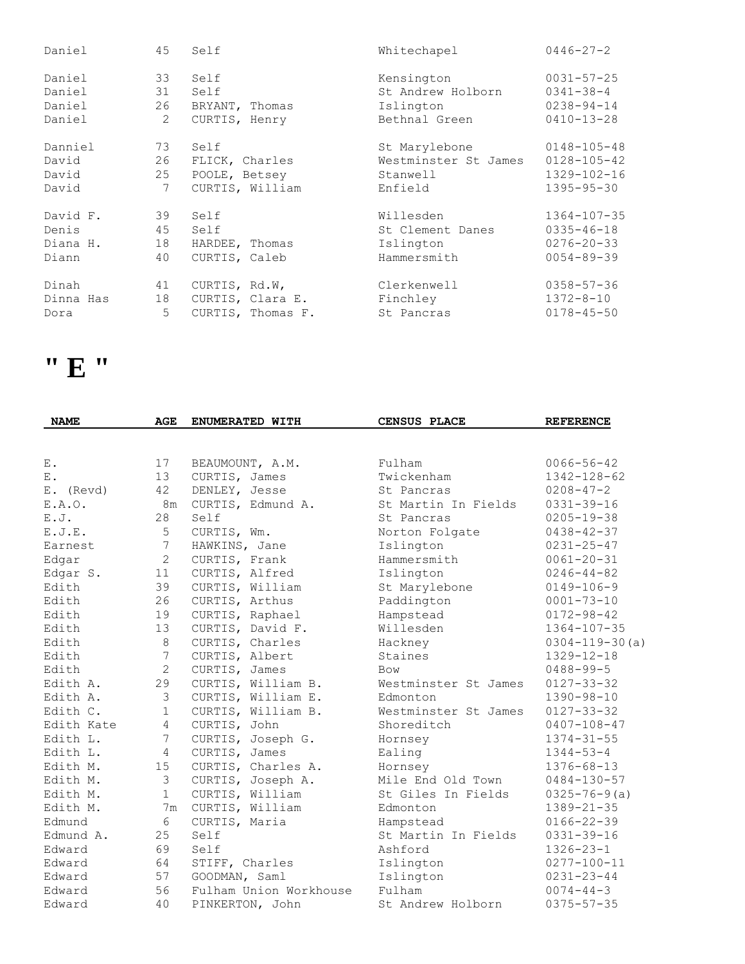| Daniel    | 45 | Self              | Whitechapel          | $0446 - 27 - 2$   |
|-----------|----|-------------------|----------------------|-------------------|
| Daniel    | 33 | Self              | Kensington           | $0031 - 57 - 25$  |
| Daniel    | 31 | Self              | St Andrew Holborn    | $0341 - 38 - 4$   |
| Daniel    | 26 | BRYANT, Thomas    | Islington            | $0238 - 94 - 14$  |
| Daniel    | 2  | CURTIS, Henry     | Bethnal Green        | $0410 - 13 - 28$  |
| Danniel   | 73 | Self              | St Marylebone        | $0148 - 105 - 48$ |
| David     | 26 | FLICK, Charles    | Westminster St James | $0128 - 105 - 42$ |
| David     | 25 | POOLE, Betsey     | Stanwell             | 1329-102-16       |
| David     | 7  | CURTIS, William   | Enfield              | $1395 - 95 - 30$  |
| David F.  | 39 | Self              | Willesden            | $1364 - 107 - 35$ |
| Denis     | 45 | Self              | St Clement Danes     | $0335 - 46 - 18$  |
| Diana H.  | 18 | HARDEE, Thomas    | Islington            | $0276 - 20 - 33$  |
| Diann     | 40 | CURTIS, Caleb     | Hammersmith          | $0054 - 89 - 39$  |
| Dinah     | 41 | CURTIS, Rd.W,     | Clerkenwell          | $0358 - 57 - 36$  |
| Dinna Has | 18 | CURTIS, Clara E.  | Finchley             | $1372 - 8 - 10$   |
| Dora      | 5  | CURTIS, Thomas F. | St Pancras           | $0178 - 45 - 50$  |

## **" E "**

| <b>NAME</b> | AGE            | ENUMERATED WITH        | <b>CENSUS PLACE</b>  | <b>REFERENCE</b>      |
|-------------|----------------|------------------------|----------------------|-----------------------|
|             |                |                        |                      |                       |
| Ε.          | 17             | BEAUMOUNT, A.M.        | Fulham               | $0066 - 56 - 42$      |
| Ε.          | 13             | CURTIS, James          | Twickenham           | $1342 - 128 - 62$     |
| E. (Revd)   | 42             | DENLEY, Jesse          | St. Pancras          | $0208 - 47 - 2$       |
| E.A.O.      | 8m             | CURTIS, Edmund A.      | St Martin In Fields  | $0331 - 39 - 16$      |
| E. J.       | 28             | Self                   | St Pancras           | $0205 - 19 - 38$      |
| E.J.E.      | 5              | CURTIS, Wm.            | Norton Folgate       | $0438 - 42 - 37$      |
| Earnest     | 7              | HAWKINS, Jane          | Islington            | $0231 - 25 - 47$      |
| Edgar       | $\overline{2}$ | CURTIS, Frank          | Hammersmith          | $0061 - 20 - 31$      |
| Edgar S.    | 11             | CURTIS, Alfred         | Islington            | $0246 - 44 - 82$      |
| Edith       | 39             | CURTIS, William        | St Marylebone        | $0149 - 106 - 9$      |
| Edith       | 26             | CURTIS, Arthus         | Paddington           | $0001 - 73 - 10$      |
| Edith       | 19             | CURTIS, Raphael        | Hampstead            | $0172 - 98 - 42$      |
| Edith       | 13             | CURTIS, David F.       | Willesden            | $1364 - 107 - 35$     |
| Edith       | $\,8\,$        | CURTIS, Charles        | Hackney              | $0304 - 119 - 30$ (a) |
| Edith       | $7\phantom{.}$ | CURTIS, Albert         | Staines              | $1329 - 12 - 18$      |
| Edith       | $\overline{2}$ | CURTIS, James          | Bow                  | $0488 - 99 - 5$       |
| Edith A.    | 29             | CURTIS, William B.     | Westminster St James | $0127 - 33 - 32$      |
| Edith A.    | 3              | CURTIS, William E.     | Edmonton             | $1390 - 98 - 10$      |
| Edith C.    | $\mathbf{1}$   | CURTIS, William B.     | Westminster St James | $0127 - 33 - 32$      |
| Edith Kate  | $\overline{4}$ | CURTIS, John           | Shoreditch           | $0407 - 108 - 47$     |
| Edith L.    | 7              | CURTIS, Joseph G.      | Hornsey              | $1374 - 31 - 55$      |
| Edith L.    | $\overline{4}$ | CURTIS, James          | Ealing               | $1344 - 53 - 4$       |
| Edith M.    | 15             | CURTIS, Charles A.     | Hornsey              | $1376 - 68 - 13$      |
| Edith M.    | $\mathfrak{Z}$ | CURTIS, Joseph A.      | Mile End Old Town    | $0484 - 130 - 57$     |
| Edith M.    | $\mathbf{1}$   | CURTIS, William        | St Giles In Fields   | $0325 - 76 - 9(a)$    |
| Edith M.    | 7 <sub>m</sub> | CURTIS, William        | Edmonton             | $1389 - 21 - 35$      |
| Edmund      | 6              | CURTIS, Maria          | Hampstead            | $0166 - 22 - 39$      |
| Edmund A.   | 25             | Self                   | St Martin In Fields  | $0331 - 39 - 16$      |
| Edward      | 69             | Self                   | Ashford              | $1326 - 23 - 1$       |
| Edward      | 64             | STIFF, Charles         | Islington            | $0277 - 100 - 11$     |
| Edward      | 57             | GOODMAN, Saml          | Islington            | $0231 - 23 - 44$      |
| Edward      | 56             | Fulham Union Workhouse | Fulham               | $0074 - 44 - 3$       |
| Edward      | 40             | PINKERTON, John        | St Andrew Holborn    | $0375 - 57 - 35$      |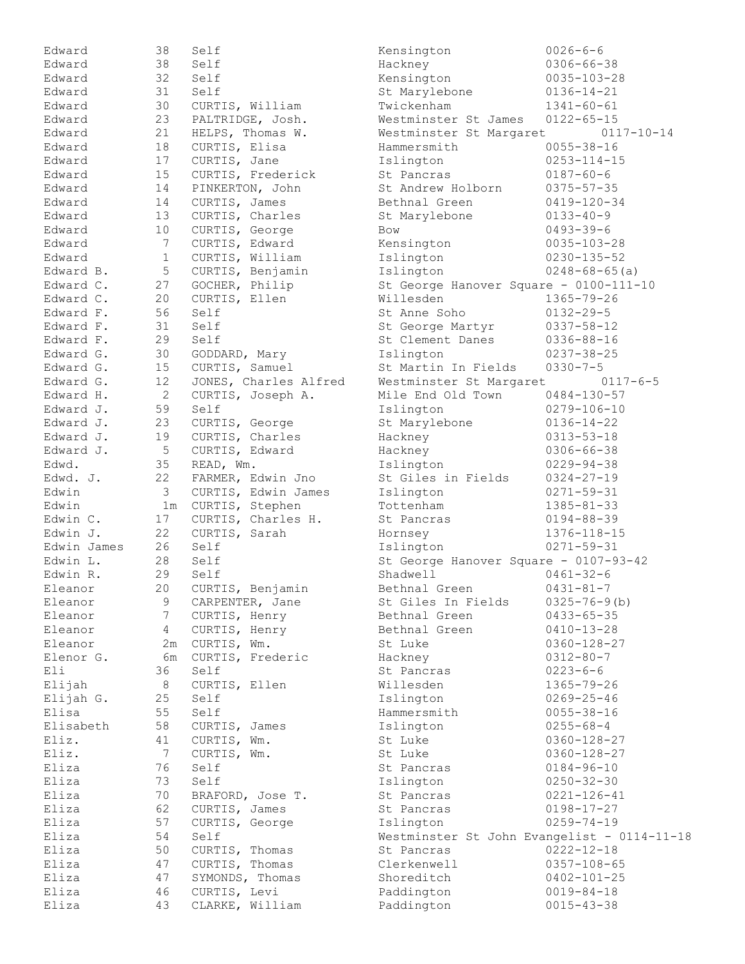| Edward             | 38              | Self                         | Kensington                                  | $0026 - 6 - 6$                    |
|--------------------|-----------------|------------------------------|---------------------------------------------|-----------------------------------|
| Edward             | 38              | Self                         | Hackney                                     | $0306 - 66 - 38$                  |
| Edward             | 32              | Self                         | Kensington                                  | $0035 - 103 - 28$                 |
| Edward             | 31              | Self                         | St Marylebone                               | $0136 - 14 - 21$                  |
| Edward             | 30              | CURTIS, William              | Twickenham                                  | $1341 - 60 - 61$                  |
| Edward             | 23              | PALTRIDGE, Josh.             | Westminster St James                        | $0122 - 65 - 15$                  |
| Edward             | 21              | HELPS, Thomas W.             | Westminster St Margaret                     | $0117 - 10 - 14$                  |
| Edward             | 18              | CURTIS, Elisa                | Hammersmith                                 | $0055 - 38 - 16$                  |
| Edward             | 17              | CURTIS, Jane                 | Islington                                   | $0253 - 114 - 15$                 |
| Edward             | 15              | CURTIS, Frederick            | St Pancras                                  | $0187 - 60 - 6$                   |
| Edward             | 14              | PINKERTON, John              | St Andrew Holborn                           | $0375 - 57 - 35$                  |
| Edward             | 14              | CURTIS, James                | Bethnal Green                               | $0419 - 120 - 34$                 |
| Edward             | 13              | CURTIS, Charles              | St Marylebone                               | $0133 - 40 - 9$                   |
| Edward             | 10              | CURTIS, George               | Bow                                         | $0493 - 39 - 6$                   |
| Edward             | $7\phantom{.0}$ | CURTIS, Edward               | Kensington                                  | $0035 - 103 - 28$                 |
| Edward             | $\mathbf{1}$    | CURTIS, William              | Islington                                   | $0230 - 135 - 52$                 |
| Edward B.          | $\mathsf S$     | CURTIS, Benjamin             | Islington                                   | $0248 - 68 - 65$ (a)              |
| Edward C.          | 27              | GOCHER, Philip               | St George Hanover Square - 0100-111-10      |                                   |
| Edward C.          | 20              | CURTIS, Ellen                | Willesden                                   | $1365 - 79 - 26$                  |
| Edward F.          | 56              | Self                         | St Anne Soho                                | $0132 - 29 - 5$                   |
| Edward F.          | 31              | Self                         | St George Martyr                            | $0337 - 58 - 12$                  |
| Edward F.          | 29              | Self                         | St Clement Danes                            | $0336 - 88 - 16$                  |
| Edward G.          | 30              | GODDARD, Mary                | Islington                                   | $0237 - 38 - 25$                  |
| Edward G.          | 15              | CURTIS, Samuel               | St Martin In Fields                         | $0330 - 7 - 5$                    |
| Edward G.          | 12              | JONES, Charles Alfred        | Westminster St Margaret                     | $0117 - 6 - 5$                    |
| Edward H.          | $\mathbf{2}$    | CURTIS, Joseph A.            | Mile End Old Town                           | $0484 - 130 - 57$                 |
| Edward J.          | 59              | Self                         | Islington                                   | $0279 - 106 - 10$                 |
| Edward J.          | 23              | CURTIS, George               | St Marylebone                               | $0136 - 14 - 22$                  |
| Edward J.          | 19              | CURTIS, Charles              | Hackney                                     | $0313 - 53 - 18$                  |
| Edward J.          | 5               | CURTIS, Edward               | Hackney                                     | $0306 - 66 - 38$                  |
| Edwd.              | 35              | READ, Wm.                    | Islington                                   | $0229 - 94 - 38$                  |
| Edwd. J.           | 22              | FARMER, Edwin Jno            | St Giles in Fields                          | $0324 - 27 - 19$                  |
| Edwin              | $\mathcal{S}$   | CURTIS, Edwin James          | Islington                                   | $0271 - 59 - 31$                  |
| Edwin              | 1 <sub>m</sub>  | CURTIS, Stephen              | Tottenham                                   | $1385 - 81 - 33$                  |
| Edwin C.           | 17              | CURTIS, Charles H.           | St Pancras                                  | $0194 - 88 - 39$                  |
| Edwin J.           | 22              | CURTIS, Sarah                | Hornsey                                     | 1376-118-15                       |
| Edwin James        | 26              | Self                         | Islington                                   | $0271 - 59 - 31$                  |
| Edwin L.           | 28              | Self                         | St George Hanover Square - 0107-93-42       |                                   |
| Edwin R.           | 29              | Self                         | Shadwell                                    | $0461 - 32 - 6$                   |
| Eleanor            | 20              | CURTIS, Benjamin             | Bethnal Green                               | $0431 - 81 - 7$                   |
| Eleanor            | 9               | CARPENTER, Jane              | St Giles In Fields                          | $0325 - 76 - 9$ (b)               |
| Eleanor            | $7\phantom{.}$  |                              | Bethnal Green                               | $0433 - 65 - 35$                  |
|                    | 4               | CURTIS, Henry                |                                             |                                   |
| Eleanor<br>Eleanor |                 | CURTIS, Henry<br>CURTIS, Wm. | Bethnal Green<br>St Luke                    | $0410 - 13 - 28$                  |
|                    | 2m              |                              |                                             | $0360 - 128 - 27$                 |
| Elenor G.<br>Eli   | бm<br>36        | CURTIS, Frederic<br>Self     | Hackney<br>St Pancras                       | $0312 - 80 - 7$<br>$0223 - 6 - 6$ |
| Elijah             | 8               | CURTIS, Ellen                | Willesden                                   | $1365 - 79 - 26$                  |
|                    |                 |                              |                                             |                                   |
| Elijah G.          | 25              | Self                         | Islington                                   | $0269 - 25 - 46$                  |
| Elisa              | 55              | Self                         | Hammersmith                                 | $0055 - 38 - 16$                  |
| Elisabeth          | 58              | CURTIS, James                | Islington                                   | $0255 - 68 - 4$                   |
| Eliz.              | 41              | CURTIS, Wm.                  | St Luke                                     | $0360 - 128 - 27$                 |
| Eliz.              | $7\phantom{.0}$ | CURTIS, Wm.                  | St Luke                                     | $0360 - 128 - 27$                 |
| Eliza              | 76              | Self                         | St Pancras                                  | $0184 - 96 - 10$                  |
| Eliza              | 73              | Self                         | Islington                                   | $0250 - 32 - 30$                  |
| Eliza              | 70              | BRAFORD, Jose T.             | St Pancras                                  | $0221 - 126 - 41$                 |
| Eliza              | 62              | CURTIS, James                | St Pancras                                  | $0198 - 17 - 27$                  |
| Eliza              | 57              | CURTIS, George               | Islington                                   | $0259 - 74 - 19$                  |
| Eliza              | 54              | Self                         | Westminster St John Evangelist - 0114-11-18 |                                   |
| Eliza              | 50              | CURTIS, Thomas               | St Pancras                                  | $0222 - 12 - 18$                  |
| Eliza              | 47              | CURTIS, Thomas               | Clerkenwell                                 | $0357 - 108 - 65$                 |
| Eliza              | 47              | SYMONDS, Thomas              | Shoreditch                                  | $0402 - 101 - 25$                 |
| Eliza              | 46              | CURTIS, Levi                 | Paddington                                  | $0019 - 84 - 18$                  |
| Eliza              | 43              | CLARKE, William              | Paddington                                  | $0015 - 43 - 38$                  |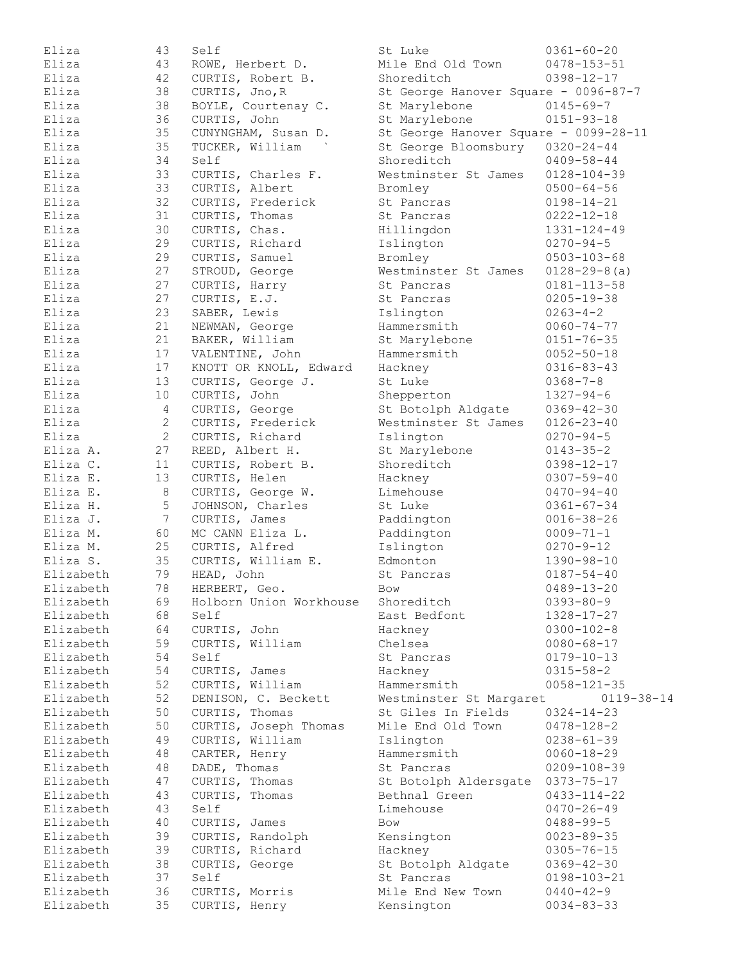| Eliza                | 43              | Self                            | St Luke                               | $0361 - 60 - 20$                    |
|----------------------|-----------------|---------------------------------|---------------------------------------|-------------------------------------|
| Eliza                | 43              | ROWE, Herbert D.                | Mile End Old Town                     | $0478 - 153 - 51$                   |
| Eliza                | 42              | CURTIS, Robert B.               | Shoreditch                            | $0398 - 12 - 17$                    |
| Eliza                | 38              | CURTIS, Jno, R                  | St George Hanover Square - 0096-87-7  |                                     |
| Eliza                | 38              | BOYLE, Courtenay C.             | St Marylebone                         | $0145 - 69 - 7$                     |
| Eliza                | 36              | CURTIS, John                    | St Marylebone                         | $0151 - 93 - 18$                    |
| Eliza                | 35              | CUNYNGHAM, Susan D.             | St George Hanover Square - 0099-28-11 |                                     |
| Eliza                | 35              | TUCKER, William                 | St George Bloomsbury                  | $0320 - 24 - 44$                    |
| Eliza                | 34              | Self                            | Shoreditch                            | $0409 - 58 - 44$                    |
| Eliza                | 33              | CURTIS, Charles F.              | Westminster St James                  | $0128 - 104 - 39$                   |
| Eliza                | 33              | CURTIS, Albert                  | Bromley                               | $0500 - 64 - 56$                    |
| Eliza                | 32              | CURTIS, Frederick               | St Pancras                            | $0198 - 14 - 21$                    |
| Eliza                | 31              | CURTIS, Thomas                  | St Pancras                            | $0222 - 12 - 18$                    |
| Eliza                | 30              | CURTIS, Chas.                   | Hillingdon                            | 1331-124-49                         |
| Eliza                | 29              | CURTIS, Richard                 | Islington                             | $0270 - 94 - 5$                     |
| Eliza                | 29              | CURTIS, Samuel                  | Bromley                               | $0503 - 103 - 68$                   |
| Eliza                | 27              | STROUD, George                  | Westminster St James                  | $0128 - 29 - 8$ (a)                 |
| Eliza                | 27              | CURTIS, Harry                   | St Pancras                            | $0181 - 113 - 58$                   |
| Eliza                | 27              | CURTIS, E.J.                    | St Pancras                            | $0205 - 19 - 38$                    |
| Eliza                | 23              | SABER, Lewis                    | Islington                             | $0263 - 4 - 2$                      |
| Eliza                | 21              | NEWMAN, George                  | Hammersmith                           | $0060 - 74 - 77$                    |
| Eliza                | 21              | BAKER, William                  | St Marylebone                         | $0151 - 76 - 35$                    |
| Eliza                | 17              | VALENTINE, John                 | Hammersmith                           | $0052 - 50 - 18$                    |
| Eliza                | 17              |                                 |                                       | $0316 - 83 - 43$                    |
|                      | 13              | KNOTT OR KNOLL, Edward          | Hackney                               |                                     |
| Eliza                |                 | CURTIS, George J.               | St Luke                               | $0368 - 7 - 8$                      |
| Eliza                | 10              | CURTIS, John                    | Shepperton                            | $1327 - 94 - 6$                     |
| Eliza                | 4               | CURTIS, George                  | St Botolph Aldgate                    | $0369 - 42 - 30$                    |
| Eliza<br>Eliza       | $\overline{c}$  | CURTIS, Frederick               | Westminster St James                  | $0126 - 23 - 40$                    |
| Eliza A.             | $\overline{2}$  | CURTIS, Richard                 | Islington                             | $0270 - 94 - 5$                     |
|                      | 27              | REED, Albert H.                 | St Marylebone                         | $0143 - 35 - 2$                     |
| Eliza C.<br>Eliza E. | 11              | CURTIS, Robert B.               | Shoreditch                            | $0398 - 12 - 17$                    |
|                      | 13              | CURTIS, Helen                   | Hackney                               | $0307 - 59 - 40$                    |
| Eliza E.             | $\,8\,$<br>5    | CURTIS, George W.               | Limehouse                             | $0470 - 94 - 40$                    |
| Eliza H.             |                 | JOHNSON, Charles                | St Luke                               | $0361 - 67 - 34$                    |
| Eliza J.             | $7\phantom{.0}$ | CURTIS, James                   | Paddington                            | $0016 - 38 - 26$                    |
| Eliza M.<br>Eliza M. | 60              | MC CANN Eliza L.                | Paddington                            | $0009 - 71 - 1$                     |
| Eliza S.             | 25              | CURTIS, Alfred                  | Islington                             | $0270 - 9 - 12$                     |
|                      | 35              | CURTIS, William E.              | Edmonton                              | 1390-98-10                          |
| Elizabeth            | 79              | HEAD, John                      | St Pancras                            | $0187 - 54 - 40$                    |
| Elizabeth            | 78              | HERBERT, Geo.                   | Bow<br>Shoreditch                     | $0489 - 13 - 20$<br>$0393 - 80 - 9$ |
| Elizabeth            | 69<br>68        | Holborn Union Workhouse<br>Self |                                       |                                     |
| Elizabeth            |                 |                                 | East Bedfont                          | $1328 - 17 - 27$                    |
| Elizabeth            | 64              | CURTIS, John                    | Hackney                               | $0300 - 102 - 8$                    |
| Elizabeth            | 59              | CURTIS, William<br>Self         | Chelsea                               | $0080 - 68 - 17$                    |
| Elizabeth            | 54              |                                 | St Pancras                            | $0179 - 10 - 13$                    |
| Elizabeth            | 54              | CURTIS, James                   | Hackney                               | $0315 - 58 - 2$                     |
| Elizabeth            | 52              | CURTIS, William                 | Hammersmith                           | $0058 - 121 - 35$                   |
| Elizabeth            | 52              | DENISON, C. Beckett             | Westminster St Margaret               | $0119 - 38 - 14$                    |
| Elizabeth            | 50              | CURTIS, Thomas                  | St Giles In Fields                    | $0324 - 14 - 23$                    |
| Elizabeth            | 50              | CURTIS, Joseph Thomas           | Mile End Old Town                     | $0478 - 128 - 2$                    |
| Elizabeth            | 49              | CURTIS, William                 | Islington                             | $0238 - 61 - 39$                    |
| Elizabeth            | 48              | CARTER, Henry                   | Hammersmith                           | $0060 - 18 - 29$                    |
| Elizabeth            | 48              | DADE, Thomas                    | St Pancras                            | $0209 - 108 - 39$                   |
| Elizabeth            | 47              | CURTIS, Thomas                  | St Botolph Aldersgate 0373-75-17      |                                     |
| Elizabeth            | 43              | CURTIS, Thomas                  | Bethnal Green                         | $0433 - 114 - 22$                   |
| Elizabeth            | 43              | Self                            | Limehouse                             | $0470 - 26 - 49$                    |
| Elizabeth            | 40              | CURTIS, James                   | <b>Bow</b>                            | $0488 - 99 - 5$                     |
| Elizabeth            | 39              | CURTIS, Randolph                | Kensington                            | $0023 - 89 - 35$                    |
| Elizabeth            | 39              | CURTIS, Richard                 | Hackney                               | $0305 - 76 - 15$                    |
| Elizabeth            | 38              | CURTIS, George                  | St Botolph Aldgate                    | $0369 - 42 - 30$                    |
| Elizabeth            | 37              | Self                            | St Pancras                            | $0198 - 103 - 21$                   |
| Elizabeth            | 36              | CURTIS, Morris                  | Mile End New Town                     | $0440 - 42 - 9$                     |
| Elizabeth            | 35              | CURTIS, Henry                   | Kensington                            | $0034 - 83 - 33$                    |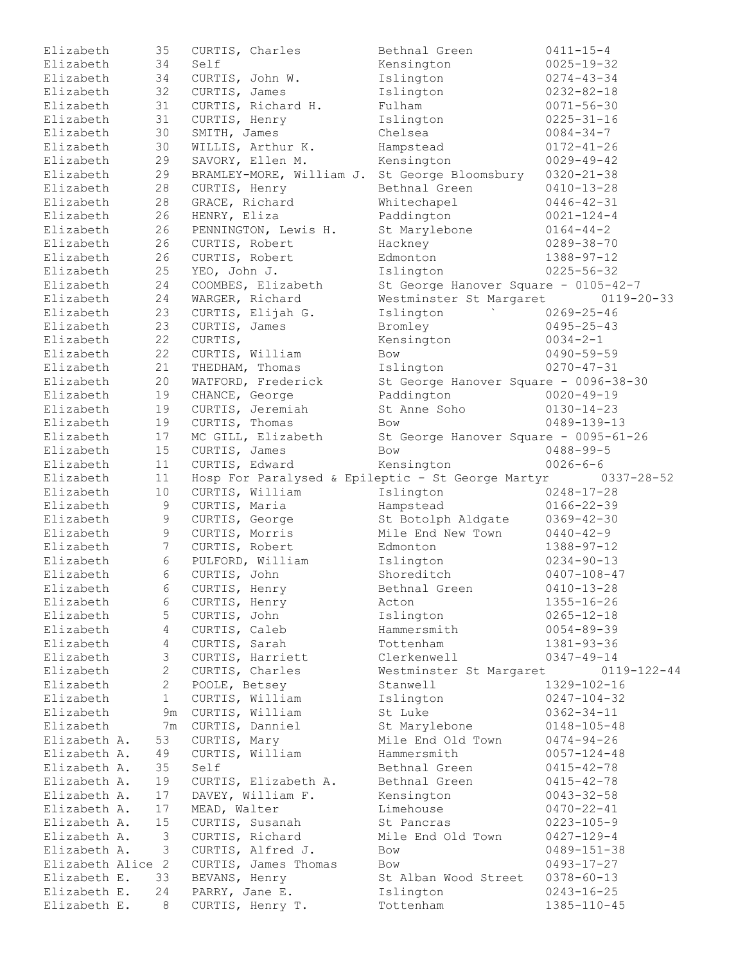| Elizabeth         | 35              | CURTIS, Charles |                      | Bethnal Green                                     | $0411 - 15 - 4$   |
|-------------------|-----------------|-----------------|----------------------|---------------------------------------------------|-------------------|
| Elizabeth         | 34              | Self            |                      | Kensington                                        | $0025 - 19 - 32$  |
| Elizabeth         | 34              | CURTIS, John W. |                      | Islington                                         | $0274 - 43 - 34$  |
| Elizabeth         | 32              | CURTIS, James   |                      | Islington                                         | $0232 - 82 - 18$  |
| Elizabeth         | 31              |                 | CURTIS, Richard H.   | Fulham                                            | $0071 - 56 - 30$  |
| Elizabeth         | 31              | CURTIS, Henry   |                      | Islington                                         | $0225 - 31 - 16$  |
| Elizabeth         | 30              | SMITH, James    |                      | Chelsea                                           | $0084 - 34 - 7$   |
| Elizabeth         | 30              |                 | WILLIS, Arthur K.    | Hampstead                                         | $0172 - 41 - 26$  |
| Elizabeth         | 29              |                 | SAVORY, Ellen M.     | Kensington                                        | $0029 - 49 - 42$  |
| Elizabeth         | 29              |                 |                      | BRAMLEY-MORE, William J. St George Bloomsbury     | $0320 - 21 - 38$  |
| Elizabeth         | 28              | CURTIS, Henry   |                      | Bethnal Green                                     | $0410 - 13 - 28$  |
| Elizabeth         | 28              | GRACE, Richard  |                      | Whitechapel                                       | $0446 - 42 - 31$  |
| Elizabeth         | 26              | HENRY, Eliza    |                      | Paddington                                        | $0021 - 124 - 4$  |
| Elizabeth         | 26              |                 | PENNINGTON, Lewis H. | St Marylebone                                     | $0164 - 44 - 2$   |
| Elizabeth         | 26              | CURTIS, Robert  |                      | Hackney                                           | $0289 - 38 - 70$  |
| Elizabeth         | 26              | CURTIS, Robert  |                      | Edmonton                                          | $1388 - 97 - 12$  |
| Elizabeth         | 25              | YEO, John J.    |                      | Islington                                         | $0225 - 56 - 32$  |
| Elizabeth         | 24              |                 | COOMBES, Elizabeth   | St George Hanover Square - 0105-42-7              |                   |
| Elizabeth         | 24              | WARGER, Richard |                      | Westminster St Margaret                           | $0119 - 20 - 33$  |
| Elizabeth         | 23              |                 | CURTIS, Elijah G.    | Islington                                         | $0269 - 25 - 46$  |
| Elizabeth         | 23              | CURTIS, James   |                      | Bromley                                           | $0495 - 25 - 43$  |
| Elizabeth         | 22              | CURTIS,         |                      | Kensington                                        | $0034 - 2 - 1$    |
| Elizabeth         | 22              | CURTIS, William |                      | Bow                                               | $0490 - 59 - 59$  |
| Elizabeth         | 21              | THEDHAM, Thomas |                      | Islington                                         | $0270 - 47 - 31$  |
| Elizabeth         | 20              |                 | WATFORD, Frederick   | St George Hanover Square - 0096-38-30             |                   |
| Elizabeth         | 19              | CHANCE, George  |                      | Paddington                                        | $0020 - 49 - 19$  |
|                   |                 |                 |                      | St Anne Soho                                      |                   |
| Elizabeth         | 19              |                 | CURTIS, Jeremiah     |                                                   | $0130 - 14 - 23$  |
| Elizabeth         | 19              | CURTIS, Thomas  |                      | Bow                                               | 0489-139-13       |
| Elizabeth         | 17              |                 | MC GILL, Elizabeth   | St George Hanover Square - 0095-61-26             |                   |
| Elizabeth         | 15              | CURTIS, James   |                      | <b>Bow</b>                                        | $0488 - 99 - 5$   |
| Elizabeth         | 11              | CURTIS, Edward  |                      | Kensington                                        | $0026 - 6 - 6$    |
| Elizabeth         | 11              |                 |                      | Hosp For Paralysed & Epileptic - St George Martyr | $0337 - 28 - 52$  |
| Elizabeth         | 10              |                 | CURTIS, William      | Islington                                         | $0248 - 17 - 28$  |
| Elizabeth         | $\,9$           | CURTIS, Maria   |                      | Hampstead                                         | $0166 - 22 - 39$  |
| Elizabeth         | $\mathsf 9$     | CURTIS, George  |                      | St Botolph Aldgate                                | $0369 - 42 - 30$  |
| Elizabeth         | 9               | CURTIS, Morris  |                      | Mile End New Town                                 | $0440 - 42 - 9$   |
| Elizabeth         | $7\overline{ }$ | CURTIS, Robert  |                      | Edmonton                                          | $1388 - 97 - 12$  |
| Elizabeth         | 6               |                 | PULFORD, William     | Islington                                         | $0234 - 90 - 13$  |
| Elizabeth         | 6               | CURTIS, John    |                      | Shoreditch                                        | $0407 - 108 - 47$ |
| Elizabeth         | 6               | CURTIS, Henry   |                      | Bethnal Green                                     | $0410 - 13 - 28$  |
| Elizabeth         | 6               | CURTIS, Henry   |                      | Acton                                             | $1355 - 16 - 26$  |
| Elizabeth         | 5               | CURTIS, John    |                      | Islington                                         | $0265 - 12 - 18$  |
| Elizabeth         | $\overline{4}$  | CURTIS, Caleb   |                      | Hammersmith                                       | $0054 - 89 - 39$  |
| Elizabeth         | $\overline{4}$  | CURTIS, Sarah   |                      | Tottenham                                         | $1381 - 93 - 36$  |
| Elizabeth         | $\mathfrak{Z}$  |                 | CURTIS, Harriett     | Clerkenwell                                       | $0347 - 49 - 14$  |
| Elizabeth         | $\overline{2}$  | CURTIS, Charles |                      | Westminster St Margaret                           | $0119 - 122 - 44$ |
| Elizabeth         | $\mathbf{2}$    | POOLE, Betsey   |                      | Stanwell                                          | 1329-102-16       |
| Elizabeth         | $\mathbf{1}$    |                 | CURTIS, William      | Islington                                         | $0247 - 104 - 32$ |
| Elizabeth         | 9m              |                 | CURTIS, William      | St Luke                                           | $0362 - 34 - 11$  |
| Elizabeth         | 7m              | CURTIS, Danniel |                      | St Marylebone                                     | $0148 - 105 - 48$ |
| Elizabeth A.      | 53              | CURTIS, Mary    |                      | Mile End Old Town                                 | $0474 - 94 - 26$  |
| Elizabeth A.      | 49              | CURTIS, William |                      | Hammersmith                                       | $0057 - 124 - 48$ |
| Elizabeth A.      | 35              | Self            |                      | Bethnal Green                                     | $0415 - 42 - 78$  |
| Elizabeth A.      | 19              |                 | CURTIS, Elizabeth A. | Bethnal Green                                     | $0415 - 42 - 78$  |
| Elizabeth A.      | 17              |                 | DAVEY, William F.    | Kensington                                        | $0043 - 32 - 58$  |
| Elizabeth A.      | 17              | MEAD, Walter    |                      | Limehouse                                         | $0470 - 22 - 41$  |
| Elizabeth A.      | 15              |                 | CURTIS, Susanah      | St Pancras                                        | $0223 - 105 - 9$  |
| Elizabeth A.      | 3               |                 | CURTIS, Richard      | Mile End Old Town                                 | $0427 - 129 - 4$  |
| Elizabeth A.      | 3               |                 | CURTIS, Alfred J.    | Bow                                               | $0489 - 151 - 38$ |
| Elizabeth Alice 2 |                 |                 | CURTIS, James Thomas | Bow                                               | $0493 - 17 - 27$  |
| Elizabeth E.      | 33              | BEVANS, Henry   |                      | St Alban Wood Street                              | $0378 - 60 - 13$  |
| Elizabeth E.      | 24              | PARRY, Jane E.  |                      | Islington                                         | $0243 - 16 - 25$  |
| Elizabeth E.      | $8\,$           |                 | CURTIS, Henry T.     | Tottenham                                         | 1385-110-45       |
|                   |                 |                 |                      |                                                   |                   |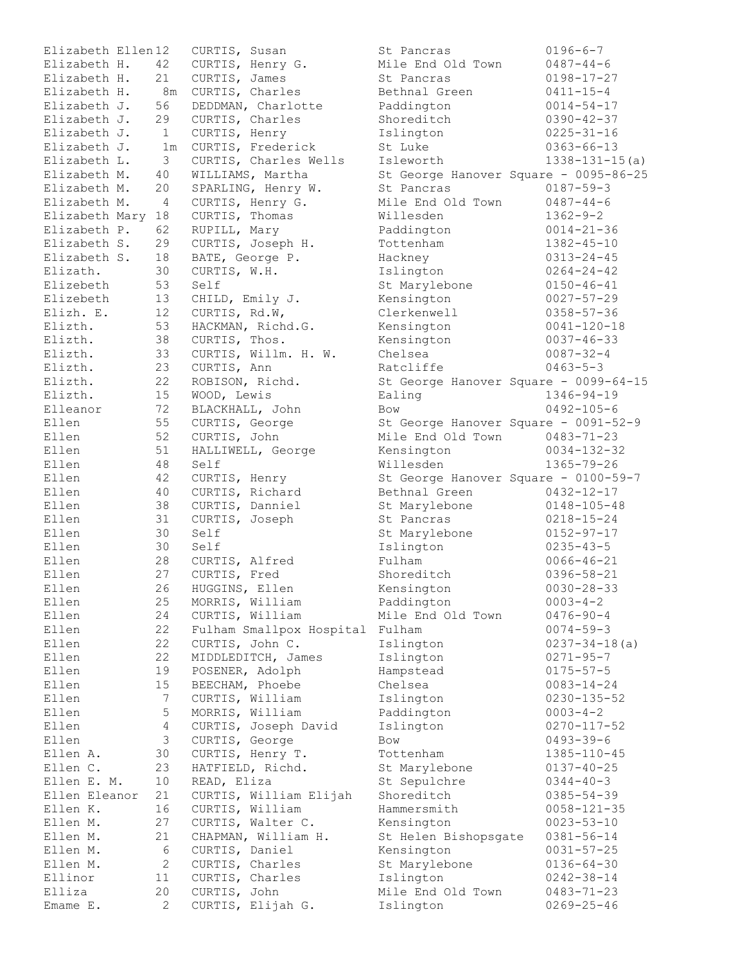| Elizabeth Ellen12 |                    | CURTIS, Susan                     | St Pancras                                            | $0196 - 6 - 7$                        |
|-------------------|--------------------|-----------------------------------|-------------------------------------------------------|---------------------------------------|
| Elizabeth H.      | 42                 | CURTIS, Henry G.                  | Mile End Old Town                                     | $0487 - 44 - 6$                       |
| Elizabeth H.      | 21                 | CURTIS, James                     | St Pancras                                            | $0198 - 17 - 27$                      |
| Elizabeth H.      | 8m                 | CURTIS, Charles                   | Bethnal Green                                         | $0411 - 15 - 4$                       |
| Elizabeth J.      | 56                 | DEDDMAN, Charlotte                | Paddington                                            | $0014 - 54 - 17$                      |
| Elizabeth J.      | 29                 | CURTIS, Charles                   | Shoreditch                                            | $0390 - 42 - 37$                      |
| Elizabeth J.      | $\mathbf{1}$       | CURTIS, Henry                     | Islington                                             | $0225 - 31 - 16$                      |
| Elizabeth J.      | 1 <sub>m</sub>     | CURTIS, Frederick                 | St Luke                                               | $0363 - 66 - 13$                      |
| Elizabeth L.      | 3                  | CURTIS, Charles Wells             | Isleworth                                             | $1338 - 131 - 15(a)$                  |
| Elizabeth M.      | 40                 | WILLIAMS, Martha                  |                                                       | St George Hanover Square - 0095-86-25 |
| Elizabeth M.      | 20                 | SPARLING, Henry W.                | St Pancras                                            | $0187 - 59 - 3$                       |
| Elizabeth M.      | 4                  | CURTIS, Henry G.                  | Mile End Old Town                                     | $0487 - 44 - 6$                       |
| Elizabeth Mary 18 |                    | CURTIS, Thomas                    | Willesden                                             | $1362 - 9 - 2$                        |
| Elizabeth P.      | 62                 | RUPILL, Mary                      | Paddington                                            | $0014 - 21 - 36$                      |
| Elizabeth S.      | 29                 | CURTIS, Joseph H.                 | Tottenham                                             | $1382 - 45 - 10$                      |
| Elizabeth S.      | 18                 | BATE, George P.                   | Hackney                                               | $0313 - 24 - 45$                      |
| Elizath.          | 30                 | CURTIS, W.H.                      | Islington                                             | $0264 - 24 - 42$                      |
| Elizebeth         | 53                 | Self                              | St Marylebone                                         | $0150 - 46 - 41$                      |
| Elizebeth         | 13                 | CHILD, Emily J.                   | Kensington                                            | $0027 - 57 - 29$                      |
| Elizh. E.         | 12                 | CURTIS, Rd.W,                     | Clerkenwell                                           | $0358 - 57 - 36$                      |
| Elizth.           | 53                 | HACKMAN, Richd.G.                 | Kensington                                            | $0041 - 120 - 18$                     |
| Elizth.           | 38                 | CURTIS, Thos.                     | Kensington                                            | $0037 - 46 - 33$                      |
| Elizth.           | 33                 | CURTIS, Willm. H. W.              | Chelsea                                               | $0087 - 32 - 4$                       |
| Elizth.           | 23                 | CURTIS, Ann                       | Ratcliffe                                             | $0463 - 5 - 3$                        |
| Elizth.           | 22                 | ROBISON, Richd.                   |                                                       | St George Hanover Square - 0099-64-15 |
| Elizth.           | 15                 | WOOD, Lewis                       | Ealing                                                | $1346 - 94 - 19$                      |
| Elleanor          | 72                 | BLACKHALL, John                   | Bow                                                   | $0492 - 105 - 6$                      |
| Ellen             | 55                 | CURTIS, George                    | St George Hanover Square - 0091-52-9                  |                                       |
| Ellen             | 52                 | CURTIS, John                      | Mile End Old Town                                     | $0483 - 71 - 23$                      |
| Ellen             | 51                 |                                   |                                                       | $0034 - 132 - 32$                     |
| Ellen             |                    | HALLIWELL, George<br>Self         | Kensington<br>Willesden                               |                                       |
|                   | 48                 |                                   |                                                       | $1365 - 79 - 26$                      |
| Ellen<br>Ellen    | 42<br>40           | CURTIS, Henry                     | St George Hanover Square - 0100-59-7<br>Bethnal Green | $0432 - 12 - 17$                      |
|                   |                    | CURTIS, Richard                   |                                                       |                                       |
| Ellen             | 38                 | CURTIS, Danniel                   | St Marylebone                                         | $0148 - 105 - 48$                     |
| Ellen             | 31                 | CURTIS, Joseph                    | St Pancras                                            | $0218 - 15 - 24$                      |
| Ellen             | 30                 | Self                              | St Marylebone                                         | $0152 - 97 - 17$                      |
| Ellen             | 30                 | Self                              | Islington                                             | $0235 - 43 - 5$                       |
| Ellen             | 28                 | CURTIS, Alfred                    | Fulham                                                | $0066 - 46 - 21$                      |
| Ellen             | 27                 | CURTIS, Fred                      | Shoreditch                                            | $0396 - 58 - 21$                      |
| Ellen             | 26                 | HUGGINS, Ellen                    | Kensington                                            | $0030 - 28 - 33$                      |
| Ellen             | 25                 | MORRIS, William                   | Paddington                                            | $0003 - 4 - 2$<br>$0476 - 90 - 4$     |
| Ellen             | 24                 | CURTIS, William                   | Mile End Old Town                                     |                                       |
| Ellen             |                    |                                   |                                                       |                                       |
| Ellen             | 22                 | Fulham Smallpox Hospital          | Fulham                                                | $0074 - 59 - 3$                       |
|                   | 22                 | CURTIS, John C.                   | Islington                                             | $0237 - 34 - 18$ (a)                  |
| Ellen             | 22                 | MIDDLEDITCH, James                | Islington                                             | $0271 - 95 - 7$                       |
| Ellen             | 19                 | POSENER, Adolph                   | Hampstead                                             | $0175 - 57 - 5$                       |
| Ellen             | 15                 | BEECHAM, Phoebe                   | Chelsea                                               | $0083 - 14 - 24$                      |
| Ellen             | 7                  | CURTIS, William                   | Islington                                             | $0230 - 135 - 52$                     |
| Ellen             | 5                  | MORRIS, William                   | Paddington                                            | $0003 - 4 - 2$                        |
| Ellen             | $\overline{4}$     | CURTIS, Joseph David              | Islington                                             | $0270 - 117 - 52$                     |
| Ellen             | $\mathfrak{Z}$     | CURTIS, George                    | Bow                                                   | $0493 - 39 - 6$                       |
| Ellen A.          | 30                 | CURTIS, Henry T.                  | Tottenham                                             | $1385 - 110 - 45$                     |
| Ellen C.          | 23                 | HATFIELD, Richd.                  | St Marylebone                                         | $0137 - 40 - 25$                      |
| Ellen E. M.       | 10                 | READ, Eliza                       | St Sepulchre                                          | $0344 - 40 - 3$                       |
| Ellen Eleanor     | 21                 | CURTIS, William Elijah            | Shoreditch                                            | $0385 - 54 - 39$                      |
| Ellen K.          | 16                 | CURTIS, William                   | Hammersmith                                           | $0058 - 121 - 35$                     |
| Ellen M.          | 27                 | CURTIS, Walter C.                 | Kensington                                            | $0023 - 53 - 10$                      |
| Ellen M.          | 21                 | CHAPMAN, William H.               | St Helen Bishopsgate                                  | $0381 - 56 - 14$                      |
| Ellen M.          | 6                  | CURTIS, Daniel                    | Kensington                                            | $0031 - 57 - 25$                      |
| Ellen M.          | 2                  | CURTIS, Charles                   | St Marylebone                                         | $0136 - 64 - 30$                      |
| Ellinor           | 11                 | CURTIS, Charles                   | Islington                                             | $0242 - 38 - 14$                      |
| Elliza            | 20<br>$\mathbf{2}$ | CURTIS, John<br>CURTIS, Elijah G. | Mile End Old Town                                     | $0483 - 71 - 23$<br>$0269 - 25 - 46$  |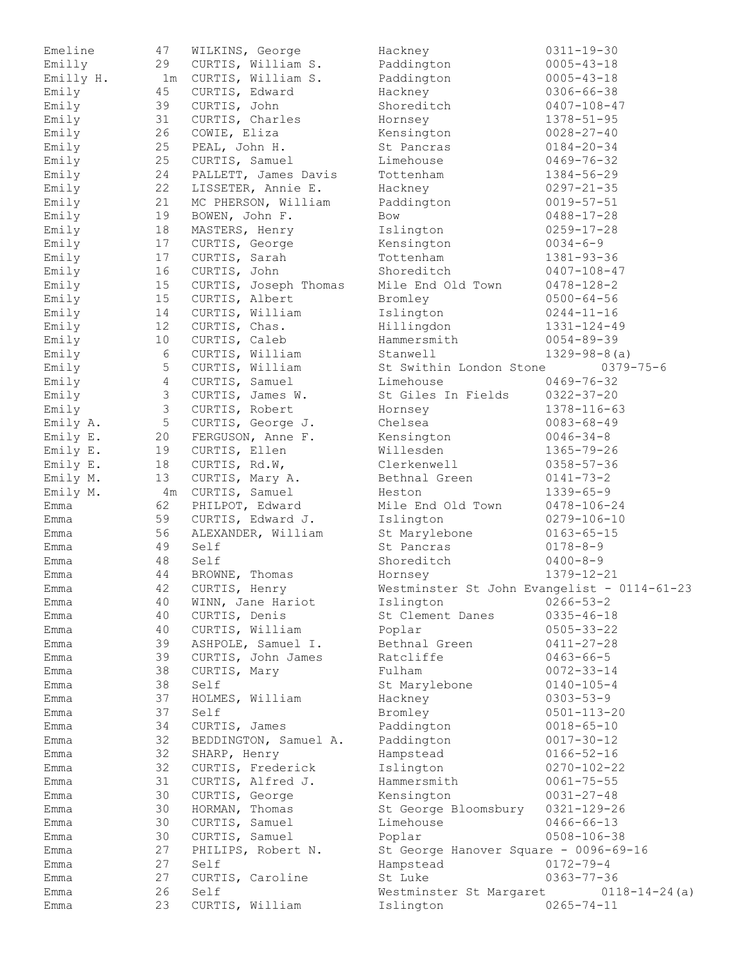| Emeline   | 47             | WILKINS, George       | Hackney                                     | $0311 - 19 - 30$    |
|-----------|----------------|-----------------------|---------------------------------------------|---------------------|
| Emilly    | 29             | CURTIS, William S.    | Paddington                                  | $0005 - 43 - 18$    |
| Emilly H. |                | 1m CURTIS, William S. | Paddington                                  | $0005 - 43 - 18$    |
| Emily     | 45             | CURTIS, Edward        | Hackney                                     | $0306 - 66 - 38$    |
| Emily     | 39             | CURTIS, John          | Shoreditch                                  | $0407 - 108 - 47$   |
| Emily     | 31             | CURTIS, Charles       | Hornsey                                     | $1378 - 51 - 95$    |
| Emily     | 26             | COWIE, Eliza          | Kensington                                  | $0028 - 27 - 40$    |
| Emily     | 25             | PEAL, John H.         | St Pancras                                  | $0184 - 20 - 34$    |
| Emily     | 25             | CURTIS, Samuel        | Limehouse                                   | $0469 - 76 - 32$    |
| Emily     | 24             | PALLETT, James Davis  | Tottenham                                   | 1384-56-29          |
| Emily     | 22             | LISSETER, Annie E.    | Hackney                                     | $0297 - 21 - 35$    |
| Emily     | 21             | MC PHERSON, William   | Paddington                                  | $0019 - 57 - 51$    |
| Emily     | 19             | BOWEN, John F.        | Bow                                         | $0488 - 17 - 28$    |
| Emily     | 18             | MASTERS, Henry        | Islington                                   | $0259 - 17 - 28$    |
| Emily     | 17             | CURTIS, George        | Kensington                                  | $0034 - 6 - 9$      |
| Emily     | 17             | CURTIS, Sarah         | Tottenham                                   | $1381 - 93 - 36$    |
| Emily     | 16             | CURTIS, John          | Shoreditch                                  | $0407 - 108 - 47$   |
| Emily     | 15             | CURTIS, Joseph Thomas | Mile End Old Town                           | $0478 - 128 - 2$    |
| Emily     | 15             | CURTIS, Albert        | Bromley                                     | $0500 - 64 - 56$    |
| Emily     | 14             | CURTIS, William       | Islington                                   | $0244 - 11 - 16$    |
| Emily     | 12             | CURTIS, Chas.         | Hillingdon                                  | 1331-124-49         |
| Emily     | 10             | CURTIS, Caleb         | Hammersmith                                 | $0054 - 89 - 39$    |
| Emily     | 6              | CURTIS, William       | Stanwell                                    | $1329 - 98 - 8$ (a) |
| Emily     | 5              | CURTIS, William       | St Swithin London Stone                     | $0379 - 75 - 6$     |
| Emily     | 4              | CURTIS, Samuel        | Limehouse                                   | $0469 - 76 - 32$    |
| Emily     | 3              | CURTIS, James W.      | St Giles In Fields                          | $0322 - 37 - 20$    |
| Emily     | $\mathfrak{Z}$ | CURTIS, Robert        | Hornsey                                     | 1378-116-63         |
| Emily A.  | $\mathsf S$    | CURTIS, George J.     | Chelsea                                     | $0083 - 68 - 49$    |
| Emily E.  | 20             | FERGUSON, Anne F.     | Kensington                                  | $0046 - 34 - 8$     |
| Emily E.  | 19             | CURTIS, Ellen         | Willesden                                   | $1365 - 79 - 26$    |
| Emily E.  | 18             | CURTIS, Rd.W,         | Clerkenwell                                 | $0358 - 57 - 36$    |
| Emily M.  | 13             | CURTIS, Mary A.       | Bethnal Green                               | $0141 - 73 - 2$     |
| Emily M.  | 4m             | CURTIS, Samuel        | Heston                                      | $1339 - 65 - 9$     |
| Emma      | 62             | PHILPOT, Edward       | Mile End Old Town                           | 0478-106-24         |
| Emma      | 59             | CURTIS, Edward J.     | Islington                                   | $0279 - 106 - 10$   |
| Emma      | 56             | ALEXANDER, William    | St Marylebone                               | $0163 - 65 - 15$    |
| Emma      | 49             | Self                  | St Pancras                                  | $0178 - 8 - 9$      |
| Emma      | 48             | Self                  | Shoreditch                                  | $0400 - 8 - 9$      |
| Emma      | 44             | BROWNE, Thomas        | Hornsey                                     | $1379 - 12 - 21$    |
| Emma      | 42             | CURTIS, Henry         | Westminster St John Evangelist - 0114-61-23 |                     |
| Emma      | 40             | WINN, Jane Hariot     | Islington                                   | $0266 - 53 - 2$     |
| Emma      | 40             | CURTIS, Denis         | St Clement Danes                            | $0335 - 46 - 18$    |
| Emma      | 40             | CURTIS, William       | Poplar                                      | $0505 - 33 - 22$    |
| Emma      | 39             | ASHPOLE, Samuel I.    | Bethnal Green                               | $0411 - 27 - 28$    |
| Emma      | 39             | CURTIS, John James    | Ratcliffe                                   | $0463 - 66 - 5$     |
| Emma      | 38             | CURTIS, Mary          | Fulham                                      | $0072 - 33 - 14$    |
| Emma      | 38             | Self                  | St Marylebone                               | $0140 - 105 - 4$    |
| Emma      | 37             | HOLMES, William       | Hackney                                     | $0303 - 53 - 9$     |
| Emma      | 37             | Self                  | Bromley                                     | $0501 - 113 - 20$   |
| Emma      | 34             | CURTIS, James         | Paddington                                  | $0018 - 65 - 10$    |
| Emma      | 32             | BEDDINGTON, Samuel A. | Paddington                                  | $0017 - 30 - 12$    |
| Emma      | 32             | SHARP, Henry          | Hampstead                                   | $0166 - 52 - 16$    |
| Emma      | 32             | CURTIS, Frederick     | Islington                                   | $0270 - 102 - 22$   |
| Emma      | 31             | CURTIS, Alfred J.     | Hammersmith                                 | $0061 - 75 - 55$    |
| Emma      | 30             | CURTIS, George        | Kensington                                  | $0031 - 27 - 48$    |
| Emma      | 30             | HORMAN, Thomas        | St George Bloomsbury                        | $0321 - 129 - 26$   |
| Emma      | 30             | CURTIS, Samuel        | Limehouse                                   | $0466 - 66 - 13$    |
| Emma      | 30             | CURTIS, Samuel        | Poplar                                      | $0508 - 106 - 38$   |
| Emma      | 27             | PHILIPS, Robert N.    | St George Hanover Square - 0096-69-16       |                     |
| Emma      | 27             | Self                  | Hampstead                                   | $0172 - 79 - 4$     |
| Emma      | 27             | CURTIS, Caroline      | St Luke                                     | $0363 - 77 - 36$    |
| Emma      | 26             | Self                  | Westminster St Margaret                     | $0118 - 14 - 24(a)$ |
| Emma      | 23             | CURTIS, William       | Islington                                   | $0265 - 74 - 11$    |
|           |                |                       |                                             |                     |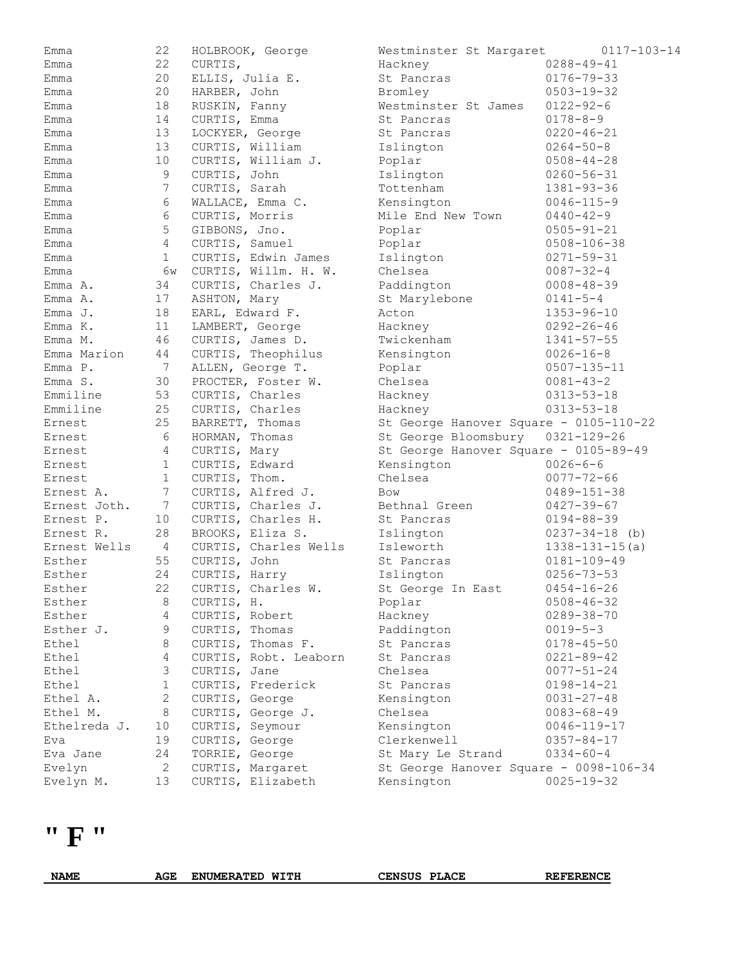| Emma         | 22             | HOLBROOK, George                    | Westminster St Margaret                | $0117 - 103 - 14$    |
|--------------|----------------|-------------------------------------|----------------------------------------|----------------------|
| Emma         | 22             | CURTIS,                             | Hackney                                | $0288 - 49 - 41$     |
| Emma         | 20             | ELLIS, Julia E.                     | St Pancras                             | $0176 - 79 - 33$     |
| Emma         | 20             | HARBER, John                        | Bromley                                | $0503 - 19 - 32$     |
| Emma         | 18             | RUSKIN, Fanny                       | Westminster St James                   | $0122 - 92 - 6$      |
| Emma         | 14             | CURTIS, Emma                        | St Pancras                             | $0178 - 8 - 9$       |
| Emma         | 13             | LOCKYER, George                     | St Pancras                             | $0220 - 46 - 21$     |
| Emma         | 13             | CURTIS, William                     | Islington                              | $0264 - 50 - 8$      |
| Emma         | 10             | CURTIS, William J.                  | Poplar                                 | $0508 - 44 - 28$     |
| Emma         | 9              | CURTIS, John                        | Islington                              | $0260 - 56 - 31$     |
| Emma         | 7              | CURTIS, Sarah                       | Tottenham                              | $1381 - 93 - 36$     |
| Emma         | 6              | WALLACE, Emma C.                    | Kensington                             | $0046 - 115 - 9$     |
| Emma         | 6              | CURTIS, Morris                      | Mile End New Town                      | $0440 - 42 - 9$      |
| Emma         | 5              | GIBBONS, Jno.                       | Poplar                                 | $0505 - 91 - 21$     |
| Emma         | $\overline{4}$ | CURTIS, Samuel                      | Poplar                                 | $0508 - 106 - 38$    |
| Emma         | $\mathbf{1}$   | CURTIS, Edwin James                 | Islington                              | $0271 - 59 - 31$     |
| Emma         | 6w             | CURTIS, Willm. H. W.                | Chelsea                                | $0087 - 32 - 4$      |
| Emma A.      | 34             | CURTIS, Charles J.                  | Paddington                             | $0008 - 48 - 39$     |
| Emma A.      | 17             | ASHTON, Mary                        | St Marylebone                          | $0141 - 5 - 4$       |
| $Emma$ $J.$  | 18             | EARL, Edward F.                     | Acton                                  | $1353 - 96 - 10$     |
| Emma K.      | 11             | LAMBERT, George                     | Hackney                                | $0292 - 26 - 46$     |
| Emma M.      | 46             | CURTIS, James D.                    | Twickenham                             | $1341 - 57 - 55$     |
| Emma Marion  | 44             | CURTIS, Theophilus                  | Kensington                             | $0026 - 16 - 8$      |
| $Emma$ $P$ . | 7              | ALLEN, George T.                    | Poplar                                 | $0507 - 135 - 11$    |
| Emma S.      | 30             | PROCTER, Foster W.                  | Chelsea                                | $0081 - 43 - 2$      |
| Emmiline     | 53             | CURTIS, Charles                     | Hackney                                | $0313 - 53 - 18$     |
| Emmiline     | 25             | CURTIS, Charles                     | Hackney                                | $0313 - 53 - 18$     |
| Ernest       | 25             | BARRETT, Thomas                     | St George Hanover Square - 0105-110-22 |                      |
| Ernest       | 6              | HORMAN, Thomas                      | St George Bloomsbury                   | $0321 - 129 - 26$    |
| Ernest       | 4              | CURTIS, Mary                        | St George Hanover Square - 0105-89-49  |                      |
| Ernest       | $\mathbf{1}$   | CURTIS, Edward                      | Kensington                             | $0026 - 6 - 6$       |
| Ernest       | $\mathbf{1}$   | CURTIS, Thom.                       | Chelsea                                | $0077 - 72 - 66$     |
| Ernest A.    | 7              | CURTIS, Alfred J.                   | Bow                                    | $0489 - 151 - 38$    |
| Ernest Joth. | 7              | CURTIS, Charles J.                  | Bethnal Green                          | $0427 - 39 - 67$     |
| Ernest P.    | 10             | CURTIS, Charles H.                  | St Pancras                             | $0194 - 88 - 39$     |
| Ernest R.    | 28             | BROOKS, Eliza S.                    | Islington                              | $0237 - 34 - 18$ (b) |
| Ernest Wells | 4              | CURTIS, Charles Wells               | Isleworth                              | $1338 - 131 - 15(a)$ |
| Esther       | 55             | CURTIS, John                        | St Pancras                             | $0181 - 109 - 49$    |
| Esther       | 24             | CURTIS, Harry                       | Islington                              | $0256 - 73 - 53$     |
| Esther       | 22             | CURTIS, Charles W.                  | St George In East                      | $0454 - 16 - 26$     |
| Esther       | 8              | CURTIS, H.                          | Poplar                                 | $0508 - 46 - 32$     |
| Esther       | 4              | CURTIS, Robert                      | Hackney                                | $0289 - 38 - 70$     |
| Esther J.    | 9              |                                     |                                        | $0019 - 5 - 3$       |
| Ethel        | 8              | CURTIS, Thomas<br>CURTIS, Thomas F. | Paddington                             |                      |
|              | 4              | CURTIS, Robt. Leaborn               | St Pancras<br>St Pancras               | $0178 - 45 - 50$     |
| Ethel        | $\mathfrak{Z}$ |                                     |                                        | $0221 - 89 - 42$     |
| Ethel        |                | CURTIS, Jane                        | Chelsea                                | $0077 - 51 - 24$     |
| Ethel        | $\mathbf{1}$   | CURTIS, Frederick                   | St Pancras                             | $0198 - 14 - 21$     |
| Ethel A.     | $\mathbf{2}$   | CURTIS, George                      | Kensington                             | $0031 - 27 - 48$     |
| Ethel M.     | 8              | CURTIS, George J.                   | Chelsea                                | $0083 - 68 - 49$     |
| Ethelreda J. | 10             | CURTIS, Seymour                     | Kensington                             | $0046 - 119 - 17$    |
| Eva          | 19             | CURTIS, George                      | Clerkenwell                            | $0357 - 84 - 17$     |
| Eva Jane     | 24             | TORRIE, George                      | St Mary Le Strand                      | $0334 - 60 - 4$      |
| Evelyn       | $\mathbf{2}$   | CURTIS, Margaret                    | St George Hanover Square - 0098-106-34 |                      |
| Evelyn M.    | 13             | CURTIS, Elizabeth                   | Kensington                             | $0025 - 19 - 32$     |

**" F "** 

**NAME AGE ENUMERATED WITH CENSUS PLACE REFERENCE**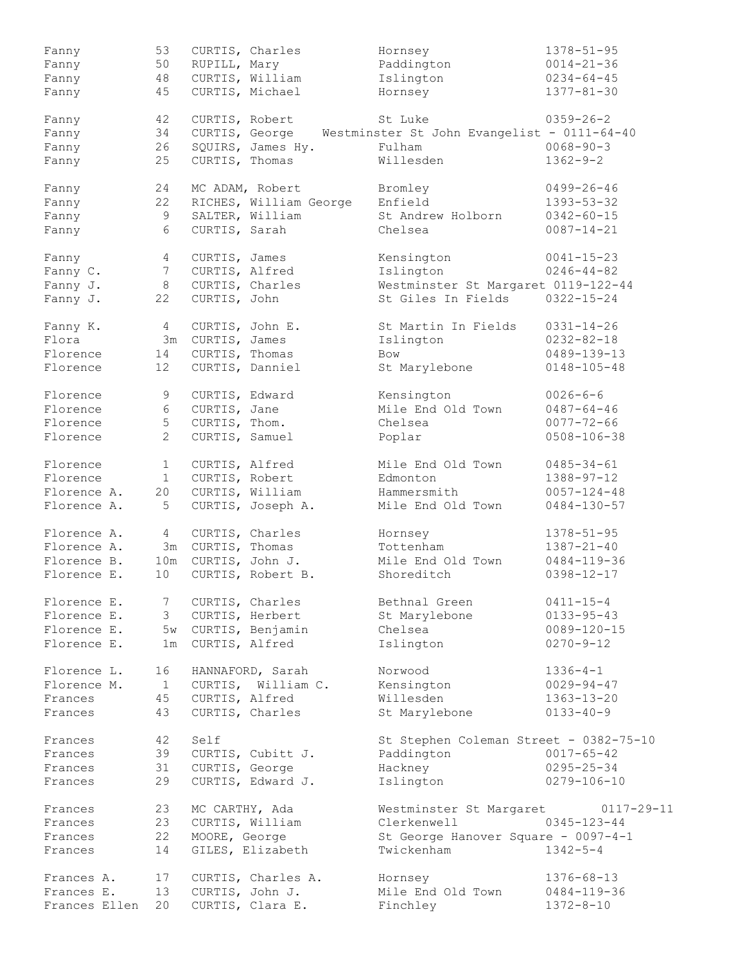| Fanny         | 53                    | CURTIS, Charles        | Hornsey                                     | $1378 - 51 - 95$  |
|---------------|-----------------------|------------------------|---------------------------------------------|-------------------|
| Fanny         | 50                    | RUPILL, Mary           | Paddington                                  | $0014 - 21 - 36$  |
| Fanny         | 48                    | CURTIS, William        | Islington                                   | $0234 - 64 - 45$  |
| Fanny         | 45                    | CURTIS, Michael        | Hornsey                                     | $1377 - 81 - 30$  |
| Fanny         | 42                    | CURTIS, Robert         | St Luke                                     | $0359 - 26 - 2$   |
|               |                       | CURTIS, George         |                                             |                   |
| Fanny         | 34                    |                        | Westminster St John Evangelist - 0111-64-40 |                   |
| Fanny         | 26                    | SQUIRS, James Hy.      | Fulham                                      | $0068 - 90 - 3$   |
| Fanny         | 25                    | CURTIS, Thomas         | Willesden                                   | $1362 - 9 - 2$    |
| Fanny         | 24                    | MC ADAM, Robert        | Bromley                                     | $0499 - 26 - 46$  |
| Fanny         | 22                    | RICHES, William George | Enfield                                     | $1393 - 53 - 32$  |
| Fanny         | 9                     | SALTER, William        | St Andrew Holborn                           | $0342 - 60 - 15$  |
| Fanny         | 6                     | CURTIS, Sarah          | Chelsea                                     | $0087 - 14 - 21$  |
| Fanny         | 4                     | CURTIS, James          | Kensington                                  | $0041 - 15 - 23$  |
|               | $7\phantom{.0}$       |                        | Islington                                   | $0246 - 44 - 82$  |
| Fanny C.      |                       | CURTIS, Alfred         |                                             |                   |
| Fanny J.      | 8                     | CURTIS, Charles        | Westminster St Margaret 0119-122-44         |                   |
| Fanny J.      | 22                    | CURTIS, John           | St Giles In Fields                          | $0322 - 15 - 24$  |
| Fanny K.      | $4\overline{ }$       | CURTIS, John E.        | St Martin In Fields                         | $0331 - 14 - 26$  |
| Flora         | 3m                    | CURTIS, James          | Islington                                   | $0232 - 82 - 18$  |
| Florence      | 14                    | CURTIS, Thomas         | <b>Bow</b>                                  | 0489-139-13       |
| Florence      | 12 <sup>°</sup>       | CURTIS, Danniel        | St Marylebone                               | $0148 - 105 - 48$ |
|               |                       |                        |                                             |                   |
| Florence      | 9                     | CURTIS, Edward         | Kensington                                  | $0026 - 6 - 6$    |
| Florence      | 6                     | CURTIS, Jane           | Mile End Old Town                           | $0487 - 64 - 46$  |
| Florence      | 5                     | CURTIS, Thom.          | Chelsea                                     | $0077 - 72 - 66$  |
| Florence      | $\mathbf{2}^{\prime}$ | CURTIS, Samuel         |                                             | $0508 - 106 - 38$ |
|               |                       |                        | Poplar                                      |                   |
| Florence      | $\mathbf{1}$          | CURTIS, Alfred         | Mile End Old Town                           | $0485 - 34 - 61$  |
| Florence      | 1                     | CURTIS, Robert         | Edmonton                                    | $1388 - 97 - 12$  |
| Florence A.   | 20                    | CURTIS, William        | Hammersmith                                 | $0057 - 124 - 48$ |
| Florence A.   | 5                     | CURTIS, Joseph A.      | Mile End Old Town                           | $0484 - 130 - 57$ |
| Florence A.   | $4\overline{ }$       | CURTIS, Charles        | Hornsey                                     | $1378 - 51 - 95$  |
| Florence A.   |                       | 3m CURTIS, Thomas      | Tottenham                                   | $1387 - 21 - 40$  |
| Florence B.   |                       |                        |                                             |                   |
|               | 10m                   | CURTIS, John J.        | Mile End Old Town                           | $0484 - 119 - 36$ |
| Florence E.   | 10 <sub>1</sub>       | CURTIS, Robert B.      | Shoreditch                                  | $0398 - 12 - 17$  |
| Florence E.   | 7                     | CURTIS, Charles        | Bethnal Green                               | $0411 - 15 - 4$   |
| Florence E.   | 3                     | CURTIS, Herbert        | St Marylebone                               | $0133 - 95 - 43$  |
| Florence E.   |                       | 5w CURTIS, Benjamin    | Chelsea                                     | $0089 - 120 - 15$ |
| Florence E.   | 1m                    | CURTIS, Alfred         | Islington                                   | $0270 - 9 - 12$   |
| Florence L.   | 16                    | HANNAFORD, Sarah       | Norwood                                     | $1336 - 4 - 1$    |
|               |                       |                        |                                             |                   |
| Florence M.   | $\mathbf{1}$          | CURTIS, William C.     | Kensington                                  | $0029 - 94 - 47$  |
| Frances       | 45                    | CURTIS, Alfred         | Willesden                                   | $1363 - 13 - 20$  |
| Frances       | 43                    | CURTIS, Charles        | St Marylebone                               | $0133 - 40 - 9$   |
| Frances       | 42                    | Self                   | St Stephen Coleman Street - 0382-75-10      |                   |
| Frances       | 39                    | CURTIS, Cubitt J.      | Paddington                                  | $0017 - 65 - 42$  |
| Frances       | 31                    | CURTIS, George         | Hackney                                     | $0295 - 25 - 34$  |
| Frances       | 29                    | CURTIS, Edward J.      | Islington                                   | $0279 - 106 - 10$ |
| Frances       | 23                    | MC CARTHY, Ada         | Westminster St Margaret                     | $0117 - 29 - 11$  |
|               |                       |                        |                                             |                   |
| Frances       | 23                    | CURTIS, William        | Clerkenwell                                 | $0345 - 123 - 44$ |
| Frances       | 22                    | MOORE, George          | St George Hanover Square - 0097-4-1         |                   |
| Frances       | 14                    | GILES, Elizabeth       | Twickenham                                  | $1342 - 5 - 4$    |
| Frances A.    | 17                    | CURTIS, Charles A.     | Hornsey                                     | $1376 - 68 - 13$  |
| Frances E.    | 13                    | CURTIS, John J.        | Mile End Old Town                           | $0484 - 119 - 36$ |
| Frances Ellen | 20                    | CURTIS, Clara E.       | Finchley                                    | $1372 - 8 - 10$   |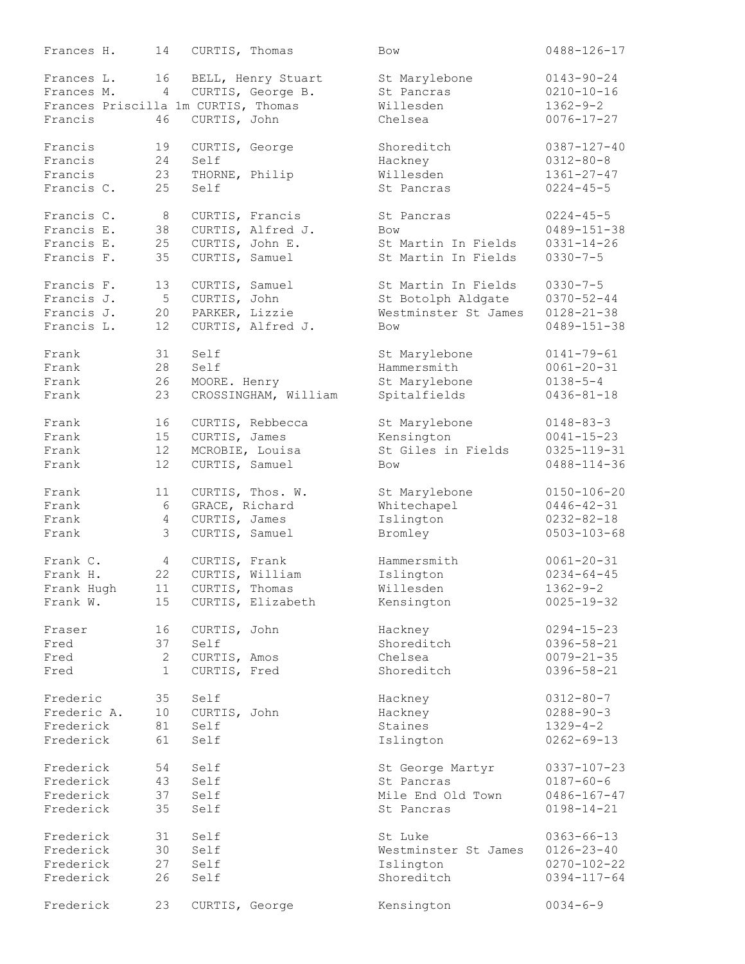| Frances H.  | 14              | CURTIS, Thomas                      |                      | <b>Bow</b>                       | $0488 - 126 - 17$ |
|-------------|-----------------|-------------------------------------|----------------------|----------------------------------|-------------------|
| Frances L.  | 16              |                                     | BELL, Henry Stuart   | St Marylebone                    | $0143 - 90 - 24$  |
| Frances M.  | $\overline{4}$  |                                     | CURTIS, George B.    | St Pancras                       | $0210 - 10 - 16$  |
|             |                 | Frances Priscilla 1m CURTIS, Thomas |                      | Willesden                        | $1362 - 9 - 2$    |
| Francis     | 46              | CURTIS, John                        |                      | Chelsea                          | $0076 - 17 - 27$  |
| Francis     | 19              | CURTIS, George                      |                      | Shoreditch                       | $0387 - 127 - 40$ |
| Francis     | 24              | Self                                |                      | Hackney                          | $0312 - 80 - 8$   |
| Francis     | 23              | THORNE, Philip                      |                      | Willesden                        | $1361 - 27 - 47$  |
| Francis C.  | 25              | Self                                |                      | St Pancras                       | $0224 - 45 - 5$   |
|             |                 |                                     |                      |                                  |                   |
| Francis C.  | 8               | CURTIS, Francis                     |                      | St Pancras                       | $0224 - 45 - 5$   |
| Francis E.  | 38              |                                     | CURTIS, Alfred J.    | Bow                              | $0489 - 151 - 38$ |
| Francis E.  | 25              | CURTIS, John E.                     |                      | St Martin In Fields              | $0331 - 14 - 26$  |
| Francis F.  | 35              | CURTIS, Samuel                      |                      | St Martin In Fields              | $0330 - 7 - 5$    |
| Francis F.  | 13              | CURTIS, Samuel                      |                      | St Martin In Fields              | $0330 - 7 - 5$    |
| Francis J.  | 5               | CURTIS, John                        |                      | St Botolph Aldgate               | $0370 - 52 - 44$  |
| Francis J.  | 20              | PARKER, Lizzie                      |                      | Westminster St James             | $0128 - 21 - 38$  |
| Francis L.  | 12              |                                     | CURTIS, Alfred J.    | <b>Bow</b>                       | $0489 - 151 - 38$ |
|             |                 |                                     |                      |                                  |                   |
| Frank       | 31              | Self                                |                      | St Marylebone                    | $0141 - 79 - 61$  |
| Frank       | 28              | Self                                |                      | Hammersmith                      | $0061 - 20 - 31$  |
| Frank       | 26              | MOORE. Henry                        |                      | St Marylebone                    | $0138 - 5 - 4$    |
| Frank       | 23              |                                     | CROSSINGHAM, William | Spitalfields                     | $0436 - 81 - 18$  |
| Frank       | 16              |                                     | CURTIS, Rebbecca     | St Marylebone                    | $0148 - 83 - 3$   |
| Frank       | 15              | CURTIS, James                       |                      |                                  | $0041 - 15 - 23$  |
|             |                 |                                     |                      | Kensington<br>St Giles in Fields |                   |
| Frank       | 12              | MCROBIE, Louisa                     |                      |                                  | $0325 - 119 - 31$ |
| Frank       | 12              | CURTIS, Samuel                      |                      | Bow                              | $0488 - 114 - 36$ |
| Frank       | 11              |                                     | CURTIS, Thos. W.     | St Marylebone                    | $0150 - 106 - 20$ |
| Frank       | $6\,$           | GRACE, Richard                      |                      | Whitechapel                      | $0446 - 42 - 31$  |
| Frank       | 4               | CURTIS, James                       |                      | Islington                        | $0232 - 82 - 18$  |
| Frank       | $\mathcal{E}$   | CURTIS, Samuel                      |                      | Bromley                          | $0503 - 103 - 68$ |
| Frank C.    | $4\overline{ }$ | CURTIS, Frank                       |                      | Hammersmith                      | $0061 - 20 - 31$  |
| Frank H.    | 22              | CURTIS, William                     |                      | Islington                        | $0234 - 64 - 45$  |
| Frank Hugh  |                 | 11 CURTIS, Thomas                   |                      | Willesden                        | $1362 - 9 - 2$    |
| Frank W.    |                 |                                     | CURTIS, Elizabeth    |                                  |                   |
|             | 15              |                                     |                      | Kensington                       | $0025 - 19 - 32$  |
| Fraser      | 16              | CURTIS, John                        |                      | Hackney                          | $0294 - 15 - 23$  |
| Fred        | 37              | Self                                |                      | Shoreditch                       | $0396 - 58 - 21$  |
| Fred        | $\mathbf{2}$    | CURTIS, Amos                        |                      | Chelsea                          | $0079 - 21 - 35$  |
| Fred        | $\mathbf{1}$    | CURTIS, Fred                        |                      | Shoreditch                       | $0396 - 58 - 21$  |
| Frederic    | 35              | Self                                |                      | Hackney                          | $0312 - 80 - 7$   |
| Frederic A. | 10 <sup>°</sup> | CURTIS, John                        |                      | Hackney                          | $0288 - 90 - 3$   |
| Frederick   | 81              | Self                                |                      | Staines                          | $1329 - 4 - 2$    |
| Frederick   | 61              | Self                                |                      | Islington                        | $0262 - 69 - 13$  |
|             |                 |                                     |                      |                                  |                   |
| Frederick   | 54              | Self                                |                      | St George Martyr                 | $0337 - 107 - 23$ |
| Frederick   | 43              | Self                                |                      | St Pancras                       | $0187 - 60 - 6$   |
| Frederick   | 37              | Self                                |                      | Mile End Old Town                | $0486 - 167 - 47$ |
| Frederick   | 35              | Self                                |                      | St Pancras                       | $0198 - 14 - 21$  |
| Frederick   | 31              | Self                                |                      | St Luke                          | $0363 - 66 - 13$  |
| Frederick   | 30              | Self                                |                      | Westminster St James             | $0126 - 23 - 40$  |
| Frederick   | 27              | Self                                |                      | Islington                        | $0270 - 102 - 22$ |
| Frederick   | 26              | Self                                |                      | Shoreditch                       | $0394 - 117 - 64$ |
|             |                 |                                     |                      |                                  |                   |
| Frederick   | 23              | CURTIS, George                      |                      | Kensington                       | $0034 - 6 - 9$    |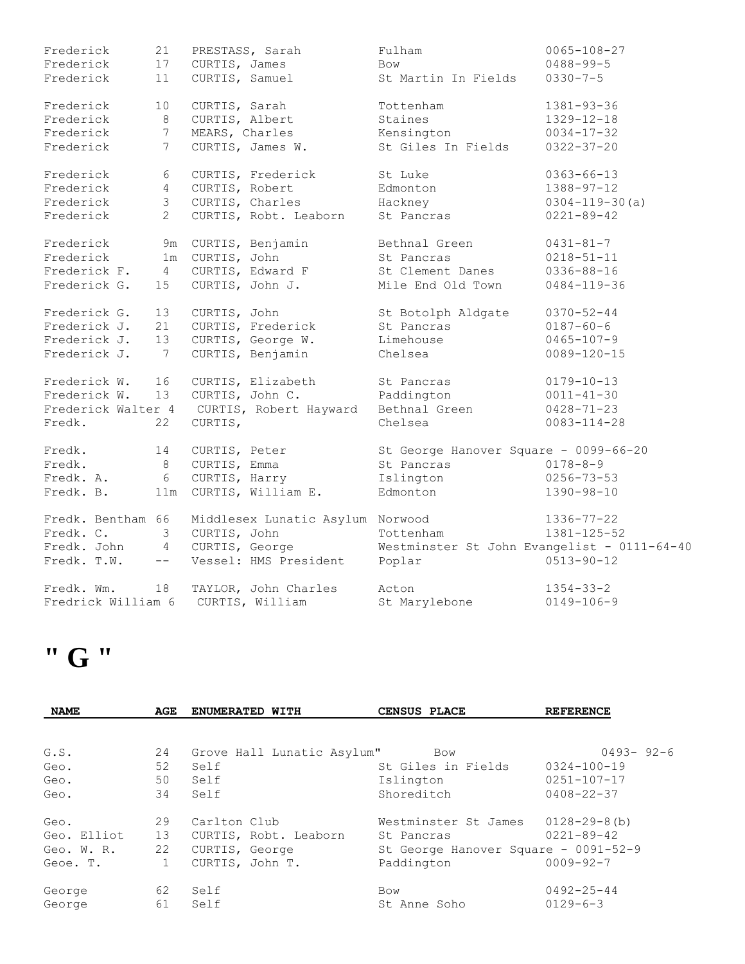| Frederick          | 21              | PRESTASS, Sarah                  | Fulham                                      | $0065 - 108 - 27$    |
|--------------------|-----------------|----------------------------------|---------------------------------------------|----------------------|
| Frederick          | 17              | CURTIS, James                    | <b>Bow</b>                                  | $0488 - 99 - 5$      |
| Frederick          | 11              | CURTIS, Samuel                   | St Martin In Fields                         | $0330 - 7 - 5$       |
| Frederick          | 10              | CURTIS, Sarah                    | Tottenham                                   | $1381 - 93 - 36$     |
| Frederick          | $\,8\,$         | CURTIS, Albert                   | Staines                                     | $1329 - 12 - 18$     |
| Frederick          | $\overline{7}$  | MEARS, Charles                   | Kensington                                  | $0034 - 17 - 32$     |
| Frederick          | $7\phantom{.0}$ | CURTIS, James W.                 | St Giles In Fields                          | $0322 - 37 - 20$     |
| Frederick          | 6               | CURTIS, Frederick                | St Luke                                     | $0363 - 66 - 13$     |
| Frederick          | $\overline{4}$  | CURTIS, Robert                   | Edmonton                                    | $1388 - 97 - 12$     |
| Frederick          | $\mathcal{S}$   | CURTIS, Charles                  | Hackney                                     | $0304 - 119 - 30(a)$ |
| Frederick          | $\overline{2}$  | CURTIS, Robt. Leaborn            | St Pancras                                  | $0221 - 89 - 42$     |
| Frederick          | 9m              | CURTIS, Benjamin                 | Bethnal Green                               | $0431 - 81 - 7$      |
| Frederick          | 1 <sub>m</sub>  | CURTIS, John                     | St Pancras                                  | $0218 - 51 - 11$     |
| Frederick F.       | $\overline{4}$  | CURTIS, Edward F                 | St Clement Danes                            | $0336 - 88 - 16$     |
| Frederick G.       | 15              | CURTIS, John J.                  | Mile End Old Town                           | $0484 - 119 - 36$    |
| Frederick G.       | 13              | CURTIS, John                     | St Botolph Aldgate                          | $0370 - 52 - 44$     |
| Frederick J.       | 21              | CURTIS, Frederick                | St Pancras                                  | $0187 - 60 - 6$      |
| Frederick J.       | 13              | CURTIS, George W.                | Limehouse                                   | $0465 - 107 - 9$     |
| Frederick J.       | 7               | CURTIS, Benjamin                 | Chelsea                                     | $0089 - 120 - 15$    |
| Frederick W.       | 16              | CURTIS, Elizabeth                | St Pancras                                  | $0179 - 10 - 13$     |
| Frederick W.       | 13              | CURTIS, John C.                  | Paddington                                  | $0011 - 41 - 30$     |
| Frederick Walter 4 |                 | CURTIS, Robert Hayward           | Bethnal Green                               | $0428 - 71 - 23$     |
| Fredk.             | 22              | CURTIS,                          | Chelsea                                     | $0083 - 114 - 28$    |
| Fredk.             | 14              | CURTIS, Peter                    | St George Hanover Square - 0099-66-20       |                      |
| Fredk.             | 8               | CURTIS, Emma                     | St Pancras                                  | $0178 - 8 - 9$       |
| Fredk. A.          | 6               | CURTIS, Harry                    | Islington                                   | $0256 - 73 - 53$     |
| Fredk. B.          | 11m             | CURTIS, William E.               | Edmonton                                    | $1390 - 98 - 10$     |
| Fredk. Bentham 66  |                 | Middlesex Lunatic Asylum Norwood |                                             | $1336 - 77 - 22$     |
| Fredk. C.          | 3               | CURTIS, John                     | Tottenham                                   | $1381 - 125 - 52$    |
| Fredk. John        | $\overline{4}$  | CURTIS, George                   | Westminster St John Evangelist - 0111-64-40 |                      |
| Fredk. T.W.        | $--$            | Vessel: HMS President            | Poplar                                      | $0513 - 90 - 12$     |
| Fredk. Wm.         | 18              | TAYLOR, John Charles             | Acton                                       | $1354 - 33 - 2$      |
| Fredrick William 6 |                 | CURTIS, William                  | St Marylebone                               | $0149 - 106 - 9$     |

# **" G "**

| <b>NAME</b> | AGE | ENUMERATED WITH            | CENSUS PLACE                         | <b>REFERENCE</b>  |
|-------------|-----|----------------------------|--------------------------------------|-------------------|
|             |     |                            |                                      |                   |
| G.S.        | 24  | Grove Hall Lunatic Asylum" | Bow                                  | $0493 - 92 - 6$   |
| Geo.        | 52  | Self                       | St Giles in Fields                   | $0324 - 100 - 19$ |
| Geo.        | 50  | Self                       | Islington                            | $0251 - 107 - 17$ |
| Geo.        | 34  | Self                       | Shoreditch                           | $0408 - 22 - 37$  |
| Geo.        | 29  | Carlton Club               | Westminster St James                 | 0128-29-8(b)      |
| Geo. Elliot | 13  | CURTIS, Robt. Leaborn      | St Pancras                           | $0221 - 89 - 42$  |
| Geo. W. R.  | 22  | CURTIS, George             | St George Hanover Square - 0091-52-9 |                   |
| Geoe. T.    |     | CURTIS, John T.            | Paddington                           | $0009 - 92 - 7$   |
| George      | 62  | Self                       | Bow                                  | $0492 - 25 - 44$  |
| George      | 61  | Self                       | St Anne Soho                         | $0129 - 6 - 3$    |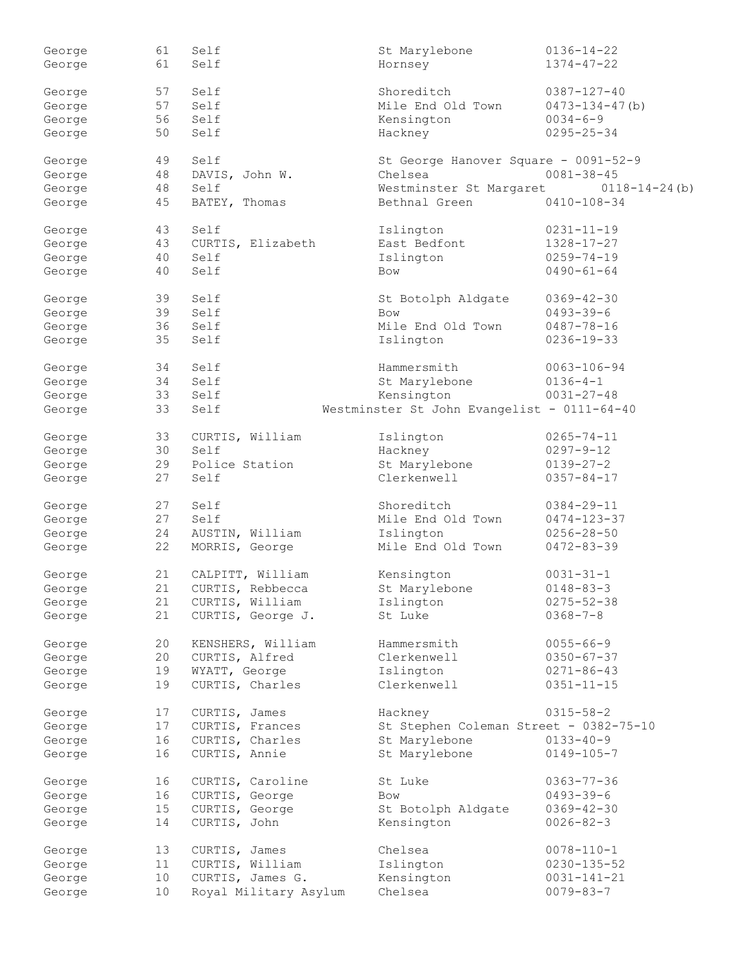| George | 61 | Self                  | St Marylebone                               | $0136 - 14 - 22$      |
|--------|----|-----------------------|---------------------------------------------|-----------------------|
| George | 61 | Self                  | Hornsey                                     | $1374 - 47 - 22$      |
|        |    |                       |                                             |                       |
| George | 57 | Self                  | Shoreditch                                  | $0387 - 127 - 40$     |
|        | 57 | Self                  | Mile End Old Town                           | $0473 - 134 - 47$ (b) |
| George |    |                       |                                             |                       |
| George | 56 | Self                  | Kensington                                  | $0034 - 6 - 9$        |
| George | 50 | Self                  | Hackney                                     | $0295 - 25 - 34$      |
|        |    |                       |                                             |                       |
| George | 49 | Self                  | St George Hanover Square - 0091-52-9        |                       |
| George | 48 | DAVIS, John W.        | Chelsea                                     | $0081 - 38 - 45$      |
| George | 48 | Self                  | Westminster St Margaret                     | $0118 - 14 - 24$ (b)  |
| George | 45 | BATEY, Thomas         | Bethnal Green                               | $0410 - 108 - 34$     |
|        |    |                       |                                             |                       |
| George | 43 | Self                  | Islington                                   | $0231 - 11 - 19$      |
| George | 43 | CURTIS, Elizabeth     | East Bedfont                                | $1328 - 17 - 27$      |
| George | 40 | Self                  | Islington                                   | $0259 - 74 - 19$      |
|        |    |                       |                                             |                       |
| George | 40 | Self                  | <b>Bow</b>                                  | $0490 - 61 - 64$      |
|        |    |                       |                                             |                       |
| George | 39 | Self                  | St Botolph Aldgate                          | $0369 - 42 - 30$      |
| George | 39 | Self                  | <b>Bow</b>                                  | $0493 - 39 - 6$       |
| George | 36 | Self                  | Mile End Old Town                           | $0487 - 78 - 16$      |
| George | 35 | Self                  | Islington                                   | $0236 - 19 - 33$      |
|        |    |                       |                                             |                       |
| George | 34 | Self                  | Hammersmith                                 | $0063 - 106 - 94$     |
| George | 34 | Self                  | St Marylebone                               | $0136 - 4 - 1$        |
| George | 33 | Self                  | Kensington                                  | $0031 - 27 - 48$      |
| George | 33 | Self                  | Westminster St John Evangelist - 0111-64-40 |                       |
|        |    |                       |                                             |                       |
| George | 33 | CURTIS, William       | Islington                                   | $0265 - 74 - 11$      |
| George | 30 | Self                  | Hackney                                     | $0297 - 9 - 12$       |
|        |    |                       |                                             |                       |
| George | 29 | Police Station        | St Marylebone                               | $0139 - 27 - 2$       |
| George | 27 | Self                  | Clerkenwell                                 | $0357 - 84 - 17$      |
|        |    |                       |                                             |                       |
| George | 27 | Self                  | Shoreditch                                  | $0384 - 29 - 11$      |
| George | 27 | Self                  | Mile End Old Town                           | $0474 - 123 - 37$     |
| George | 24 | AUSTIN, William       | Islington                                   | $0256 - 28 - 50$      |
| George | 22 | MORRIS, George        | Mile End Old Town                           | $0472 - 83 - 39$      |
|        |    |                       |                                             |                       |
| George | 21 | CALPITT, William      | Kensington                                  | $0031 - 31 - 1$       |
| George | 21 | CURTIS, Rebbecca      | St Marylebone                               | $0148 - 83 - 3$       |
| George | 21 | CURTIS, William       | Islington                                   | $0275 - 52 - 38$      |
| George | 21 | CURTIS, George J.     | St Luke                                     | $0368 - 7 - 8$        |
|        |    |                       |                                             |                       |
| George | 20 | KENSHERS, William     | Hammersmith                                 | $0055 - 66 - 9$       |
|        | 20 | CURTIS, Alfred        | Clerkenwell                                 | $0350 - 67 - 37$      |
| George |    |                       |                                             |                       |
| George | 19 | WYATT, George         | Islington                                   | $0271 - 86 - 43$      |
| George | 19 | CURTIS, Charles       | Clerkenwell                                 | $0351 - 11 - 15$      |
|        |    |                       |                                             |                       |
| George | 17 | CURTIS, James         | Hackney                                     | $0315 - 58 - 2$       |
| George | 17 | CURTIS, Frances       | St Stephen Coleman Street - 0382-75-10      |                       |
| George | 16 | CURTIS, Charles       | St Marylebone                               | $0133 - 40 - 9$       |
| George | 16 | CURTIS, Annie         | St Marylebone                               | $0149 - 105 - 7$      |
|        |    |                       |                                             |                       |
| George | 16 | CURTIS, Caroline      | St Luke                                     | $0363 - 77 - 36$      |
| George | 16 | CURTIS, George        | Bow                                         | $0493 - 39 - 6$       |
| George | 15 | CURTIS, George        | St Botolph Aldgate                          | $0369 - 42 - 30$      |
| George | 14 | CURTIS, John          | Kensington                                  | $0026 - 82 - 3$       |
|        |    |                       |                                             |                       |
| George | 13 | CURTIS, James         | Chelsea                                     | $0078 - 110 - 1$      |
| George | 11 | CURTIS, William       | Islington                                   | $0230 - 135 - 52$     |
|        | 10 | CURTIS, James G.      | Kensington                                  | $0031 - 141 - 21$     |
| George |    |                       |                                             |                       |
| George | 10 | Royal Military Asylum | Chelsea                                     | $0079 - 83 - 7$       |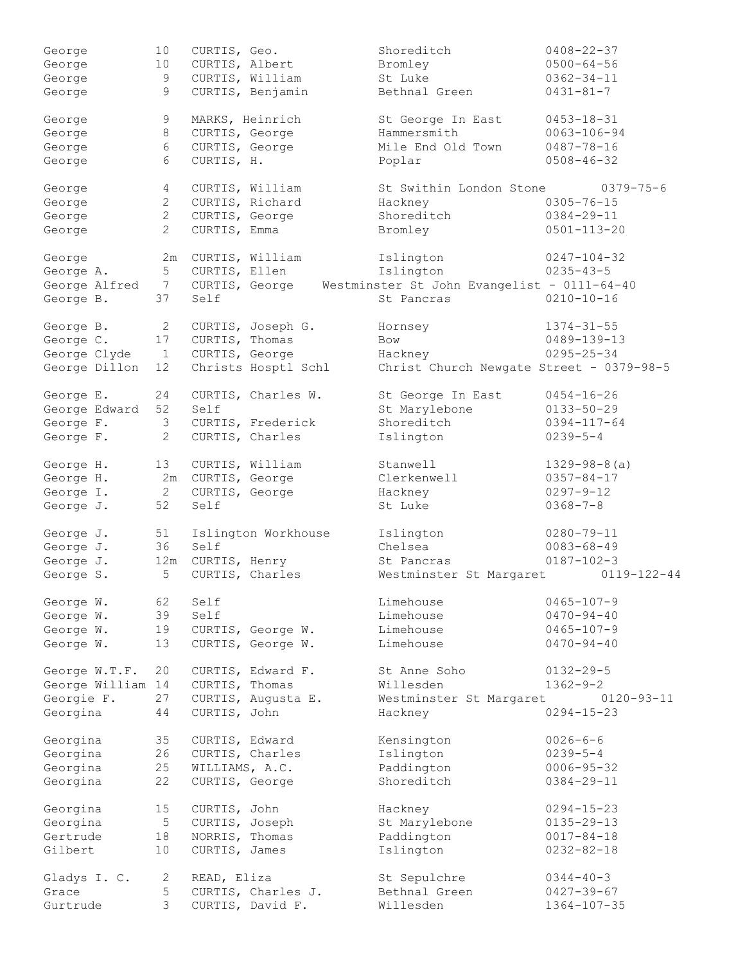| George            | 10              | CURTIS, Geo.      |                     | Shoreditch                                  | $0408 - 22 - 37$    |
|-------------------|-----------------|-------------------|---------------------|---------------------------------------------|---------------------|
| George            | 10              | CURTIS, Albert    |                     | Bromley                                     | $0500 - 64 - 56$    |
| George            | 9               |                   | CURTIS, William     | St Luke                                     | $0362 - 34 - 11$    |
| George            | 9               |                   | CURTIS, Benjamin    | Bethnal Green                               | $0431 - 81 - 7$     |
|                   |                 |                   |                     |                                             |                     |
| George            | 9               | MARKS, Heinrich   |                     | St George In East                           | $0453 - 18 - 31$    |
| George            | 8               | CURTIS, George    |                     | Hammersmith                                 | $0063 - 106 - 94$   |
| George            | 6               | CURTIS, George    |                     | Mile End Old Town                           | $0487 - 78 - 16$    |
|                   |                 |                   |                     |                                             |                     |
| George            | 6               | CURTIS, H.        |                     | Poplar                                      | $0508 - 46 - 32$    |
|                   |                 |                   |                     |                                             |                     |
| George            | 4               |                   | CURTIS, William     | St Swithin London Stone                     | $0379 - 75 - 6$     |
| George            | $\mathbf{2}$    |                   | CURTIS, Richard     | Hackney                                     | $0305 - 76 - 15$    |
| George            | $\mathbf{2}$    | CURTIS, George    |                     | Shoreditch                                  | $0384 - 29 - 11$    |
| George            | $\overline{2}$  | CURTIS, Emma      |                     | Bromley                                     | $0501 - 113 - 20$   |
|                   |                 |                   |                     |                                             |                     |
| George            | 2m              |                   | CURTIS, William     | Islington                                   | $0247 - 104 - 32$   |
| George A.         | 5 <sup>5</sup>  | CURTIS, Ellen     |                     | Islington                                   | $0235 - 43 - 5$     |
| George Alfred     | $7\overline{ }$ |                   | CURTIS, George      | Westminster St John Evangelist - 0111-64-40 |                     |
| George B.         | 37              | Self              |                     | St Pancras                                  | $0210 - 10 - 16$    |
|                   |                 |                   |                     |                                             |                     |
| George B.         | $\mathbf{2}$    |                   | CURTIS, Joseph G.   | Hornsey                                     | $1374 - 31 - 55$    |
| George C.         | 17              | CURTIS, Thomas    |                     | <b>Bow</b>                                  | $0489 - 139 - 13$   |
| George Clyde      | $\mathbf{1}$    | CURTIS, George    |                     | Hackney                                     | $0295 - 25 - 34$    |
| George Dillon     | 12              |                   | Christs Hosptl Schl | Christ Church Newgate Street - 0379-98-5    |                     |
|                   |                 |                   |                     |                                             |                     |
| George E.         | 24              |                   | CURTIS, Charles W.  | St George In East                           | $0454 - 16 - 26$    |
| George Edward     | 52              | Self              |                     | St Marylebone                               | $0133 - 50 - 29$    |
| George F.         | 3               |                   | CURTIS, Frederick   | Shoreditch                                  | $0394 - 117 - 64$   |
| George F.         | $\mathbf{2}$    |                   | CURTIS, Charles     | Islington                                   | $0239 - 5 - 4$      |
|                   | 13              |                   | CURTIS, William     | Stanwell                                    | $1329 - 98 - 8$ (a) |
| George H.         |                 |                   |                     |                                             |                     |
| George H.         |                 | 2m CURTIS, George |                     | Clerkenwell                                 | $0357 - 84 - 17$    |
| George I.         | 2               | CURTIS, George    |                     | Hackney                                     | $0297 - 9 - 12$     |
| George J.         | 52              | Self              |                     | St Luke                                     | $0368 - 7 - 8$      |
| George J.         | 51              |                   | Islington Workhouse | Islington                                   | $0280 - 79 - 11$    |
| George J.         | 36              | Self              |                     | Chelsea                                     | $0083 - 68 - 49$    |
|                   |                 |                   |                     |                                             |                     |
| George J.         | 12m             | CURTIS, Henry     |                     | St Pancras                                  | $0187 - 102 - 3$    |
| George S.         | 5               |                   | CURTIS, Charles     | Westminster St Margaret                     | $0119 - 122 - 44$   |
| George W.         | 62              | Self              |                     | Limehouse                                   | $0465 - 107 - 9$    |
| George W.         | 39              | Self              |                     | Limehouse                                   | $0470 - 94 - 40$    |
|                   |                 |                   |                     | Limehouse                                   | $0465 - 107 - 9$    |
| George W.         | 19              |                   | CURTIS, George W.   |                                             |                     |
| George W.         | 13              |                   | CURTIS, George W.   | Limehouse                                   | $0470 - 94 - 40$    |
| George W.T.F.     | 20              |                   | CURTIS, Edward F.   | St Anne Soho                                | $0132 - 29 - 5$     |
| George William 14 |                 | CURTIS, Thomas    |                     | Willesden                                   | $1362 - 9 - 2$      |
|                   |                 |                   |                     |                                             | $0120 - 93 - 11$    |
| Georgie F.        | 27              |                   | CURTIS, Augusta E.  | Westminster St Margaret                     |                     |
| Georgina          | 44              | CURTIS, John      |                     | Hackney                                     | $0294 - 15 - 23$    |
| Georgina          | 35              | CURTIS, Edward    |                     | Kensington                                  | $0026 - 6 - 6$      |
| Georgina          | 26              |                   | CURTIS, Charles     | Islington                                   | $0239 - 5 - 4$      |
| Georgina          | 25              | WILLIAMS, A.C.    |                     | Paddington                                  | $0006 - 95 - 32$    |
|                   |                 |                   |                     |                                             |                     |
| Georgina          | 22              | CURTIS, George    |                     | Shoreditch                                  | $0384 - 29 - 11$    |
| Georgina          | 15              | CURTIS, John      |                     | Hackney                                     | $0294 - 15 - 23$    |
| Georgina          | $\overline{5}$  | CURTIS, Joseph    |                     | St Marylebone                               | $0135 - 29 - 13$    |
| Gertrude          | 18              | NORRIS, Thomas    |                     | Paddington                                  | $0017 - 84 - 18$    |
|                   |                 |                   |                     |                                             |                     |
| Gilbert           | 10              | CURTIS, James     |                     | Islington                                   | $0232 - 82 - 18$    |
| Gladys I. C.      | $\mathbf{2}$    | READ, Eliza       |                     | St Sepulchre                                | $0344 - 40 - 3$     |
| Grace             | 5               |                   | CURTIS, Charles J.  | Bethnal Green                               | $0427 - 39 - 67$    |
| Gurtrude          | 3               |                   | CURTIS, David F.    | Willesden                                   | $1364 - 107 - 35$   |
|                   |                 |                   |                     |                                             |                     |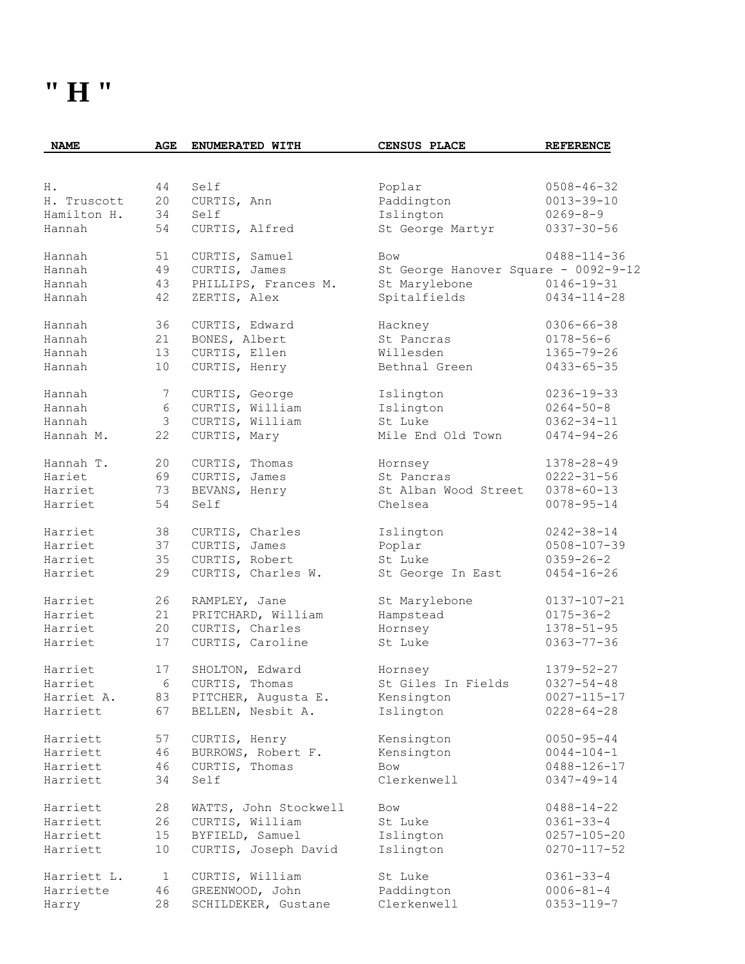#### **" H "**

| <b>NAME</b> | AGE             | ENUMERATED WITH       | CENSUS PLACE                         | <b>REFERENCE</b>  |
|-------------|-----------------|-----------------------|--------------------------------------|-------------------|
|             |                 |                       |                                      |                   |
| Η.          | 44              | Self                  | Poplar                               | $0508 - 46 - 32$  |
| H. Truscott | 20              | CURTIS, Ann           | Paddington                           | $0013 - 39 - 10$  |
| Hamilton H. | 34              | Self                  | Islington                            | $0269 - 8 - 9$    |
| Hannah      | 54              | CURTIS, Alfred        | St George Martyr                     | $0337 - 30 - 56$  |
| Hannah      | 51              | CURTIS, Samuel        | Bow                                  | $0488 - 114 - 36$ |
| Hannah      | 49              | CURTIS, James         | St George Hanover Square - 0092-9-12 |                   |
| Hannah      | 43              | PHILLIPS, Frances M.  | St Marylebone                        | $0146 - 19 - 31$  |
| Hannah      | 42              | ZERTIS, Alex          | Spitalfields                         | $0434 - 114 - 28$ |
| Hannah      | 36              | CURTIS, Edward        | Hackney                              | $0306 - 66 - 38$  |
| Hannah      | 21              | BONES, Albert         | St Pancras                           | $0178 - 56 - 6$   |
| Hannah      | 13              | CURTIS, Ellen         | Willesden                            | $1365 - 79 - 26$  |
| Hannah      | 10              | CURTIS, Henry         | Bethnal Green                        | $0433 - 65 - 35$  |
| Hannah      | $7\phantom{.0}$ | CURTIS, George        | Islington                            | $0236 - 19 - 33$  |
| Hannah      | 6               | CURTIS, William       | Islington                            | $0264 - 50 - 8$   |
| Hannah      | 3               | CURTIS, William       | St Luke                              | $0362 - 34 - 11$  |
| Hannah M.   | 22              | CURTIS, Mary          | Mile End Old Town                    | $0474 - 94 - 26$  |
| Hannah T.   | 20              | CURTIS, Thomas        | Hornsey                              | 1378-28-49        |
| Hariet      | 69              | CURTIS, James         | St Pancras                           | $0222 - 31 - 56$  |
| Harriet     | 73              | BEVANS, Henry         | St Alban Wood Street                 | $0378 - 60 - 13$  |
| Harriet     | 54              | Self                  | Chelsea                              | $0078 - 95 - 14$  |
| Harriet     | 38              | CURTIS, Charles       | Islington                            | $0242 - 38 - 14$  |
| Harriet     | 37              | CURTIS, James         | Poplar                               | $0508 - 107 - 39$ |
| Harriet     | 35              | CURTIS, Robert        | St Luke                              | $0359 - 26 - 2$   |
| Harriet     | 29              | CURTIS, Charles W.    | St George In East                    | $0454 - 16 - 26$  |
| Harriet     | 26              | RAMPLEY, Jane         | St Marylebone                        | $0137 - 107 - 21$ |
| Harriet     | 21              | PRITCHARD, William    | Hampstead                            | $0175 - 36 - 2$   |
| Harriet     | 20              | CURTIS, Charles       | Hornsey                              | $1378 - 51 - 95$  |
| Harriet     | 17              | CURTIS, Caroline      | St Luke                              | $0363 - 77 - 36$  |
| Harriet     | 17              | SHOLTON, Edward       | Hornsey                              | $1379 - 52 - 27$  |
| Harriet     | 6               | CURTIS, Thomas        | St Giles In Fields                   | $0327 - 54 - 48$  |
| Harriet A.  | 83              | PITCHER, Augusta E.   | Kensington                           | $0027 - 115 - 17$ |
| Harriett    | 67              | BELLEN, Nesbit A.     | Islington                            | $0228 - 64 - 28$  |
| Harriett    | 57              | CURTIS, Henry         | Kensington                           | $0050 - 95 - 44$  |
| Harriett    | 46              | BURROWS, Robert F.    | Kensington                           | $0044 - 104 - 1$  |
| Harriett    | 46              | CURTIS, Thomas        | Bow                                  | $0488 - 126 - 17$ |
| Harriett    | 34              | Self                  | Clerkenwell                          | $0347 - 49 - 14$  |
| Harriett    | 28              | WATTS, John Stockwell | Bow                                  | $0488 - 14 - 22$  |
| Harriett    | 26              | CURTIS, William       | St Luke                              | $0361 - 33 - 4$   |
| Harriett    | 15              | BYFIELD, Samuel       | Islington                            | $0257 - 105 - 20$ |
| Harriett    | 10              | CURTIS, Joseph David  | Islington                            | $0270 - 117 - 52$ |
| Harriett L. | $\mathbf{1}$    | CURTIS, William       | St Luke                              | $0361 - 33 - 4$   |
| Harriette   | 46              | GREENWOOD, John       | Paddington                           | $0006 - 81 - 4$   |
| Harry       | 28              | SCHILDEKER, Gustane   | Clerkenwell                          | $0353 - 119 - 7$  |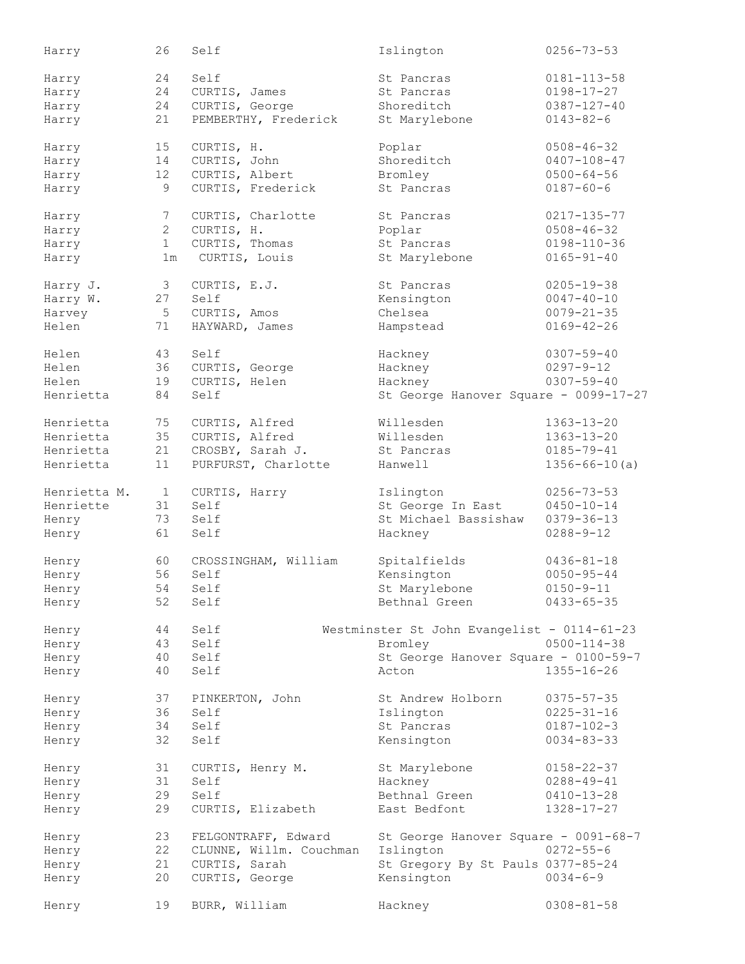| Harry        | 26           | Self                    | Islington                                   | $0256 - 73 - 53$    |
|--------------|--------------|-------------------------|---------------------------------------------|---------------------|
| Harry        | 24           | Self                    | St Pancras                                  | $0181 - 113 - 58$   |
|              | 24           | CURTIS, James           | St Pancras                                  | $0198 - 17 - 27$    |
| Harry        |              |                         |                                             |                     |
| Harry        | 24           | CURTIS, George          | Shoreditch                                  | $0387 - 127 - 40$   |
| Harry        | 21           | PEMBERTHY, Frederick    | St Marylebone                               | $0143 - 82 - 6$     |
| Harry        | 15           | CURTIS, H.              | Poplar                                      | $0508 - 46 - 32$    |
| Harry        | 14           | CURTIS, John            | Shoreditch                                  | $0407 - 108 - 47$   |
| Harry        | 12           | CURTIS, Albert          | Bromley                                     | $0500 - 64 - 56$    |
|              | 9            | CURTIS, Frederick       | St Pancras                                  | $0187 - 60 - 6$     |
| Harry        |              |                         |                                             |                     |
| Harry        | 7            | CURTIS, Charlotte       | St Pancras                                  | $0217 - 135 - 77$   |
| Harry        | $\mathbf{2}$ | CURTIS, H.              | Poplar                                      | $0508 - 46 - 32$    |
| Harry        | $\mathbf{1}$ | CURTIS, Thomas          | St Pancras                                  | $0198 - 110 - 36$   |
| Harry        | 1m           | CURTIS, Louis           | St Marylebone                               | $0165 - 91 - 40$    |
|              |              |                         |                                             |                     |
| Harry J.     | 3            | CURTIS, E.J.            | St Pancras                                  | $0205 - 19 - 38$    |
| Harry W.     | 27           | Self                    | Kensington                                  | $0047 - 40 - 10$    |
| Harvey       | 5            | CURTIS, Amos            | Chelsea                                     | $0079 - 21 - 35$    |
| Helen        | 71           | HAYWARD, James          | Hampstead                                   | $0169 - 42 - 26$    |
|              |              |                         |                                             |                     |
| Helen        | 43           | Self                    | Hackney                                     | $0307 - 59 - 40$    |
| Helen        | 36           | CURTIS, George          | Hackney                                     | $0297 - 9 - 12$     |
| Helen        | 19           | CURTIS, Helen           | Hackney                                     | $0307 - 59 - 40$    |
| Henrietta    | 84           | Self                    | St George Hanover Square - 0099-17-27       |                     |
|              |              |                         |                                             |                     |
| Henrietta    | 75           | CURTIS, Alfred          | Willesden                                   | $1363 - 13 - 20$    |
| Henrietta    | 35           | CURTIS, Alfred          | Willesden                                   | $1363 - 13 - 20$    |
| Henrietta    | 21           | CROSBY, Sarah J.        | St Pancras                                  | $0185 - 79 - 41$    |
|              |              |                         |                                             |                     |
| Henrietta    | 11           | PURFURST, Charlotte     | Hanwell                                     | $1356 - 66 - 10(a)$ |
| Henrietta M. | 1            | CURTIS, Harry           | Islington                                   | $0256 - 73 - 53$    |
| Henriette    | 31           | Self                    | St George In East                           | $0450 - 10 - 14$    |
| Henry        | 73           | Self                    | St Michael Bassishaw                        | $0379 - 36 - 13$    |
| Henry        | 61           | Self                    | Hackney                                     | $0288 - 9 - 12$     |
|              |              |                         |                                             |                     |
| Henry        | 60           | CROSSINGHAM, William    | Spitalfields                                | $0436 - 81 - 18$    |
| Henry        | 56           | Self                    | Kensington                                  | $0050 - 95 - 44$    |
| Henry        | 54           | Self                    | St Marylebone                               | $0150 - 9 - 11$     |
|              | 52           | Self                    |                                             |                     |
| Henry        |              |                         | Bethnal Green                               | $0433 - 65 - 35$    |
| Henry        | 44           | Self                    | Westminster St John Evangelist - 0114-61-23 |                     |
| Henry        | 43           | Self                    | Bromley                                     | $0500 - 114 - 38$   |
| Henry        | 40           | Self                    | St George Hanover Square - 0100-59-7        |                     |
| Henry        | 40           | Self                    | Acton                                       | $1355 - 16 - 26$    |
|              |              |                         |                                             |                     |
| Henry        | 37           | PINKERTON, John         | St Andrew Holborn                           | $0375 - 57 - 35$    |
| Henry        | 36           | Self                    | Islington                                   | $0225 - 31 - 16$    |
| Henry        | 34           | Self                    | St Pancras                                  | $0187 - 102 - 3$    |
| Henry        | 32           | Self                    | Kensington                                  | $0034 - 83 - 33$    |
| Henry        | 31           | CURTIS, Henry M.        | St Marylebone                               | $0158 - 22 - 37$    |
|              |              |                         |                                             |                     |
| Henry        | 31           | Self                    | Hackney                                     | $0288 - 49 - 41$    |
| Henry        | 29           | Self                    | Bethnal Green                               | $0410 - 13 - 28$    |
| Henry        | 29           | CURTIS, Elizabeth       | East Bedfont                                | $1328 - 17 - 27$    |
| Henry        | 23           | FELGONTRAFF, Edward     | St George Hanover Square - 0091-68-7        |                     |
| Henry        | 22           | CLUNNE, Willm. Couchman | Islington                                   | $0272 - 55 - 6$     |
|              | 21           |                         |                                             |                     |
| Henry        |              | CURTIS, Sarah           | St Gregory By St Pauls 0377-85-24           |                     |
| Henry        | 20           | CURTIS, George          | Kensington                                  | $0034 - 6 - 9$      |
| Henry        | 19           | BURR, William           | Hackney                                     | $0308 - 81 - 58$    |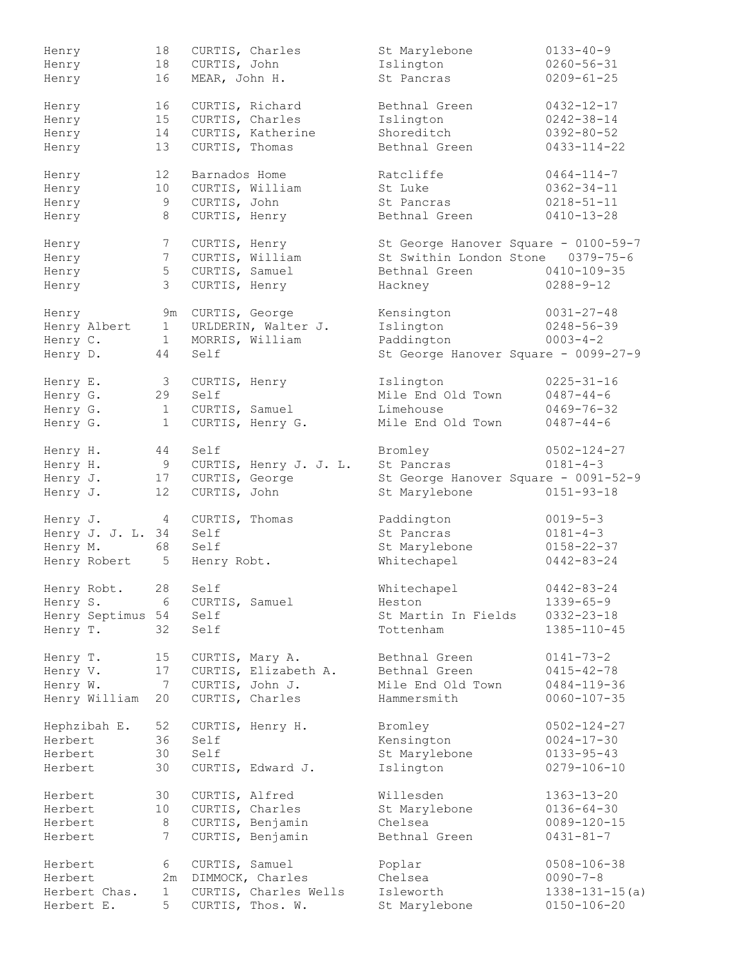| Henry             | 18              | CURTIS, Charles |                        | St Marylebone                        | $0133 - 40 - 9$      |
|-------------------|-----------------|-----------------|------------------------|--------------------------------------|----------------------|
| Henry             | 18              | CURTIS, John    |                        | Islington                            | $0260 - 56 - 31$     |
| Henry             | 16              | MEAR, John H.   |                        | St Pancras                           | $0209 - 61 - 25$     |
|                   |                 |                 |                        |                                      |                      |
| Henry             | 16              | CURTIS, Richard |                        | Bethnal Green                        | $0432 - 12 - 17$     |
| Henry             | 15              | CURTIS, Charles |                        | Islington                            | $0242 - 38 - 14$     |
| Henry             | 14              |                 | CURTIS, Katherine      | Shoreditch                           | $0392 - 80 - 52$     |
|                   |                 |                 |                        |                                      |                      |
| Henry             | 13              | CURTIS, Thomas  |                        | Bethnal Green                        | $0433 - 114 - 22$    |
| Henry             | 12 <sup>°</sup> | Barnados Home   |                        | Ratcliffe                            | $0464 - 114 - 7$     |
| Henry             | 10 <sub>1</sub> | CURTIS, William |                        | St Luke                              | $0362 - 34 - 11$     |
| Henry             | 9               | CURTIS, John    |                        | St Pancras                           | $0218 - 51 - 11$     |
| Henry             | 8               | CURTIS, Henry   |                        | Bethnal Green                        | $0410 - 13 - 28$     |
|                   |                 |                 |                        |                                      |                      |
| Henry             | $7\phantom{.0}$ | CURTIS, Henry   |                        | St George Hanover Square - 0100-59-7 |                      |
| Henry             | $7\phantom{.0}$ | CURTIS, William |                        | St Swithin London Stone 0379-75-6    |                      |
| Henry             | 5               | CURTIS, Samuel  |                        | Bethnal Green                        | 0410-109-35          |
| Henry             | $\mathcal{S}$   | CURTIS, Henry   |                        | Hackney                              | $0288 - 9 - 12$      |
| Henry             | 9m              | CURTIS, George  |                        | Kensington                           | $0031 - 27 - 48$     |
| Henry Albert      | $\overline{1}$  |                 | URLDERIN, Walter J.    | Islington                            | $0248 - 56 - 39$     |
|                   |                 |                 |                        |                                      |                      |
| Henry C.          | 1               | MORRIS, William |                        | Paddington                           | $0003 - 4 - 2$       |
| Henry D.          | 44              | Self            |                        | St George Hanover Square - 0099-27-9 |                      |
| Henry E.          | $\mathcal{S}$   | CURTIS, Henry   |                        | Islington                            | $0225 - 31 - 16$     |
| Henry G.          | 29              | Self            |                        | Mile End Old Town                    | $0487 - 44 - 6$      |
|                   | $\mathbf{1}$    |                 |                        | Limehouse                            | $0469 - 76 - 32$     |
| Henry G.          |                 | CURTIS, Samuel  |                        |                                      |                      |
| Henry G.          | $\mathbf{1}$    |                 | CURTIS, Henry G.       | Mile End Old Town                    | $0487 - 44 - 6$      |
| Henry H.          | 44              | Self            |                        | Bromley                              | $0502 - 124 - 27$    |
| Henry H.          | 9               |                 | CURTIS, Henry J. J. L. | St Pancras                           | $0181 - 4 - 3$       |
| Henry J.          | 17              |                 | CURTIS, George         | St George Hanover Square - 0091-52-9 |                      |
| Henry J.          | 12 <sup>°</sup> |                 | CURTIS, John           | St Marylebone                        | $0151 - 93 - 18$     |
|                   |                 |                 |                        |                                      |                      |
| Henry J.          | $4\overline{ }$ | CURTIS, Thomas  |                        | Paddington                           | $0019 - 5 - 3$       |
| Henry J. J. L. 34 |                 | Self            |                        | St Pancras                           | $0181 - 4 - 3$       |
| Henry M.          | 68              | Self            |                        | St Marylebone                        | $0158 - 22 - 37$     |
| Henry Robert      | $5^{\circ}$     | Henry Robt.     |                        | Whitechapel                          | $0442 - 83 - 24$     |
|                   | 28              | Self            |                        |                                      | $0442 - 83 - 24$     |
| Henry Robt.       |                 |                 |                        | Whitechapel                          |                      |
| Henry S.          | 6               | CURTIS, Samuel  |                        | Heston                               | $1339 - 65 - 9$      |
| Henry Septimus 54 |                 | Self            |                        | St Martin In Fields                  | $0332 - 23 - 18$     |
| Henry T.          | 32              | Self            |                        | Tottenham                            | $1385 - 110 - 45$    |
| Henry T.          | 15              | CURTIS, Mary A. |                        | Bethnal Green                        | $0141 - 73 - 2$      |
| Henry V.          | 17              |                 | CURTIS, Elizabeth A.   | Bethnal Green                        | $0415 - 42 - 78$     |
| Henry W.          | $\overline{7}$  | CURTIS, John J. |                        | Mile End Old Town                    | $0484 - 119 - 36$    |
|                   |                 |                 |                        |                                      |                      |
| Henry William     | 20              |                 | CURTIS, Charles        | Hammersmith                          | $0060 - 107 - 35$    |
| Hephzibah E.      | 52              |                 | CURTIS, Henry H.       | Bromley                              | $0502 - 124 - 27$    |
| Herbert           | 36              | Self            |                        | Kensington                           | $0024 - 17 - 30$     |
| Herbert           | 30              | Self            |                        | St Marylebone                        | $0133 - 95 - 43$     |
| Herbert           | 30              |                 | CURTIS, Edward J.      | Islington                            | $0279 - 106 - 10$    |
|                   |                 |                 |                        |                                      |                      |
| Herbert           | 30              | CURTIS, Alfred  |                        | Willesden                            | $1363 - 13 - 20$     |
| Herbert           | 10              |                 | CURTIS, Charles        | St Marylebone                        | $0136 - 64 - 30$     |
| Herbert           | 8               |                 | CURTIS, Benjamin       | Chelsea                              | $0089 - 120 - 15$    |
| Herbert           | $7^{\circ}$     |                 | CURTIS, Benjamin       | Bethnal Green                        | $0431 - 81 - 7$      |
|                   |                 |                 |                        |                                      |                      |
| Herbert           | 6               | CURTIS, Samuel  |                        | Poplar                               | $0508 - 106 - 38$    |
| Herbert           | 2m              |                 | DIMMOCK, Charles       | Chelsea                              | $0090 - 7 - 8$       |
| Herbert Chas.     | $\mathbf{1}$    |                 | CURTIS, Charles Wells  | Isleworth                            | $1338 - 131 - 15(a)$ |
| Herbert E.        | 5               |                 | CURTIS, Thos. W.       | St Marylebone                        | $0150 - 106 - 20$    |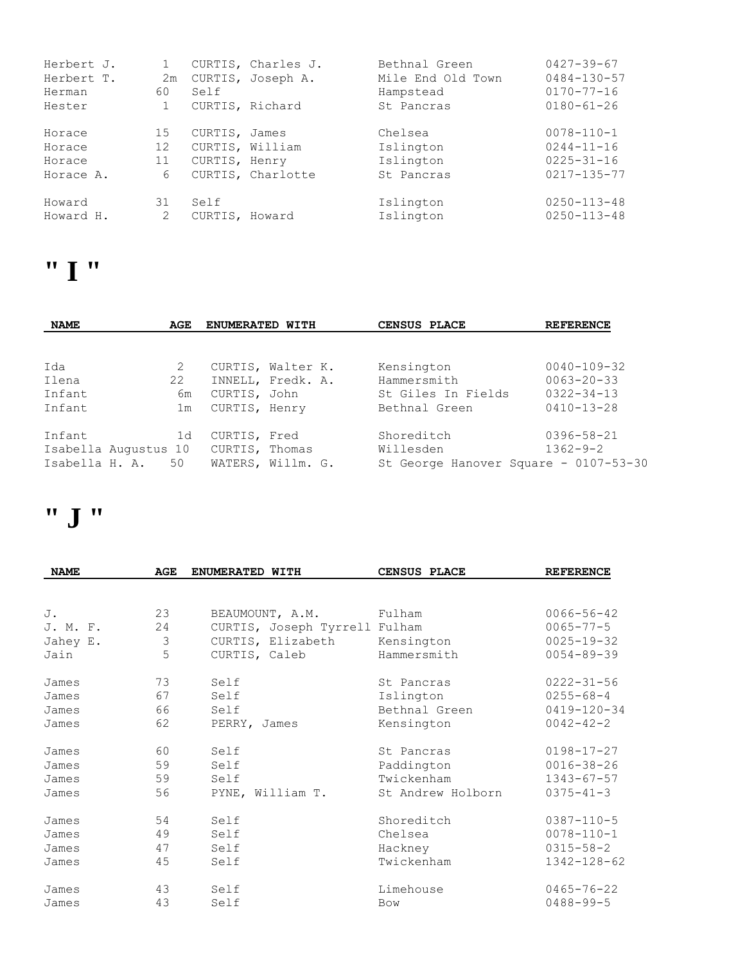| Herbert J.<br>Herbert T. | 2m |                 | CURTIS, Charles J.<br>CURTIS, Joseph A. | Bethnal Green<br>Mile End Old Town | $0427 - 39 - 67$<br>$0484 - 130 - 57$ |
|--------------------------|----|-----------------|-----------------------------------------|------------------------------------|---------------------------------------|
| Herman                   | 60 | Self            |                                         | Hampstead                          | $0170 - 77 - 16$                      |
| Hester                   |    | CURTIS, Richard |                                         | St. Pancras                        | $0180 - 61 - 26$                      |
| Horace                   | 15 | CURTIS, James   |                                         | Chelsea                            | $0078 - 110 - 1$                      |
| Horace                   | 12 | CURTIS, William |                                         | Islington                          | $0244 - 11 - 16$                      |
| Horace                   | 11 | CURTIS, Henry   |                                         | Islington                          | $0225 - 31 - 16$                      |
| Horace A.                | 6  |                 | CURTIS, Charlotte                       | St Pancras                         | $0217 - 135 - 77$                     |
| Howard                   | 31 | Self            |                                         | Islington                          | $0250 - 113 - 48$                     |
| Howard H.                | 2  | CURTIS, Howard  |                                         | Islington                          | $0250 - 113 - 48$                     |

### **" I "**

| <b>NAME</b>    | AGE                  |                | ENUMERATED WITH   |  | CENSUS PLACE                          | <b>REFERENCE</b>  |
|----------------|----------------------|----------------|-------------------|--|---------------------------------------|-------------------|
|                |                      |                |                   |  |                                       |                   |
| Ida            | 2                    |                | CURTIS, Walter K. |  | Kensington                            | $0040 - 109 - 32$ |
| Ilena          | 22                   |                | INNELL, Fredk. A. |  | Hammersmith                           | $0063 - 20 - 33$  |
| Infant         |                      | 6m             | CURTIS, John      |  | St Giles In Fields                    | $0322 - 34 - 13$  |
| Infant         |                      | 1 <sub>m</sub> | CURTIS, Henry     |  | Bethnal Green                         | $0410 - 13 - 28$  |
| Infant         |                      | 1d             | CURTIS, Fred      |  | Shoreditch                            | $0396 - 58 - 21$  |
|                | Isabella Augustus 10 |                | CURTIS, Thomas    |  | Willesden                             | $1362 - 9 - 2$    |
| Isabella H. A. |                      | 50             | WATERS, Willm. G. |  | St George Hanover Square - 0107-53-30 |                   |

### **" J "**

| <b>NAME</b> | <b>AGE</b>     | ENUMERATED WITH               | <b>CENSUS PLACE</b> | <b>REFERENCE</b>  |
|-------------|----------------|-------------------------------|---------------------|-------------------|
|             |                |                               |                     |                   |
| J.          | 23             | BEAUMOUNT, A.M.               | Fulham              | $0066 - 56 - 42$  |
| J. M. F.    | 24             | CURTIS, Joseph Tyrrell Fulham |                     | $0065 - 77 - 5$   |
| Jahey E.    | $\mathfrak{Z}$ | CURTIS, Elizabeth             | Kensington          | $0025 - 19 - 32$  |
| Jain        | 5              | CURTIS, Caleb                 | Hammersmith         | $0054 - 89 - 39$  |
| James       | 73             | Self                          | St Pancras          | $0222 - 31 - 56$  |
| James       | 67             | Self                          | Islington           | $0255 - 68 - 4$   |
| James       | 66             | Self                          | Bethnal Green       | $0419 - 120 - 34$ |
| James       | 62             | PERRY, James                  | Kensington          | $0042 - 42 - 2$   |
| James       | 60             | Self                          | St Pancras          | $0198 - 17 - 27$  |
| James       | 59             | Self                          | Paddington          | $0016 - 38 - 26$  |
| James       | 59             | Self                          | Twickenham          | $1343 - 67 - 57$  |
| James       | 56             | PYNE, William T.              | St Andrew Holborn   | $0375 - 41 - 3$   |
| James       | 54             | Self                          | Shoreditch          | $0387 - 110 - 5$  |
| James       | 49             | Self                          | Chelsea             | $0078 - 110 - 1$  |
| James       | 47             | Self                          | Hackney             | $0315 - 58 - 2$   |
| James       | 45             | Self                          | Twickenham          | 1342-128-62       |
| James       | 43             | Self                          | Limehouse           | $0465 - 76 - 22$  |
| James       | 43             | Self                          | <b>Bow</b>          | $0488 - 99 - 5$   |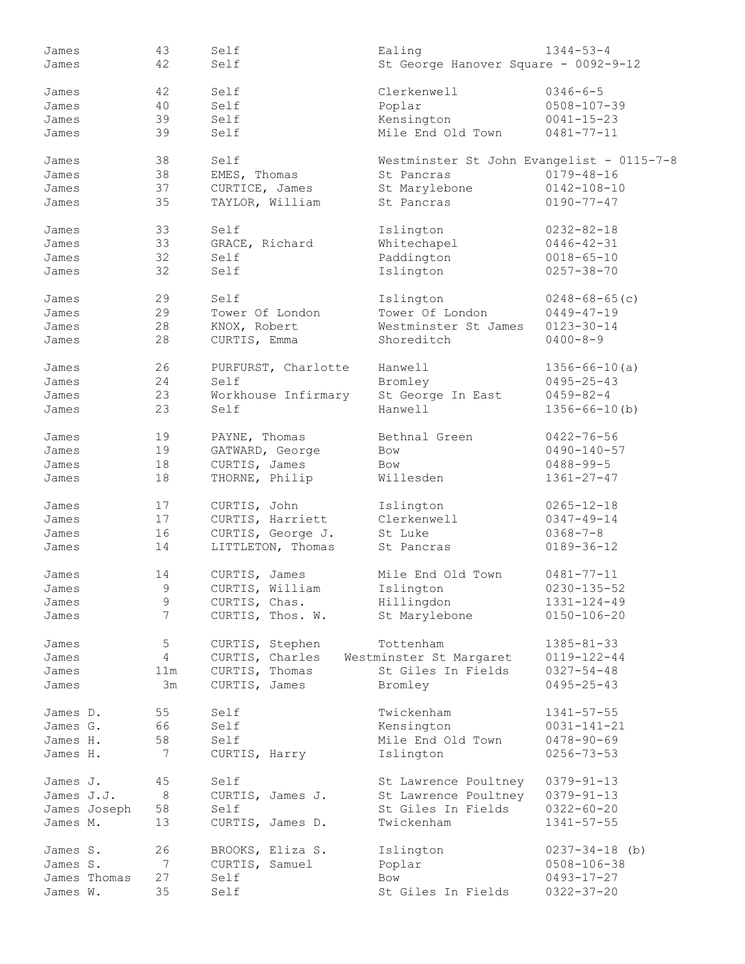| James        | 43              | Self            |                     | Ealing                                    | $1344 - 53 - 4$      |
|--------------|-----------------|-----------------|---------------------|-------------------------------------------|----------------------|
| James        | 42              | Self            |                     | St George Hanover Square - 0092-9-12      |                      |
|              |                 |                 |                     |                                           |                      |
| James        | 42              | Self            |                     | Clerkenwell                               | $0346 - 6 - 5$       |
|              |                 |                 |                     |                                           |                      |
| James        | 40              | Self            |                     | Poplar                                    | $0508 - 107 - 39$    |
| James        | 39              | Self            |                     | Kensington                                | $0041 - 15 - 23$     |
| James        | 39              | Self            |                     | Mile End Old Town                         | $0481 - 77 - 11$     |
|              |                 |                 |                     |                                           |                      |
| James        | 38              | Self            |                     | Westminster St John Evangelist - 0115-7-8 |                      |
| James        | 38              | EMES, Thomas    |                     | St Pancras                                | $0179 - 48 - 16$     |
| James        | 37              | CURTICE, James  |                     | St Marylebone                             | $0142 - 108 - 10$    |
| James        | 35              |                 |                     | St Pancras                                | $0190 - 77 - 47$     |
|              |                 | TAYLOR, William |                     |                                           |                      |
|              |                 |                 |                     |                                           |                      |
| James        | 33              | Self            |                     | Islington                                 | $0232 - 82 - 18$     |
| James        | 33              | GRACE, Richard  |                     | Whitechapel                               | $0446 - 42 - 31$     |
| James        | 32              | Self            |                     | Paddington                                | $0018 - 65 - 10$     |
| James        | 32              | Self            |                     | Islington                                 | $0257 - 38 - 70$     |
|              |                 |                 |                     |                                           |                      |
| James        | 29              | Self            |                     | Islington                                 | $0248 - 68 - 65$ (c) |
| James        | 29              | Tower Of London |                     | Tower Of London                           | $0449 - 47 - 19$     |
|              |                 |                 |                     |                                           |                      |
| James        | 28              | KNOX, Robert    |                     | Westminster St James                      | $0123 - 30 - 14$     |
| James        | 28              | CURTIS, Emma    |                     | Shoreditch                                | $0400 - 8 - 9$       |
|              |                 |                 |                     |                                           |                      |
| James        | 26              |                 | PURFURST, Charlotte | Hanwell                                   | $1356 - 66 - 10(a)$  |
| James        | 24              | Self            |                     | Bromley                                   | $0495 - 25 - 43$     |
| James        | 23              |                 | Workhouse Infirmary | St George In East                         | $0459 - 82 - 4$      |
| James        | 23              | Self            |                     | Hanwell                                   | $1356 - 66 - 10$ (b) |
|              |                 |                 |                     |                                           |                      |
| James        | 19              | PAYNE, Thomas   |                     | Bethnal Green                             | $0422 - 76 - 56$     |
|              |                 |                 |                     |                                           |                      |
| James        | 19              | GATWARD, George |                     | Bow                                       | $0490 - 140 - 57$    |
| James        | 18              | CURTIS, James   |                     | <b>Bow</b>                                | $0488 - 99 - 5$      |
| James        | 18              | THORNE, Philip  |                     | Willesden                                 | $1361 - 27 - 47$     |
|              |                 |                 |                     |                                           |                      |
| James        | 17              | CURTIS, John    |                     | Islington                                 | $0265 - 12 - 18$     |
| James        | 17              |                 | CURTIS, Harriett    | Clerkenwell                               | $0347 - 49 - 14$     |
| James        | 16              |                 | CURTIS, George J.   | St Luke                                   | $0368 - 7 - 8$       |
| James        | 14              |                 | LITTLETON, Thomas   | St Pancras                                | $0189 - 36 - 12$     |
|              |                 |                 |                     |                                           |                      |
|              | 14              |                 |                     | Mile End Old Town                         | $0481 - 77 - 11$     |
| James        |                 | CURTIS, James   |                     |                                           |                      |
| James        | 9               | CURTIS, William |                     | Islington                                 | $0230 - 135 - 52$    |
| James        | 9               | CURTIS, Chas.   |                     | Hillingdon                                | 1331-124-49          |
| James        | $7\phantom{.0}$ |                 | CURTIS, Thos. W.    | St Marylebone                             | $0150 - 106 - 20$    |
|              |                 |                 |                     |                                           |                      |
| James        | 5               | CURTIS, Stephen |                     | Tottenham                                 | $1385 - 81 - 33$     |
| James        | $\overline{4}$  | CURTIS, Charles |                     | Westminster St Margaret                   | $0119 - 122 - 44$    |
| James        | 11m             | CURTIS, Thomas  |                     | St Giles In Fields                        | $0327 - 54 - 48$     |
| James        | 3m              | CURTIS, James   |                     | Bromley                                   | $0495 - 25 - 43$     |
|              |                 |                 |                     |                                           |                      |
|              |                 |                 |                     |                                           |                      |
| James D.     | 55              | Self            |                     | Twickenham                                | $1341 - 57 - 55$     |
| James G.     | 66              | Self            |                     | Kensington                                | $0031 - 141 - 21$    |
| James H.     | 58              | Self            |                     | Mile End Old Town                         | $0478 - 90 - 69$     |
| James H.     | 7               | CURTIS, Harry   |                     | Islington                                 | $0256 - 73 - 53$     |
|              |                 |                 |                     |                                           |                      |
| James J.     | 45              | Self            |                     | St Lawrence Poultney                      | $0379 - 91 - 13$     |
| James J.J.   | 8               |                 | CURTIS, James J.    | St Lawrence Poultney                      | $0379 - 91 - 13$     |
|              |                 | Self            |                     | St Giles In Fields                        | $0322 - 60 - 20$     |
| James Joseph | 58              |                 |                     |                                           |                      |
| James M.     | 13              |                 | CURTIS, James D.    | Twickenham                                | $1341 - 57 - 55$     |
|              |                 |                 |                     |                                           |                      |
| James S.     | 26              |                 | BROOKS, Eliza S.    | Islington                                 | $0237 - 34 - 18$ (b) |
| James S.     | 7               | CURTIS, Samuel  |                     | Poplar                                    | $0508 - 106 - 38$    |
| James Thomas | 27              | Self            |                     | <b>Bow</b>                                | $0493 - 17 - 27$     |
| James W.     | 35              | Self            |                     | St Giles In Fields                        | $0322 - 37 - 20$     |
|              |                 |                 |                     |                                           |                      |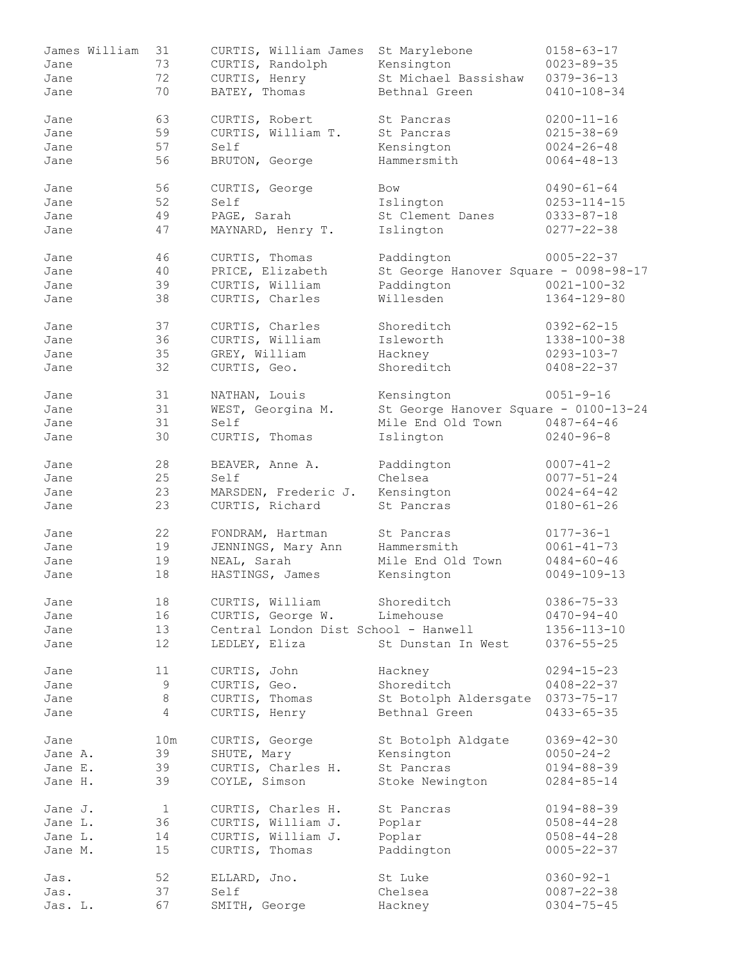| James William | 31              | CURTIS, William James                | St Marylebone                         | $0158 - 63 - 17$  |
|---------------|-----------------|--------------------------------------|---------------------------------------|-------------------|
| Jane          | 73              | CURTIS, Randolph                     | Kensington                            | $0023 - 89 - 35$  |
| Jane          | 72              | CURTIS, Henry                        | St Michael Bassishaw                  | $0379 - 36 - 13$  |
| Jane          | 70              | BATEY, Thomas                        | Bethnal Green                         | $0410 - 108 - 34$ |
|               |                 |                                      |                                       |                   |
| Jane          | 63              | CURTIS, Robert                       | St Pancras                            | $0200 - 11 - 16$  |
| Jane          | 59              | CURTIS, William T.                   | St Pancras                            | $0215 - 38 - 69$  |
| Jane          | 57              | Self                                 | Kensington                            | $0024 - 26 - 48$  |
| Jane          | 56              | BRUTON, George                       | Hammersmith                           | $0064 - 48 - 13$  |
|               |                 |                                      |                                       |                   |
| Jane          | 56              | CURTIS, George                       | Bow                                   | $0490 - 61 - 64$  |
| Jane          | 52              | Self                                 | Islington                             | $0253 - 114 - 15$ |
| Jane          | 49              | PAGE, Sarah                          | St Clement Danes                      | $0333 - 87 - 18$  |
| Jane          | 47              | MAYNARD, Henry T.                    | Islington                             | $0277 - 22 - 38$  |
|               |                 |                                      |                                       |                   |
| Jane          | 46              | CURTIS, Thomas                       | Paddington                            | $0005 - 22 - 37$  |
| Jane          | 40              | PRICE, Elizabeth                     | St George Hanover Square - 0098-98-17 |                   |
| Jane          | 39              | CURTIS, William                      | Paddington                            | $0021 - 100 - 32$ |
| Jane          | 38              | CURTIS, Charles                      | Willesden                             | $1364 - 129 - 80$ |
|               |                 |                                      |                                       |                   |
| Jane          | 37              | CURTIS, Charles                      | Shoreditch                            | $0392 - 62 - 15$  |
| Jane          | 36              | CURTIS, William                      | Isleworth                             | 1338-100-38       |
| Jane          | 35              | GREY, William                        | Hackney                               | $0293 - 103 - 7$  |
| Jane          | 32              | CURTIS, Geo.                         | Shoreditch                            | $0408 - 22 - 37$  |
|               |                 |                                      |                                       |                   |
| Jane          | 31              | NATHAN, Louis                        | Kensington                            | $0051 - 9 - 16$   |
| Jane          | 31              | WEST, Georgina M.                    | St George Hanover Square - 0100-13-24 |                   |
| Jane          | 31              | Self                                 | Mile End Old Town                     | $0487 - 64 - 46$  |
| Jane          | 30              | CURTIS, Thomas                       | Islington                             | $0240 - 96 - 8$   |
|               |                 |                                      |                                       |                   |
| Jane          | 28              | BEAVER, Anne A.                      | Paddington                            | $0007 - 41 - 2$   |
| Jane          | 25              | Self                                 | Chelsea                               | $0077 - 51 - 24$  |
| Jane          | 23              | MARSDEN, Frederic J.                 | Kensington                            | $0024 - 64 - 42$  |
| Jane          | 23              | CURTIS, Richard                      | St Pancras                            | $0180 - 61 - 26$  |
|               |                 |                                      |                                       |                   |
| Jane          | 22              | FONDRAM, Hartman                     | St Pancras                            | $0177 - 36 - 1$   |
| Jane          | 19              | JENNINGS, Mary Ann                   | Hammersmith                           | $0061 - 41 - 73$  |
| Jane          | 19              | NEAL, Sarah                          | Mile End Old Town                     | $0484 - 60 - 46$  |
| Jane          | 18              | HASTINGS, James                      | Kensington                            | $0049 - 109 - 13$ |
|               |                 |                                      |                                       |                   |
| Jane          | 18              | CURTIS, William                      | Shoreditch                            | $0386 - 75 - 33$  |
| Jane          | 16              | CURTIS, George W.                    | Limehouse                             | $0470 - 94 - 40$  |
| Jane          | 13              | Central London Dist School - Hanwell |                                       | $1356 - 113 - 10$ |
| Jane          | 12              | LEDLEY, Eliza                        | St Dunstan In West                    | $0376 - 55 - 25$  |
|               |                 |                                      |                                       |                   |
| Jane          | 11              | CURTIS, John                         | Hackney                               | $0294 - 15 - 23$  |
| Jane          | $\mathsf 9$     | CURTIS, Geo.                         | Shoreditch                            | $0408 - 22 - 37$  |
| Jane          | 8               | CURTIS, Thomas                       | St Botolph Aldersgate                 | $0373 - 75 - 17$  |
| Jane          | 4               | CURTIS, Henry                        | Bethnal Green                         | $0433 - 65 - 35$  |
|               |                 |                                      |                                       |                   |
| Jane          | 10 <sub>m</sub> | CURTIS, George                       | St Botolph Aldgate                    | $0369 - 42 - 30$  |
| Jane A.       | 39              | SHUTE, Mary                          | Kensington                            | $0050 - 24 - 2$   |
| Jane E.       | 39              | CURTIS, Charles H.                   | St Pancras                            | $0194 - 88 - 39$  |
| Jane H.       | 39              | COYLE, Simson                        | Stoke Newington                       | $0284 - 85 - 14$  |
|               |                 |                                      |                                       |                   |
| Jane J.       | $\mathbf{1}$    | CURTIS, Charles H.                   | St Pancras                            | $0194 - 88 - 39$  |
| Jane L.       | 36              | CURTIS, William J.                   | Poplar                                | $0508 - 44 - 28$  |
| Jane L.       | 14              | CURTIS, William J.                   | Poplar                                | $0508 - 44 - 28$  |
| Jane M.       | 15              | CURTIS, Thomas                       | Paddington                            | $0005 - 22 - 37$  |
|               |                 |                                      |                                       |                   |
| Jas.          | 52              | ELLARD, Jno.                         | St Luke                               | $0360 - 92 - 1$   |
| Jas.          | 37              | Self                                 | Chelsea                               | $0087 - 22 - 38$  |
| Jas. L.       | 67              | SMITH, George                        | Hackney                               | $0304 - 75 - 45$  |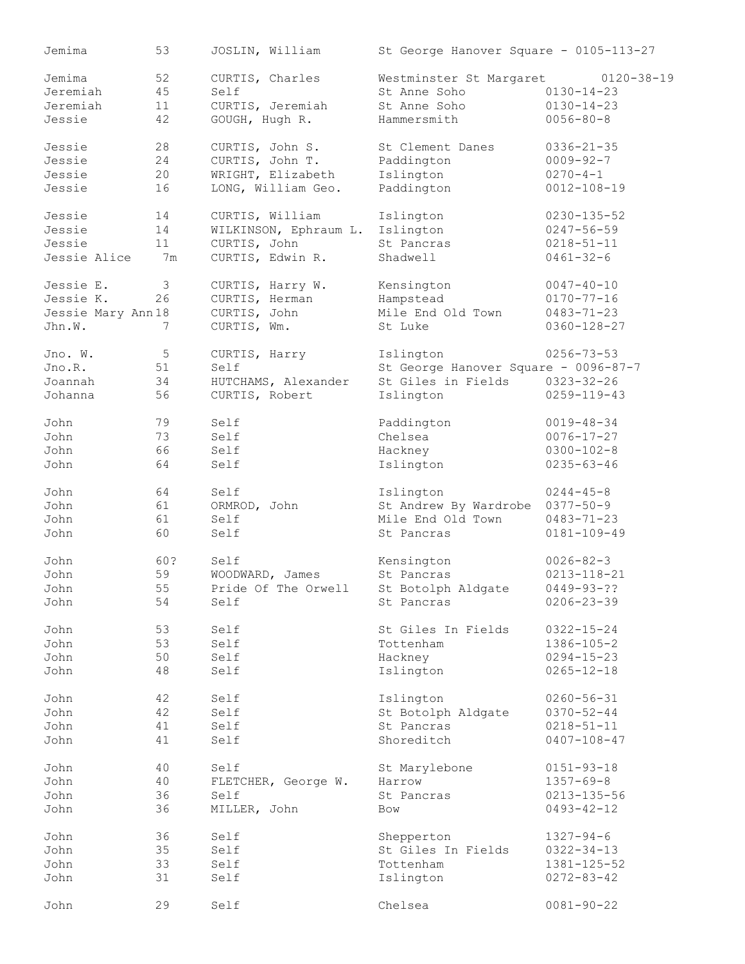| Jemima             | 53  | JOSLIN, William       | St George Hanover Square - 0105-113-27 |                   |
|--------------------|-----|-----------------------|----------------------------------------|-------------------|
| Jemima             | 52  | CURTIS, Charles       | Westminster St Margaret                | $0120 - 38 - 19$  |
| Jeremiah           | 45  | Self                  | St Anne Soho                           | $0130 - 14 - 23$  |
| Jeremiah           | 11  | CURTIS, Jeremiah      | St Anne Soho                           | $0130 - 14 - 23$  |
| Jessie             | 42  | GOUGH, Hugh R.        | Hammersmith                            | $0056 - 80 - 8$   |
| Jessie             | 28  | CURTIS, John S.       | St Clement Danes                       | $0336 - 21 - 35$  |
| Jessie             | 24  | CURTIS, John T.       | Paddington                             | $0009 - 92 - 7$   |
| Jessie             | 20  | WRIGHT, Elizabeth     | Islington                              | $0270 - 4 - 1$    |
| Jessie             | 16  | LONG, William Geo.    | Paddington                             | $0012 - 108 - 19$ |
| Jessie             | 14  | CURTIS, William       | Islington                              | $0230 - 135 - 52$ |
| Jessie             | 14  | WILKINSON, Ephraum L. | Islington                              | $0247 - 56 - 59$  |
| Jessie             | 11  | CURTIS, John          | St Pancras                             | $0218 - 51 - 11$  |
| Jessie Alice       | 7m  | CURTIS, Edwin R.      | Shadwell                               | $0461 - 32 - 6$   |
| Jessie E.          | 3   | CURTIS, Harry W.      | Kensington                             | $0047 - 40 - 10$  |
| Jessie K.          | 26  | CURTIS, Herman        | Hampstead                              | $0170 - 77 - 16$  |
| Jessie Mary Ann 18 |     | CURTIS, John          | Mile End Old Town                      | $0483 - 71 - 23$  |
| Jhn.W.             | 7   | CURTIS, Wm.           | St Luke                                | $0360 - 128 - 27$ |
|                    |     |                       |                                        |                   |
| Jno. W.            | 5   | CURTIS, Harry         | Islington                              | $0256 - 73 - 53$  |
| Jno.R.             | 51  | Self                  | St George Hanover Square - 0096-87-7   |                   |
| Joannah            | 34  | HUTCHAMS, Alexander   | St Giles in Fields                     | $0323 - 32 - 26$  |
| Johanna            | 56  | CURTIS, Robert        | Islington                              | $0259 - 119 - 43$ |
| John               | 79  | Self                  | Paddington                             | $0019 - 48 - 34$  |
| John               | 73  | Self                  | Chelsea                                | $0076 - 17 - 27$  |
| John               | 66  | Self                  | Hackney                                | $0300 - 102 - 8$  |
| John               | 64  | Self                  | Islington                              | $0235 - 63 - 46$  |
| John               | 64  | Self                  | Islington                              | $0244 - 45 - 8$   |
| John               | 61  | ORMROD, John          | St Andrew By Wardrobe                  | $0377 - 50 - 9$   |
| John               | 61  | Self                  | Mile End Old Town                      | $0483 - 71 - 23$  |
| John               | 60  | Self                  | St Pancras                             | $0181 - 109 - 49$ |
| John               | 60? | Self                  | Kensington                             | $0026 - 82 - 3$   |
| John               | 59  | WOODWARD, James       | St Pancras                             | $0213 - 118 - 21$ |
| John               | 55  | Pride Of The Orwell   | St Botolph Aldgate                     | $0449 - 93 - ??$  |
| John               | 54  | Self                  | St Pancras                             | $0206 - 23 - 39$  |
| John               | 53  | Self                  | St Giles In Fields                     | $0322 - 15 - 24$  |
| John               | 53  | Self                  | Tottenham                              | $1386 - 105 - 2$  |
| John               | 50  | Self                  | Hackney                                | $0294 - 15 - 23$  |
| John               | 48  | Self                  | Islington                              | $0265 - 12 - 18$  |
| John               | 42  | Self                  | Islington                              | $0260 - 56 - 31$  |
| John               | 42  | Self                  | St Botolph Aldgate                     | $0370 - 52 - 44$  |
| John               | 41  | Self                  | St Pancras                             | $0218 - 51 - 11$  |
| John               | 41  | Self                  | Shoreditch                             | $0407 - 108 - 47$ |
|                    |     |                       |                                        |                   |
| John               | 40  | Self                  | St Marylebone                          | $0151 - 93 - 18$  |
| John               | 40  | FLETCHER, George W.   | Harrow                                 | $1357 - 69 - 8$   |
| John               | 36  | Self                  | St Pancras                             | $0213 - 135 - 56$ |
| John               | 36  | MILLER, John          | Bow                                    | $0493 - 42 - 12$  |
| John               | 36  | Self                  | Shepperton                             | $1327 - 94 - 6$   |
| John               | 35  | Self                  | St Giles In Fields                     | $0322 - 34 - 13$  |
| John               | 33  | Self                  | Tottenham                              | $1381 - 125 - 52$ |
| John               | 31  | Self                  | Islington                              | $0272 - 83 - 42$  |
| John               | 29  | Self                  | Chelsea                                | $0081 - 90 - 22$  |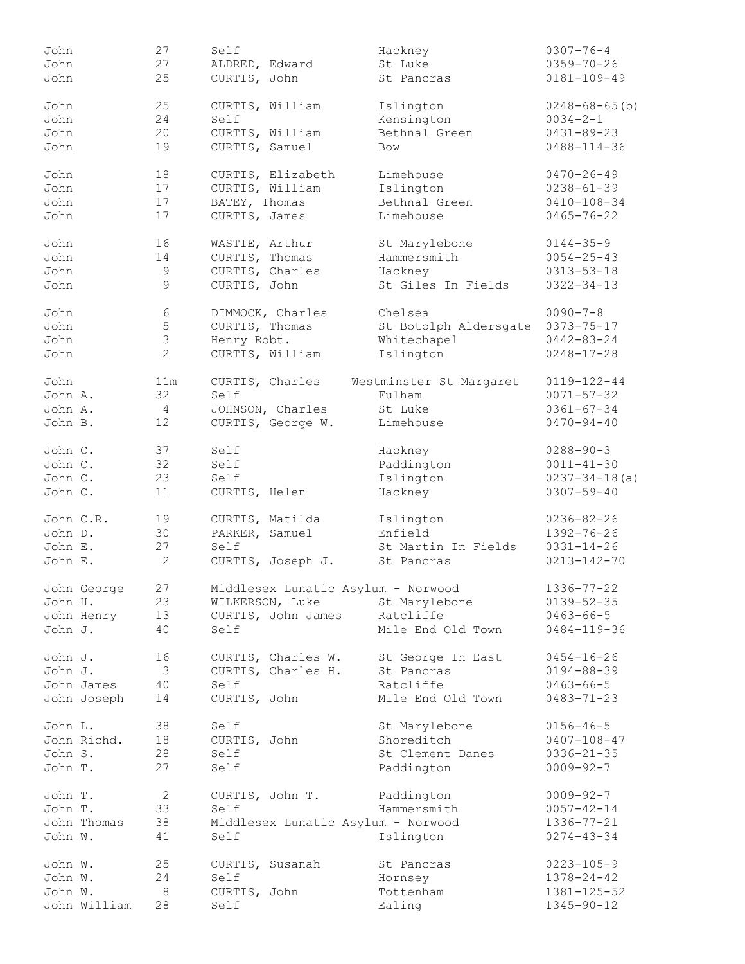| John    |              | 27             | Self                               | Hackney                          | $0307 - 76 - 4$                 |
|---------|--------------|----------------|------------------------------------|----------------------------------|---------------------------------|
| John    |              | 27             | ALDRED, Edward                     | St Luke                          | $0359 - 70 - 26$                |
| John    |              | 25             | CURTIS, John                       | St Pancras                       | $0181 - 109 - 49$               |
|         |              |                |                                    |                                  |                                 |
| John    |              | 25             | CURTIS, William                    | Islington                        | $0248 - 68 - 65$ (b)            |
| John    |              | 24             | Self                               | Kensington                       | $0034 - 2 - 1$                  |
| John    |              | 20             | CURTIS, William                    | Bethnal Green                    | $0431 - 89 - 23$                |
| John    |              | 19             | CURTIS, Samuel                     | Bow                              | $0488 - 114 - 36$               |
|         |              |                |                                    |                                  |                                 |
| John    |              | 18             | CURTIS, Elizabeth                  | Limehouse                        | $0470 - 26 - 49$                |
| John    |              | 17             | CURTIS, William                    | Islington                        | $0238 - 61 - 39$                |
|         |              |                | BATEY, Thomas                      | Bethnal Green                    |                                 |
| John    |              | 17             |                                    |                                  | $0410 - 108 - 34$               |
| John    |              | 17             | CURTIS, James                      | Limehouse                        | $0465 - 76 - 22$                |
| John    |              | 16             |                                    |                                  |                                 |
|         |              |                | WASTIE, Arthur                     | St Marylebone                    | $0144 - 35 - 9$                 |
| John    |              | 14             | CURTIS, Thomas                     | Hammersmith                      | $0054 - 25 - 43$                |
| John    |              | 9              | CURTIS, Charles                    | Hackney                          | $0313 - 53 - 18$                |
| John    |              | 9              | CURTIS, John                       | St Giles In Fields               | $0322 - 34 - 13$                |
|         |              |                |                                    |                                  |                                 |
| John    |              | 6              | DIMMOCK, Charles                   | Chelsea                          | $0090 - 7 - 8$                  |
| John    |              | 5              | CURTIS, Thomas                     | St Botolph Aldersgate 0373-75-17 |                                 |
| John    |              | $\mathfrak{S}$ | Henry Robt.                        | Whitechapel                      | $0442 - 83 - 24$                |
| John    |              | $\overline{2}$ | CURTIS, William                    | Islington                        | $0248 - 17 - 28$                |
|         |              |                |                                    |                                  |                                 |
| John    |              | 11m            | CURTIS, Charles                    | Westminster St Margaret          | $0119 - 122 - 44$               |
| John A. |              | 32             | Self                               | Fulham                           | $0071 - 57 - 32$                |
| John A. |              | 4              | JOHNSON, Charles                   | St Luke                          | $0361 - 67 - 34$                |
| John B. |              | 12             | CURTIS, George W.                  | Limehouse                        | $0470 - 94 - 40$                |
|         |              |                |                                    |                                  |                                 |
| John C. |              | 37             | Self                               | Hackney                          | $0288 - 90 - 3$                 |
| John C. |              | 32             | Self                               | Paddington                       | $0011 - 41 - 30$                |
| John C. |              | 23             | Self                               | Islington                        | $0237 - 34 - 18$ (a)            |
| John C. |              | 11             | CURTIS, Helen                      | Hackney                          | $0307 - 59 - 40$                |
|         |              |                |                                    |                                  |                                 |
|         | John C.R.    | 19             | CURTIS, Matilda                    | Islington                        | $0236 - 82 - 26$                |
| John D. |              | 30             | PARKER, Samuel                     | Enfield                          | $1392 - 76 - 26$                |
| John E. |              | 27             | Self                               | St Martin In Fields              | $0331 - 14 - 26$                |
| John E. |              | $\mathbf{2}$   | CURTIS, Joseph J.                  | St Pancras                       | $0213 - 142 - 70$               |
|         |              |                |                                    |                                  |                                 |
|         | John George  | 27             | Middlesex Lunatic Asylum - Norwood |                                  | $1336 - 77 - 22$                |
| John H. |              | 23             | WILKERSON, Luke                    | St Marylebone                    | $0139 - 52 - 35$                |
|         | John Henry   | 13             | CURTIS, John James                 | Ratcliffe                        | $0463 - 66 - 5$                 |
| John J. |              | 40             | Self                               | Mile End Old Town                | $0484 - 119 - 36$               |
|         |              |                |                                    |                                  |                                 |
| John J. |              | 16             | CURTIS, Charles W.                 | St George In East                | $0454 - 16 - 26$                |
| John J. |              | 3              | CURTIS, Charles H.                 | St Pancras                       | $0194 - 88 - 39$                |
|         | John James   | 40             | Self                               | Ratcliffe                        | $0463 - 66 - 5$                 |
|         | John Joseph  | 14             | CURTIS, John                       | Mile End Old Town                | $0483 - 71 - 23$                |
|         |              |                |                                    |                                  |                                 |
| John L. |              | 38             | Self                               | St Marylebone                    | $0156 - 46 - 5$                 |
|         | John Richd.  | 18             | CURTIS, John                       | Shoreditch                       | $0407 - 108 - 47$               |
| John S. |              | 28             | Self                               | St Clement Danes                 | $0336 - 21 - 35$                |
|         |              |                |                                    |                                  |                                 |
| John T. |              | 27             | Self                               | Paddington                       | $0009 - 92 - 7$                 |
| John T. |              | $\overline{2}$ | CURTIS, John T.                    | Paddington                       | $0009 - 92 - 7$                 |
| John T. |              | 33             | Self                               | Hammersmith                      | $0057 - 42 - 14$                |
|         |              |                |                                    |                                  |                                 |
|         | John Thomas  | 38             | Middlesex Lunatic Asylum - Norwood |                                  | $1336 - 77 - 21$                |
| John W. |              | 41             | Self                               | Islington                        | $0274 - 43 - 34$                |
|         |              |                |                                    |                                  |                                 |
|         |              |                |                                    |                                  |                                 |
|         | John W.      | 25             | CURTIS, Susanah                    | St Pancras                       | $0223 - 105 - 9$                |
| John W. |              | 24             | Self                               | Hornsey                          | $1378 - 24 - 42$                |
| John W. | John William | 8<br>28        | CURTIS, John<br>Self               | Tottenham<br>Ealing              | 1381-125-52<br>$1345 - 90 - 12$ |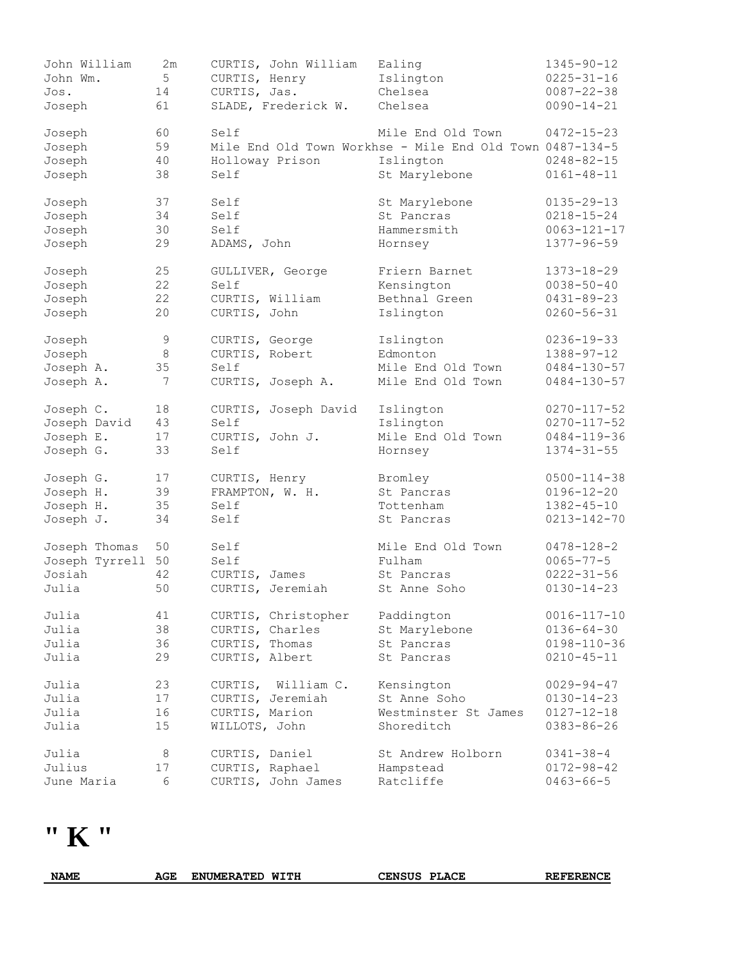| John William<br>John Wm.<br>Jos. | 2m<br>5<br>14 | CURTIS, John William<br>CURTIS, Henry<br>CURTIS, Jas. | Ealing<br>Islington<br>Chelsea                           | 1345-90-12<br>$0225 - 31 - 16$<br>$0087 - 22 - 38$ |
|----------------------------------|---------------|-------------------------------------------------------|----------------------------------------------------------|----------------------------------------------------|
| Joseph                           | 61            | SLADE, Frederick W.                                   | Chelsea                                                  | $0090 - 14 - 21$                                   |
| Joseph                           | 60            | Self                                                  | Mile End Old Town                                        | $0472 - 15 - 23$                                   |
| Joseph                           | 59            |                                                       | Mile End Old Town Workhse - Mile End Old Town 0487-134-5 |                                                    |
| Joseph                           | 40            | Holloway Prison                                       | Islington                                                | $0248 - 82 - 15$                                   |
| Joseph                           | 38            | Self                                                  | St Marylebone                                            | $0161 - 48 - 11$                                   |
| Joseph                           | 37            | Self                                                  | St Marylebone                                            | $0135 - 29 - 13$                                   |
| Joseph                           | 34            | Self                                                  | St Pancras                                               | $0218 - 15 - 24$                                   |
| Joseph                           | 30            | Self                                                  | Hammersmith                                              | $0063 - 121 - 17$                                  |
| Joseph                           | 29            | ADAMS, John                                           | Hornsey                                                  | $1377 - 96 - 59$                                   |
| Joseph                           | 25            | GULLIVER, George                                      | Friern Barnet                                            | 1373-18-29                                         |
| Joseph                           | 22            | Self                                                  | Kensington                                               | $0038 - 50 - 40$                                   |
| Joseph                           | 22            | CURTIS, William                                       | Bethnal Green                                            | $0431 - 89 - 23$                                   |
| Joseph                           | 20            | CURTIS, John                                          | Islington                                                | $0260 - 56 - 31$                                   |
| Joseph                           | $\mathsf 9$   | CURTIS, George                                        | Islington                                                | $0236 - 19 - 33$                                   |
| Joseph                           | $\,8\,$       | CURTIS, Robert                                        | Edmonton                                                 | $1388 - 97 - 12$                                   |
| Joseph A.                        | 35            | Self                                                  | Mile End Old Town                                        | $0484 - 130 - 57$                                  |
| Joseph A.                        | 7             | CURTIS, Joseph A.                                     | Mile End Old Town                                        | $0484 - 130 - 57$                                  |
| Joseph C.                        | 18            | CURTIS, Joseph David                                  | Islington                                                | $0270 - 117 - 52$                                  |
| Joseph David                     | 43            | Self                                                  | Islington                                                | $0270 - 117 - 52$                                  |
| Joseph E.                        | 17            | CURTIS, John J.                                       | Mile End Old Town                                        | $0484 - 119 - 36$                                  |
| Joseph G.                        | 33            | Self                                                  | Hornsey                                                  | $1374 - 31 - 55$                                   |
| Joseph G.                        | 17            | CURTIS, Henry                                         | Bromley                                                  | $0500 - 114 - 38$                                  |
| Joseph H.                        | 39            | FRAMPTON, W. H.                                       | St Pancras                                               | $0196 - 12 - 20$                                   |
| Joseph H.                        | 35            | Self                                                  | Tottenham                                                | $1382 - 45 - 10$                                   |
| Joseph J.                        | 34            | Self                                                  | St Pancras                                               | $0213 - 142 - 70$                                  |
| Joseph Thomas                    | 50            | Self                                                  | Mile End Old Town                                        | $0478 - 128 - 2$                                   |
| Joseph Tyrrell                   | 50            | Self                                                  | Fulham                                                   | $0065 - 77 - 5$                                    |
| Josiah                           | 42            | CURTIS, James                                         | St Pancras                                               | $0222 - 31 - 56$                                   |
| Julia                            | 50            | CURTIS, Jeremiah                                      | St Anne Soho                                             | $0130 - 14 - 23$                                   |
| Julia                            | 41            | CURTIS, Christopher                                   | Paddington                                               | $0016 - 117 - 10$                                  |
| Julia                            | 38            | CURTIS, Charles                                       | St Marylebone                                            | $0136 - 64 - 30$                                   |
| Julia                            | 36            | CURTIS, Thomas                                        | St Pancras                                               | $0198 - 110 - 36$                                  |
| Julia                            | 29            | CURTIS, Albert                                        | St Pancras                                               | $0210 - 45 - 11$                                   |
| Julia                            | 23            | William C.<br>CURTIS,                                 | Kensington                                               | $0029 - 94 - 47$                                   |
| Julia                            | 17            | CURTIS, Jeremiah                                      | St Anne Soho                                             | $0130 - 14 - 23$                                   |
| Julia                            | 16            | CURTIS, Marion                                        | Westminster St James                                     | $0127 - 12 - 18$                                   |
| Julia                            | 15            | WILLOTS, John                                         | Shoreditch                                               | $0383 - 86 - 26$                                   |
| Julia                            | 8             | CURTIS, Daniel                                        | St Andrew Holborn                                        | $0341 - 38 - 4$                                    |
| Julius                           | 17            | CURTIS, Raphael                                       | Hampstead                                                | $0172 - 98 - 42$                                   |
| June Maria                       | 6             | CURTIS, John James                                    | Ratcliffe                                                | $0463 - 66 - 5$                                    |

**" K "** 

| <b>NAME</b> | AGE | <b>ENUMERATED</b> | <b>WITH</b> | CENSUS | <b>PLACE</b> | <b>REFERENCE</b> |
|-------------|-----|-------------------|-------------|--------|--------------|------------------|
|             |     |                   |             |        |              |                  |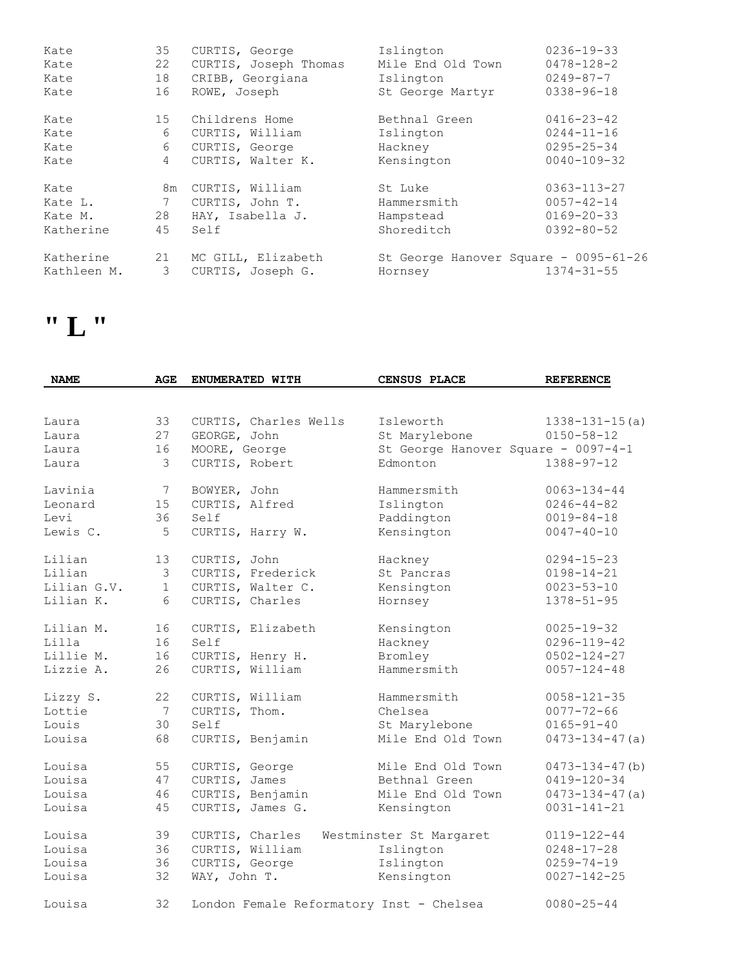| Kate        | 35              | CURTIS, George        | Islington                             | $0236 - 19 - 33$  |
|-------------|-----------------|-----------------------|---------------------------------------|-------------------|
| Kate        | 22              | CURTIS, Joseph Thomas | Mile End Old Town                     | $0478 - 128 - 2$  |
| Kate        | 18              | CRIBB, Georgiana      | Islington                             | $0249 - 87 - 7$   |
| Kate        | 16              | ROWE, Joseph          | St George Martyr                      | $0338 - 96 - 18$  |
| Kate        | 15              | Childrens Home        | Bethnal Green                         | $0416 - 23 - 42$  |
| Kate        | 6               | CURTIS, William       | Islington                             | $0244 - 11 - 16$  |
| Kate        | 6               | CURTIS, George        | Hackney                               | $0295 - 25 - 34$  |
| Kate        | $\overline{4}$  | CURTIS, Walter K.     | Kensington                            | $0040 - 109 - 32$ |
| Kate        | 8m              | CURTIS, William       | St Luke                               | $0363 - 113 - 27$ |
| Kate L.     | $7\phantom{.0}$ | CURTIS, John T.       | Hammersmith                           | $0057 - 42 - 14$  |
| Kate M.     | 28              | HAY, Isabella J.      | Hampstead                             | $0169 - 20 - 33$  |
| Katherine   | 45              | Self                  | Shoreditch                            | $0392 - 80 - 52$  |
| Katherine   | 21              | MC GILL, Elizabeth    | St George Hanover Square - 0095-61-26 | $1374 - 31 - 55$  |
| Kathleen M. | 3               | CURTIS, Joseph G.     | Hornsey                               |                   |

### **" L "**

| <b>NAME</b> | <b>AGE</b>      |                | ENUMERATED WITH       | <b>CENSUS PLACE</b>                      | <b>REFERENCE</b>                    |
|-------------|-----------------|----------------|-----------------------|------------------------------------------|-------------------------------------|
|             |                 |                |                       |                                          |                                     |
| Laura       | 33              |                | CURTIS, Charles Wells | Isleworth                                | $1338 - 131 - 15(a)$                |
| Laura       | 27              | GEORGE, John   |                       | St Marylebone                            | $0150 - 58 - 12$                    |
| Laura       | 16              | MOORE, George  |                       |                                          | St George Hanover Square - 0097-4-1 |
| Laura       | 3               | CURTIS, Robert |                       | Edmonton                                 | $1388 - 97 - 12$                    |
| Lavinia     | $7\phantom{.0}$ | BOWYER, John   |                       | Hammersmith                              | $0063 - 134 - 44$                   |
| Leonard     | 15              | CURTIS, Alfred |                       | Islington                                | $0246 - 44 - 82$                    |
| Levi        | 36              | Self           |                       | Paddington                               | $0019 - 84 - 18$                    |
| Lewis C.    | 5               |                | CURTIS, Harry W.      | Kensington                               | $0047 - 40 - 10$                    |
| Lilian      | 13              | CURTIS, John   |                       | Hackney                                  | $0294 - 15 - 23$                    |
| Lilian      | $\mathfrak{Z}$  |                | CURTIS, Frederick     | St Pancras                               | $0198 - 14 - 21$                    |
| Lilian G.V. | $\mathbf{1}$    |                | CURTIS, Walter C.     | Kensington                               | $0023 - 53 - 10$                    |
| Lilian K.   | 6               |                | CURTIS, Charles       | Hornsey                                  | $1378 - 51 - 95$                    |
| Lilian M.   | 16              |                | CURTIS, Elizabeth     | Kensington                               | $0025 - 19 - 32$                    |
| Lilla       | 16              | Self           |                       | Hackney                                  | $0296 - 119 - 42$                   |
| Lillie M.   | 16              |                | CURTIS, Henry H.      | Bromley                                  | $0502 - 124 - 27$                   |
| Lizzie A.   | 26              |                | CURTIS, William       | Hammersmith                              | $0057 - 124 - 48$                   |
| Lizzy S.    | 22              |                | CURTIS, William       | Hammersmith                              | $0058 - 121 - 35$                   |
| Lottie      | $7\phantom{.0}$ | CURTIS, Thom.  |                       | Chelsea                                  | $0077 - 72 - 66$                    |
| Louis       | 30              | Self           |                       | St Marylebone                            | $0165 - 91 - 40$                    |
| Louisa      | 68              |                | CURTIS, Benjamin      | Mile End Old Town                        | $0473 - 134 - 47$ (a)               |
| Louisa      | 55              | CURTIS, George |                       | Mile End Old Town                        | $0473 - 134 - 47$ (b)               |
| Louisa      | 47              | CURTIS, James  |                       | Bethnal Green                            | $0419 - 120 - 34$                   |
| Louisa      | 46              |                | CURTIS, Benjamin      | Mile End Old Town                        | $0473 - 134 - 47$ (a)               |
| Louisa      | 45              |                | CURTIS, James G.      | Kensington                               | $0031 - 141 - 21$                   |
| Louisa      | 39              |                | CURTIS, Charles       | Westminster St Margaret                  | $0119 - 122 - 44$                   |
| Louisa      | 36              |                | CURTIS, William       | Islington                                | $0248 - 17 - 28$                    |
| Louisa      | 36              | CURTIS, George |                       | Islington                                | $0259 - 74 - 19$                    |
| Louisa      | 32              | WAY, John T.   |                       | Kensington                               | $0027 - 142 - 25$                   |
| Louisa      | 32              |                |                       | London Female Reformatory Inst - Chelsea | $0080 - 25 - 44$                    |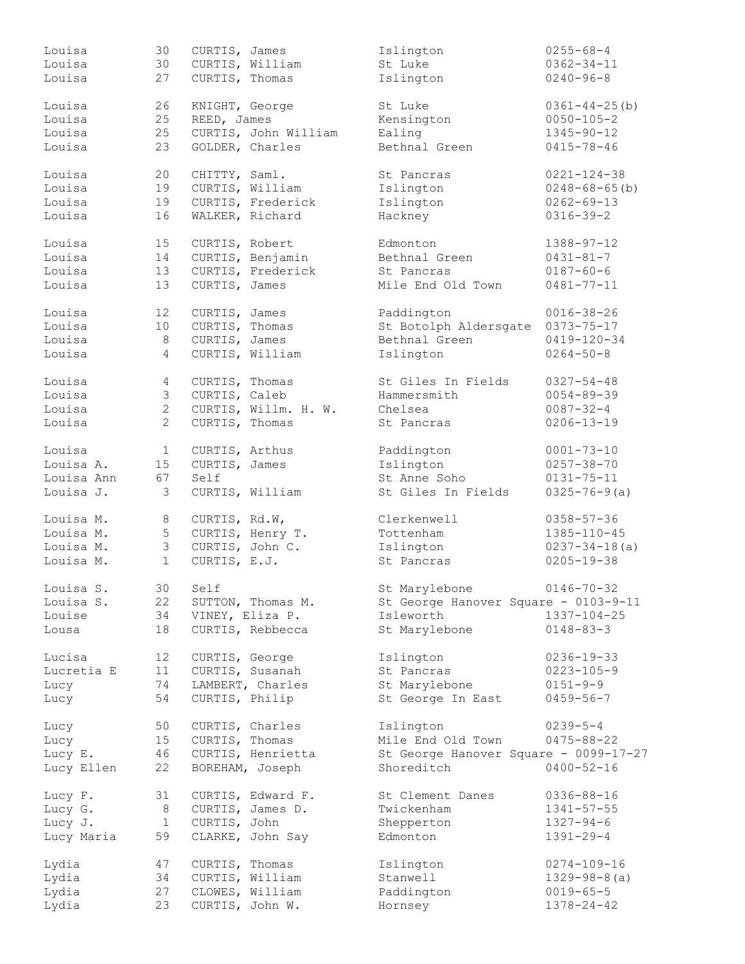| Louisa     | 30              | CURTIS, James        | Islington                             | $0255 - 68 - 4$      |
|------------|-----------------|----------------------|---------------------------------------|----------------------|
| Louisa     | 30              | CURTIS, William      | St Luke                               | $0362 - 34 - 11$     |
| Louisa     | 27              | CURTIS, Thomas       | Islington                             | $0240 - 96 - 8$      |
|            |                 |                      |                                       |                      |
| Louisa     | 26              | KNIGHT, George       | St Luke                               | $0361 - 44 - 25$ (b) |
| Louisa     | 25              | REED, James          | Kensington                            | $0050 - 105 - 2$     |
| Louisa     | 25              | CURTIS, John William | Ealing                                | $1345 - 90 - 12$     |
| Louisa     | 23              | GOLDER, Charles      | Bethnal Green                         | $0415 - 78 - 46$     |
| Louisa     | 20              | CHITTY, Saml.        | St Pancras                            | $0221 - 124 - 38$    |
| Louisa     | 19              | CURTIS, William      | Islington                             | $0248 - 68 - 65$ (b) |
| Louisa     | 19              | CURTIS, Frederick    | Islington                             | $0262 - 69 - 13$     |
| Louisa     | 16              | WALKER, Richard      | Hackney                               | $0316 - 39 - 2$      |
| Louisa     | 15              | CURTIS, Robert       | Edmonton                              | $1388 - 97 - 12$     |
| Louisa     | 14              | CURTIS, Benjamin     | Bethnal Green                         | $0431 - 81 - 7$      |
| Louisa     | 13              | CURTIS, Frederick    | St Pancras                            | $0187 - 60 - 6$      |
|            |                 |                      |                                       |                      |
| Louisa     | 13              | CURTIS, James        | Mile End Old Town                     | $0481 - 77 - 11$     |
| Louisa     | 12              | CURTIS, James        | Paddington                            | $0016 - 38 - 26$     |
| Louisa     | 10              | CURTIS, Thomas       | St Botolph Aldersgate                 | $0373 - 75 - 17$     |
| Louisa     | 8               | CURTIS, James        | Bethnal Green                         | $0419 - 120 - 34$    |
| Louisa     | $\overline{4}$  | CURTIS, William      | Islington                             | $0264 - 50 - 8$      |
| Louisa     | $\overline{4}$  | CURTIS, Thomas       | St Giles In Fields                    | $0327 - 54 - 48$     |
| Louisa     | 3               | CURTIS, Caleb        | Hammersmith                           | $0054 - 89 - 39$     |
| Louisa     | $\overline{2}$  | CURTIS, Willm. H. W. | Chelsea                               | $0087 - 32 - 4$      |
| Louisa     | $\overline{2}$  | CURTIS, Thomas       | St Pancras                            | $0206 - 13 - 19$     |
|            |                 |                      |                                       |                      |
| Louisa     | $\mathbf{1}$    | CURTIS, Arthus       | Paddington                            | $0001 - 73 - 10$     |
| Louisa A.  | 15              | CURTIS, James        | Islington                             | $0257 - 38 - 70$     |
| Louisa Ann | 67              | Self                 | St Anne Soho                          | $0131 - 75 - 11$     |
| Louisa J.  | 3               | CURTIS, William      | St Giles In Fields                    | $0325 - 76 - 9(a)$   |
| Louisa M.  | 8               |                      | Clerkenwell                           | $0358 - 57 - 36$     |
|            |                 | CURTIS, Rd.W,        |                                       |                      |
| Louisa M.  | 5               | CURTIS, Henry T.     | Tottenham                             | 1385-110-45          |
| Louisa M.  | 3               | CURTIS, John C.      | Islington                             | $0237 - 34 - 18(a)$  |
| Louisa M.  | $\mathbf{1}$    | CURTIS, E.J.         | St Pancras                            | $0205 - 19 - 38$     |
| Louisa S.  | 30              | Self                 | St Marylebone                         | $0146 - 70 - 32$     |
| Louisa S.  | 22              | SUTTON, Thomas M.    | St George Hanover Square - 0103-9-11  |                      |
| Louise     | 34              | VINEY, Eliza P.      | Isleworth                             | $1337 - 104 - 25$    |
| Lousa      | 18              | CURTIS, Rebbecca     | St Marylebone                         | $0148 - 83 - 3$      |
| Lucisa     | 12 <sup>°</sup> | CURTIS, George       | Islington                             | $0236 - 19 - 33$     |
| Lucretia E | 11              | CURTIS, Susanah      | St Pancras                            | $0223 - 105 - 9$     |
| Lucy       | 74              | LAMBERT, Charles     | St Marylebone                         | $0151 - 9 - 9$       |
| Lucy       | 54              | CURTIS, Philip       | St George In East                     | $0459 - 56 - 7$      |
|            |                 |                      |                                       |                      |
| Lucy       | 50              | CURTIS, Charles      | Islington                             | $0239 - 5 - 4$       |
| Lucy       | 15              | CURTIS, Thomas       | Mile End Old Town                     | $0475 - 88 - 22$     |
| Lucy E.    | 46              | CURTIS, Henrietta    | St George Hanover Square - 0099-17-27 |                      |
| Lucy Ellen | 22              | BOREHAM, Joseph      | Shoreditch                            | $0400 - 52 - 16$     |
| Lucy F.    | 31              | CURTIS, Edward F.    | St Clement Danes                      | $0336 - 88 - 16$     |
| Lucy G.    | 8               | CURTIS, James D.     | Twickenham                            | $1341 - 57 - 55$     |
| Lucy J.    | $\mathbf{1}$    | CURTIS, John         | Shepperton                            | $1327 - 94 - 6$      |
| Lucy Maria | 59              | CLARKE, John Say     | Edmonton                              | $1391 - 29 - 4$      |
| Lydia      | 47              | CURTIS, Thomas       | Islington                             | $0274 - 109 - 16$    |
| Lydia      | 34              | CURTIS, William      | Stanwell                              | $1329 - 98 - 8$ (a)  |
| Lydia      | 27              | CLOWES, William      | Paddington                            | $0019 - 65 - 5$      |
|            |                 |                      |                                       |                      |
| Lydia      | 23              | CURTIS, John W.      | Hornsey                               | $1378 - 24 - 42$     |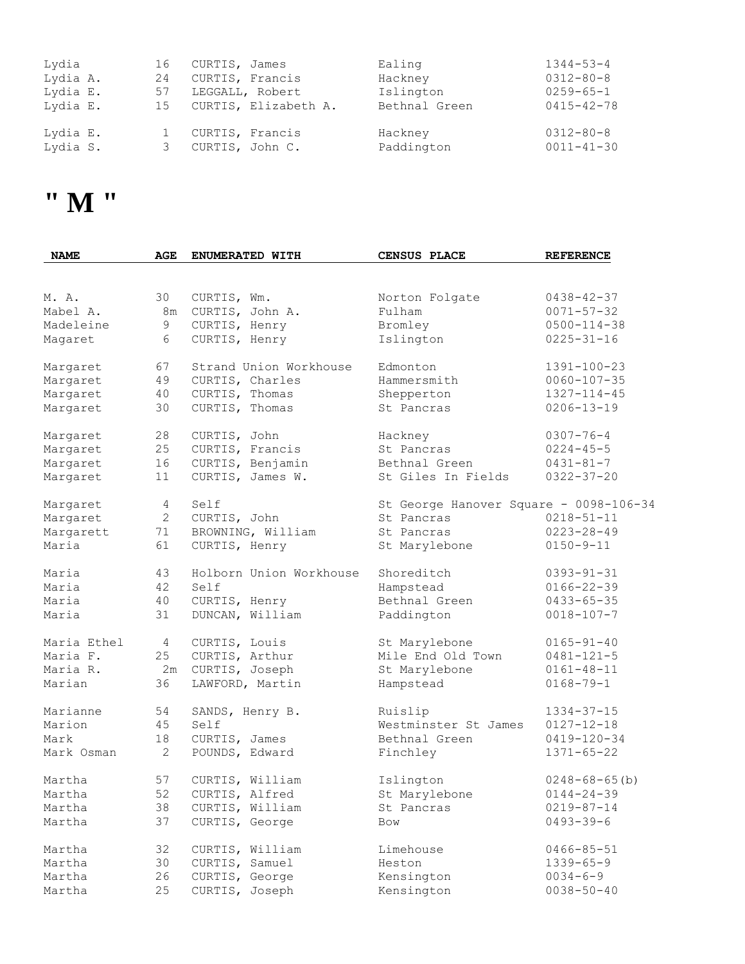| Lydia    | 16 | CURTIS, James           | Ealing        | $1344 - 53 - 4$  |
|----------|----|-------------------------|---------------|------------------|
| Lydia A. | 24 | CURTIS, Francis         | Hackney       | $0312 - 80 - 8$  |
| Lydia E. | 57 | LEGGALL, Robert         | Islington     | $0259 - 65 - 1$  |
| Lydia E. |    | 15 CURTIS, Elizabeth A. | Bethnal Green | $0415 - 42 - 78$ |
| Lydia E. |    | CURTIS, Francis         | Hackney       | $0312 - 80 - 8$  |
| Lydia S. |    | CURTIS, John C.         | Paddington    | $0011 - 41 - 30$ |

### **" M "**

| <b>NAME</b> | AGE            | ENUMERATED WITH         | CENSUS PLACE                           | <b>REFERENCE</b>     |
|-------------|----------------|-------------------------|----------------------------------------|----------------------|
|             |                |                         |                                        |                      |
| M. A.       | 30             | CURTIS, Wm.             | Norton Folgate                         | $0438 - 42 - 37$     |
| Mabel A.    | 8m             | CURTIS, John A.         | Fulham                                 | $0071 - 57 - 32$     |
| Madeleine   | 9              | CURTIS, Henry           | Bromley                                | $0500 - 114 - 38$    |
| Magaret     | $6\,$          | CURTIS, Henry           | Islington                              | $0225 - 31 - 16$     |
| Margaret    | 67             | Strand Union Workhouse  | Edmonton                               | 1391-100-23          |
| Margaret    | 49             | CURTIS, Charles         | Hammersmith                            | $0060 - 107 - 35$    |
| Margaret    | 40             | CURTIS, Thomas          | Shepperton                             | $1327 - 114 - 45$    |
| Margaret    | 30             | CURTIS, Thomas          | St Pancras                             | $0206 - 13 - 19$     |
| Margaret    | 28             | CURTIS, John            | Hackney                                | $0307 - 76 - 4$      |
| Margaret    | 25             | CURTIS, Francis         | St Pancras                             | $0224 - 45 - 5$      |
| Margaret    | 16             | CURTIS, Benjamin        | Bethnal Green                          | $0431 - 81 - 7$      |
| Margaret    | 11             | CURTIS, James W.        | St Giles In Fields                     | $0322 - 37 - 20$     |
| Margaret    | $\overline{4}$ | Self                    | St George Hanover Square - 0098-106-34 |                      |
| Margaret    | $\overline{2}$ | CURTIS, John            | St Pancras                             | $0218 - 51 - 11$     |
| Margarett   | 71             | BROWNING, William       | St Pancras                             | $0223 - 28 - 49$     |
| Maria       | 61             | CURTIS, Henry           | St Marylebone                          | $0150 - 9 - 11$      |
| Maria       | 43             | Holborn Union Workhouse | Shoreditch                             | $0393 - 91 - 31$     |
| Maria       | 42             | Self                    | Hampstead                              | $0166 - 22 - 39$     |
| Maria       | 40             | CURTIS, Henry           | Bethnal Green                          | $0433 - 65 - 35$     |
| Maria       | 31             | DUNCAN, William         | Paddington                             | $0018 - 107 - 7$     |
| Maria Ethel | 4              | CURTIS, Louis           | St Marylebone                          | $0165 - 91 - 40$     |
| Maria F.    | 25             | CURTIS, Arthur          | Mile End Old Town                      | $0481 - 121 - 5$     |
| Maria R.    | 2m             | CURTIS, Joseph          | St Marylebone                          | $0161 - 48 - 11$     |
| Marian      | 36             | LAWFORD, Martin         | Hampstead                              | $0168 - 79 - 1$      |
| Marianne    | 54             | SANDS, Henry B.         | Ruislip                                | $1334 - 37 - 15$     |
| Marion      | 45             | Self                    | Westminster St James                   | $0127 - 12 - 18$     |
| Mark        | 18             | CURTIS, James           | Bethnal Green                          | $0419 - 120 - 34$    |
| Mark Osman  | $\overline{2}$ | POUNDS, Edward          | Finchley                               | $1371 - 65 - 22$     |
| Martha      | 57             | CURTIS, William         | Islington                              | $0248 - 68 - 65$ (b) |
| Martha      | 52             | CURTIS, Alfred          | St Marylebone                          | $0144 - 24 - 39$     |
| Martha      | 38             | CURTIS, William         | St Pancras                             | $0219 - 87 - 14$     |
| Martha      | 37             | CURTIS, George          | Bow                                    | $0493 - 39 - 6$      |
| Martha      | 32             | CURTIS, William         | Limehouse                              | $0466 - 85 - 51$     |
| Martha      | 30             | CURTIS, Samuel          | Heston                                 | $1339 - 65 - 9$      |
| Martha      | 26             | CURTIS, George          | Kensington                             | $0034 - 6 - 9$       |
| Martha      | 25             | CURTIS, Joseph          | Kensington                             | $0038 - 50 - 40$     |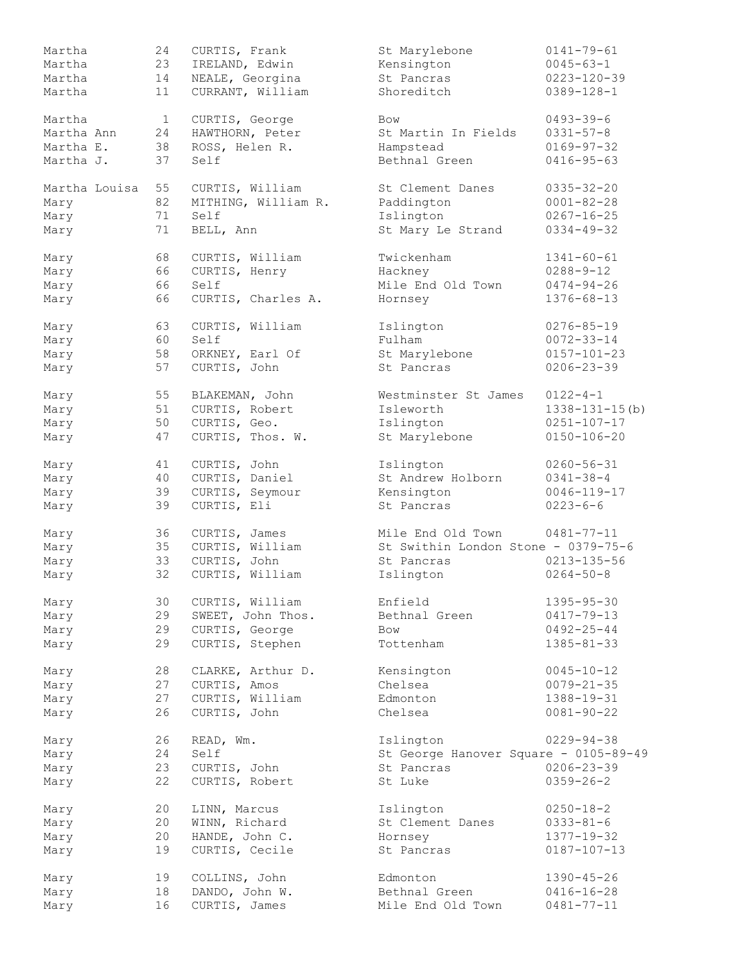| Martha        | 24           | CURTIS, Frank       | St Marylebone                         | $0141 - 79 - 61$      |
|---------------|--------------|---------------------|---------------------------------------|-----------------------|
| Martha        | 23           | IRELAND, Edwin      | Kensington                            | $0045 - 63 - 1$       |
| Martha        | 14           | NEALE, Georgina     | St Pancras                            | $0223 - 120 - 39$     |
| Martha        | 11           | CURRANT, William    | Shoreditch                            | $0389 - 128 - 1$      |
|               |              |                     |                                       |                       |
| Martha        | $\mathbf{1}$ | CURTIS, George      | Bow                                   | $0493 - 39 - 6$       |
|               |              |                     | St Martin In Fields                   |                       |
| Martha Ann    | 24           | HAWTHORN, Peter     |                                       | $0331 - 57 - 8$       |
| Martha E.     | 38           | ROSS, Helen R.      | Hampstead                             | $0169 - 97 - 32$      |
| Martha J.     | 37           | Self                | Bethnal Green                         | $0416 - 95 - 63$      |
| Martha Louisa | 55           | CURTIS, William     | St Clement Danes                      | $0335 - 32 - 20$      |
|               | 82           | MITHING, William R. | Paddington                            | $0001 - 82 - 28$      |
| Mary          |              |                     |                                       |                       |
| Mary          | 71           | Self                | Islington                             | $0267 - 16 - 25$      |
| Mary          | 71           | BELL, Ann           | St Mary Le Strand                     | $0334 - 49 - 32$      |
| Mary          | 68           | CURTIS, William     | Twickenham                            | $1341 - 60 - 61$      |
| Mary          | 66           | CURTIS, Henry       | Hackney                               | $0288 - 9 - 12$       |
| Mary          | 66           | Self                | Mile End Old Town                     | $0474 - 94 - 26$      |
|               |              |                     |                                       |                       |
| Mary          | 66           | CURTIS, Charles A.  | Hornsey                               | $1376 - 68 - 13$      |
| Mary          | 63           | CURTIS, William     | Islington                             | $0276 - 85 - 19$      |
| Mary          | 60           | Self                | Fulham                                | $0072 - 33 - 14$      |
| Mary          | 58           | ORKNEY, Earl Of     | St Marylebone                         | $0157 - 101 - 23$     |
| Mary          | 57           | CURTIS, John        | St Pancras                            | $0206 - 23 - 39$      |
|               |              |                     |                                       |                       |
| Mary          | 55           | BLAKEMAN, John      | Westminster St James                  | $0122 - 4 - 1$        |
| Mary          | 51           | CURTIS, Robert      | Isleworth                             | $1338 - 131 - 15$ (b) |
| Mary          | 50           | CURTIS, Geo.        | Islington                             | $0251 - 107 - 17$     |
| Mary          | 47           | CURTIS, Thos. W.    | St Marylebone                         | $0150 - 106 - 20$     |
|               |              |                     |                                       |                       |
| Mary          | 41           | CURTIS, John        | Islington                             | $0260 - 56 - 31$      |
| Mary          | 40           | CURTIS, Daniel      | St Andrew Holborn                     | $0341 - 38 - 4$       |
| Mary          | 39           | CURTIS, Seymour     | Kensington                            | $0046 - 119 - 17$     |
| Mary          | 39           | CURTIS, Eli         | St Pancras                            | $0223 - 6 - 6$        |
| Mary          | 36           | CURTIS, James       | Mile End Old Town                     | $0481 - 77 - 11$      |
| Mary          | 35           | CURTIS, William     | St Swithin London Stone - 0379-75-6   |                       |
|               |              |                     | St Pancras                            |                       |
| Mary          | 33           | CURTIS, John        |                                       | $0213 - 135 - 56$     |
| Mary          | 32           | CURTIS, William     | Islington                             | $0264 - 50 - 8$       |
| Mary          | 30           | CURTIS, William     | Enfield                               | $1395 - 95 - 30$      |
| Mary          | 29           | SWEET, John Thos.   | Bethnal Green                         | $0417 - 79 - 13$      |
| Mary          | 29           | CURTIS, George      | <b>Bow</b>                            | $0492 - 25 - 44$      |
| Mary          | 29           | CURTIS, Stephen     | Tottenham                             | $1385 - 81 - 33$      |
|               |              |                     |                                       |                       |
| Mary          | 28           | CLARKE, Arthur D.   | Kensington                            | $0045 - 10 - 12$      |
| Mary          | 27           | CURTIS, Amos        | Chelsea                               | $0079 - 21 - 35$      |
| Mary          | 27           | CURTIS, William     | Edmonton                              | $1388 - 19 - 31$      |
| Mary          | 26           | CURTIS, John        | Chelsea                               | $0081 - 90 - 22$      |
|               |              |                     |                                       |                       |
| Mary          | 26           | READ, Wm.           | Islington                             | $0229 - 94 - 38$      |
| Mary          | 24           | Self                | St George Hanover Square - 0105-89-49 |                       |
| Mary          | 23           | CURTIS, John        | St Pancras                            | $0206 - 23 - 39$      |
| Mary          | 22           | CURTIS, Robert      | St Luke                               | $0359 - 26 - 2$       |
|               |              |                     |                                       |                       |
| Mary          | 20           | LINN, Marcus        | Islington                             | $0250 - 18 - 2$       |
| Mary          | 20           | WINN, Richard       | St Clement Danes                      | $0333 - 81 - 6$       |
| Mary          | 20           | HANDE, John C.      | Hornsey                               | $1377 - 19 - 32$      |
| Mary          | 19           | CURTIS, Cecile      | St Pancras                            | $0187 - 107 - 13$     |
| Mary          | 19           | COLLINS, John       | Edmonton                              | $1390 - 45 - 26$      |
| Mary          | 18           | DANDO, John W.      | Bethnal Green                         | $0416 - 16 - 28$      |
|               |              |                     |                                       |                       |
| Mary          | 16           | CURTIS, James       | Mile End Old Town                     | $0481 - 77 - 11$      |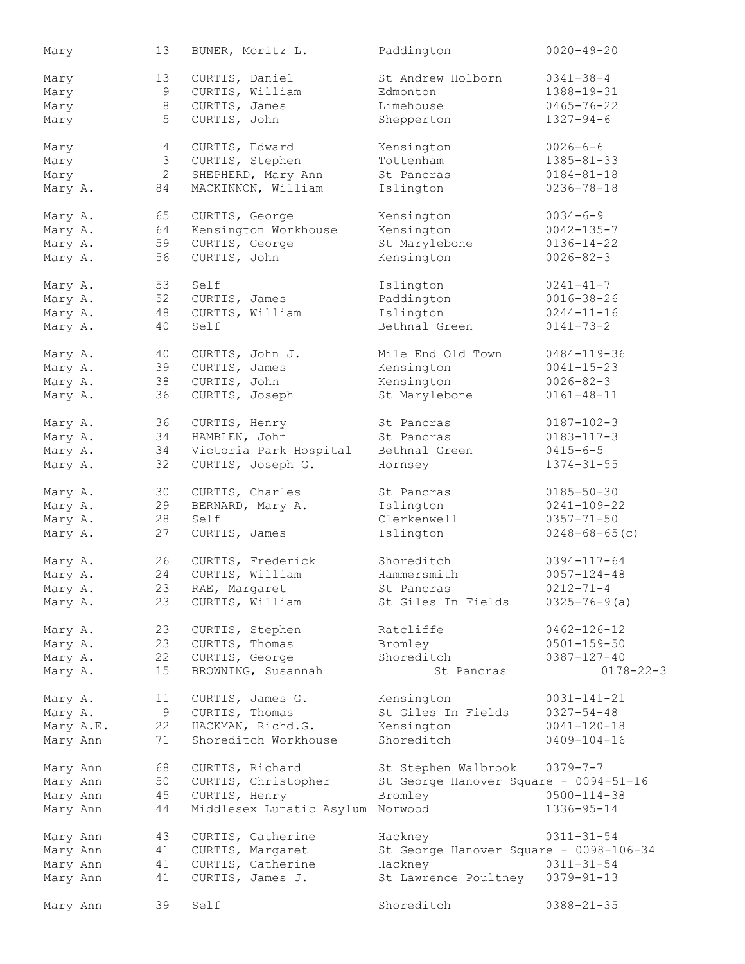| Mary     |           | 13                   | BUNER, Moritz L.                   | Paddington                             | $0020 - 49 - 20$                      |
|----------|-----------|----------------------|------------------------------------|----------------------------------------|---------------------------------------|
| Mary     |           | 13                   | CURTIS, Daniel                     | St Andrew Holborn                      | $0341 - 38 - 4$                       |
| Mary     |           | 9                    | CURTIS, William                    | Edmonton                               | 1388-19-31                            |
| Mary     |           | $\,8\,$              | CURTIS, James                      | Limehouse                              | $0465 - 76 - 22$                      |
|          |           | 5                    | CURTIS, John                       | Shepperton                             | $1327 - 94 - 6$                       |
| Mary     |           |                      |                                    |                                        |                                       |
| Mary     |           | 4                    | CURTIS, Edward                     | Kensington                             | $0026 - 6 - 6$                        |
| Mary     |           | 3                    | CURTIS, Stephen                    | Tottenham                              | $1385 - 81 - 33$                      |
| Mary     |           | $\mathbf{2}$         | SHEPHERD, Mary Ann                 | St Pancras                             | $0184 - 81 - 18$                      |
| Mary A.  |           | 84                   | MACKINNON, William                 | Islington                              | $0236 - 78 - 18$                      |
| Mary A.  |           | 65                   | CURTIS, George                     | Kensington                             | $0034 - 6 - 9$                        |
| Mary A.  |           | 64                   | Kensington Workhouse               | Kensington                             | $0042 - 135 - 7$                      |
|          |           | 59                   |                                    |                                        | $0136 - 14 - 22$                      |
| Mary A.  |           |                      | CURTIS, George                     | St Marylebone                          |                                       |
| Mary A.  |           | 56                   | CURTIS, John                       | Kensington                             | $0026 - 82 - 3$                       |
| Mary A.  |           | 53                   | Self                               | Islington                              | $0241 - 41 - 7$                       |
| Mary A.  |           | 52                   | CURTIS, James                      | Paddington                             | $0016 - 38 - 26$                      |
| Mary A.  |           | 48                   | CURTIS, William                    | Islington                              | $0244 - 11 - 16$                      |
| Mary A.  |           | 40                   | Self                               | Bethnal Green                          | $0141 - 73 - 2$                       |
|          |           |                      |                                    |                                        |                                       |
| Mary A.  |           | 40                   | CURTIS, John J.                    | Mile End Old Town                      | $0484 - 119 - 36$                     |
| Mary A.  |           | 39                   | CURTIS, James                      | Kensington                             | $0041 - 15 - 23$                      |
| Mary A.  |           | 38                   | CURTIS, John                       | Kensington                             | $0026 - 82 - 3$                       |
| Mary A.  |           | 36                   | CURTIS, Joseph                     | St Marylebone                          | $0161 - 48 - 11$                      |
| Mary A.  |           | 36                   | CURTIS, Henry                      | St Pancras                             | $0187 - 102 - 3$                      |
| Mary A.  |           | 34                   | HAMBLEN, John                      | St Pancras                             | $0183 - 117 - 3$                      |
|          |           |                      |                                    |                                        |                                       |
| Mary A.  |           | 34                   | Victoria Park Hospital             | Bethnal Green                          | $0415 - 6 - 5$                        |
| Mary A.  |           | 32                   | CURTIS, Joseph G.                  | Hornsey                                | $1374 - 31 - 55$                      |
| Mary A.  |           | 30                   | CURTIS, Charles                    | St Pancras                             | $0185 - 50 - 30$                      |
| Mary A.  |           | 29                   | BERNARD, Mary A.                   | Islington                              | $0241 - 109 - 22$                     |
| Mary A.  |           | 28                   | Self                               | Clerkenwell                            | $0357 - 71 - 50$                      |
| Mary A.  |           | 27                   | CURTIS, James                      | Islington                              | $0248 - 68 - 65(c)$                   |
| Mary A.  |           | 26                   | CURTIS, Frederick                  | Shoreditch                             | $0394 - 117 - 64$                     |
|          |           | 24                   | CURTIS, William                    | Hammersmith                            |                                       |
| Mary A.  |           |                      |                                    |                                        | $0057 - 124 - 48$<br>$0212 - 71 - 4$  |
| Mary A.  |           |                      | 23 RAE, Margaret                   | St Pancras                             |                                       |
| Mary A.  |           | 23                   | CURTIS, William                    | St Giles In Fields                     | $0325 - 76 - 9(a)$                    |
| Mary A.  |           | 23                   | CURTIS, Stephen                    | Ratcliffe                              | $0462 - 126 - 12$                     |
| Mary A.  |           | 23                   | CURTIS, Thomas                     | Bromley                                | $0501 - 159 - 50$                     |
| Mary A.  |           | 22                   | CURTIS, George                     | Shoreditch                             | $0387 - 127 - 40$                     |
| Mary A.  |           | 15                   | BROWNING, Susannah                 | St Pancras                             | $0178 - 22 - 3$                       |
|          |           |                      |                                    |                                        |                                       |
| Mary A.  |           | 11 <sup>°</sup><br>9 | CURTIS, James G.<br>CURTIS, Thomas | Kensington<br>St Giles In Fields       | $0031 - 141 - 21$<br>$0327 - 54 - 48$ |
| Mary A.  |           |                      |                                    |                                        |                                       |
|          | Mary A.E. | 22                   | HACKMAN, Richd.G.                  | Kensington                             | $0041 - 120 - 18$                     |
| Mary Ann |           | 71                   | Shoreditch Workhouse               | Shoreditch                             | $0409 - 104 - 16$                     |
| Mary Ann |           | 68                   | CURTIS, Richard                    | St Stephen Walbrook                    | $0379 - 7 - 7$                        |
| Mary Ann |           | 50                   | CURTIS, Christopher                | St George Hanover Square - 0094-51-16  |                                       |
| Mary Ann |           | 45                   | CURTIS, Henry                      | Bromley                                | $0500 - 114 - 38$                     |
| Mary Ann |           | 44                   | Middlesex Lunatic Asylum Norwood   |                                        | $1336 - 95 - 14$                      |
|          |           |                      |                                    |                                        |                                       |
| Mary Ann |           | 43                   | CURTIS, Catherine                  | Hackney                                | $0311 - 31 - 54$                      |
| Mary Ann |           | 41                   | CURTIS, Margaret                   | St George Hanover Square - 0098-106-34 |                                       |
| Mary Ann |           | 41                   | CURTIS, Catherine                  | Hackney                                | $0311 - 31 - 54$                      |
| Mary Ann |           | 41                   | CURTIS, James J.                   | St Lawrence Poultney 0379-91-13        |                                       |
| Mary Ann |           | 39                   | Self                               | Shoreditch                             | $0388 - 21 - 35$                      |
|          |           |                      |                                    |                                        |                                       |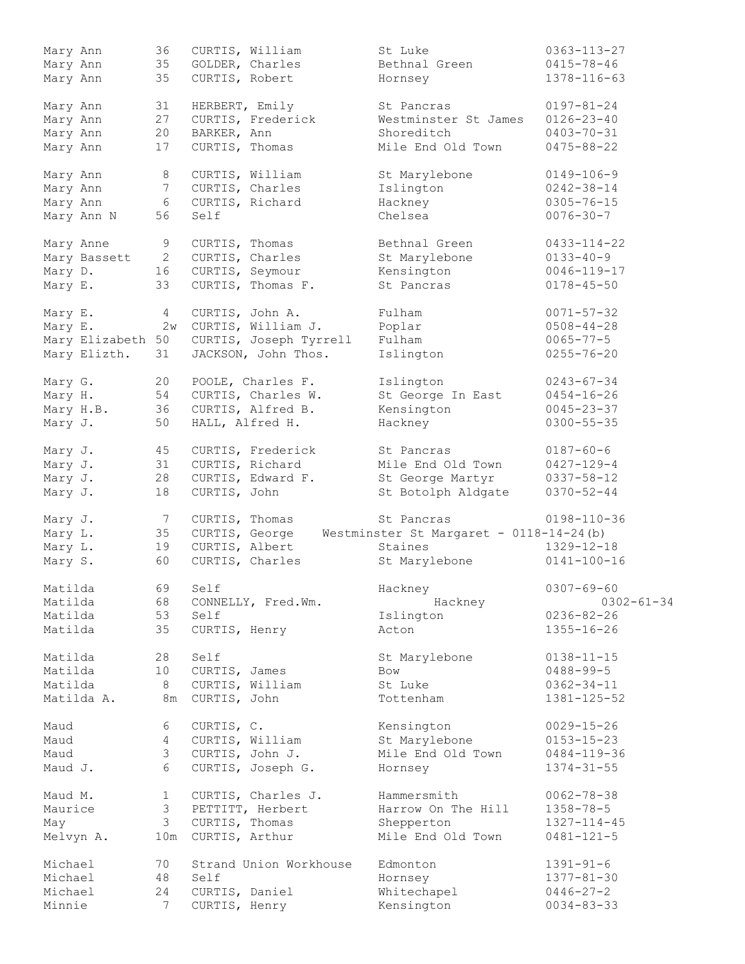| Mary Ann          | 36              | CURTIS, William        | St Luke                                                | $0363 - 113 - 27$ |
|-------------------|-----------------|------------------------|--------------------------------------------------------|-------------------|
| Mary Ann          | 35              | GOLDER, Charles        | Bethnal Green                                          | $0415 - 78 - 46$  |
| Mary Ann          | 35              | CURTIS, Robert         | Hornsey                                                | 1378-116-63       |
| Mary Ann          | 31              | HERBERT, Emily         | St Pancras                                             | $0197 - 81 - 24$  |
| Mary Ann          | 27              | CURTIS, Frederick      | Westminster St James                                   | $0126 - 23 - 40$  |
| Mary Ann          | 20              | BARKER, Ann            | Shoreditch                                             | $0403 - 70 - 31$  |
| Mary Ann          | 17              | CURTIS, Thomas         | Mile End Old Town                                      | $0475 - 88 - 22$  |
| Mary Ann          | 8               | CURTIS, William        | St Marylebone                                          | $0149 - 106 - 9$  |
| Mary Ann          | $7\phantom{.}$  | CURTIS, Charles        | Islington                                              | $0242 - 38 - 14$  |
| Mary Ann          | 6               | CURTIS, Richard        | Hackney                                                | $0305 - 76 - 15$  |
| Mary Ann N        | 56              | Self                   | Chelsea                                                | $0076 - 30 - 7$   |
| Mary Anne         | 9               | CURTIS, Thomas         | Bethnal Green                                          | $0433 - 114 - 22$ |
| Mary Bassett      | $\mathbf{2}$    | CURTIS, Charles        | St Marylebone                                          | $0133 - 40 - 9$   |
| Mary D.           | 16              | CURTIS, Seymour        | Kensington                                             | $0046 - 119 - 17$ |
| Mary E.           | 33              | CURTIS, Thomas F.      | St Pancras                                             | $0178 - 45 - 50$  |
| Mary E.           | $4\overline{ }$ | CURTIS, John A.        | Fulham                                                 | $0071 - 57 - 32$  |
| Mary E.           | 2w              | CURTIS, William J.     | Poplar                                                 | $0508 - 44 - 28$  |
| Mary Elizabeth 50 |                 | CURTIS, Joseph Tyrrell | Fulham                                                 | $0065 - 77 - 5$   |
| Mary Elizth.      | 31              | JACKSON, John Thos.    | Islington                                              | $0255 - 76 - 20$  |
| Mary G.           | 20              | POOLE, Charles F.      | Islington                                              | $0243 - 67 - 34$  |
| Mary H.           | 54              | CURTIS, Charles W.     | St George In East                                      | $0454 - 16 - 26$  |
| Mary H.B.         | 36              | CURTIS, Alfred B.      | Kensington                                             | $0045 - 23 - 37$  |
| Mary J.           | 50              | HALL, Alfred H.        | Hackney                                                | $0300 - 55 - 35$  |
| Mary J.           | 45              | CURTIS, Frederick      | St Pancras                                             | $0187 - 60 - 6$   |
| Mary J.           | 31              | CURTIS, Richard        | Mile End Old Town                                      | $0427 - 129 - 4$  |
| Mary J.           | 28              | CURTIS, Edward F.      | St George Martyr                                       | $0337 - 58 - 12$  |
| Mary J.           | 18              | CURTIS, John           | St Botolph Aldgate                                     | $0370 - 52 - 44$  |
| Mary J.           | 7               | CURTIS, Thomas         | St Pancras                                             | $0198 - 110 - 36$ |
| Mary L.           | 35              |                        | CURTIS, George Westminster St Margaret - 0118-14-24(b) |                   |
| Mary L.           | 19              | CURTIS, Albert         | Staines                                                | $1329 - 12 - 18$  |
| Mary S.           | 60              | CURTIS, Charles        | St Marylebone                                          | $0141 - 100 - 16$ |
| Matilda           | 69              | Self                   | Hackney                                                | $0307 - 69 - 60$  |
| Matilda           | 68              | CONNELLY, Fred.Wm.     | Hackney                                                | $0302 - 61 - 34$  |
| Matilda           | 53              | Self                   | Islington                                              | $0236 - 82 - 26$  |
| Matilda           | 35              | CURTIS, Henry          | Acton                                                  | $1355 - 16 - 26$  |
| Matilda           | 28              | Self                   | St Marylebone                                          | $0138 - 11 - 15$  |
| Matilda           | 10 <sub>1</sub> | CURTIS, James          | Bow                                                    | $0488 - 99 - 5$   |
| Matilda           | 8               | CURTIS, William        | St Luke                                                | $0362 - 34 - 11$  |
| Matilda A.        |                 | 8m CURTIS, John        | Tottenham                                              | 1381-125-52       |
| Maud              | 6               | CURTIS, C.             | Kensington                                             | $0029 - 15 - 26$  |
| Maud              | $4\degree$      | CURTIS, William        | St Marylebone                                          | $0153 - 15 - 23$  |
| Maud              | 3               | CURTIS, John J.        | Mile End Old Town                                      | $0484 - 119 - 36$ |
| Maud J.           | 6               | CURTIS, Joseph G.      | Hornsey                                                | $1374 - 31 - 55$  |
| Maud M.           | $\mathbf{1}$    | CURTIS, Charles J.     | Hammersmith                                            | $0062 - 78 - 38$  |
| Maurice           | 3 <sup>7</sup>  | PETTITT, Herbert       | Harrow On The Hill                                     | $1358 - 78 - 5$   |
| May               | 3 <sup>7</sup>  | CURTIS, Thomas         | Shepperton                                             | 1327-114-45       |
| Melvyn A.         | 10m             | CURTIS, Arthur         | Mile End Old Town                                      | $0481 - 121 - 5$  |
| Michael           | 70              | Strand Union Workhouse | Edmonton                                               | $1391 - 91 - 6$   |
| Michael           | 48              | Self                   | Hornsey                                                | $1377 - 81 - 30$  |
| Michael           | 24              | CURTIS, Daniel         | Whitechapel                                            | $0446 - 27 - 2$   |
| Minnie            | 7               | CURTIS, Henry          | Kensington                                             | $0034 - 83 - 33$  |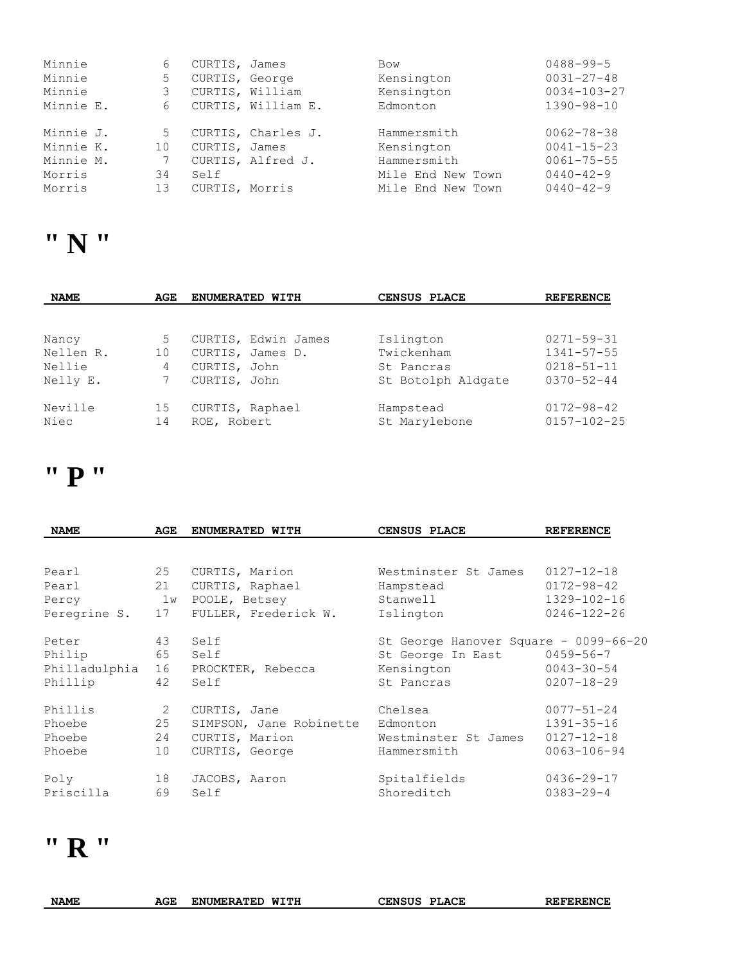| Minnie    | 6  | CURTIS, James   |                    | Bow               | $0488 - 99 - 5$   |
|-----------|----|-----------------|--------------------|-------------------|-------------------|
| Minnie    | 5  | CURTIS, George  |                    | Kensington        | $0031 - 27 - 48$  |
| Minnie    |    | CURTIS, William |                    | Kensington        | $0034 - 103 - 27$ |
| Minnie E. | 6  |                 | CURTIS, William E. | Edmonton          | $1390 - 98 - 10$  |
| Minnie J. | 5  |                 | CURTIS, Charles J. | Hammersmith       | $0062 - 78 - 38$  |
| Minnie K. | 10 | CURTIS, James   |                    | Kensington        | $0041 - 15 - 23$  |
| Minnie M. |    |                 | CURTIS, Alfred J.  | Hammersmith       | $0061 - 75 - 55$  |
| Morris    | 34 | Self            |                    | Mile End New Town | $0440 - 42 - 9$   |
| Morris    | 13 | CURTIS, Morris  |                    | Mile End New Town | $0440 - 42 - 9$   |

### **" N "**

| <b>NAME</b> | AGE | ENUMERATED WITH     | CENSUS PLACE       | <b>REFERENCE</b>  |
|-------------|-----|---------------------|--------------------|-------------------|
|             |     |                     |                    |                   |
| Nancy       | 5   | CURTIS, Edwin James | Islington          | $0271 - 59 - 31$  |
| Nellen R.   | 10  | CURTIS, James D.    | Twickenham         | $1341 - 57 - 55$  |
| Nellie      | 4   | CURTIS, John        | St Pancras         | $0218 - 51 - 11$  |
| Nelly E.    |     | CURTIS, John        | St Botolph Aldgate | $0370 - 52 - 44$  |
| Neville     | 15  | CURTIS, Raphael     | Hampstead          | $0172 - 98 - 42$  |
| Niec        | 14  | ROE, Robert         | St Marylebone      | $0157 - 102 - 25$ |

#### **" P "**

| <b>NAME</b>   | AGE | ENUMERATED WITH         | CENSUS PLACE                          | <b>REFERENCE</b>  |
|---------------|-----|-------------------------|---------------------------------------|-------------------|
|               |     |                         |                                       |                   |
| Pearl         | 25  | CURTIS, Marion          | Westminster St James                  | $0127 - 12 - 18$  |
| Pearl         | 21  | CURTIS, Raphael         | Hampstead                             | $0172 - 98 - 42$  |
| Percy         | 1w  | POOLE, Betsey           | Stanwell                              | $1329 - 102 - 16$ |
| Peregrine S.  | 17  | FULLER, Frederick W.    | Islington                             | $0246 - 122 - 26$ |
| Peter         | 43  | Self                    | St George Hanover Square - 0099-66-20 |                   |
| Philip        | 65  | Self                    | St George In East                     | $0459 - 56 - 7$   |
| Philladulphia | 16  | PROCKTER, Rebecca       | Kensington                            | $0043 - 30 - 54$  |
| Phillip       | 42  | Self                    | St Pancras                            | $0207 - 18 - 29$  |
| Phillis       | 2   | CURTIS, Jane            | Chelsea                               | $0077 - 51 - 24$  |
| Phoebe        | 25  | SIMPSON, Jane Robinette | Edmonton                              | $1391 - 35 - 16$  |
| Phoebe        | 24  | CURTIS, Marion          | Westminster St James                  | $0127 - 12 - 18$  |
| Phoebe        | 10  | CURTIS, George          | Hammersmith                           | $0063 - 106 - 94$ |
| Poly          | 18  | JACOBS, Aaron           | Spitalfields                          | $0436 - 29 - 17$  |
| Priscilla     | 69  | Self                    | Shoreditch                            | $0383 - 29 - 4$   |

### **" R "**

| <b>NAME</b> | AGE | <b>ENUMERATED</b> | WITH | CENSUS | <b>PLACE</b> | <b>REFERENCE</b> |
|-------------|-----|-------------------|------|--------|--------------|------------------|
|             |     |                   |      |        |              |                  |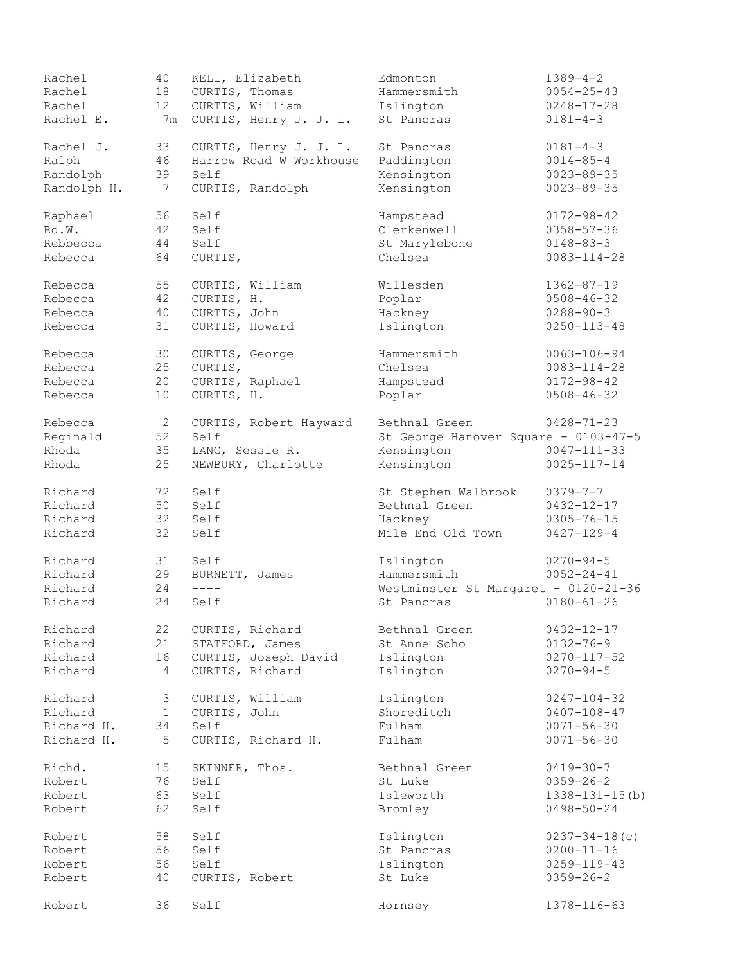| Rachel      | 40              | KELL, Elizabeth         | Edmonton                             | $1389 - 4 - 2$        |
|-------------|-----------------|-------------------------|--------------------------------------|-----------------------|
| Rachel      | 18              | CURTIS, Thomas          | Hammersmith                          | $0054 - 25 - 43$      |
| Rachel      | 12 <sup>°</sup> | CURTIS, William         | Islington                            | $0248 - 17 - 28$      |
| Rachel E.   | 7m              | CURTIS, Henry J. J. L.  | St Pancras                           | $0181 - 4 - 3$        |
| Rachel J.   | 33              | CURTIS, Henry J. J. L.  | St Pancras                           | $0181 - 4 - 3$        |
| Ralph       | 46              | Harrow Road W Workhouse | Paddington                           | $0014 - 85 - 4$       |
| Randolph    | 39              | Self                    | Kensington                           | $0023 - 89 - 35$      |
| Randolph H. | 7               | CURTIS, Randolph        | Kensington                           | $0023 - 89 - 35$      |
| Raphael     | 56              | Self                    | Hampstead                            | $0172 - 98 - 42$      |
| Rd.W.       | 42              | Self                    | Clerkenwell                          | $0358 - 57 - 36$      |
| Rebbecca    | 44              | Self                    | St Marylebone                        | $0148 - 83 - 3$       |
| Rebecca     | 64              | CURTIS,                 | Chelsea                              | $0083 - 114 - 28$     |
| Rebecca     | 55              | CURTIS, William         | Willesden                            | $1362 - 87 - 19$      |
| Rebecca     | 42              | CURTIS, H.              | Poplar                               | $0508 - 46 - 32$      |
| Rebecca     | 40              | CURTIS, John            | Hackney                              | $0288 - 90 - 3$       |
|             |                 |                         |                                      |                       |
| Rebecca     | 31              | CURTIS, Howard          | Islington                            | $0250 - 113 - 48$     |
| Rebecca     | 30              | CURTIS, George          | Hammersmith                          | $0063 - 106 - 94$     |
| Rebecca     | 25              | CURTIS,                 | Chelsea                              | $0083 - 114 - 28$     |
| Rebecca     | 20              | CURTIS, Raphael         | Hampstead                            | $0172 - 98 - 42$      |
| Rebecca     | 10              | CURTIS, H.              | Poplar                               | $0508 - 46 - 32$      |
| Rebecca     | 2               | CURTIS, Robert Hayward  | Bethnal Green                        | $0428 - 71 - 23$      |
| Reginald    | 52              | Self                    | St George Hanover Square - 0103-47-5 |                       |
| Rhoda       | 35              | LANG, Sessie R.         | Kensington                           | $0047 - 111 - 33$     |
| Rhoda       | 25              | NEWBURY, Charlotte      | Kensington                           | $0025 - 117 - 14$     |
| Richard     | 72              | Self                    | St Stephen Walbrook                  | $0379 - 7 - 7$        |
| Richard     | 50              | Self                    | Bethnal Green                        | $0432 - 12 - 17$      |
| Richard     | 32              | Self                    | Hackney                              | $0305 - 76 - 15$      |
| Richard     | 32              | Self                    | Mile End Old Town                    | $0427 - 129 - 4$      |
|             |                 |                         |                                      |                       |
| Richard     | 31              | Self                    | Islington                            | $0270 - 94 - 5$       |
| Richard     | 29              | BURNETT, James          | Hammersmith                          | $0052 - 24 - 41$      |
| Richard     | 24              | $\qquad \qquad - - -$   | Westminster St Margaret - 0120-21-36 |                       |
| Richard     | 24              | Self                    | St Pancras                           | $0180 - 61 - 26$      |
| Richard     | 22              | CURTIS, Richard         | Bethnal Green                        | $0432 - 12 - 17$      |
| Richard     | 21              | STATFORD, James         | St Anne Soho                         | $0132 - 76 - 9$       |
| Richard     | 16              | CURTIS, Joseph David    | Islington                            | $0270 - 117 - 52$     |
| Richard     | 4               | CURTIS, Richard         | Islington                            | $0270 - 94 - 5$       |
| Richard     | 3               | CURTIS, William         | Islington                            | $0247 - 104 - 32$     |
| Richard     | $\mathbf{1}$    | CURTIS, John            | Shoreditch                           | $0407 - 108 - 47$     |
| Richard H.  | 34              | Self                    | Fulham                               | $0071 - 56 - 30$      |
| Richard H.  | 5               | CURTIS, Richard H.      | Fulham                               | $0071 - 56 - 30$      |
| Richd.      | 15              | SKINNER, Thos.          | Bethnal Green                        | $0419 - 30 - 7$       |
| Robert      | 76              | Self                    | St Luke                              | $0359 - 26 - 2$       |
| Robert      | 63              | Self                    | Isleworth                            | $1338 - 131 - 15$ (b) |
| Robert      | 62              | Self                    | Bromley                              | $0498 - 50 - 24$      |
|             |                 |                         |                                      |                       |
| Robert      | 58              | Self                    | Islington                            | $0237 - 34 - 18$ (c)  |
| Robert      | 56              | Self                    | St Pancras                           | $0200 - 11 - 16$      |
| Robert      | 56              | Self                    | Islington                            | $0259 - 119 - 43$     |
| Robert      | 40              | CURTIS, Robert          | St Luke                              | $0359 - 26 - 2$       |
| Robert      | 36              | Self                    | Hornsey                              | 1378-116-63           |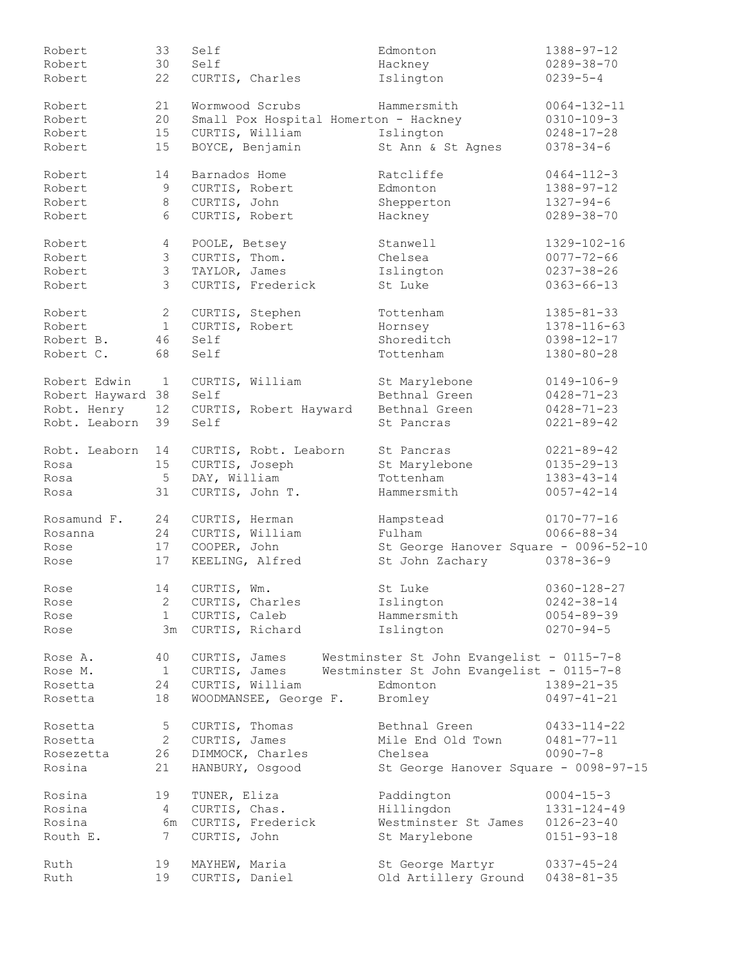| Robert         | 33             | Self                                  | Edmonton                                                | $1388 - 97 - 12$  |
|----------------|----------------|---------------------------------------|---------------------------------------------------------|-------------------|
| Robert         | 30             | Self                                  | Hackney                                                 | $0289 - 38 - 70$  |
| Robert         | 22             | CURTIS, Charles                       | Islington                                               | $0239 - 5 - 4$    |
| Robert         | 21             | Wormwood Scrubs                       | Hammersmith                                             | $0064 - 132 - 11$ |
| Robert         | 20             | Small Pox Hospital Homerton - Hackney |                                                         | $0310 - 109 - 3$  |
| Robert         | 15             | CURTIS, William                       | Islington                                               | $0248 - 17 - 28$  |
| Robert         | 15             | BOYCE, Benjamin                       | St Ann & St Agnes                                       | $0378 - 34 - 6$   |
| Robert         | 14             | Barnados Home                         | Ratcliffe                                               | $0464 - 112 - 3$  |
| Robert         | 9              | CURTIS, Robert                        | Edmonton                                                | $1388 - 97 - 12$  |
| Robert         | $\,8\,$        | CURTIS, John                          | Shepperton                                              | $1327 - 94 - 6$   |
| Robert         | 6              | CURTIS, Robert                        | Hackney                                                 | $0289 - 38 - 70$  |
| Robert         | 4              | POOLE, Betsey                         | Stanwell                                                | $1329 - 102 - 16$ |
| Robert         | 3              | CURTIS, Thom.                         | Chelsea                                                 | $0077 - 72 - 66$  |
| Robert         | $\mathcal{S}$  | TAYLOR, James                         | Islington                                               | $0237 - 38 - 26$  |
| Robert         | $\mathcal{E}$  | CURTIS, Frederick                     | St Luke                                                 | $0363 - 66 - 13$  |
| Robert         | $\mathbf{2}$   | CURTIS, Stephen                       | Tottenham                                               | $1385 - 81 - 33$  |
| Robert         | $\mathbf{1}$   | CURTIS, Robert                        | Hornsey                                                 | 1378-116-63       |
| Robert B.      | 46             | Self                                  | Shoreditch                                              | $0398 - 12 - 17$  |
| Robert C.      | 68             | Self                                  | Tottenham                                               | $1380 - 80 - 28$  |
| Robert Edwin   | $\mathbf{1}$   | CURTIS, William                       | St Marylebone                                           | $0149 - 106 - 9$  |
| Robert Hayward | 38             | Self                                  | Bethnal Green                                           | $0428 - 71 - 23$  |
| Robt. Henry    | 12             | CURTIS, Robert Hayward                | Bethnal Green                                           | $0428 - 71 - 23$  |
| Robt. Leaborn  | 39             | Self                                  | St Pancras                                              | $0221 - 89 - 42$  |
| Robt. Leaborn  | 14             | CURTIS, Robt. Leaborn                 | St Pancras                                              | $0221 - 89 - 42$  |
| Rosa           | 15             | CURTIS, Joseph                        | St Marylebone                                           | $0135 - 29 - 13$  |
| Rosa           | 5              | DAY, William                          | Tottenham                                               | $1383 - 43 - 14$  |
| Rosa           | 31             | CURTIS, John T.                       | Hammersmith                                             | $0057 - 42 - 14$  |
| Rosamund F.    | 24             | CURTIS, Herman                        | Hampstead                                               | $0170 - 77 - 16$  |
| Rosanna        | 24             | CURTIS, William                       | Fulham                                                  | $0066 - 88 - 34$  |
| Rose           | 17             | COOPER, John                          | St George Hanover Square - 0096-52-10                   |                   |
| Rose           | 17             | KEELING, Alfred                       | St John Zachary                                         | $0378 - 36 - 9$   |
| Rose           | 14             | CURTIS, Wm.                           | St Luke                                                 | $0360 - 128 - 27$ |
| Rose           | 2              | CURTIS, Charles                       | Islington                                               | $0242 - 38 - 14$  |
| Rose           | 1              | CURTIS, Caleb                         | Hammersmith                                             | $0054 - 89 - 39$  |
| Rose           |                | 3m CURTIS, Richard                    | Islington                                               | $0270 - 94 - 5$   |
| Rose A.        | 40             |                                       | CURTIS, James Westminster St John Evangelist - 0115-7-8 |                   |
| Rose M.        | $\overline{1}$ | CURTIS, James                         | Westminster St John Evangelist - 0115-7-8               |                   |
| Rosetta        | 24             | CURTIS, William                       | Edmonton                                                | $1389 - 21 - 35$  |
| Rosetta        | 18             | WOODMANSEE, George F. Bromley         |                                                         | $0497 - 41 - 21$  |
| Rosetta        | 5              | CURTIS, Thomas                        | Bethnal Green                                           | 0433-114-22       |
| Rosetta        | $\overline{2}$ | CURTIS, James                         | Mile End Old Town                                       | 0481-77-11        |
| Rosezetta      | 26             | DIMMOCK, Charles                      | Chelsea                                                 | $0090 - 7 - 8$    |
| Rosina         | 21             | HANBURY, Osgood                       | St George Hanover Square - 0098-97-15                   |                   |
| Rosina         | 19             | TUNER, Eliza                          | Paddington                                              | $0004 - 15 - 3$   |
| Rosina         | 4              | CURTIS, Chas.                         | Hillingdon                                              | 1331-124-49       |
| Rosina         |                | 6m CURTIS, Frederick                  | Westminster St James                                    | $0126 - 23 - 40$  |
| Routh E.       | $7\phantom{0}$ | CURTIS, John                          | St Marylebone                                           | $0151 - 93 - 18$  |
| Ruth           | 19             | MAYHEW, Maria                         | St George Martyr                                        | $0337 - 45 - 24$  |
| Ruth           | 19             | CURTIS, Daniel                        | Old Artillery Ground                                    | $0438 - 81 - 35$  |
|                |                |                                       |                                                         |                   |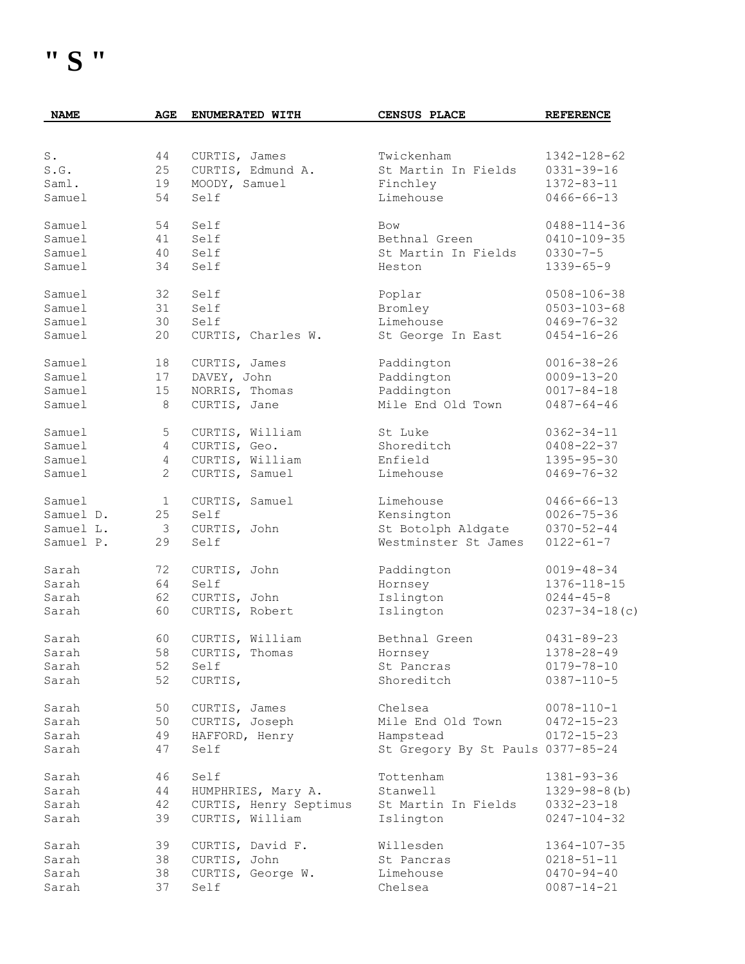| <b>NAME</b> | AGE            | ENUMERATED WITH        | CENSUS PLACE                      | <b>REFERENCE</b>     |
|-------------|----------------|------------------------|-----------------------------------|----------------------|
|             |                |                        |                                   |                      |
| S.          | 44             | CURTIS, James          | Twickenham                        | 1342-128-62          |
| S.G.        | 25             | CURTIS, Edmund A.      | St Martin In Fields               | $0331 - 39 - 16$     |
| Saml.       | 19             | MOODY, Samuel          | Finchley                          | $1372 - 83 - 11$     |
|             |                |                        |                                   |                      |
| Samuel      | 54             | Self                   | Limehouse                         | $0466 - 66 - 13$     |
| Samuel      | 54             | Self                   | Bow                               | $0488 - 114 - 36$    |
| Samuel      | 41             | Self                   | Bethnal Green                     | $0410 - 109 - 35$    |
| Samuel      | 40             | Self                   | St Martin In Fields               | $0330 - 7 - 5$       |
| Samuel      | 34             | Self                   | Heston                            | $1339 - 65 - 9$      |
| Samuel      | 32             | Self                   | Poplar                            | $0508 - 106 - 38$    |
| Samuel      | 31             | Self                   | Bromley                           | $0503 - 103 - 68$    |
| Samuel      | 30             | Self                   | Limehouse                         | $0469 - 76 - 32$     |
| Samuel      | 20             | CURTIS, Charles W.     | St George In East                 | $0454 - 16 - 26$     |
|             |                |                        |                                   |                      |
| Samuel      | 18             | CURTIS, James          | Paddington                        | $0016 - 38 - 26$     |
| Samuel      | 17             | DAVEY, John            | Paddington                        | $0009 - 13 - 20$     |
| Samuel      | 15             | NORRIS, Thomas         | Paddington                        | $0017 - 84 - 18$     |
| Samuel      | 8              | CURTIS, Jane           | Mile End Old Town                 | $0487 - 64 - 46$     |
| Samuel      | 5              | CURTIS, William        | St Luke                           | $0362 - 34 - 11$     |
| Samuel      | $\overline{4}$ | CURTIS, Geo.           | Shoreditch                        | $0408 - 22 - 37$     |
| Samuel      | $\overline{4}$ | CURTIS, William        | Enfield                           | $1395 - 95 - 30$     |
| Samuel      | $\mathbf{2}$   | CURTIS, Samuel         | Limehouse                         | $0469 - 76 - 32$     |
| Samuel      | $\mathbf{1}$   | CURTIS, Samuel         | Limehouse                         | $0466 - 66 - 13$     |
| Samuel D.   | 25             | Self                   | Kensington                        | $0026 - 75 - 36$     |
| Samuel L.   | 3              | CURTIS, John           | St Botolph Aldgate                | $0370 - 52 - 44$     |
| Samuel P.   | 29             | Self                   | Westminster St James              | $0122 - 61 - 7$      |
|             |                |                        |                                   |                      |
| Sarah       | 72             | CURTIS, John           | Paddington                        | $0019 - 48 - 34$     |
| Sarah       | 64             | Self                   | Hornsey                           | 1376-118-15          |
| Sarah       | 62             | CURTIS, John           | Islington                         | $0244 - 45 - 8$      |
| Sarah       | 60             | CURTIS, Robert         | Islington                         | $0237 - 34 - 18$ (c) |
| Sarah       | 60             | CURTIS, William        | Bethnal Green                     | $0431 - 89 - 23$     |
| Sarah       |                | 58 CURTIS, Thomas      | Hornsey                           | $1378 - 28 - 49$     |
| Sarah       | 52             | Self                   | St Pancras                        | $0179 - 78 - 10$     |
| Sarah       | 52             | CURTIS,                | Shoreditch                        | $0387 - 110 - 5$     |
| Sarah       | 50             | CURTIS, James          | Chelsea                           | $0078 - 110 - 1$     |
| Sarah       | 50             | CURTIS, Joseph         | Mile End Old Town                 | $0472 - 15 - 23$     |
| Sarah       | 49             | HAFFORD, Henry         | Hampstead                         | $0172 - 15 - 23$     |
| Sarah       | 47             | Self                   | St Gregory By St Pauls 0377-85-24 |                      |
|             |                | Self                   |                                   |                      |
| Sarah       | 46             |                        | Tottenham                         | $1381 - 93 - 36$     |
| Sarah       | 44             | HUMPHRIES, Mary A.     | Stanwell                          | $1329 - 98 - 8$ (b)  |
| Sarah       | 42             | CURTIS, Henry Septimus | St Martin In Fields               | $0332 - 23 - 18$     |
| Sarah       | 39             | CURTIS, William        | Islington                         | $0247 - 104 - 32$    |
| Sarah       | 39             | CURTIS, David F.       | Willesden                         | $1364 - 107 - 35$    |
| Sarah       | 38             | CURTIS, John           | St Pancras                        | $0218 - 51 - 11$     |
| Sarah       | 38             | CURTIS, George W.      | Limehouse                         | $0470 - 94 - 40$     |
| Sarah       | 37             | Self                   | Chelsea                           | $0087 - 14 - 21$     |
|             |                |                        |                                   |                      |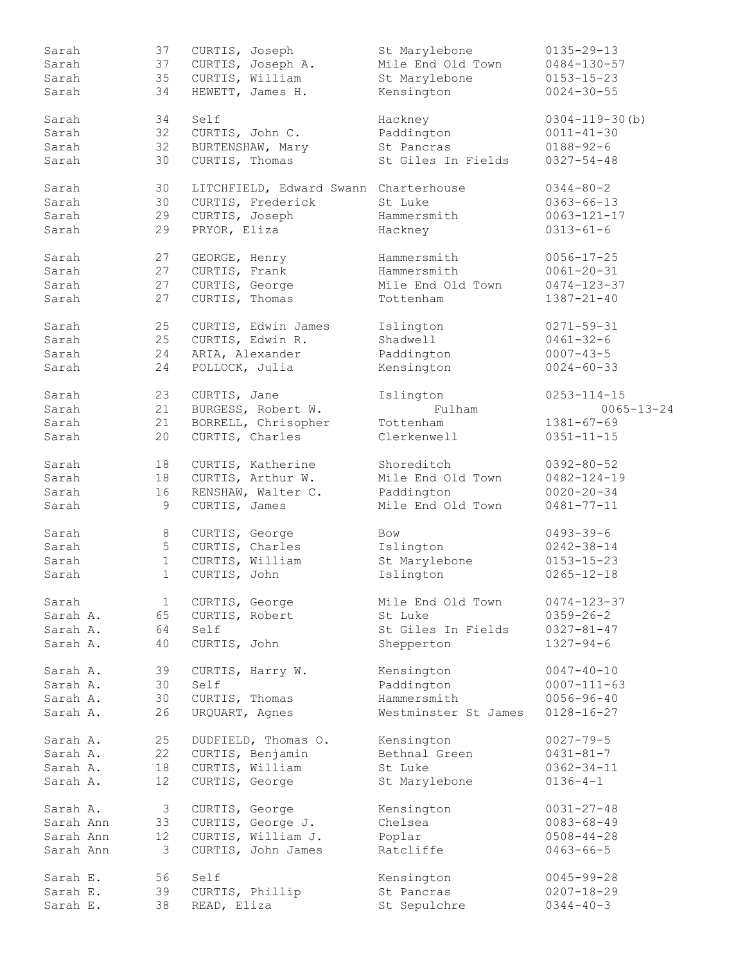| Sarah     | 37              | CURTIS, Joseph                        | St Marylebone        | $0135 - 29 - 13$      |
|-----------|-----------------|---------------------------------------|----------------------|-----------------------|
| Sarah     | 37              | CURTIS, Joseph A.                     | Mile End Old Town    | $0484 - 130 - 57$     |
| Sarah     | 35              | CURTIS, William                       | St Marylebone        | $0153 - 15 - 23$      |
| Sarah     | 34              | HEWETT, James H.                      | Kensington           | $0024 - 30 - 55$      |
|           |                 |                                       |                      |                       |
| Sarah     | 34              | Self                                  | Hackney              | $0304 - 119 - 30$ (b) |
| Sarah     | 32              | CURTIS, John C.                       | Paddington           | $0011 - 41 - 30$      |
| Sarah     | 32              | BURTENSHAW, Mary                      | St Pancras           | $0188 - 92 - 6$       |
|           |                 |                                       |                      |                       |
| Sarah     | 30              | CURTIS, Thomas                        | St Giles In Fields   | $0327 - 54 - 48$      |
| Sarah     | 30              | LITCHFIELD, Edward Swann Charterhouse |                      | $0344 - 80 - 2$       |
| Sarah     | 30              | CURTIS, Frederick                     | St Luke              | $0363 - 66 - 13$      |
|           |                 |                                       |                      |                       |
| Sarah     | 29              | CURTIS, Joseph                        | Hammersmith          | $0063 - 121 - 17$     |
| Sarah     | 29              | PRYOR, Eliza                          | Hackney              | $0313 - 61 - 6$       |
| Sarah     | 27              | GEORGE, Henry                         | Hammersmith          | $0056 - 17 - 25$      |
| Sarah     | 27              | CURTIS, Frank                         | Hammersmith          | $0061 - 20 - 31$      |
| Sarah     |                 |                                       |                      |                       |
|           | 27              | CURTIS, George                        | Mile End Old Town    | $0474 - 123 - 37$     |
| Sarah     | 27              | CURTIS, Thomas                        | Tottenham            | $1387 - 21 - 40$      |
| Sarah     | 25              | CURTIS, Edwin James                   | Islington            | $0271 - 59 - 31$      |
| Sarah     | 25              | CURTIS, Edwin R.                      | Shadwell             | $0461 - 32 - 6$       |
| Sarah     | 24              | ARIA, Alexander                       | Paddington           | $0007 - 43 - 5$       |
|           |                 |                                       |                      |                       |
| Sarah     | 24              | POLLOCK, Julia                        | Kensington           | $0024 - 60 - 33$      |
| Sarah     | 23              | CURTIS, Jane                          | Islington            | $0253 - 114 - 15$     |
| Sarah     | 21              | BURGESS, Robert W.                    | Fulham               | $0065 - 13 - 24$      |
| Sarah     | 21              | BORRELL, Chrisopher                   | Tottenham            | $1381 - 67 - 69$      |
|           |                 |                                       |                      |                       |
| Sarah     | 20              | CURTIS, Charles                       | Clerkenwell          | $0351 - 11 - 15$      |
| Sarah     | 18              | CURTIS, Katherine                     | Shoreditch           | $0392 - 80 - 52$      |
| Sarah     | 18              | CURTIS, Arthur W.                     | Mile End Old Town    | $0482 - 124 - 19$     |
| Sarah     | 16              | RENSHAW, Walter C.                    | Paddington           | $0020 - 20 - 34$      |
|           |                 |                                       |                      |                       |
| Sarah     | 9               | CURTIS, James                         | Mile End Old Town    | $0481 - 77 - 11$      |
| Sarah     | 8               | CURTIS, George                        | Bow                  | $0493 - 39 - 6$       |
| Sarah     | 5               | CURTIS, Charles                       | Islington            | $0242 - 38 - 14$      |
| Sarah     |                 | CURTIS, William                       |                      | $0153 - 15 - 23$      |
|           | $\mathbf{1}$    |                                       | St Marylebone        |                       |
| Sarah     | $\mathbf{1}$    | CURTIS, John                          | Islington            | $0265 - 12 - 18$      |
| Sarah     | 1               | CURTIS, George                        | Mile End Old Town    | $0474 - 123 - 37$     |
| Sarah A.  | 65              | CURTIS, Robert                        | St Luke              | $0359 - 26 - 2$       |
| Sarah A.  | 64              | Self                                  | St Giles In Fields   | $0327 - 81 - 47$      |
|           |                 |                                       |                      |                       |
| Sarah A.  | 40              | CURTIS, John                          | Shepperton           | $1327 - 94 - 6$       |
| Sarah A.  | 39              | CURTIS, Harry W.                      | Kensington           | $0047 - 40 - 10$      |
| Sarah A.  | 30              | Self                                  | Paddington           | $0007 - 111 - 63$     |
| Sarah A.  | 30              | CURTIS, Thomas                        | Hammersmith          | $0056 - 96 - 40$      |
| Sarah A.  | 26              | URQUART, Agnes                        | Westminster St James | $0128 - 16 - 27$      |
|           |                 |                                       |                      |                       |
| Sarah A.  | 25              | DUDFIELD, Thomas O.                   | Kensington           | $0027 - 79 - 5$       |
| Sarah A.  | 22              | CURTIS, Benjamin                      | Bethnal Green        | $0431 - 81 - 7$       |
| Sarah A.  | 18              | CURTIS, William                       | St Luke              | $0362 - 34 - 11$      |
| Sarah A.  | 12              | CURTIS, George                        | St Marylebone        | $0136 - 4 - 1$        |
|           |                 |                                       |                      |                       |
| Sarah A.  | 3               | CURTIS, George                        | Kensington           | $0031 - 27 - 48$      |
| Sarah Ann | 33              | CURTIS, George J.                     | Chelsea              | $0083 - 68 - 49$      |
| Sarah Ann | 12 <sup>°</sup> | CURTIS, William J.                    | Poplar               | $0508 - 44 - 28$      |
| Sarah Ann | 3               | CURTIS, John James                    | Ratcliffe            | $0463 - 66 - 5$       |
|           |                 |                                       |                      |                       |
| Sarah E.  | 56              | Self                                  | Kensington           | $0045 - 99 - 28$      |
| Sarah E.  | 39              | CURTIS, Phillip                       | St Pancras           | $0207 - 18 - 29$      |
| Sarah E.  | 38              | READ, Eliza                           | St Sepulchre         | $0344 - 40 - 3$       |
|           |                 |                                       |                      |                       |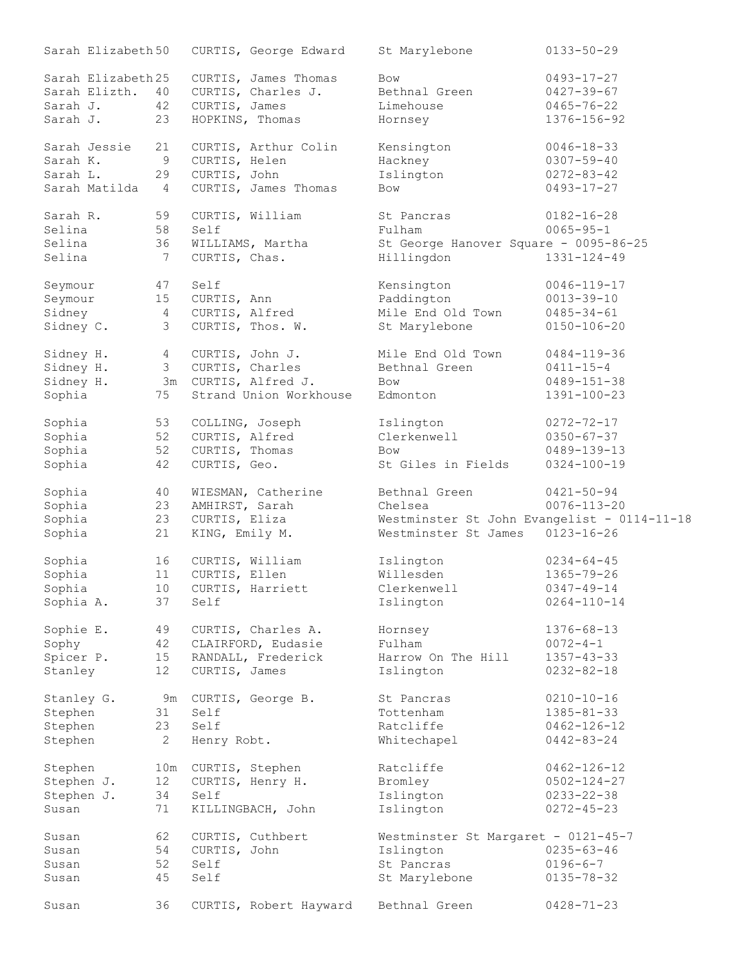| Sarah Elizabeth 50 |                       | CURTIS, George Edward  | St Marylebone                               | $0133 - 50 - 29$  |
|--------------------|-----------------------|------------------------|---------------------------------------------|-------------------|
| Sarah Elizabeth 25 |                       | CURTIS, James Thomas   | Bow                                         | $0493 - 17 - 27$  |
| Sarah Elizth.      | 40                    | CURTIS, Charles J.     | Bethnal Green                               | $0427 - 39 - 67$  |
| Sarah J.           | 42                    | CURTIS, James          | Limehouse                                   | $0465 - 76 - 22$  |
| Sarah J.           | 23                    | HOPKINS, Thomas        | Hornsey                                     | 1376-156-92       |
| Sarah Jessie       | 21                    | CURTIS, Arthur Colin   | Kensington                                  | $0046 - 18 - 33$  |
| Sarah K.           | 9                     | CURTIS, Helen          | Hackney                                     | $0307 - 59 - 40$  |
| Sarah L.           | 29                    | CURTIS, John           | Islington                                   | $0272 - 83 - 42$  |
|                    |                       |                        |                                             |                   |
| Sarah Matilda      | 4                     | CURTIS, James Thomas   | <b>Bow</b>                                  | $0493 - 17 - 27$  |
| Sarah R.           | 59                    | CURTIS, William        | St Pancras                                  | $0182 - 16 - 28$  |
| Selina             | 58                    | Self                   | Fulham                                      | $0065 - 95 - 1$   |
| Selina             | 36                    | WILLIAMS, Martha       | St George Hanover Square - 0095-86-25       |                   |
| Selina             | 7                     | CURTIS, Chas.          | Hillingdon                                  | $1331 - 124 - 49$ |
| Seymour            | 47                    | Self                   | Kensington                                  | $0046 - 119 - 17$ |
| Seymour            | 15                    | CURTIS, Ann            | Paddington                                  | $0013 - 39 - 10$  |
| Sidney             | 4                     | CURTIS, Alfred         | Mile End Old Town                           | $0485 - 34 - 61$  |
| Sidney C.          | 3                     | CURTIS, Thos. W.       | St Marylebone                               | $0150 - 106 - 20$ |
|                    |                       |                        |                                             |                   |
| Sidney H.          | 4                     | CURTIS, John J.        | Mile End Old Town                           | $0484 - 119 - 36$ |
| Sidney H.          | 3                     | CURTIS, Charles        | Bethnal Green                               | $0411 - 15 - 4$   |
| Sidney H.          |                       | 3m CURTIS, Alfred J.   | <b>Bow</b>                                  | $0489 - 151 - 38$ |
| Sophia             | 75                    | Strand Union Workhouse | Edmonton                                    | 1391-100-23       |
| Sophia             | 53                    | COLLING, Joseph        | Islington                                   | $0272 - 72 - 17$  |
| Sophia             | 52                    | CURTIS, Alfred         | Clerkenwell                                 | $0350 - 67 - 37$  |
| Sophia             | 52                    | CURTIS, Thomas         | <b>Bow</b>                                  | 0489-139-13       |
| Sophia             | 42                    | CURTIS, Geo.           | St Giles in Fields                          | $0324 - 100 - 19$ |
|                    |                       |                        |                                             |                   |
| Sophia             | 40                    | WIESMAN, Catherine     | Bethnal Green                               | $0421 - 50 - 94$  |
| Sophia             | 23                    | AMHIRST, Sarah         | Chelsea                                     | $0076 - 113 - 20$ |
| Sophia             | 23                    | CURTIS, Eliza          | Westminster St John Evangelist - 0114-11-18 |                   |
| Sophia             | 21                    | KING, Emily M.         | Westminster St James                        | $0123 - 16 - 26$  |
| Sophia             | 16                    | CURTIS, William        | Islington                                   | $0234 - 64 - 45$  |
| Sophia             | 11                    | CURTIS, Ellen          | Willesden                                   | $1365 - 79 - 26$  |
| Sophia             | 10 <sub>1</sub>       | CURTIS, Harriett       | Clerkenwell                                 | $0347 - 49 - 14$  |
| Sophia A.          | 37                    | Self                   | Islington                                   | $0264 - 110 - 14$ |
|                    |                       |                        |                                             |                   |
| Sophie E.          | 49                    | CURTIS, Charles A.     | Hornsey                                     | $1376 - 68 - 13$  |
| Sophy              | 42                    | CLAIRFORD, Eudasie     | Fulham                                      | $0072 - 4 - 1$    |
| Spicer P.          | 15                    | RANDALL, Frederick     | Harrow On The Hill                          | $1357 - 43 - 33$  |
| Stanley            | 12                    | CURTIS, James          | Islington                                   | $0232 - 82 - 18$  |
| Stanley G.         |                       | 9m CURTIS, George B.   | St Pancras                                  | $0210 - 10 - 16$  |
| Stephen            | 31                    | Self                   | Tottenham                                   | $1385 - 81 - 33$  |
| Stephen            | 23                    | Self                   | Ratcliffe                                   | $0462 - 126 - 12$ |
| Stephen            | $\mathbf{2}^{\prime}$ | Henry Robt.            | Whitechapel                                 | $0442 - 83 - 24$  |
|                    |                       |                        |                                             |                   |
| Stephen            |                       | 10m CURTIS, Stephen    | Ratcliffe                                   | $0462 - 126 - 12$ |
| Stephen J.         | 12                    | CURTIS, Henry H.       | Bromley                                     | $0502 - 124 - 27$ |
| Stephen J.         | 34                    | Self                   | Islington                                   | $0233 - 22 - 38$  |
| Susan              | 71                    | KILLINGBACH, John      | Islington                                   | $0272 - 45 - 23$  |
| Susan              | 62                    | CURTIS, Cuthbert       | Westminster St Margaret - 0121-45-7         |                   |
| Susan              | 54                    | CURTIS, John           | Islington                                   | $0235 - 63 - 46$  |
| Susan              | 52                    | Self                   | St Pancras                                  | $0196 - 6 - 7$    |
| Susan              | 45                    | Self                   | St Marylebone                               | $0135 - 78 - 32$  |
| Susan              | 36                    | CURTIS, Robert Hayward | Bethnal Green                               | $0428 - 71 - 23$  |
|                    |                       |                        |                                             |                   |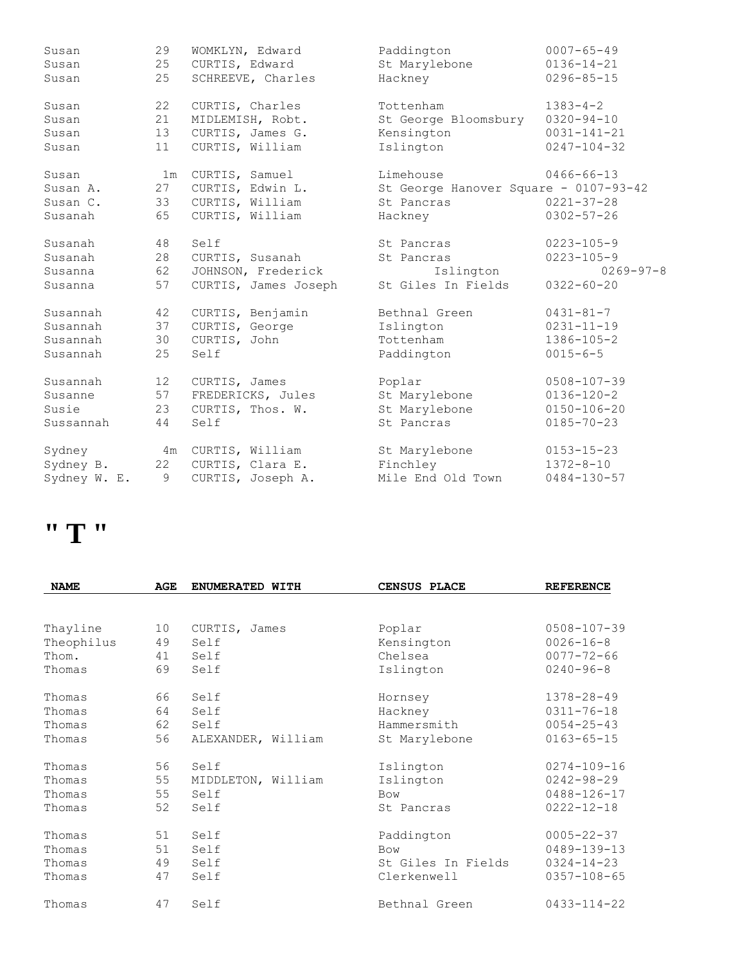| Susan        | 29              | WOMKLYN, Edward      | Paddington                            | $0007 - 65 - 49$  |
|--------------|-----------------|----------------------|---------------------------------------|-------------------|
| Susan        | 25              | CURTIS, Edward       | St Marylebone                         | $0136 - 14 - 21$  |
| Susan        | 25              | SCHREEVE, Charles    | Hackney                               | $0296 - 85 - 15$  |
| Susan        | 22              | CURTIS, Charles      | Tottenham                             | $1383 - 4 - 2$    |
| Susan        | 21              | MIDLEMISH, Robt.     | St George Bloomsbury                  | $0320 - 94 - 10$  |
| Susan        | 13              | CURTIS, James G.     | Kensington                            | $0031 - 141 - 21$ |
| Susan        | 11              | CURTIS, William      | Islington                             | $0247 - 104 - 32$ |
| Susan        | 1m              | CURTIS, Samuel       | Limehouse                             | $0466 - 66 - 13$  |
| Susan A.     | 27              | CURTIS, Edwin L.     | St George Hanover Square - 0107-93-42 |                   |
| Susan C.     | 33              | CURTIS, William      | St Pancras                            | $0221 - 37 - 28$  |
| Susanah      | 65              | CURTIS, William      | Hackney                               | $0302 - 57 - 26$  |
| Susanah      | 48              | Self                 | St Pancras                            | $0223 - 105 - 9$  |
| Susanah      | 28              | CURTIS, Susanah      | St Pancras                            | $0223 - 105 - 9$  |
| Susanna      | 62              | JOHNSON, Frederick   | Islington                             | $0269 - 97 - 8$   |
| Susanna      | 57              | CURTIS, James Joseph | St Giles In Fields                    | $0322 - 60 - 20$  |
| Susannah     | 42              | CURTIS, Benjamin     | Bethnal Green                         | $0431 - 81 - 7$   |
| Susannah     | 37              | CURTIS, George       | Islington                             | $0231 - 11 - 19$  |
| Susannah     | 30              | CURTIS, John         | Tottenham                             | $1386 - 105 - 2$  |
| Susannah     | 25              | Self                 | Paddington                            | $0015 - 6 - 5$    |
| Susannah     | 12 <sup>7</sup> | CURTIS, James        | Poplar                                | $0508 - 107 - 39$ |
| Susanne      | 57              | FREDERICKS, Jules    | St Marylebone                         | $0136 - 120 - 2$  |
| Susie        | 23              | CURTIS, Thos. W.     | St Marylebone                         | $0150 - 106 - 20$ |
| Sussannah    | 44              | Self                 | St. Pancras                           | $0185 - 70 - 23$  |
| Sydney       |                 | 4m CURTIS, William   | St Marylebone                         | $0153 - 15 - 23$  |
| Sydney B.    | 22              | CURTIS, Clara E.     | Finchley                              | $1372 - 8 - 10$   |
| Sydney W. E. | 9               | CURTIS, Joseph A.    | Mile End Old Town                     | $0484 - 130 - 57$ |

### **" T "**

| <b>NAME</b> | AGE | ENUMERATED WITH    | CENSUS PLACE       | <b>REFERENCE</b>  |
|-------------|-----|--------------------|--------------------|-------------------|
|             |     |                    |                    |                   |
| Thayline    | 10  | CURTIS, James      | Poplar             | $0508 - 107 - 39$ |
| Theophilus  | 49  | Self               | Kensington         | $0026 - 16 - 8$   |
| Thom.       | 41  | Self               | Chelsea            | $0077 - 72 - 66$  |
| Thomas      | 69  | Self               | Islington          | $0240 - 96 - 8$   |
| Thomas      | 66  | Self               | Hornsey            | $1378 - 28 - 49$  |
| Thomas      | 64  | Self               | Hackney            | $0311 - 76 - 18$  |
| Thomas      | 62  | Self               | Hammersmith        | $0054 - 25 - 43$  |
| Thomas      | 56  | ALEXANDER, William | St Marylebone      | $0163 - 65 - 15$  |
| Thomas      | 56  | Self               | Islington          | $0274 - 109 - 16$ |
| Thomas      | 55  | MIDDLETON, William | Islington          | $0242 - 98 - 29$  |
| Thomas      | 55  | Self               | <b>Bow</b>         | $0488 - 126 - 17$ |
| Thomas      | 52  | Self               | St Pancras         | $0222 - 12 - 18$  |
| Thomas      | 51  | Self               | Paddington         | $0005 - 22 - 37$  |
| Thomas      | 51  | Self               | <b>Bow</b>         | $0489 - 139 - 13$ |
| Thomas      | 49  | Self               | St Giles In Fields | $0324 - 14 - 23$  |
| Thomas      | 47  | Self               | Clerkenwell        | $0357 - 108 - 65$ |
| Thomas      | 47  | Self               | Bethnal Green      | $0433 - 114 - 22$ |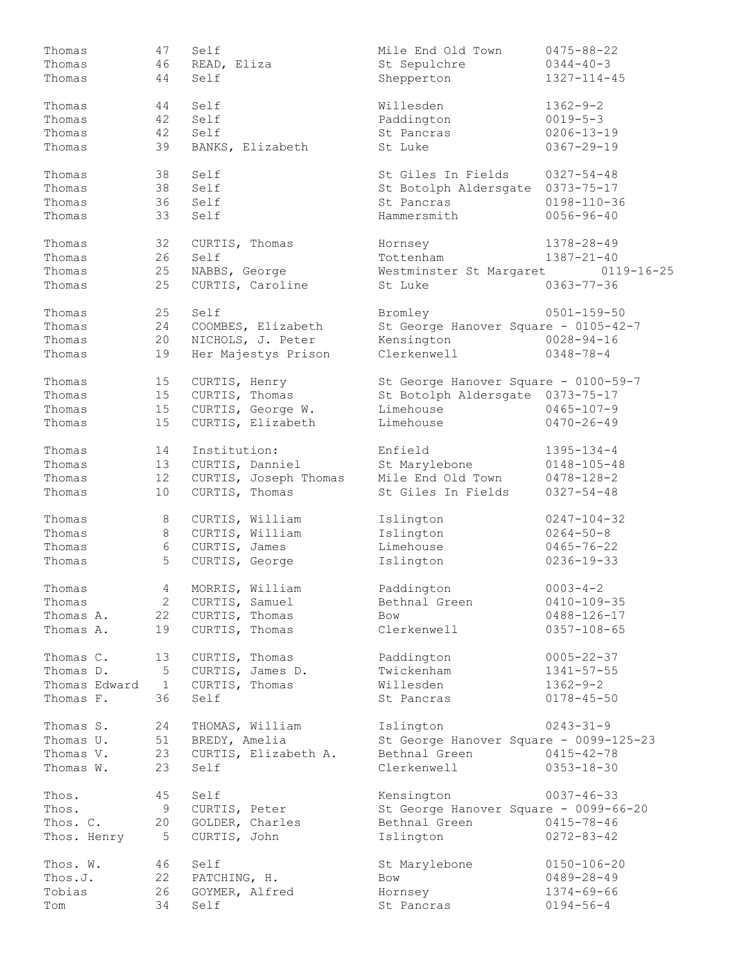| Thomas        | 47              | Self                  | Mile End Old Town                      | $0475 - 88 - 22$  |
|---------------|-----------------|-----------------------|----------------------------------------|-------------------|
| Thomas        | 46              | READ, Eliza           | St Sepulchre                           | $0344 - 40 - 3$   |
| Thomas        | 44              | Self                  | Shepperton                             | 1327-114-45       |
| Thomas        | 44              | Self                  | Willesden                              | $1362 - 9 - 2$    |
| Thomas        | 42              | Self                  | Paddington                             | $0019 - 5 - 3$    |
| Thomas        | 42              | Self                  | St Pancras                             | $0206 - 13 - 19$  |
| Thomas        | 39              | BANKS, Elizabeth      | St Luke                                | $0367 - 29 - 19$  |
| Thomas        | 38              | Self                  | St Giles In Fields                     | $0327 - 54 - 48$  |
| Thomas        | 38              | Self                  | St Botolph Aldersgate                  | $0373 - 75 - 17$  |
| Thomas        | 36              | Self                  | St Pancras                             | $0198 - 110 - 36$ |
| Thomas        | 33              | Self                  | Hammersmith                            | $0056 - 96 - 40$  |
| Thomas        | 32              | CURTIS, Thomas        | Hornsey                                | 1378-28-49        |
| Thomas        | 26              | Self                  | Tottenham                              | $1387 - 21 - 40$  |
| Thomas        | 25              | NABBS, George         | Westminster St Margaret                | $0119 - 16 - 25$  |
| Thomas        | 25              | CURTIS, Caroline      | St Luke                                | $0363 - 77 - 36$  |
| Thomas        | 25              | Self                  | Bromley                                | $0501 - 159 - 50$ |
| Thomas        | 24              | COOMBES, Elizabeth    | St George Hanover Square - 0105-42-7   |                   |
| Thomas        | 20              | NICHOLS, J. Peter     | Kensington                             | $0028 - 94 - 16$  |
| Thomas        | 19              | Her Majestys Prison   | Clerkenwell                            | $0348 - 78 - 4$   |
| Thomas        | 15              | CURTIS, Henry         | St George Hanover Square - 0100-59-7   |                   |
| Thomas        | 15              | CURTIS, Thomas        | St Botolph Aldersgate 0373-75-17       |                   |
| Thomas        | 15              | CURTIS, George W.     | Limehouse                              | $0465 - 107 - 9$  |
| Thomas        | 15              | CURTIS, Elizabeth     | Limehouse                              | $0470 - 26 - 49$  |
| Thomas        | 14              | Institution:          | Enfield                                | $1395 - 134 - 4$  |
| Thomas        | 13              | CURTIS, Danniel       | St Marylebone                          | $0148 - 105 - 48$ |
| Thomas        | 12              | CURTIS, Joseph Thomas | Mile End Old Town                      | $0478 - 128 - 2$  |
| Thomas        | 10              | CURTIS, Thomas        | St Giles In Fields                     | $0327 - 54 - 48$  |
| Thomas        | 8               | CURTIS, William       | Islington                              | $0247 - 104 - 32$ |
| Thomas        | $\,8\,$         | CURTIS, William       | Islington                              | $0264 - 50 - 8$   |
| Thomas        | 6               | CURTIS, James         | Limehouse                              | $0465 - 76 - 22$  |
| Thomas        | 5               | CURTIS, George        | Islington                              | $0236 - 19 - 33$  |
| Thomas        | 4               | MORRIS, William       | Paddington                             | $0003 - 4 - 2$    |
| Thomas        | $2 \quad$       | CURTIS, Samuel        | Bethnal Green                          | $0410 - 109 - 35$ |
| Thomas A.     |                 | 22 CURTIS, Thomas     | Bow                                    | $0488 - 126 - 17$ |
| Thomas A.     | 19              | CURTIS, Thomas        | Clerkenwell                            | $0357 - 108 - 65$ |
| Thomas C.     | 13              | CURTIS, Thomas        | Paddington                             | $0005 - 22 - 37$  |
| Thomas D.     | 5               | CURTIS, James D.      | Twickenham                             | $1341 - 57 - 55$  |
| Thomas Edward | $\overline{1}$  | CURTIS, Thomas        | Willesden                              | $1362 - 9 - 2$    |
| Thomas F.     | 36              | Self                  | St Pancras                             | $0178 - 45 - 50$  |
| Thomas S.     | 24              | THOMAS, William       | Islington                              | $0243 - 31 - 9$   |
| Thomas U.     | 51              | BREDY, Amelia         | St George Hanover Square - 0099-125-23 |                   |
| Thomas V.     | 23              | CURTIS, Elizabeth A.  | Bethnal Green                          | $0415 - 42 - 78$  |
| Thomas W.     | 23              | Self                  | Clerkenwell                            | $0353 - 18 - 30$  |
| Thos.         | 45              | Self                  | Kensington                             | $0037 - 46 - 33$  |
| Thos.         | 9               | CURTIS, Peter         | St George Hanover Square - 0099-66-20  |                   |
| Thos. C.      | 20              | GOLDER, Charles       | Bethnal Green                          | $0415 - 78 - 46$  |
| Thos. Henry   | $5\overline{)}$ | CURTIS, John          | Islington                              | $0272 - 83 - 42$  |
| Thos. W.      | 46              | Self                  | St Marylebone                          | $0150 - 106 - 20$ |
| Thos.J.       | 22              | PATCHING, H.          | Bow                                    | $0489 - 28 - 49$  |
| Tobias        | 26              | GOYMER, Alfred        | Hornsey                                | $1374 - 69 - 66$  |
| Tom           | 34              | Self                  | St Pancras                             | $0194 - 56 - 4$   |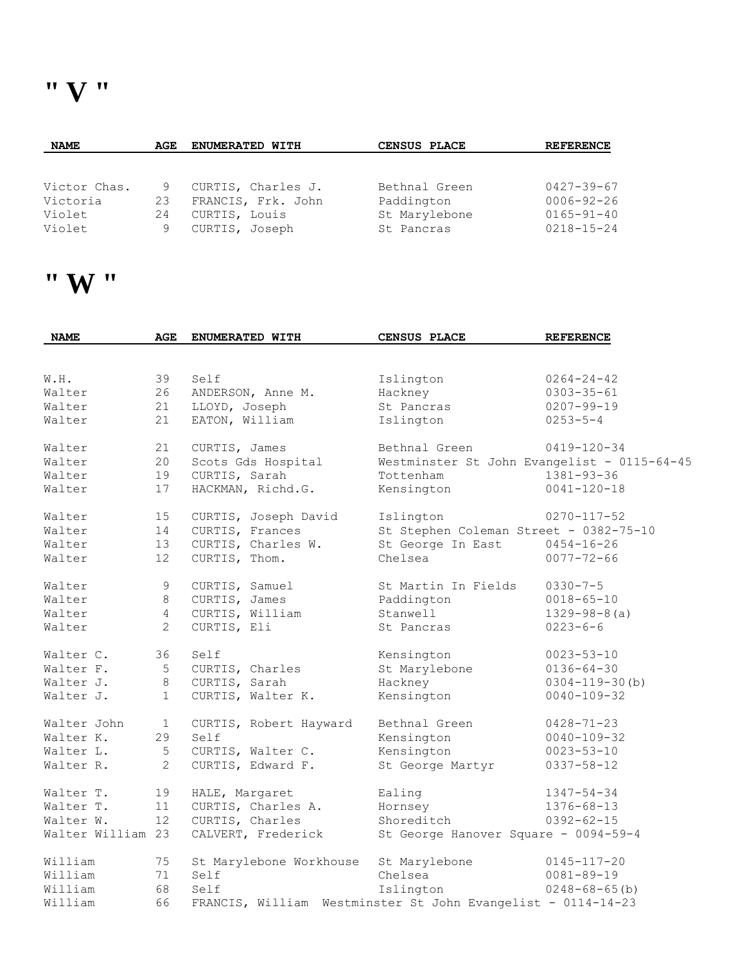| <b>NAME</b>  | AGE | <b>ENUMERATED WITH</b> | CENSUS PLACE  | <b>REFERENCE</b> |
|--------------|-----|------------------------|---------------|------------------|
|              |     |                        |               |                  |
|              |     |                        |               |                  |
| Victor Chas. | 9   | CURTIS, Charles J.     | Bethnal Green | $0427 - 39 - 67$ |
| Victoria     | 23  | FRANCIS, Frk. John     | Paddington    | $0006 - 92 - 26$ |
| Violet       | 24  | CURTIS, Louis          | St Marylebone | $0165 - 91 - 40$ |
| Violet       |     | CURTIS, Joseph         | St Pancras    | $0218 - 15 - 24$ |

#### **" W "**

| <b>NAME</b>       | AGE            | ENUMERATED WITH                                              | <b>CENSUS PLACE</b>                    | <b>REFERENCE</b>                            |
|-------------------|----------------|--------------------------------------------------------------|----------------------------------------|---------------------------------------------|
|                   |                |                                                              |                                        |                                             |
| W.H.              | 39             | Self                                                         | Islington                              | $0264 - 24 - 42$                            |
| Walter            | 26             | ANDERSON, Anne M.                                            | Hackney                                | $0303 - 35 - 61$                            |
| Walter            | 21             | LLOYD, Joseph                                                | St Pancras                             | $0207 - 99 - 19$                            |
| Walter            | 21             | EATON, William                                               | Islington                              | $0253 - 5 - 4$                              |
| Walter            | 21             | CURTIS, James                                                | Bethnal Green                          | $0419 - 120 - 34$                           |
| Walter            | 20             | Scots Gds Hospital                                           |                                        | Westminster St John Evangelist - 0115-64-45 |
| Walter            | 19             | CURTIS, Sarah                                                | Tottenham                              | $1381 - 93 - 36$                            |
| Walter            | 17             | HACKMAN, Richd.G.                                            | Kensington                             | $0041 - 120 - 18$                           |
| Walter            | 15             | CURTIS, Joseph David                                         | Islington                              | $0270 - 117 - 52$                           |
| Walter            | 14             | CURTIS, Frances                                              | St Stephen Coleman Street - 0382-75-10 |                                             |
| Walter            | 13             | CURTIS, Charles W.                                           | St George In East                      | $0454 - 16 - 26$                            |
| Walter            | 12             | CURTIS, Thom.                                                | Chelsea                                | $0077 - 72 - 66$                            |
| Walter            | 9              | CURTIS, Samuel                                               | St Martin In Fields                    | $0330 - 7 - 5$                              |
| Walter            | 8              | CURTIS, James                                                | Paddington                             | $0018 - 65 - 10$                            |
| Walter            | $\overline{4}$ | CURTIS, William                                              | Stanwell                               | $1329 - 98 - 8$ (a)                         |
| Walter            | 2              | CURTIS, Eli                                                  | St Pancras                             | $0223 - 6 - 6$                              |
| Walter C.         | 36             | Self                                                         | Kensington                             | $0023 - 53 - 10$                            |
| Walter F.         | 5              | CURTIS, Charles                                              | St Marylebone                          | $0136 - 64 - 30$                            |
| Walter J.         | 8              | CURTIS, Sarah                                                | Hackney                                | $0304 - 119 - 30$ (b)                       |
| Walter J.         | $\mathbf{1}$   | CURTIS, Walter K.                                            | Kensington                             | $0040 - 109 - 32$                           |
| Walter John       | $\mathbf{1}$   | CURTIS, Robert Hayward                                       | Bethnal Green                          | $0428 - 71 - 23$                            |
| Walter K.         | 29             | Self                                                         | Kensington                             | $0040 - 109 - 32$                           |
| Walter L.         | 5              | CURTIS, Walter C.                                            | Kensington                             | $0023 - 53 - 10$                            |
| Walter R.         | 2              | CURTIS, Edward F.                                            | St George Martyr                       | $0337 - 58 - 12$                            |
| Walter T.         | 19             | HALE, Margaret                                               | Ealing                                 | $1347 - 54 - 34$                            |
| Walter T.         | 11             | CURTIS, Charles A.                                           | Hornsey                                | $1376 - 68 - 13$                            |
| Walter W.         | 12             | CURTIS, Charles                                              | Shoreditch                             | $0392 - 62 - 15$                            |
| Walter William 23 |                | CALVERT, Frederick                                           | St George Hanover Square - 0094-59-4   |                                             |
| William           | 75             | St Marylebone Workhouse                                      | St Marylebone                          | $0145 - 117 - 20$                           |
| William           | 71             | Self                                                         | Chelsea                                | $0081 - 89 - 19$                            |
| William           | 68             | Self                                                         | Islington                              | $0248 - 68 - 65$ (b)                        |
| William           | 66             | FRANCIS, William Westminster St John Evangelist - 0114-14-23 |                                        |                                             |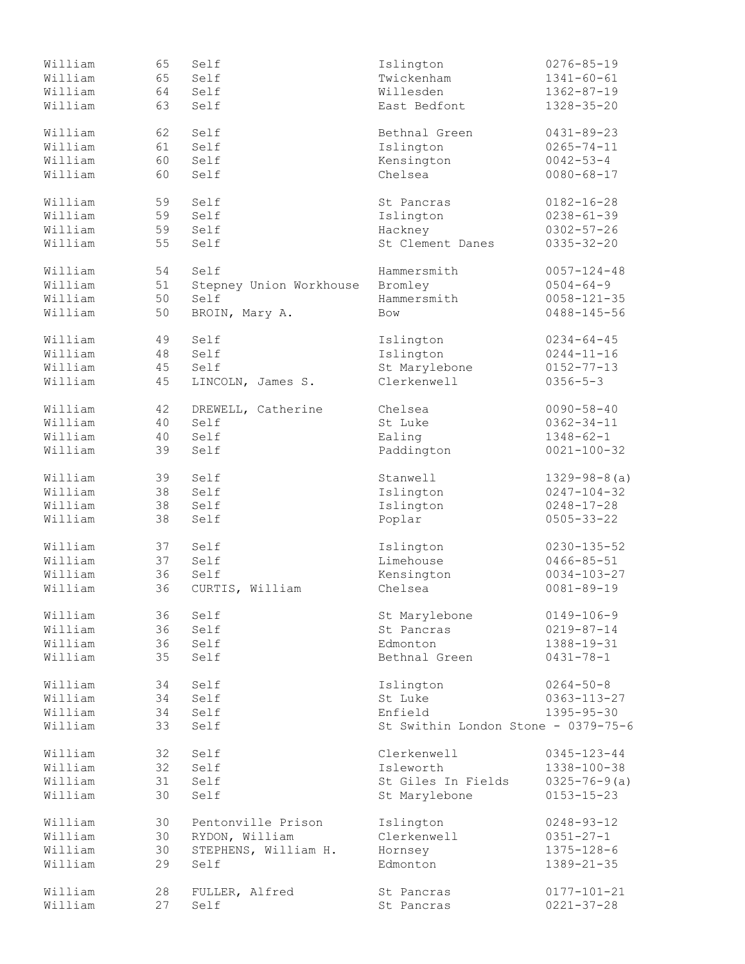| William | 65 | Self                    | Islington                           | $0276 - 85 - 19$    |
|---------|----|-------------------------|-------------------------------------|---------------------|
| William | 65 | Self                    | Twickenham                          | $1341 - 60 - 61$    |
| William | 64 | Self                    | Willesden                           | $1362 - 87 - 19$    |
| William | 63 | Self                    | East Bedfont                        | $1328 - 35 - 20$    |
|         |    |                         |                                     |                     |
| William | 62 | Self                    | Bethnal Green                       | $0431 - 89 - 23$    |
|         |    |                         |                                     |                     |
| William | 61 | Self                    | Islington                           | $0265 - 74 - 11$    |
| William | 60 | Self                    | Kensington                          | $0042 - 53 - 4$     |
| William | 60 | Self                    | Chelsea                             | $0080 - 68 - 17$    |
| William | 59 | Self                    | St Pancras                          | $0182 - 16 - 28$    |
| William | 59 | Self                    | Islington                           | $0238 - 61 - 39$    |
| William | 59 | Self                    | Hackney                             | $0302 - 57 - 26$    |
| William | 55 | Self                    | St Clement Danes                    | $0335 - 32 - 20$    |
|         |    |                         |                                     |                     |
| William | 54 | Self                    | Hammersmith                         | $0057 - 124 - 48$   |
| William | 51 | Stepney Union Workhouse | Bromley                             | $0504 - 64 - 9$     |
| William | 50 | Self                    | Hammersmith                         | $0058 - 121 - 35$   |
| William | 50 | BROIN, Mary A.          | Bow                                 | $0488 - 145 - 56$   |
|         |    |                         |                                     |                     |
| William | 49 | Self                    | Islington                           | $0234 - 64 - 45$    |
| William | 48 | Self                    | Islington                           | $0244 - 11 - 16$    |
| William | 45 | Self                    | St Marylebone                       | $0152 - 77 - 13$    |
| William | 45 | LINCOLN, James S.       | Clerkenwell                         | $0356 - 5 - 3$      |
|         |    |                         |                                     |                     |
| William | 42 | DREWELL, Catherine      | Chelsea                             | $0090 - 58 - 40$    |
| William | 40 | Self                    | St Luke                             | $0362 - 34 - 11$    |
| William | 40 | Self                    | Ealing                              | $1348 - 62 - 1$     |
| William | 39 | Self                    | Paddington                          | $0021 - 100 - 32$   |
| William | 39 | Self                    | Stanwell                            | $1329 - 98 - 8$ (a) |
|         |    |                         |                                     |                     |
| William | 38 | Self                    | Islington                           | $0247 - 104 - 32$   |
| William | 38 | Self                    | Islington                           | $0248 - 17 - 28$    |
| William | 38 | Self                    | Poplar                              | $0505 - 33 - 22$    |
| William | 37 | Self                    | Islington                           | $0230 - 135 - 52$   |
| William | 37 | Self                    | Limehouse                           | $0466 - 85 - 51$    |
| William | 36 | Self                    |                                     | $0034 - 103 - 27$   |
|         |    |                         | Kensington                          |                     |
| William | 36 | CURTIS, William         | Chelsea                             | $0081 - 89 - 19$    |
| William | 36 | Self                    | St Marylebone                       | $0149 - 106 - 9$    |
| William | 36 | Self                    | St Pancras                          | $0219 - 87 - 14$    |
| William | 36 | Self                    | Edmonton                            | 1388-19-31          |
| William | 35 | Self                    | Bethnal Green                       | $0431 - 78 - 1$     |
|         |    |                         |                                     |                     |
| William | 34 | Self                    | Islington                           | $0264 - 50 - 8$     |
| William | 34 | Self                    | St Luke                             | $0363 - 113 - 27$   |
| William | 34 | Self                    | Enfield                             | $1395 - 95 - 30$    |
| William | 33 | Self                    | St Swithin London Stone - 0379-75-6 |                     |
|         |    |                         |                                     |                     |
| William | 32 | Self                    | Clerkenwell                         | $0345 - 123 - 44$   |
| William | 32 | Self                    | Isleworth                           | 1338-100-38         |
| William | 31 | Self                    | St Giles In Fields                  | $0325 - 76 - 9(a)$  |
| William | 30 | Self                    | St Marylebone                       | $0153 - 15 - 23$    |
| William | 30 | Pentonville Prison      | Islington                           | $0248 - 93 - 12$    |
| William | 30 | RYDON, William          | Clerkenwell                         | $0351 - 27 - 1$     |
|         |    |                         |                                     |                     |
| William | 30 | STEPHENS, William H.    | Hornsey                             | $1375 - 128 - 6$    |
| William | 29 | Self                    | Edmonton                            | $1389 - 21 - 35$    |
| William | 28 | FULLER, Alfred          | St Pancras                          | $0177 - 101 - 21$   |
| William | 27 | Self                    | St Pancras                          | $0221 - 37 - 28$    |
|         |    |                         |                                     |                     |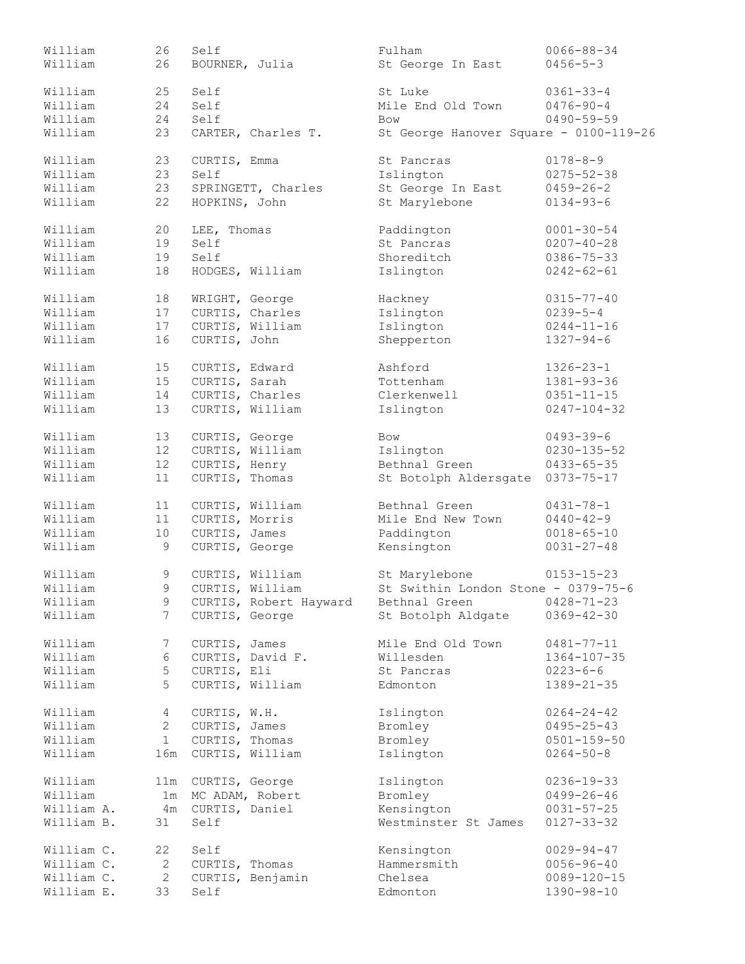| William    | 26              | Self                   | Fulham                                 | $0066 - 88 - 34$  |
|------------|-----------------|------------------------|----------------------------------------|-------------------|
| William    | 26              | BOURNER, Julia         | St George In East                      | $0456 - 5 - 3$    |
| William    | 25              | Self                   | St Luke                                | $0361 - 33 - 4$   |
| William    | 24              | Self                   | Mile End Old Town                      | $0476 - 90 - 4$   |
| William    | 24              | Self                   | <b>Bow</b>                             | $0490 - 59 - 59$  |
| William    |                 | CARTER, Charles T.     |                                        |                   |
|            | 23              |                        | St George Hanover Square - 0100-119-26 |                   |
| William    | 23              | CURTIS, Emma           | St Pancras                             | $0178 - 8 - 9$    |
| William    | 23              | Self                   | Islington                              | $0275 - 52 - 38$  |
| William    | 23              | SPRINGETT, Charles     | St George In East                      | $0459 - 26 - 2$   |
| William    | 22              | HOPKINS, John          | St Marylebone                          | $0134 - 93 - 6$   |
|            | 20              |                        |                                        | $0001 - 30 - 54$  |
| William    |                 | LEE, Thomas            | Paddington                             |                   |
| William    | 19              | Self                   | St Pancras                             | $0207 - 40 - 28$  |
| William    | 19              | Self                   | Shoreditch                             | $0386 - 75 - 33$  |
| William    | 18              | HODGES, William        | Islington                              | $0242 - 62 - 61$  |
| William    | 18              | WRIGHT, George         | Hackney                                | $0315 - 77 - 40$  |
| William    | 17              | CURTIS, Charles        | Islington                              | $0239 - 5 - 4$    |
| William    | 17              | CURTIS, William        | Islington                              | $0244 - 11 - 16$  |
|            |                 |                        |                                        |                   |
| William    | 16              | CURTIS, John           | Shepperton                             | $1327 - 94 - 6$   |
| William    | 15              | CURTIS, Edward         | Ashford                                | $1326 - 23 - 1$   |
| William    | 15              | CURTIS, Sarah          | Tottenham                              | $1381 - 93 - 36$  |
| William    | 14              | CURTIS, Charles        | Clerkenwell                            | $0351 - 11 - 15$  |
| William    | 13              | CURTIS, William        | Islington                              | $0247 - 104 - 32$ |
| William    | 13              | CURTIS, George         | <b>Bow</b>                             | $0493 - 39 - 6$   |
|            |                 |                        |                                        |                   |
| William    | 12              | CURTIS, William        | Islington                              | $0230 - 135 - 52$ |
| William    | 12 <sup>°</sup> | CURTIS, Henry          | Bethnal Green                          | $0433 - 65 - 35$  |
| William    | 11              | CURTIS, Thomas         | St Botolph Aldersgate                  | $0373 - 75 - 17$  |
| William    | 11              | CURTIS, William        | Bethnal Green                          | $0431 - 78 - 1$   |
| William    | 11              | CURTIS, Morris         | Mile End New Town                      | $0440 - 42 - 9$   |
| William    | 10              | CURTIS, James          | Paddington                             | $0018 - 65 - 10$  |
|            | 9               | CURTIS, George         | Kensington                             | $0031 - 27 - 48$  |
| William    |                 |                        |                                        |                   |
| William    | 9               | CURTIS, William        | St Marylebone                          | $0153 - 15 - 23$  |
| William    | 9               | CURTIS, William        | St Swithin London Stone - 0379-75-6    |                   |
| William    | 9               | CURTIS, Robert Hayward | Bethnal Green                          | $0428 - 71 - 23$  |
| William    | 7               | CURTIS, George         | St Botolph Aldgate                     | $0369 - 42 - 30$  |
| William    | 7               | CURTIS, James          | Mile End Old Town                      | $0481 - 77 - 11$  |
|            |                 |                        |                                        |                   |
| William    | 6               | CURTIS, David F.       | Willesden                              | $1364 - 107 - 35$ |
| William    | 5               | CURTIS, Eli            | St Pancras                             | $0223 - 6 - 6$    |
| William    | 5               | CURTIS, William        | Edmonton                               | $1389 - 21 - 35$  |
| William    | $4\overline{ }$ | CURTIS, W.H.           | Islington                              | $0264 - 24 - 42$  |
| William    | $2^{\circ}$     | CURTIS, James          | Bromley                                | $0495 - 25 - 43$  |
| William    | 1               | CURTIS, Thomas         | Bromley                                | $0501 - 159 - 50$ |
| William    | 16m             | CURTIS, William        | Islington                              | $0264 - 50 - 8$   |
|            |                 |                        |                                        |                   |
| William    | 11m             | CURTIS, George         | Islington                              | $0236 - 19 - 33$  |
| William    | 1m              | MC ADAM, Robert        | Bromley                                | $0499 - 26 - 46$  |
| William A. |                 | 4m CURTIS, Daniel      | Kensington                             | $0031 - 57 - 25$  |
| William B. | 31              | Self                   | Westminster St James                   | $0127 - 33 - 32$  |
| William C. | 22              | Self                   | Kensington                             | $0029 - 94 - 47$  |
| William C. | $\mathbf{2}$    | CURTIS, Thomas         | Hammersmith                            | $0056 - 96 - 40$  |
| William C. | $\mathbf{2}$    | CURTIS, Benjamin       | Chelsea                                | $0089 - 120 - 15$ |
|            |                 |                        |                                        |                   |
| William E. | 33              | Self                   | Edmonton                               | 1390-98-10        |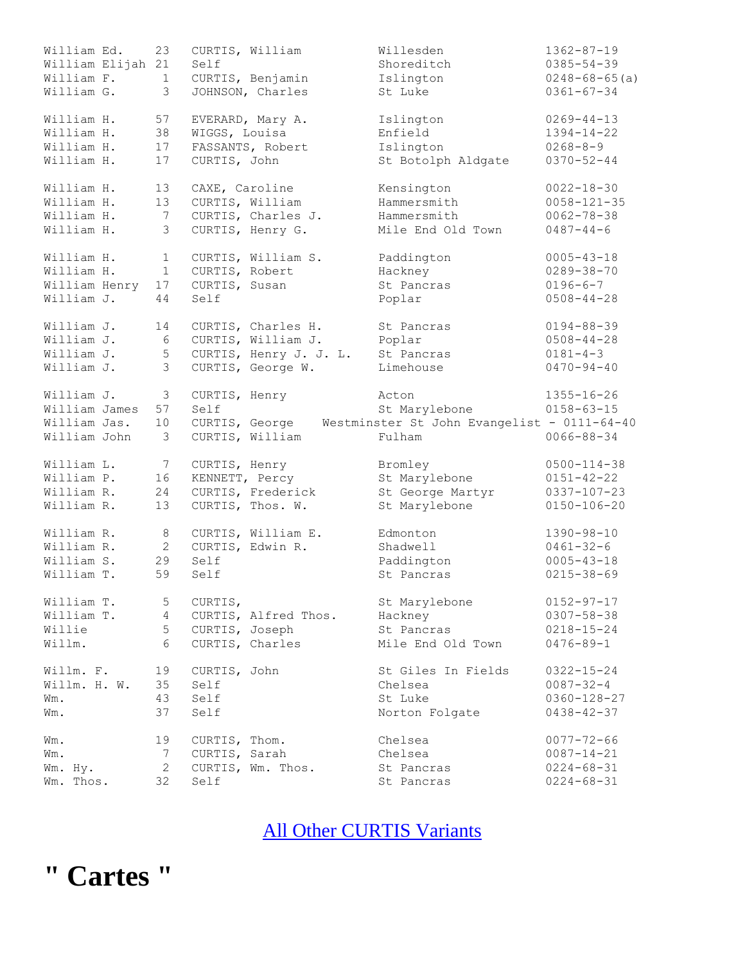| William Ed.<br>William Elijah 21 | 23              | Self           | CURTIS, William                      | Willesden<br>Shoreditch                                    | $1362 - 87 - 19$<br>$0385 - 54 - 39$     |
|----------------------------------|-----------------|----------------|--------------------------------------|------------------------------------------------------------|------------------------------------------|
| William F.<br>William G.         | 1<br>3          |                | CURTIS, Benjamin<br>JOHNSON, Charles | Islington<br>St Luke                                       | $0248 - 68 - 65$ (a)<br>$0361 - 67 - 34$ |
| William H.                       | 57              |                | EVERARD, Mary A.                     | Islington                                                  | $0269 - 44 - 13$                         |
| William H.                       | 38              | WIGGS, Louisa  |                                      | Enfield                                                    | $1394 - 14 - 22$                         |
| William H.                       | 17              |                | FASSANTS, Robert                     | Islington                                                  | $0268 - 8 - 9$                           |
| William H.                       | 17              | CURTIS, John   |                                      | St Botolph Aldgate                                         | $0370 - 52 - 44$                         |
| William H.                       | 13              | CAXE, Caroline |                                      | Kensington                                                 | $0022 - 18 - 30$                         |
| William H.                       | 13              |                | CURTIS, William                      | Hammersmith                                                | $0058 - 121 - 35$                        |
| William H.                       | 7               |                | CURTIS, Charles J.                   | Hammersmith                                                | $0062 - 78 - 38$                         |
| William H.                       | 3               |                | CURTIS, Henry G.                     | Mile End Old Town                                          | $0487 - 44 - 6$                          |
| William H.                       | $\mathbf{1}$    |                | CURTIS, William S.                   | Paddington                                                 | $0005 - 43 - 18$                         |
| William H.                       | $\mathbf{1}$    | CURTIS, Robert |                                      | Hackney                                                    | $0289 - 38 - 70$                         |
| William Henry                    | 17              | CURTIS, Susan  |                                      | St Pancras                                                 | $0196 - 6 - 7$                           |
| William J.                       | 44              | Self           |                                      | Poplar                                                     | $0508 - 44 - 28$                         |
| William J.                       | 14              |                | CURTIS, Charles H.                   | St Pancras                                                 | $0194 - 88 - 39$                         |
| William J.                       | 6               |                | CURTIS, William J.                   | Poplar                                                     | $0508 - 44 - 28$                         |
| William J.                       | $\mathsf S$     |                | CURTIS, Henry J. J. L.               | St Pancras                                                 | $0181 - 4 - 3$                           |
| William J.                       | 3               |                | CURTIS, George W.                    | Limehouse                                                  | $0470 - 94 - 40$                         |
| William J.                       | $\mathfrak{Z}$  | CURTIS, Henry  |                                      | Acton                                                      | $1355 - 16 - 26$                         |
| William James                    | 57              | Self           |                                      | St Marylebone                                              | $0158 - 63 - 15$                         |
| William Jas.                     | 10              |                |                                      | CURTIS, George Westminster St John Evangelist - 0111-64-40 |                                          |
| William John                     | 3               |                | CURTIS, William                      | Fulham                                                     | $0066 - 88 - 34$                         |
| William L.                       | 7               | CURTIS, Henry  |                                      | Bromley                                                    | $0500 - 114 - 38$                        |
| William P.                       | 16              | KENNETT, Percy |                                      | St Marylebone                                              | $0151 - 42 - 22$                         |
| William R.                       | 24              |                | CURTIS, Frederick                    | St George Martyr                                           | $0337 - 107 - 23$                        |
| William R.                       | 13              |                | CURTIS, Thos. W.                     | St Marylebone                                              | $0150 - 106 - 20$                        |
| William R.                       | $\,8\,$         |                | CURTIS, William E.                   | Edmonton                                                   | $1390 - 98 - 10$                         |
| William R.                       | $\mathbf{2}$    |                | CURTIS, Edwin R.                     | Shadwell                                                   | $0461 - 32 - 6$                          |
| William S.                       | 29              | Self           |                                      | Paddington                                                 | $0005 - 43 - 18$                         |
| William T.                       | 59              | Self           |                                      | St Pancras                                                 | $0215 - 38 - 69$                         |
| William T.                       | 5               | CURTIS,        |                                      | St Marylebone                                              | $0152 - 97 - 17$                         |
| William T.                       | $\overline{4}$  |                | CURTIS, Alfred Thos.                 | Hackney                                                    | $0307 - 58 - 38$                         |
| Willie                           | 5               | CURTIS, Joseph |                                      | St Pancras                                                 | $0218 - 15 - 24$                         |
| Willm.                           | $6\overline{6}$ |                | CURTIS, Charles                      | Mile End Old Town                                          | $0476 - 89 - 1$                          |
| Willm. F.                        | 19              | CURTIS, John   |                                      | St Giles In Fields                                         | $0322 - 15 - 24$                         |
| Willm. H. W.                     | 35              | Self           |                                      | Chelsea                                                    | $0087 - 32 - 4$                          |
| Wm.                              | 43              | Self           |                                      | St Luke                                                    | $0360 - 128 - 27$                        |
| Wm.                              | 37              | Self           |                                      | Norton Folgate                                             | $0438 - 42 - 37$                         |
| Wm.                              | 19              | CURTIS, Thom.  |                                      | Chelsea                                                    | $0077 - 72 - 66$                         |
| Wm.                              | 7               | CURTIS, Sarah  |                                      | Chelsea                                                    | $0087 - 14 - 21$                         |
| Wm. Hy.                          | $\mathbf{2}$    |                | CURTIS, Wm. Thos.                    | St Pancras                                                 | $0224 - 68 - 31$                         |
| Thos.<br>Wm.                     | 32              | Self           |                                      | St Pancras                                                 | $0224 - 68 - 31$                         |

#### [All Other CURTIS](http://www.curtis-curtiss.com/pub/archives/extractions/england/middlesex/1881_census/mid_curtis_other_idx.html) Variants

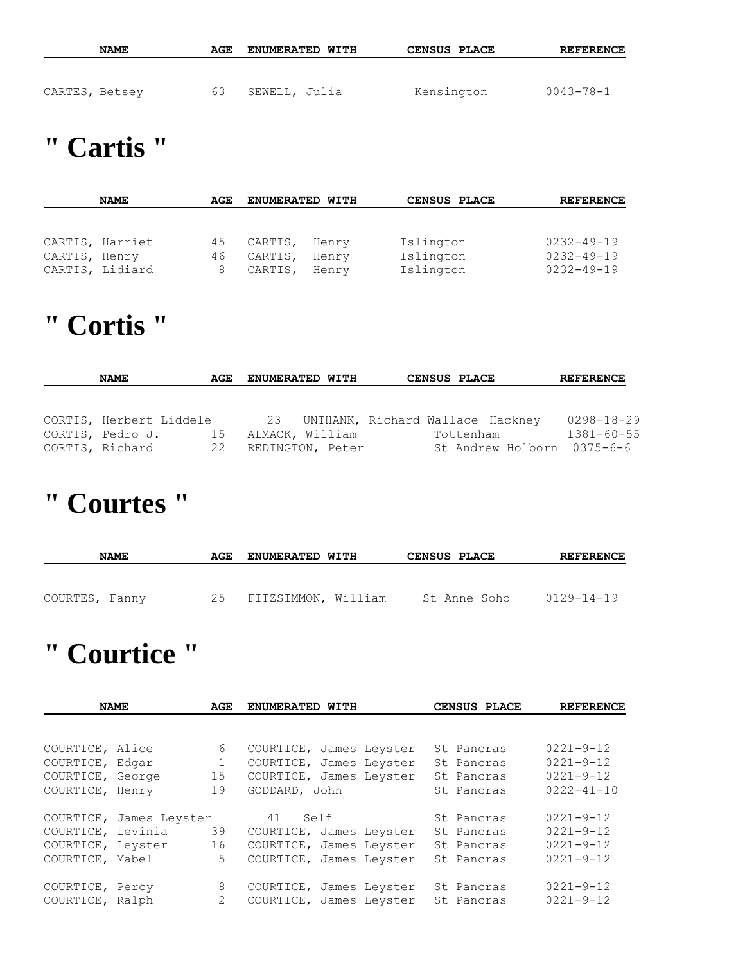|                | <b>NAME</b> | AGE | <b>ENUMERATED WITH</b> | <b>CENSUS PLACE</b> | <b>REFERENCE</b> |
|----------------|-------------|-----|------------------------|---------------------|------------------|
| CARTES, Betsey |             | 63  | SEWELL, Julia          | Kensington          | $0043 - 78 - 1$  |

## **" Cartis "**

|               | <b>NAME</b>     | AGE | <b>ENUMERATED WITH</b> |       | CENSUS PLACE | <b>REFERENCE</b> |
|---------------|-----------------|-----|------------------------|-------|--------------|------------------|
|               |                 |     |                        |       |              |                  |
|               |                 |     |                        |       |              |                  |
|               | CARTIS, Harriet | 45  | CARTIS,                | Henry | Islington    | $0232 - 49 - 19$ |
| CARTIS, Henry |                 | 46  | CARTIS,                | Henry | Islington    | $0232 - 49 - 19$ |
|               | CARTIS, Lidiard | 8   | CARTIS,                | Henry | Islington    | $0232 - 49 - 19$ |

#### **" Cortis "**

| <b>NAME</b>             | AGE | <b>ENUMERATED WITH</b> |                                     | <b>CENSUS PLACE</b> | <b>REFERENCE</b>           |
|-------------------------|-----|------------------------|-------------------------------------|---------------------|----------------------------|
|                         |     |                        |                                     |                     |                            |
|                         |     |                        |                                     |                     |                            |
| CORTIS, Herbert Liddele |     |                        | 23 UNTHANK, Richard Wallace Hackney |                     | 0298-18-29                 |
| CORTIS, Pedro J.        | -15 | ALMACK, William        |                                     | Tottenham           | $1381 - 60 - 55$           |
| CORTIS, Richard         |     | 22 REDINGTON, Peter    |                                     |                     | St Andrew Holborn 0375-6-6 |

## **" Courtes "**

| <b>NAME</b>    | AGE | <b>ENUMERATED WITH</b> | <b>CENSUS PLACE</b> | <b>REFERENCE</b> |
|----------------|-----|------------------------|---------------------|------------------|
|                |     |                        |                     |                  |
| COURTES, Fanny | 25  | FITZSIMMON, William    | St Anne Soho        | $0129 - 14 - 19$ |

## **" Courtice "**

|                   | <b>NAME</b>             | AGE          | ENUMERATED WITH         | CENSUS PLACE | <b>REFERENCE</b> |
|-------------------|-------------------------|--------------|-------------------------|--------------|------------------|
|                   |                         |              |                         |              |                  |
| COURTICE, Alice   |                         | 6            | COURTICE, James Leyster | St Pancras   | $0221 - 9 - 12$  |
| COURTICE, Edgar   |                         | $\mathbf{1}$ | COURTICE, James Leyster | St Pancras   | $0221 - 9 - 12$  |
| COURTICE, George  |                         | 15           | COURTICE, James Leyster | St Pancras   | $0221 - 9 - 12$  |
| COURTICE, Henry   |                         | 19           | GODDARD, John           | St Pancras   | $0222 - 41 - 10$ |
|                   | COURTICE, James Leyster |              | 41<br>Self              | St Pancras   | $0221 - 9 - 12$  |
| COURTICE, Levinia |                         | 39           | COURTICE, James Leyster | St Pancras   | $0221 - 9 - 12$  |
| COURTICE, Leyster |                         | 16           | COURTICE, James Leyster | St Pancras   | $0221 - 9 - 12$  |
| COURTICE, Mabel   |                         | $5 -$        | COURTICE, James Leyster | St Pancras   | $0221 - 9 - 12$  |
| COURTICE, Percy   |                         | 8            | COURTICE, James Leyster | St Pancras   | $0221 - 9 - 12$  |
| COURTICE, Ralph   |                         | $\mathbf{2}$ | COURTICE, James Leyster | St Pancras   | $0221 - 9 - 12$  |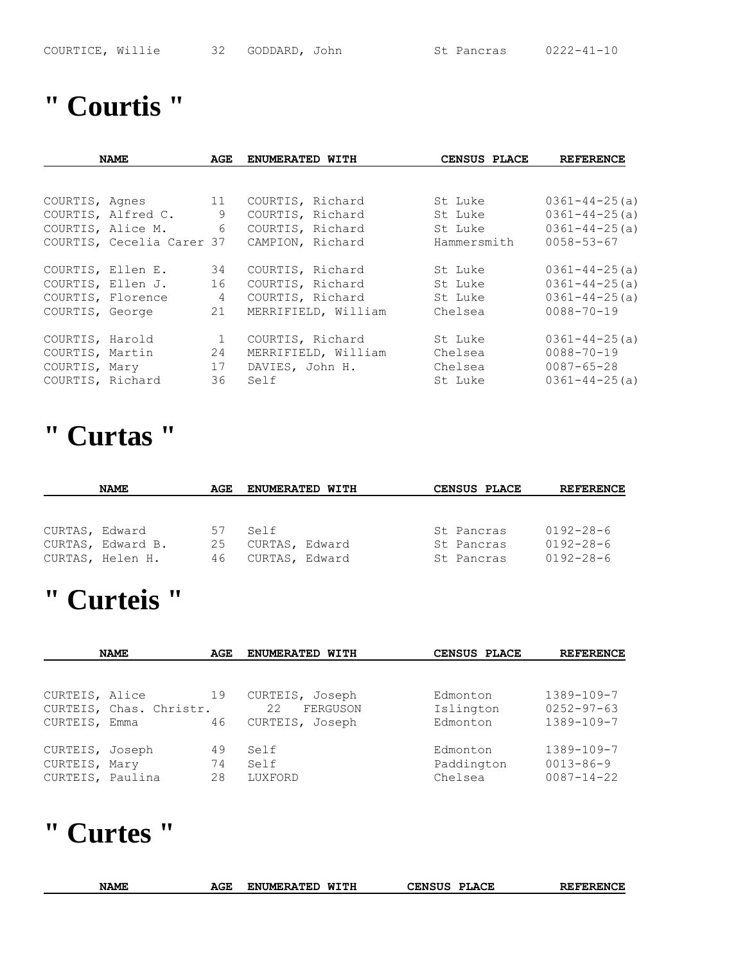#### **" Courtis "**

|                 | <b>NAME</b>               | AGE | ENUMERATED WITH     | CENSUS PLACE | <b>REFERENCE</b>    |
|-----------------|---------------------------|-----|---------------------|--------------|---------------------|
|                 |                           |     |                     |              |                     |
|                 | COURTIS, Agnes 11         |     | COURTIS, Richard    | St Luke      | $0361 - 44 - 25(a)$ |
|                 | COURTIS, Alfred C.        | 9   | COURTIS, Richard    | St Luke      | $0361 - 44 - 25(a)$ |
|                 | COURTIS, Alice M. 6       |     | COURTIS, Richard    | St Luke      | $0361 - 44 - 25(a)$ |
|                 | COURTIS, Cecelia Carer 37 |     | CAMPION, Richard    | Hammersmith  | $0058 - 53 - 67$    |
|                 | COURTIS, Ellen E.         | 34  | COURTIS, Richard    | St Luke      | $0361 - 44 - 25(a)$ |
|                 | COURTIS, Ellen J.         | 16  | COURTIS, Richard    | St Luke      | $0361 - 44 - 25(a)$ |
|                 | COURTIS, Florence         | 4   | COURTIS, Richard    | St Luke      | $0361 - 44 - 25(a)$ |
| COURTIS, George |                           | 21  | MERRIFIELD, William | Chelsea      | $0088 - 70 - 19$    |
| COURTIS, Harold |                           | 1   | COURTIS, Richard    | St Luke      | $0361 - 44 - 25(a)$ |
| COURTIS, Martin |                           | 24  | MERRIFIELD, William | Chelsea      | $0088 - 70 - 19$    |
| COURTIS, Mary   |                           | 17  | DAVIES, John H.     | Chelsea      | $0087 - 65 - 28$    |
|                 | COURTIS, Richard          | 36  | Self                | St Luke      | $0361 - 44 - 25(a)$ |

#### **" Curtas "**

|                | <b>NAME</b>       | AGE | <b>ENUMERATED WITH</b> | CENSUS PLACE | <b>REFERENCE</b> |
|----------------|-------------------|-----|------------------------|--------------|------------------|
|                |                   |     |                        |              |                  |
|                |                   |     |                        |              |                  |
| CURTAS, Edward |                   | 57  | Self                   | St Pancras   | $0192 - 28 - 6$  |
|                | CURTAS, Edward B. | 25  | CURTAS, Edward         | St Pancras   | $0192 - 28 - 6$  |
|                | CURTAS, Helen H.  | 46  | CURTAS, Edward         | St Pancras   | $0192 - 28 - 6$  |

### **" Curteis "**

|                                               | <b>NAME</b>                     | AGE            | ENUMERATED WITH                                      | CENSUS PLACE                      | <b>REFERENCE</b>                                        |
|-----------------------------------------------|---------------------------------|----------------|------------------------------------------------------|-----------------------------------|---------------------------------------------------------|
|                                               |                                 |                |                                                      |                                   |                                                         |
| CURTEIS, Alice<br>CURTEIS,                    | CURTEIS, Chas. Christr.<br>Emma | 19<br>46       | CURTEIS, Joseph<br>22<br>FERGUSON<br>CURTEIS, Joseph | Edmonton<br>Islington<br>Edmonton | $1389 - 109 - 7$<br>$0252 - 97 - 63$<br>1389-109-7      |
| CURTEIS,<br>CURTEIS, Mary<br>CURTEIS, Paulina | Joseph                          | 49<br>74<br>28 | Self<br>Self<br>LUXFORD                              | Edmonton<br>Paddington<br>Chelsea | $1389 - 109 - 7$<br>$0013 - 86 - 9$<br>$0087 - 14 - 22$ |

#### **" Curtes "**

| <b>NAME</b> | AGE | WITH<br><b>ENUMERATED</b> | CENSUS<br><b>PLACE</b> | <b>REFERENCE</b> |
|-------------|-----|---------------------------|------------------------|------------------|
|             |     |                           |                        |                  |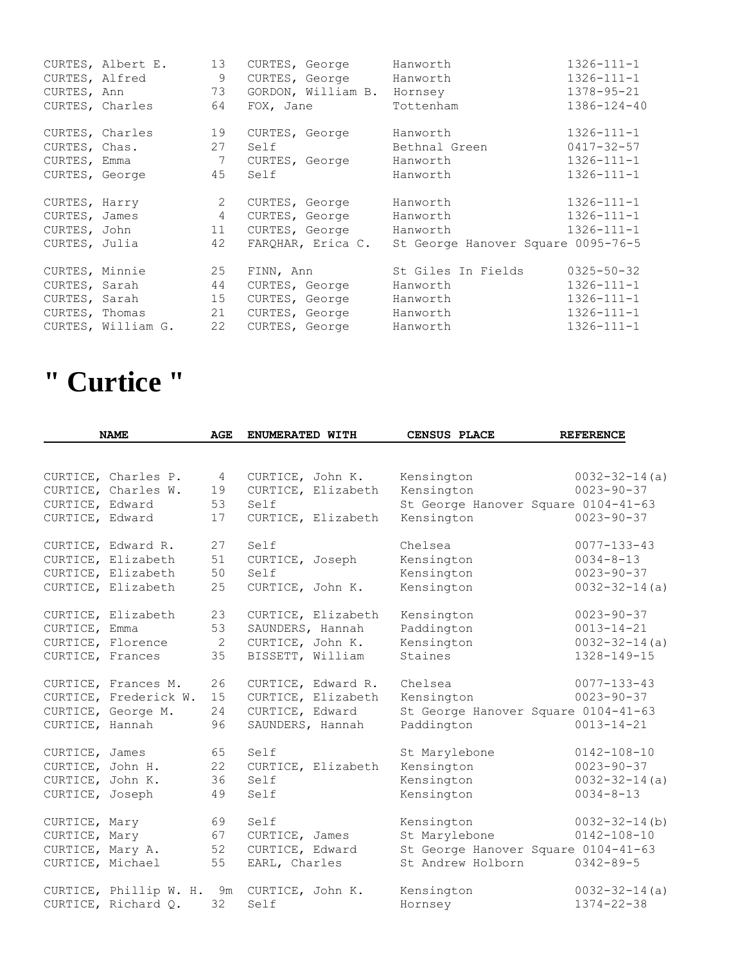|                | CURTES, Albert E.<br>CURTES, Alfred<br>CURTES, Ann<br>64<br>CURTES, Charles | 13<br>9<br>73 |      | CURTES, George<br>GORDON, William B. Hornsey<br>FOX, Jane | Hanworth<br>CURTES, George Hanworth<br>Tottenham | $1326 - 111 - 1$<br>$1326 - 111 - 1$<br>1378-95-21<br>$1386 - 124 - 40$ |
|----------------|-----------------------------------------------------------------------------|---------------|------|-----------------------------------------------------------|--------------------------------------------------|-------------------------------------------------------------------------|
|                |                                                                             |               |      |                                                           |                                                  |                                                                         |
|                | CURTES, Charles                                                             | 19            |      | CURTES, George                                            | Hanworth                                         | $1326 - 111 - 1$                                                        |
| CURTES, Chas.  | 27                                                                          |               | Self |                                                           | Bethnal Green                                    | $0417 - 32 - 57$                                                        |
| CURTES, Emma   | $\overline{7}$                                                              |               |      | CURTES, George                                            | Hanworth                                         | $1326 - 111 - 1$                                                        |
|                | CURTES, George                                                              | 45            | Self |                                                           | Hanworth                                         | $1326 - 111 - 1$                                                        |
| CURTES, Harry  |                                                                             | 2             |      | CURTES, George                                            | Hanworth                                         | $1326 - 111 - 1$                                                        |
|                | CURTES, James 4                                                             |               |      | CURTES, George                                            | Hanworth                                         | $1326 - 111 - 1$                                                        |
|                | CURTES, John 11                                                             |               |      | CURTES, George                                            | Hanworth                                         | $1326 - 111 - 1$                                                        |
| CURTES, Julia  |                                                                             | 42            |      | FAROHAR, Erica C.                                         | St George Hanover Square 0095-76-5               |                                                                         |
| CURTES, Minnie | 25                                                                          |               |      | FINN, Ann                                                 | St Giles In Fields                               | $0325 - 50 - 32$                                                        |
| CURTES, Sarah  |                                                                             | 44            |      | CURTES, George                                            | Hanworth                                         | $1326 - 111 - 1$                                                        |
|                | CURTES, Sarah 15                                                            |               |      | CURTES, George                                            | Hanworth                                         | $1326 - 111 - 1$                                                        |
|                | CURTES, Thomas 21                                                           |               |      | CURTES, George                                            | Hanworth                                         | $1326 - 111 - 1$                                                        |
|                | CURTES, William G.                                                          | 22            |      | CURTES, George Hanworth                                   |                                                  | $1326 - 111 - 1$                                                        |

# **" Curtice "**

|                  | <b>NAME</b>                                | <b>AGE</b> | <b>ENUMERATED WITH</b>                     | CENSUS PLACE                        | <b>REFERENCE</b>                        |
|------------------|--------------------------------------------|------------|--------------------------------------------|-------------------------------------|-----------------------------------------|
|                  |                                            |            |                                            |                                     |                                         |
|                  | CURTICE, Charles P.<br>CURTICE, Charles W. | 4<br>19    | CURTICE, John K.<br>CURTICE, Elizabeth     | Kensington<br>Kensington            | $0032 - 32 - 14(a)$<br>$0023 - 90 - 37$ |
| CURTICE, Edward  |                                            | 53         | Self                                       | St George Hanover Square 0104-41-63 |                                         |
| CURTICE, Edward  |                                            | 17         | CURTICE, Elizabeth                         | Kensington                          | $0023 - 90 - 37$                        |
|                  | CURTICE, Edward R.                         | 27         | Self                                       | Chelsea                             | $0077 - 133 - 43$                       |
|                  | CURTICE, Elizabeth                         | 51         | CURTICE, Joseph                            | Kensington                          | $0034 - 8 - 13$                         |
|                  | CURTICE, Elizabeth                         | 50         | Self                                       | Kensington                          | $0023 - 90 - 37$                        |
|                  | CURTICE, Elizabeth                         | 25         | CURTICE, John K.                           | Kensington                          | $0032 - 32 - 14(a)$                     |
|                  | CURTICE, Elizabeth                         | 23         | CURTICE, Elizabeth                         | Kensington                          | $0023 - 90 - 37$                        |
| CURTICE, Emma    |                                            | 53         | SAUNDERS, Hannah                           | Paddington                          | $0013 - 14 - 21$                        |
|                  | CURTICE, Florence                          | 2          | CURTICE, John K.                           | Kensington                          | $0032 - 32 - 14(a)$                     |
| CURTICE, Frances |                                            | 35         | BISSETT, William                           | Staines                             | 1328-149-15                             |
|                  | CURTICE, Frances M.                        | 26         | CURTICE, Edward R.                         | Chelsea                             | $0077 - 133 - 43$                       |
|                  | CURTICE, Frederick W.                      | 15         | CURTICE, Elizabeth                         | Kensington                          | $0023 - 90 - 37$                        |
|                  | CURTICE, George M.                         | 24         | CURTICE, Edward                            | St George Hanover Square 0104-41-63 |                                         |
| CURTICE, Hannah  |                                            | 96         | SAUNDERS, Hannah                           | Paddington                          | $0013 - 14 - 21$                        |
| CURTICE, James   |                                            | 65         | Self                                       | St Marylebone                       | $0142 - 108 - 10$                       |
| CURTICE, John H. |                                            | 22         | CURTICE, Elizabeth                         | Kensington                          | $0023 - 90 - 37$                        |
| CURTICE, John K. |                                            | 36         | Self                                       | Kensington                          | $0032 - 32 - 14(a)$                     |
| CURTICE, Joseph  |                                            | 49         | Self                                       | Kensington                          | $0034 - 8 - 13$                         |
| CURTICE, Mary    |                                            | 69         | Self                                       | Kensington                          | $0032 - 32 - 14$ (b)                    |
| CURTICE, Mary    |                                            | 67         | CURTICE, James                             | St Marylebone                       | $0142 - 108 - 10$                       |
| CURTICE, Mary A. |                                            | 52         | CURTICE, Edward                            | St George Hanover Square 0104-41-63 |                                         |
| CURTICE, Michael |                                            | 55         | EARL, Charles                              | St Andrew Holborn                   | $0342 - 89 - 5$                         |
|                  |                                            |            | CURTICE, Phillip W. H. 9m CURTICE, John K. | Kensington                          | $0032 - 32 - 14(a)$                     |
|                  | CURTICE, Richard Q.                        | 32         | Self                                       | Hornsey                             | $1374 - 22 - 38$                        |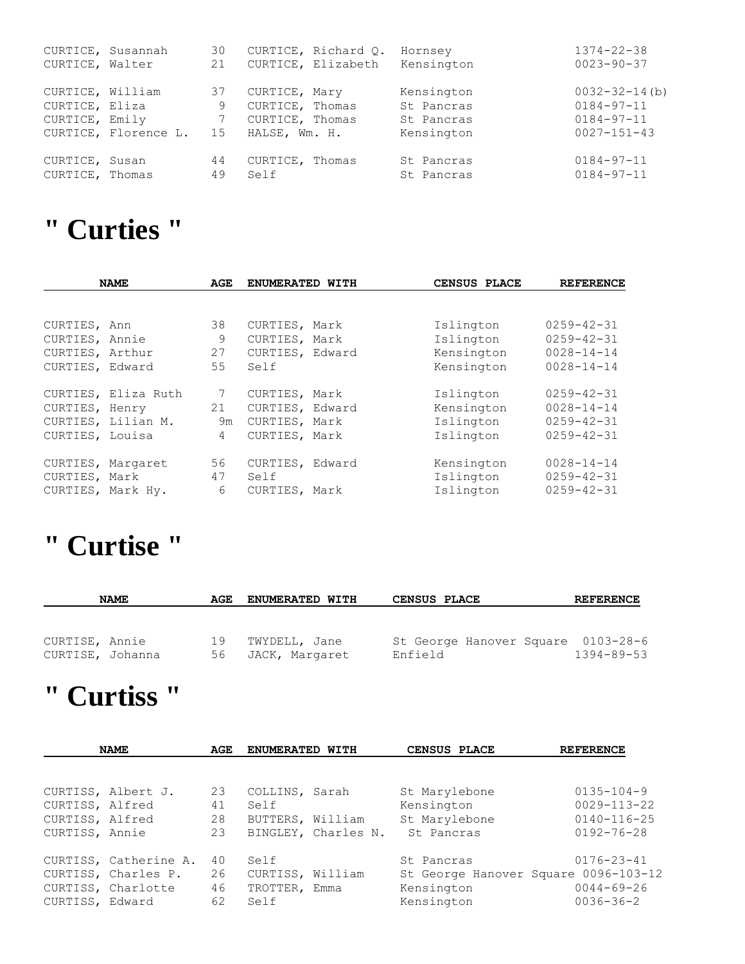|                  | CURTICE, Susannah    | 30 |                 | CURTICE, Richard Q. | Hornsey    | $1374 - 22 - 38$     |
|------------------|----------------------|----|-----------------|---------------------|------------|----------------------|
| CURTICE, Walter  |                      | 21 |                 | CURTICE, Elizabeth  | Kensington | $0023 - 90 - 37$     |
| CURTICE, William |                      | 37 | CURTICE, Mary   |                     | Kensington | $0032 - 32 - 14$ (b) |
| CURTICE, Eliza   |                      | 9  | CURTICE, Thomas |                     | St Pancras | $0184 - 97 - 11$     |
| CURTICE, Emily   |                      |    | CURTICE, Thomas |                     | St Pancras | $0184 - 97 - 11$     |
|                  | CURTICE, Florence L. | 15 | HALSE, Wm. H.   |                     | Kensington | $0027 - 151 - 43$    |
| CURTICE, Susan   |                      | 44 | CURTICE, Thomas |                     | St Pancras | $0184 - 97 - 11$     |
| CURTICE, Thomas  |                      | 49 | Self            |                     | St Pancras | $0184 - 97 - 11$     |

## **" Curties "**

| <b>NAME</b>                    |                     | AGE            | ENUMERATED WITH                  |  | CENSUS PLACE           | <b>REFERENCE</b>                     |
|--------------------------------|---------------------|----------------|----------------------------------|--|------------------------|--------------------------------------|
|                                |                     |                |                                  |  |                        |                                      |
| CURTIES, Ann<br>CURTIES, Annie |                     | 38<br>9        | CURTIES, Mark                    |  | Islington<br>Islington | $0259 - 42 - 31$<br>$0259 - 42 - 31$ |
| CURTIES, Arthur                |                     | 27             | CURTIES, Mark<br>CURTIES, Edward |  | Kensington             | $0028 - 14 - 14$                     |
| CURTIES, Edward                |                     | 55             | Self                             |  | Kensington             | $0028 - 14 - 14$                     |
|                                | CURTIES, Eliza Ruth | $7\phantom{0}$ | CURTIES, Mark                    |  | Islington              | $0259 - 42 - 31$                     |
| CURTIES, Henry                 |                     | 21             | CURTIES, Edward                  |  | Kensington             | $0028 - 14 - 14$                     |
|                                | CURTIES, Lilian M.  | 9m             | CURTIES, Mark                    |  | Islington              | $0259 - 42 - 31$                     |
| CURTIES, Louisa                |                     | $\overline{4}$ | CURTIES, Mark                    |  | Islington              | $0259 - 42 - 31$                     |
|                                | CURTIES, Margaret   | 56             | CURTIES, Edward                  |  | Kensington             | $0028 - 14 - 14$                     |
| CURTIES, Mark                  |                     | 47             | Self                             |  | Islington              | $0259 - 42 - 31$                     |
|                                | CURTIES, Mark Hy.   | 6              | CURTIES, Mark                    |  | Islington              | $0259 - 42 - 31$                     |

## **" Curtise "**

|                  | <b>NAME</b> | AGE  | <b>ENUMERATED WITH</b> | <b>CENSUS PLACE</b>                | <b>REFERENCE</b> |
|------------------|-------------|------|------------------------|------------------------------------|------------------|
|                  |             |      |                        |                                    |                  |
|                  |             |      |                        |                                    |                  |
| CURTISE, Annie   |             | 19   | TWYDELL, Jane          | St George Hanover Square 0103-28-6 |                  |
| CURTISE, Johanna |             | 56 - | JACK, Margaret         | Enfield                            | $1394 - 89 - 53$ |

### **" Curtiss "**

|                 | <b>NAME</b>           | AGE | ENUMERATED WITH  |                     | CENSUS PLACE                         | <b>REFERENCE</b>  |
|-----------------|-----------------------|-----|------------------|---------------------|--------------------------------------|-------------------|
|                 |                       |     |                  |                     |                                      |                   |
|                 | CURTISS, Albert J.    | 23  | COLLINS, Sarah   |                     | St Marylebone                        | $0135 - 104 - 9$  |
| CURTISS, Alfred |                       | 41  | Self             |                     | Kensington                           | $0029 - 113 - 22$ |
| CURTISS, Alfred |                       | 28  | BUTTERS, William |                     | St Marylebone                        | $0140 - 116 - 25$ |
| CURTISS, Annie  |                       | 23  |                  | BINGLEY, Charles N. | St. Pancras                          | $0192 - 76 - 28$  |
|                 | CURTISS, Catherine A. | 40  | Self             |                     | St Pancras                           | $0176 - 23 - 41$  |
|                 | CURTISS, Charles P.   | 26  | CURTISS, William |                     | St George Hanover Square 0096-103-12 |                   |
|                 | CURTISS, Charlotte    | 46  | TROTTER, Emma    |                     | Kensington                           | $0044 - 69 - 26$  |
| CURTISS, Edward |                       | 62  | Self             |                     | Kensington                           | $0036 - 36 - 2$   |